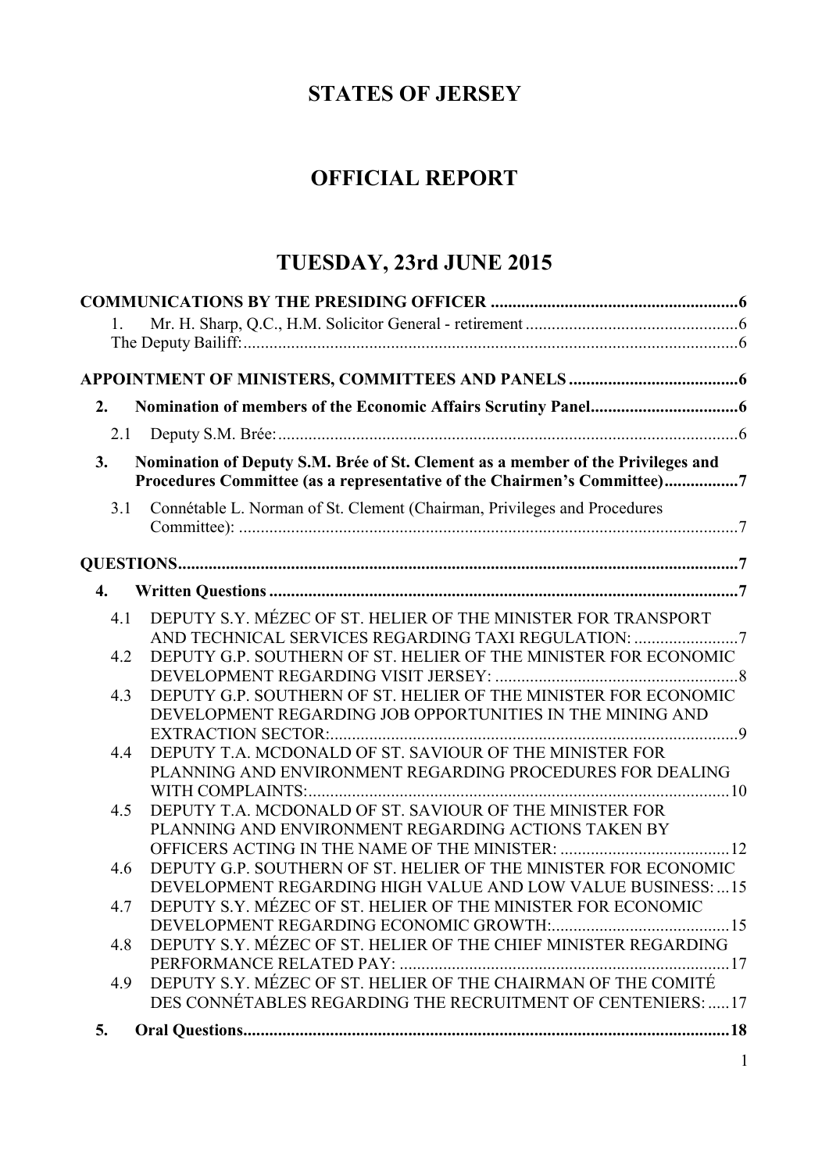## **STATES OF JERSEY**

# **OFFICIAL REPORT**

# **TUESDAY, 23rd JUNE 2015**

| 2.               |                                                                                                                                                            |
|------------------|------------------------------------------------------------------------------------------------------------------------------------------------------------|
|                  |                                                                                                                                                            |
| 3.               | Nomination of Deputy S.M. Brée of St. Clement as a member of the Privileges and<br>Procedures Committee (as a representative of the Chairmen's Committee)7 |
| 3.1              | Connétable L. Norman of St. Clement (Chairman, Privileges and Procedures                                                                                   |
|                  |                                                                                                                                                            |
| $\overline{4}$ . |                                                                                                                                                            |
| 4.1              | DEPUTY S.Y. MÉZEC OF ST. HELIER OF THE MINISTER FOR TRANSPORT                                                                                              |
| 4.2              | DEPUTY G.P. SOUTHERN OF ST. HELIER OF THE MINISTER FOR ECONOMIC                                                                                            |
| 4.3              | DEPUTY G.P. SOUTHERN OF ST. HELIER OF THE MINISTER FOR ECONOMIC<br>DEVELOPMENT REGARDING JOB OPPORTUNITIES IN THE MINING AND                               |
| 4.4              | <b>EXTRACTION SECTOR:</b><br>DEPUTY T.A. MCDONALD OF ST. SAVIOUR OF THE MINISTER FOR<br>PLANNING AND ENVIRONMENT REGARDING PROCEDURES FOR DEALING          |
| 4.5              | DEPUTY T.A. MCDONALD OF ST. SAVIOUR OF THE MINISTER FOR<br>PLANNING AND ENVIRONMENT REGARDING ACTIONS TAKEN BY                                             |
| 4.6              | DEPUTY G.P. SOUTHERN OF ST. HELIER OF THE MINISTER FOR ECONOMIC<br>DEVELOPMENT REGARDING HIGH VALUE AND LOW VALUE BUSINESS:  15                            |
| 4.7              | DEPUTY S.Y. MÉZEC OF ST. HELIER OF THE MINISTER FOR ECONOMIC                                                                                               |
| 4.8              | DEPUTY S.Y. MÉZEC OF ST. HELIER OF THE CHIEF MINISTER REGARDING                                                                                            |
| 4.9              | DEPUTY S.Y. MÉZEC OF ST. HELIER OF THE CHAIRMAN OF THE COMITÉ<br>DES CONNÉTABLES REGARDING THE RECRUITMENT OF CENTENIERS:  17                              |
| 5.               |                                                                                                                                                            |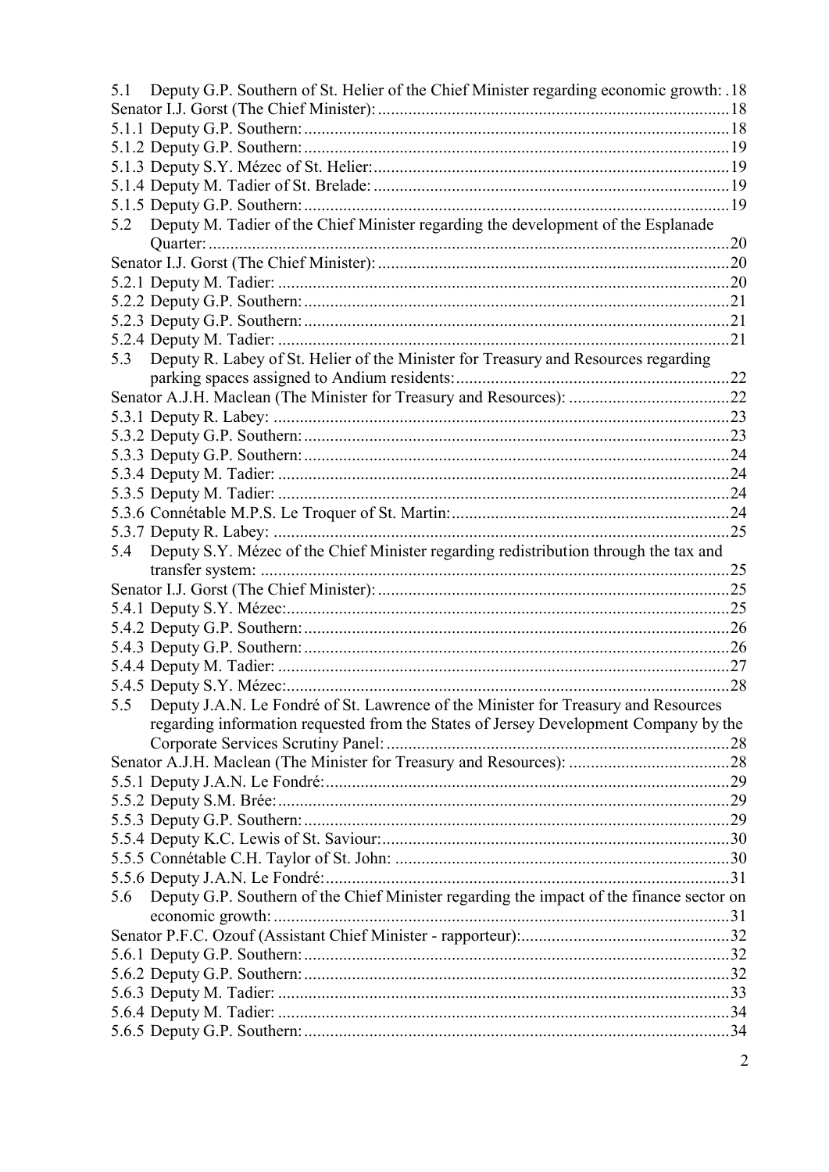| 5.1 | Deputy G.P. Southern of St. Helier of the Chief Minister regarding economic growth: .18  |  |
|-----|------------------------------------------------------------------------------------------|--|
|     |                                                                                          |  |
|     |                                                                                          |  |
|     |                                                                                          |  |
|     |                                                                                          |  |
|     |                                                                                          |  |
|     |                                                                                          |  |
| 5.2 | Deputy M. Tadier of the Chief Minister regarding the development of the Esplanade        |  |
|     |                                                                                          |  |
|     |                                                                                          |  |
|     |                                                                                          |  |
|     |                                                                                          |  |
|     |                                                                                          |  |
|     |                                                                                          |  |
| 5.3 | Deputy R. Labey of St. Helier of the Minister for Treasury and Resources regarding       |  |
|     |                                                                                          |  |
|     |                                                                                          |  |
|     |                                                                                          |  |
|     |                                                                                          |  |
|     |                                                                                          |  |
|     |                                                                                          |  |
|     |                                                                                          |  |
|     |                                                                                          |  |
|     |                                                                                          |  |
| 5.4 | Deputy S.Y. Mézec of the Chief Minister regarding redistribution through the tax and     |  |
|     |                                                                                          |  |
|     |                                                                                          |  |
|     |                                                                                          |  |
|     |                                                                                          |  |
|     |                                                                                          |  |
|     |                                                                                          |  |
|     |                                                                                          |  |
| 5.5 | Deputy J.A.N. Le Fondré of St. Lawrence of the Minister for Treasury and Resources       |  |
|     | regarding information requested from the States of Jersey Development Company by the     |  |
|     |                                                                                          |  |
|     |                                                                                          |  |
|     |                                                                                          |  |
|     |                                                                                          |  |
|     |                                                                                          |  |
|     |                                                                                          |  |
|     |                                                                                          |  |
|     |                                                                                          |  |
| 5.6 | Deputy G.P. Southern of the Chief Minister regarding the impact of the finance sector on |  |
|     |                                                                                          |  |
|     |                                                                                          |  |
|     |                                                                                          |  |
|     |                                                                                          |  |
|     |                                                                                          |  |
|     |                                                                                          |  |
|     |                                                                                          |  |
|     |                                                                                          |  |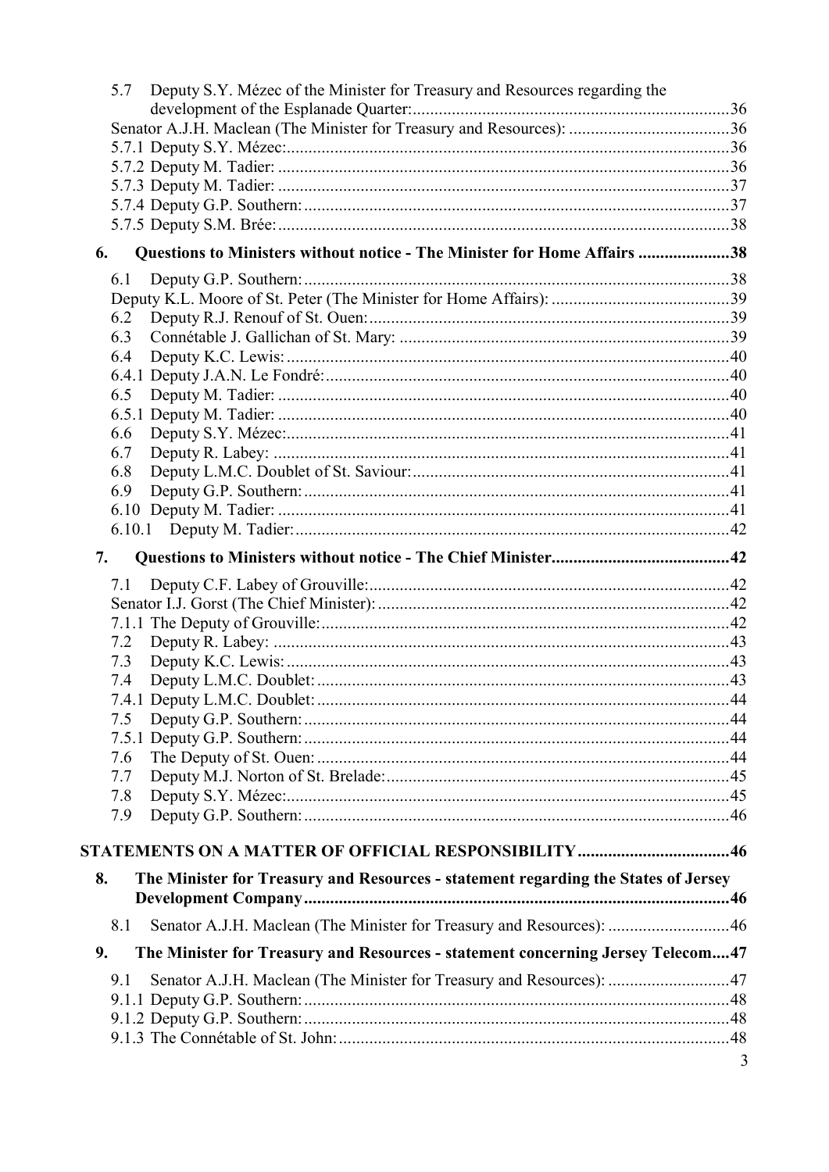| 5.7 | Deputy S.Y. Mézec of the Minister for Treasury and Resources regarding the         |   |
|-----|------------------------------------------------------------------------------------|---|
|     |                                                                                    |   |
|     |                                                                                    |   |
|     |                                                                                    |   |
|     |                                                                                    |   |
|     |                                                                                    |   |
|     |                                                                                    |   |
| 6.  | Questions to Ministers without notice - The Minister for Home Affairs 38           |   |
| 6.1 |                                                                                    |   |
|     |                                                                                    |   |
| 6.2 |                                                                                    |   |
| 6.3 |                                                                                    |   |
| 6.4 |                                                                                    |   |
|     |                                                                                    |   |
| 6.5 |                                                                                    |   |
|     |                                                                                    |   |
| 6.6 |                                                                                    |   |
| 6.7 |                                                                                    |   |
| 6.8 |                                                                                    |   |
| 6.9 |                                                                                    |   |
|     |                                                                                    |   |
|     |                                                                                    |   |
| 7.  |                                                                                    |   |
| 7.1 |                                                                                    |   |
|     |                                                                                    |   |
|     |                                                                                    |   |
| 7.2 |                                                                                    |   |
| 7.3 |                                                                                    |   |
| 7.4 |                                                                                    |   |
|     |                                                                                    |   |
| 7.5 |                                                                                    |   |
|     |                                                                                    |   |
| 7.6 |                                                                                    |   |
| 7.7 |                                                                                    |   |
| 7.8 |                                                                                    |   |
| 7.9 |                                                                                    |   |
|     |                                                                                    |   |
| 8.  | The Minister for Treasury and Resources - statement regarding the States of Jersey |   |
| 8.1 | Senator A.J.H. Maclean (The Minister for Treasury and Resources): 46               |   |
| 9.  | The Minister for Treasury and Resources - statement concerning Jersey Telecom47    |   |
| 9.1 | Senator A.J.H. Maclean (The Minister for Treasury and Resources): 47               |   |
|     |                                                                                    |   |
|     |                                                                                    |   |
|     |                                                                                    |   |
|     |                                                                                    | 3 |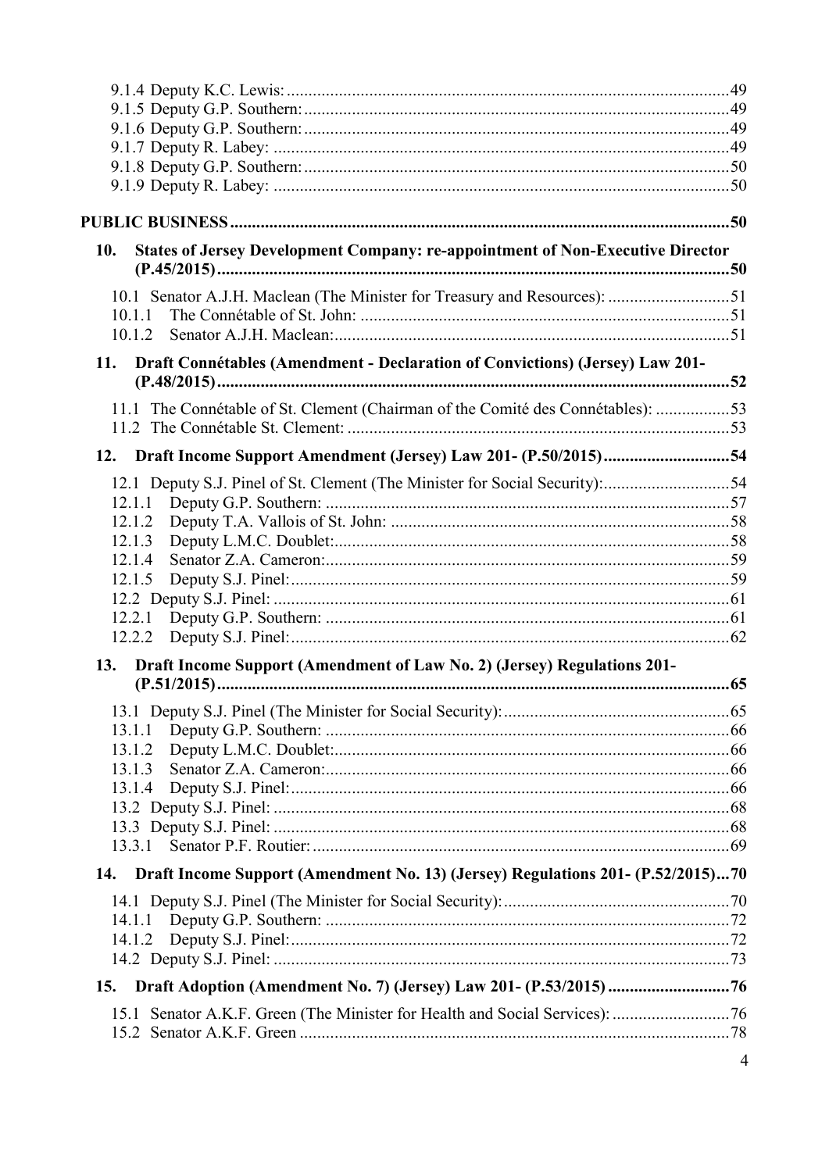| <b>States of Jersey Development Company: re-appointment of Non-Executive Director</b><br>10. |                |
|----------------------------------------------------------------------------------------------|----------------|
|                                                                                              |                |
| 10.1 Senator A.J.H. Maclean (The Minister for Treasury and Resources): 51                    |                |
| 10.1.1                                                                                       |                |
| 10.1.2                                                                                       |                |
| Draft Connétables (Amendment - Declaration of Convictions) (Jersey) Law 201-<br>11.          |                |
| 11.1 The Connétable of St. Clement (Chairman of the Comité des Connétables): 53              |                |
|                                                                                              |                |
|                                                                                              |                |
| 12.1 Deputy S.J. Pinel of St. Clement (The Minister for Social Security):54                  |                |
| 12.1.1                                                                                       |                |
| 12.1.2                                                                                       |                |
| 12.1.3                                                                                       |                |
| 12.1.4                                                                                       |                |
| 12.1.5                                                                                       |                |
| 12.2.1                                                                                       |                |
| 12.2.2                                                                                       |                |
| Draft Income Support (Amendment of Law No. 2) (Jersey) Regulations 201-<br>13.               |                |
|                                                                                              |                |
|                                                                                              |                |
| 13.1.1                                                                                       |                |
| 13.1.2                                                                                       |                |
| 13.1.3                                                                                       |                |
| 13.1.4                                                                                       |                |
|                                                                                              |                |
| 13.3.1                                                                                       |                |
| Draft Income Support (Amendment No. 13) (Jersey) Regulations 201- (P.52/2015)70<br>14.       |                |
|                                                                                              |                |
|                                                                                              |                |
| 14.1.2                                                                                       |                |
|                                                                                              |                |
| 15.                                                                                          |                |
|                                                                                              |                |
|                                                                                              |                |
|                                                                                              | $\overline{4}$ |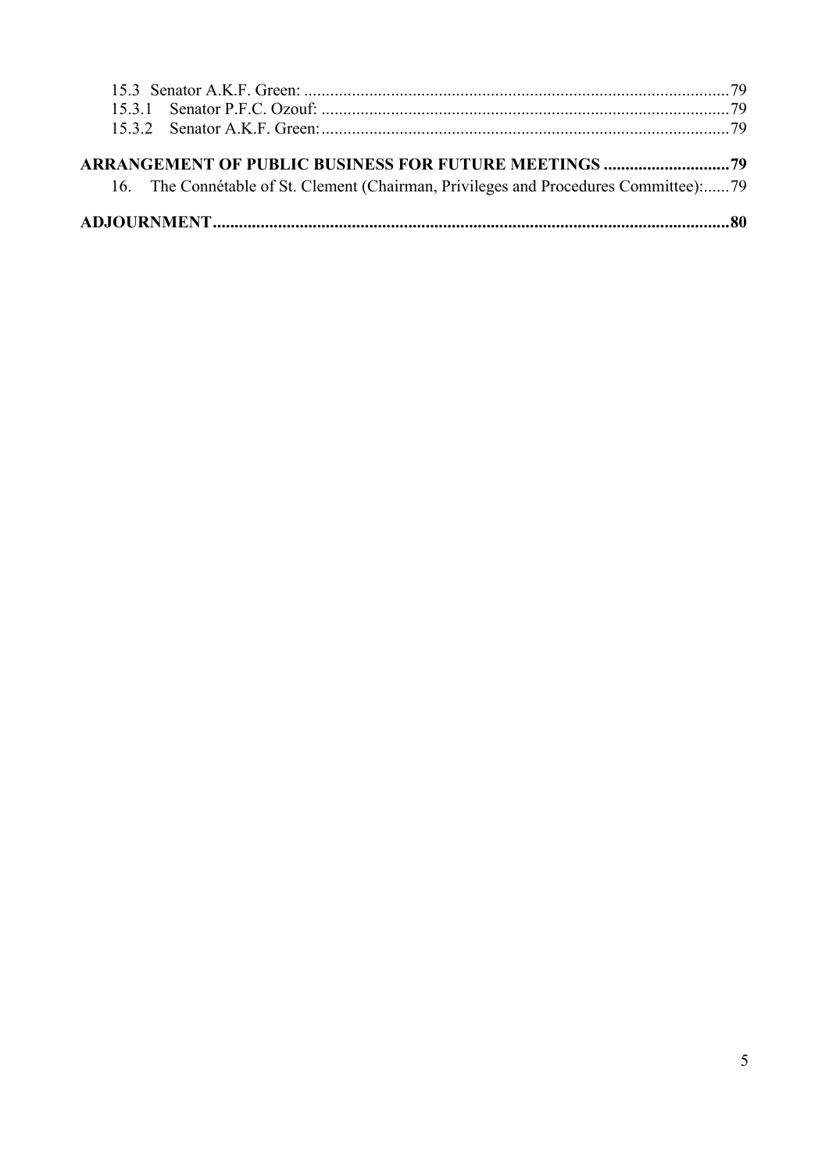|  | 16. The Connétable of St. Clement (Chairman, Privileges and Procedures Committee):79 |  |  |  |
|--|--------------------------------------------------------------------------------------|--|--|--|
|  |                                                                                      |  |  |  |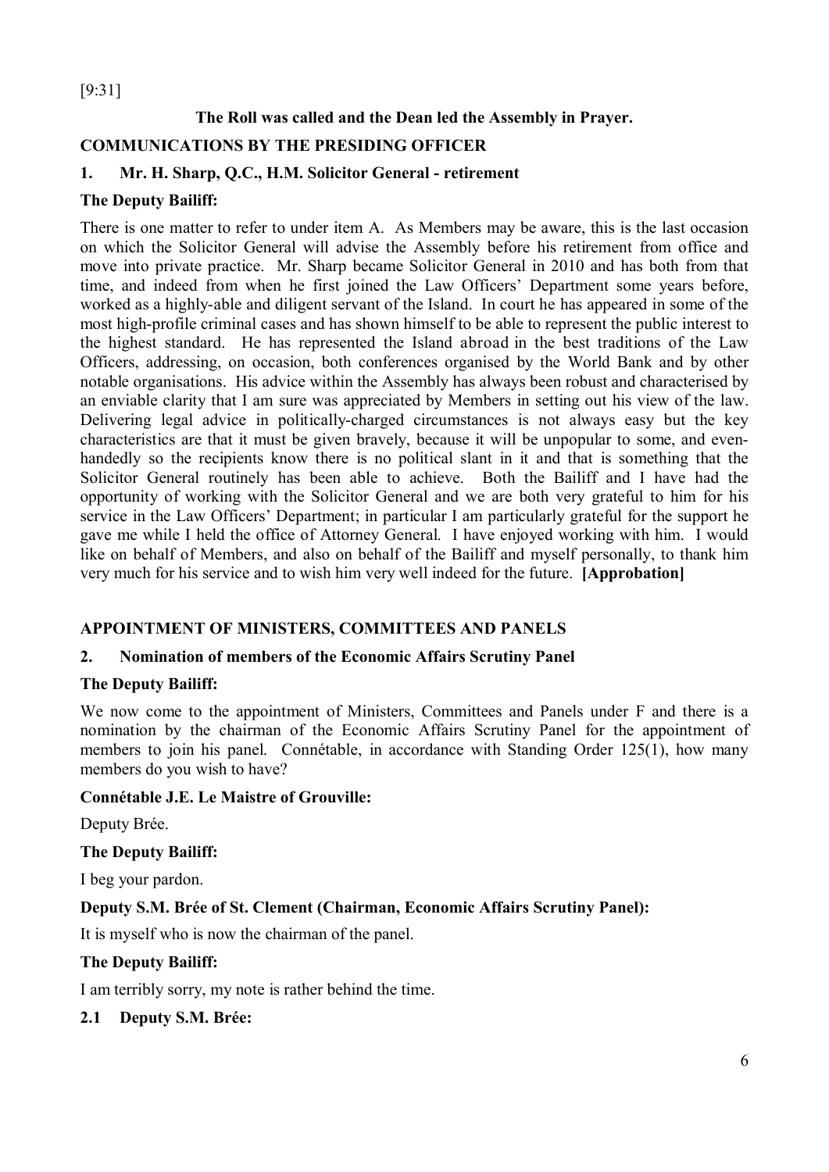## [9:31]

## **The Roll was called and the Dean led the Assembly in Prayer.**

## **COMMUNICATIONS BY THE PRESIDING OFFICER**

#### **1. Mr. H. Sharp, Q.C., H.M. Solicitor General - retirement**

#### **The Deputy Bailiff:**

There is one matter to refer to under item A. As Members may be aware, this is the last occasion on which the Solicitor General will advise the Assembly before his retirement from office and move into private practice. Mr. Sharp became Solicitor General in 2010 and has both from that time, and indeed from when he first joined the Law Officers' Department some years before, worked as a highly-able and diligent servant of the Island. In court he has appeared in some of the most high-profile criminal cases and has shown himself to be able to represent the public interest to the highest standard. He has represented the Island abroad in the best traditions of the Law Officers, addressing, on occasion, both conferences organised by the World Bank and by other notable organisations. His advice within the Assembly has always been robust and characterised by an enviable clarity that I am sure was appreciated by Members in setting out his view of the law. Delivering legal advice in politically-charged circumstances is not always easy but the key characteristics are that it must be given bravely, because it will be unpopular to some, and evenhandedly so the recipients know there is no political slant in it and that is something that the Solicitor General routinely has been able to achieve. Both the Bailiff and I have had the opportunity of working with the Solicitor General and we are both very grateful to him for his service in the Law Officers' Department; in particular I am particularly grateful for the support he gave me while I held the office of Attorney General. I have enjoyed working with him. I would like on behalf of Members, and also on behalf of the Bailiff and myself personally, to thank him very much for his service and to wish him very well indeed for the future. **[Approbation]**

#### **APPOINTMENT OF MINISTERS, COMMITTEES AND PANELS**

#### **2. Nomination of members of the Economic Affairs Scrutiny Panel**

#### **The Deputy Bailiff:**

We now come to the appointment of Ministers, Committees and Panels under F and there is a nomination by the chairman of the Economic Affairs Scrutiny Panel for the appointment of members to join his panel. Connétable, in accordance with Standing Order 125(1), how many members do you wish to have?

#### **Connétable J.E. Le Maistre of Grouville:**

Deputy Brée.

#### **The Deputy Bailiff:**

I beg your pardon.

#### **Deputy S.M. Brée of St. Clement (Chairman, Economic Affairs Scrutiny Panel):**

It is myself who is now the chairman of the panel.

#### **The Deputy Bailiff:**

I am terribly sorry, my note is rather behind the time.

#### **2.1 Deputy S.M. Brée:**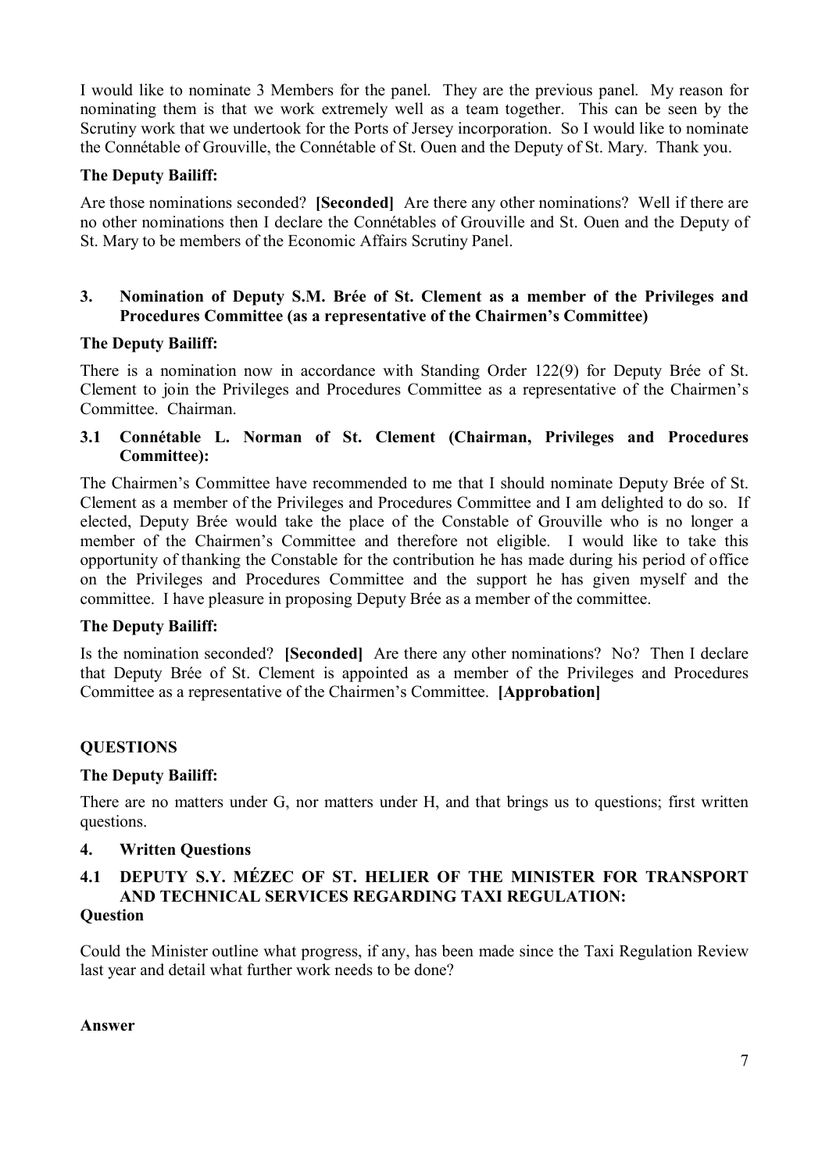I would like to nominate 3 Members for the panel. They are the previous panel. My reason for nominating them is that we work extremely well as a team together. This can be seen by the Scrutiny work that we undertook for the Ports of Jersey incorporation. So I would like to nominate the Connétable of Grouville, the Connétable of St. Ouen and the Deputy of St. Mary. Thank you.

#### **The Deputy Bailiff:**

Are those nominations seconded? **[Seconded]** Are there any other nominations? Well if there are no other nominations then I declare the Connétables of Grouville and St. Ouen and the Deputy of St. Mary to be members of the Economic Affairs Scrutiny Panel.

#### **3. Nomination of Deputy S.M. Brée of St. Clement as a member of the Privileges and Procedures Committee (as a representative of the Chairmen's Committee)**

#### **The Deputy Bailiff:**

There is a nomination now in accordance with Standing Order 122(9) for Deputy Brée of St. Clement to join the Privileges and Procedures Committee as a representative of the Chairmen's Committee. Chairman.

#### **3.1 Connétable L. Norman of St. Clement (Chairman, Privileges and Procedures Committee):**

The Chairmen's Committee have recommended to me that I should nominate Deputy Brée of St. Clement as a member of the Privileges and Procedures Committee and I am delighted to do so. If elected, Deputy Brée would take the place of the Constable of Grouville who is no longer a member of the Chairmen's Committee and therefore not eligible. I would like to take this opportunity of thanking the Constable for the contribution he has made during his period of office on the Privileges and Procedures Committee and the support he has given myself and the committee. I have pleasure in proposing Deputy Brée as a member of the committee.

#### **The Deputy Bailiff:**

Is the nomination seconded? **[Seconded]** Are there any other nominations? No? Then I declare that Deputy Brée of St. Clement is appointed as a member of the Privileges and Procedures Committee as a representative of the Chairmen's Committee. **[Approbation]**

#### **QUESTIONS**

#### **The Deputy Bailiff:**

There are no matters under G, nor matters under H, and that brings us to questions; first written questions.

#### **4. Written Questions**

#### **4.1 DEPUTY S.Y. MÉZEC OF ST. HELIER OF THE MINISTER FOR TRANSPORT AND TECHNICAL SERVICES REGARDING TAXI REGULATION: Question**

Could the Minister outline what progress, if any, has been made since the Taxi Regulation Review last year and detail what further work needs to be done?

#### **Answer**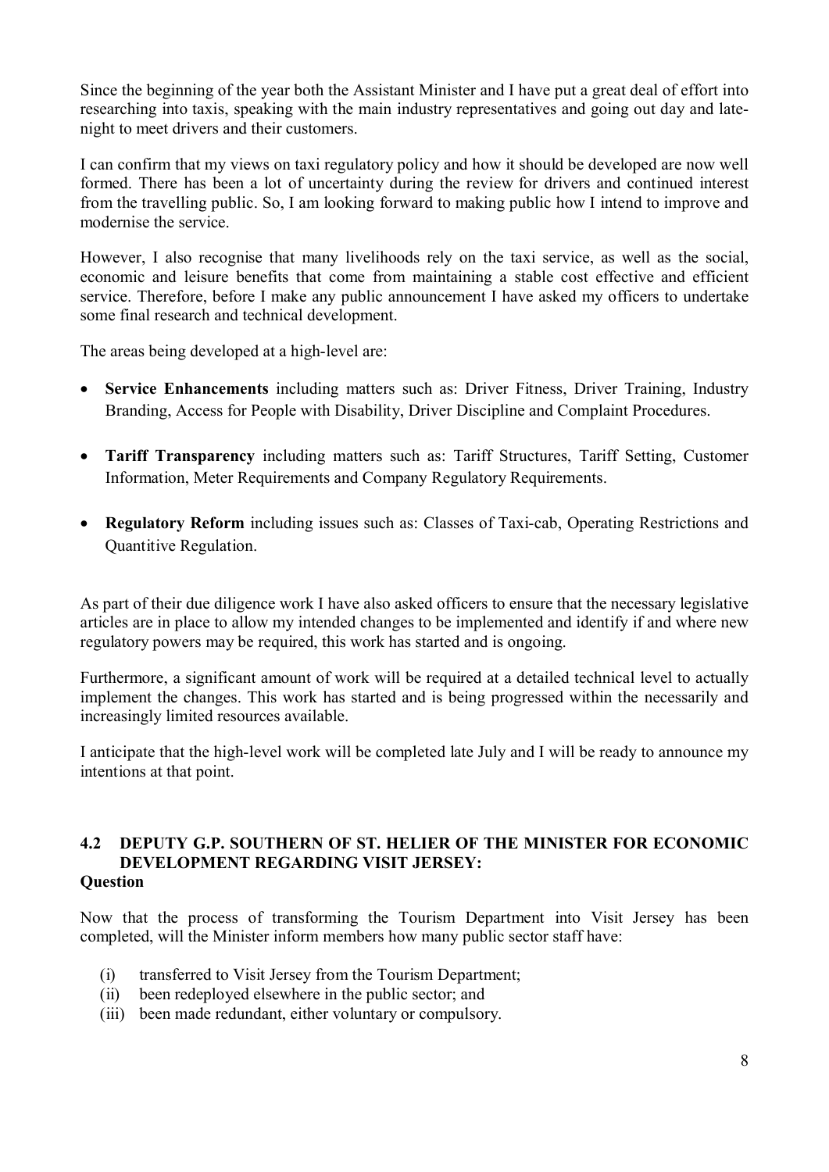Since the beginning of the year both the Assistant Minister and I have put a great deal of effort into researching into taxis, speaking with the main industry representatives and going out day and latenight to meet drivers and their customers.

I can confirm that my views on taxi regulatory policy and how it should be developed are now well formed. There has been a lot of uncertainty during the review for drivers and continued interest from the travelling public. So, I am looking forward to making public how I intend to improve and modernise the service.

However, I also recognise that many livelihoods rely on the taxi service, as well as the social, economic and leisure benefits that come from maintaining a stable cost effective and efficient service. Therefore, before I make any public announcement I have asked my officers to undertake some final research and technical development.

The areas being developed at a high-level are:

- **Service Enhancements** including matters such as: Driver Fitness, Driver Training, Industry Branding, Access for People with Disability, Driver Discipline and Complaint Procedures.
- **Tariff Transparency** including matters such as: Tariff Structures, Tariff Setting, Customer Information, Meter Requirements and Company Regulatory Requirements.
- **Regulatory Reform** including issues such as: Classes of Taxi-cab, Operating Restrictions and Quantitive Regulation.

As part of their due diligence work I have also asked officers to ensure that the necessary legislative articles are in place to allow my intended changes to be implemented and identify if and where new regulatory powers may be required, this work has started and is ongoing.

Furthermore, a significant amount of work will be required at a detailed technical level to actually implement the changes. This work has started and is being progressed within the necessarily and increasingly limited resources available.

I anticipate that the high-level work will be completed late July and I will be ready to announce my intentions at that point.

#### **4.2 DEPUTY G.P. SOUTHERN OF ST. HELIER OF THE MINISTER FOR ECONOMIC DEVELOPMENT REGARDING VISIT JERSEY: Question**

Now that the process of transforming the Tourism Department into Visit Jersey has been completed, will the Minister inform members how many public sector staff have:

- (i) transferred to Visit Jersey from the Tourism Department;
- (ii) been redeployed elsewhere in the public sector; and
- (iii) been made redundant, either voluntary or compulsory.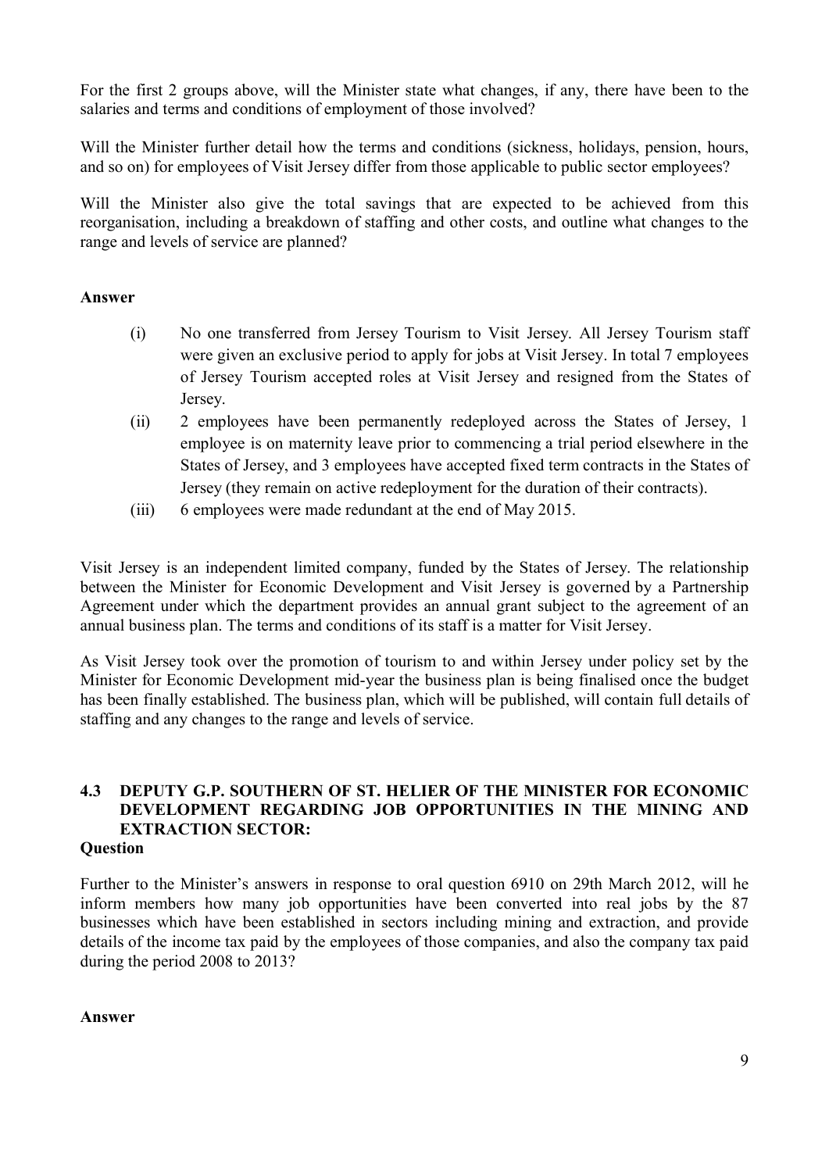For the first 2 groups above, will the Minister state what changes, if any, there have been to the salaries and terms and conditions of employment of those involved?

Will the Minister further detail how the terms and conditions (sickness, holidays, pension, hours, and so on) for employees of Visit Jersey differ from those applicable to public sector employees?

Will the Minister also give the total savings that are expected to be achieved from this reorganisation, including a breakdown of staffing and other costs, and outline what changes to the range and levels of service are planned?

#### **Answer**

- (i) No one transferred from Jersey Tourism to Visit Jersey. All Jersey Tourism staff were given an exclusive period to apply for jobs at Visit Jersey. In total 7 employees of Jersey Tourism accepted roles at Visit Jersey and resigned from the States of Jersey.
- (ii) 2 employees have been permanently redeployed across the States of Jersey, 1 employee is on maternity leave prior to commencing a trial period elsewhere in the States of Jersey, and 3 employees have accepted fixed term contracts in the States of Jersey (they remain on active redeployment for the duration of their contracts).
- (iii) 6 employees were made redundant at the end of May 2015.

Visit Jersey is an independent limited company, funded by the States of Jersey. The relationship between the Minister for Economic Development and Visit Jersey is governed by a Partnership Agreement under which the department provides an annual grant subject to the agreement of an annual business plan. The terms and conditions of its staff is a matter for Visit Jersey.

As Visit Jersey took over the promotion of tourism to and within Jersey under policy set by the Minister for Economic Development mid-year the business plan is being finalised once the budget has been finally established. The business plan, which will be published, will contain full details of staffing and any changes to the range and levels of service.

## **4.3 DEPUTY G.P. SOUTHERN OF ST. HELIER OF THE MINISTER FOR ECONOMIC DEVELOPMENT REGARDING JOB OPPORTUNITIES IN THE MINING AND EXTRACTION SECTOR:**

#### **Question**

Further to the Minister's answers in response to oral question 6910 on 29th March 2012, will he inform members how many job opportunities have been converted into real jobs by the 87 businesses which have been established in sectors including mining and extraction, and provide details of the income tax paid by the employees of those companies, and also the company tax paid during the period 2008 to 2013?

#### **Answer**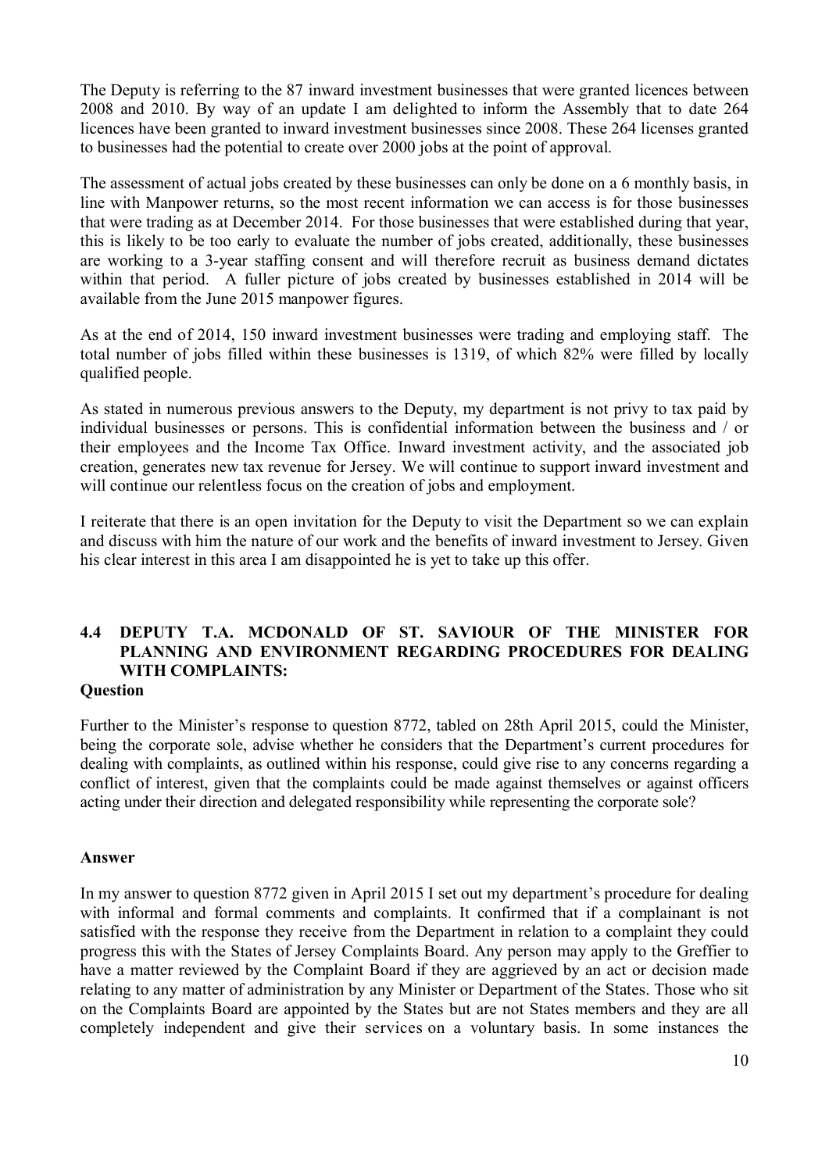The Deputy is referring to the 87 inward investment businesses that were granted licences between 2008 and 2010. By way of an update I am delighted to inform the Assembly that to date 264 licences have been granted to inward investment businesses since 2008. These 264 licenses granted to businesses had the potential to create over 2000 jobs at the point of approval.

The assessment of actual jobs created by these businesses can only be done on a 6 monthly basis, in line with Manpower returns, so the most recent information we can access is for those businesses that were trading as at December 2014. For those businesses that were established during that year, this is likely to be too early to evaluate the number of jobs created, additionally, these businesses are working to a 3-year staffing consent and will therefore recruit as business demand dictates within that period. A fuller picture of jobs created by businesses established in 2014 will be available from the June 2015 manpower figures.

As at the end of 2014, 150 inward investment businesses were trading and employing staff. The total number of jobs filled within these businesses is 1319, of which 82% were filled by locally qualified people.

As stated in numerous previous answers to the Deputy, my department is not privy to tax paid by individual businesses or persons. This is confidential information between the business and / or their employees and the Income Tax Office. Inward investment activity, and the associated job creation, generates new tax revenue for Jersey. We will continue to support inward investment and will continue our relentless focus on the creation of jobs and employment.

I reiterate that there is an open invitation for the Deputy to visit the Department so we can explain and discuss with him the nature of our work and the benefits of inward investment to Jersey. Given his clear interest in this area I am disappointed he is yet to take up this offer.

## **4.4 DEPUTY T.A. MCDONALD OF ST. SAVIOUR OF THE MINISTER FOR PLANNING AND ENVIRONMENT REGARDING PROCEDURES FOR DEALING WITH COMPLAINTS:**

#### **Question**

Further to the Minister's response to question 8772, tabled on 28th April 2015, could the Minister, being the corporate sole, advise whether he considers that the Department's current procedures for dealing with complaints, as outlined within his response, could give rise to any concerns regarding a conflict of interest, given that the complaints could be made against themselves or against officers acting under their direction and delegated responsibility while representing the corporate sole?

#### **Answer**

In my answer to question 8772 given in April 2015 I set out my department's procedure for dealing with informal and formal comments and complaints. It confirmed that if a complainant is not satisfied with the response they receive from the Department in relation to a complaint they could progress this with the States of Jersey Complaints Board. Any person may apply to the Greffier to have a matter reviewed by the Complaint Board if they are aggrieved by an act or decision made relating to any matter of administration by any Minister or Department of the States. Those who sit on the Complaints Board are appointed by the States but are not States members and they are all completely independent and give their services on a voluntary basis. In some instances the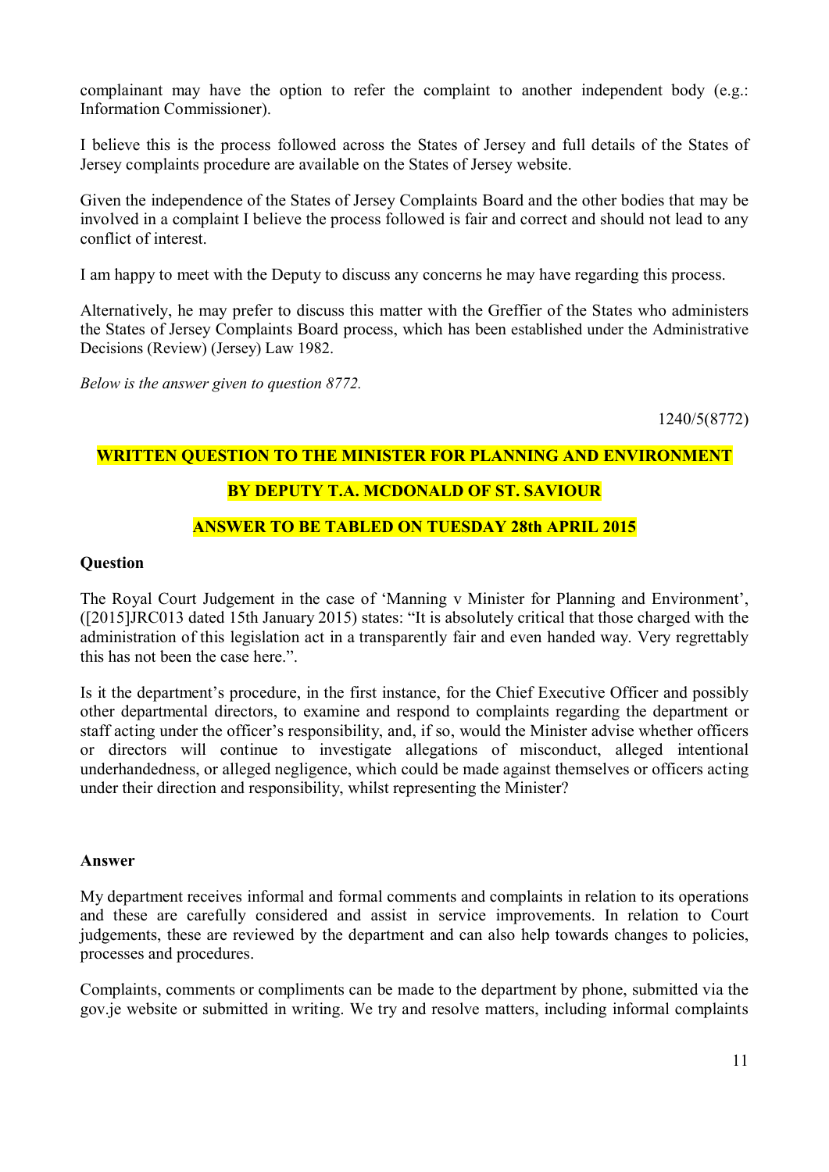complainant may have the option to refer the complaint to another independent body (e.g.: Information Commissioner).

I believe this is the process followed across the States of Jersey and full details of the States of Jersey complaints procedure are available on the States of Jersey website.

Given the independence of the States of Jersey Complaints Board and the other bodies that may be involved in a complaint I believe the process followed is fair and correct and should not lead to any conflict of interest.

I am happy to meet with the Deputy to discuss any concerns he may have regarding this process.

Alternatively, he may prefer to discuss this matter with the Greffier of the States who administers the States of Jersey Complaints Board process, which has been established under the Administrative Decisions (Review) (Jersey) Law 1982.

*Below is the answer given to question 8772.*

1240/5(8772)

#### **WRITTEN QUESTION TO THE MINISTER FOR PLANNING AND ENVIRONMENT**

## **BY DEPUTY T.A. MCDONALD OF ST. SAVIOUR**

#### **ANSWER TO BE TABLED ON TUESDAY 28th APRIL 2015**

#### **Question**

The Royal Court Judgement in the case of 'Manning v Minister for Planning and Environment', ([2015]JRC013 dated 15th January 2015) states: "It is absolutely critical that those charged with the administration of this legislation act in a transparently fair and even handed way. Very regrettably this has not been the case here.".

Is it the department's procedure, in the first instance, for the Chief Executive Officer and possibly other departmental directors, to examine and respond to complaints regarding the department or staff acting under the officer's responsibility, and, if so, would the Minister advise whether officers or directors will continue to investigate allegations of misconduct, alleged intentional underhandedness, or alleged negligence, which could be made against themselves or officers acting under their direction and responsibility, whilst representing the Minister?

#### **Answer**

My department receives informal and formal comments and complaints in relation to its operations and these are carefully considered and assist in service improvements. In relation to Court judgements, these are reviewed by the department and can also help towards changes to policies, processes and procedures.

Complaints, comments or compliments can be made to the department by phone, submitted via the gov.je website or submitted in writing. We try and resolve matters, including informal complaints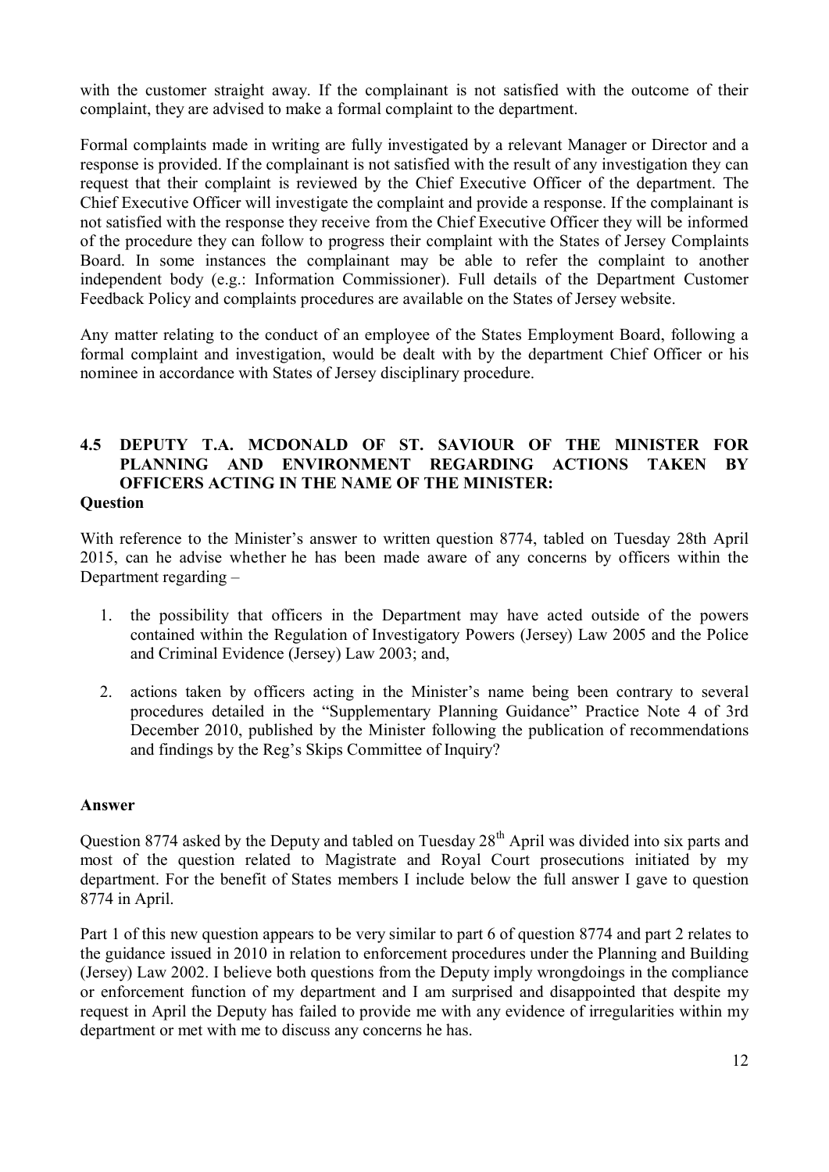with the customer straight away. If the complainant is not satisfied with the outcome of their complaint, they are advised to make a formal complaint to the department.

Formal complaints made in writing are fully investigated by a relevant Manager or Director and a response is provided. If the complainant is not satisfied with the result of any investigation they can request that their complaint is reviewed by the Chief Executive Officer of the department. The Chief Executive Officer will investigate the complaint and provide a response. If the complainant is not satisfied with the response they receive from the Chief Executive Officer they will be informed of the procedure they can follow to progress their complaint with the States of Jersey Complaints Board. In some instances the complainant may be able to refer the complaint to another independent body (e.g.: Information Commissioner). Full details of the Department Customer Feedback Policy and complaints procedures are available on the States of Jersey website.

Any matter relating to the conduct of an employee of the States Employment Board, following a formal complaint and investigation, would be dealt with by the department Chief Officer or his nominee in accordance with States of Jersey disciplinary procedure.

#### **4.5 DEPUTY T.A. MCDONALD OF ST. SAVIOUR OF THE MINISTER FOR PLANNING AND ENVIRONMENT REGARDING ACTIONS TAKEN BY OFFICERS ACTING IN THE NAME OF THE MINISTER: Question**

With reference to the Minister's answer to written question 8774, tabled on Tuesday 28th April 2015, can he advise whether he has been made aware of any concerns by officers within the Department regarding –

- 1. the possibility that officers in the Department may have acted outside of the powers contained within the Regulation of Investigatory Powers (Jersey) Law 2005 and the Police and Criminal Evidence (Jersey) Law 2003; and,
- 2. actions taken by officers acting in the Minister's name being been contrary to several procedures detailed in the "Supplementary Planning Guidance" Practice Note 4 of 3rd December 2010, published by the Minister following the publication of recommendations and findings by the Reg's Skips Committee of Inquiry?

#### **Answer**

Question 8774 asked by the Deputy and tabled on Tuesday 28<sup>th</sup> April was divided into six parts and most of the question related to Magistrate and Royal Court prosecutions initiated by my department. For the benefit of States members I include below the full answer I gave to question 8774 in April.

Part 1 of this new question appears to be very similar to part 6 of question 8774 and part 2 relates to the guidance issued in 2010 in relation to enforcement procedures under the Planning and Building (Jersey) Law 2002. I believe both questions from the Deputy imply wrongdoings in the compliance or enforcement function of my department and I am surprised and disappointed that despite my request in April the Deputy has failed to provide me with any evidence of irregularities within my department or met with me to discuss any concerns he has.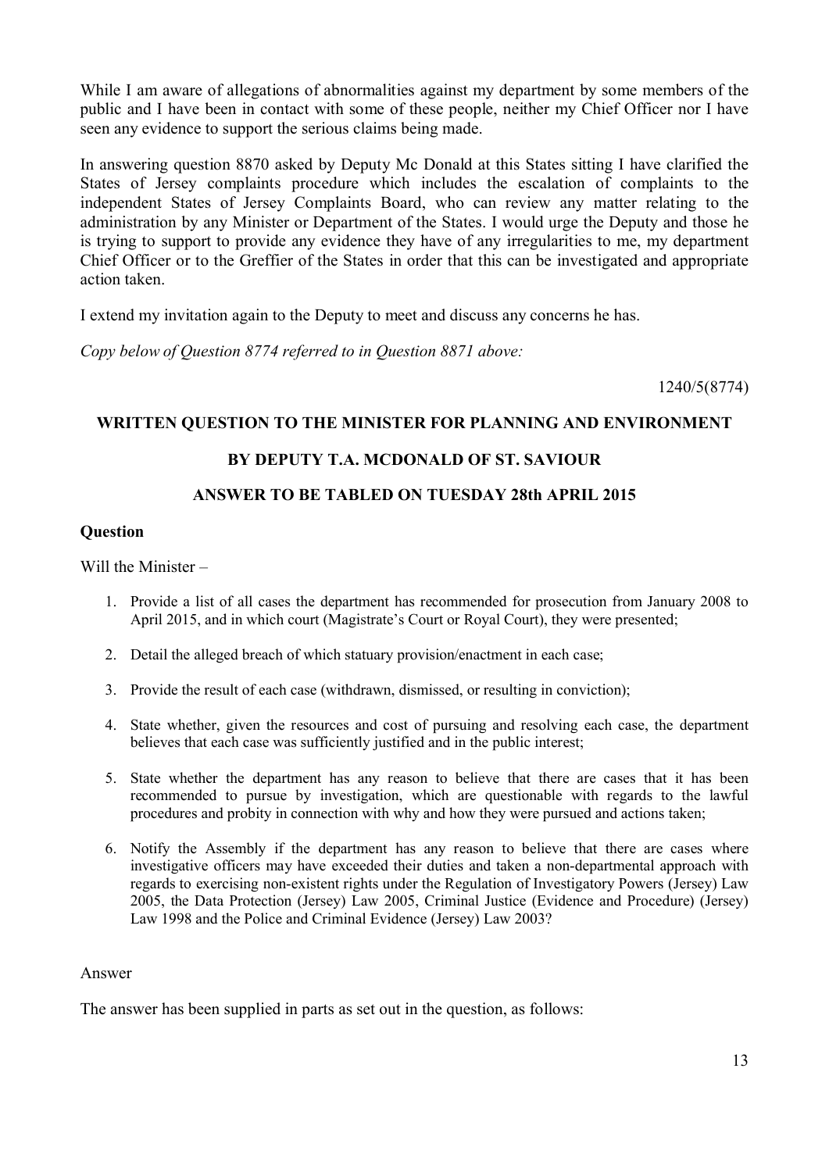While I am aware of allegations of abnormalities against my department by some members of the public and I have been in contact with some of these people, neither my Chief Officer nor I have seen any evidence to support the serious claims being made.

In answering question 8870 asked by Deputy Mc Donald at this States sitting I have clarified the States of Jersey complaints procedure which includes the escalation of complaints to the independent States of Jersey Complaints Board, who can review any matter relating to the administration by any Minister or Department of the States. I would urge the Deputy and those he is trying to support to provide any evidence they have of any irregularities to me, my department Chief Officer or to the Greffier of the States in order that this can be investigated and appropriate action taken.

I extend my invitation again to the Deputy to meet and discuss any concerns he has.

*Copy below of Question 8774 referred to in Question 8871 above:* 

1240/5(8774)

#### **WRITTEN QUESTION TO THE MINISTER FOR PLANNING AND ENVIRONMENT**

#### **BY DEPUTY T.A. MCDONALD OF ST. SAVIOUR**

#### **ANSWER TO BE TABLED ON TUESDAY 28th APRIL 2015**

#### **Question**

Will the Minister –

- 1. Provide a list of all cases the department has recommended for prosecution from January 2008 to April 2015, and in which court (Magistrate's Court or Royal Court), they were presented;
- 2. Detail the alleged breach of which statuary provision/enactment in each case;
- 3. Provide the result of each case (withdrawn, dismissed, or resulting in conviction);
- 4. State whether, given the resources and cost of pursuing and resolving each case, the department believes that each case was sufficiently justified and in the public interest;
- 5. State whether the department has any reason to believe that there are cases that it has been recommended to pursue by investigation, which are questionable with regards to the lawful procedures and probity in connection with why and how they were pursued and actions taken;
- 6. Notify the Assembly if the department has any reason to believe that there are cases where investigative officers may have exceeded their duties and taken a non-departmental approach with regards to exercising non-existent rights under the Regulation of Investigatory Powers (Jersey) Law 2005, the Data Protection (Jersey) Law 2005, Criminal Justice (Evidence and Procedure) (Jersey) Law 1998 and the Police and Criminal Evidence (Jersey) Law 2003?

#### Answer

The answer has been supplied in parts as set out in the question, as follows: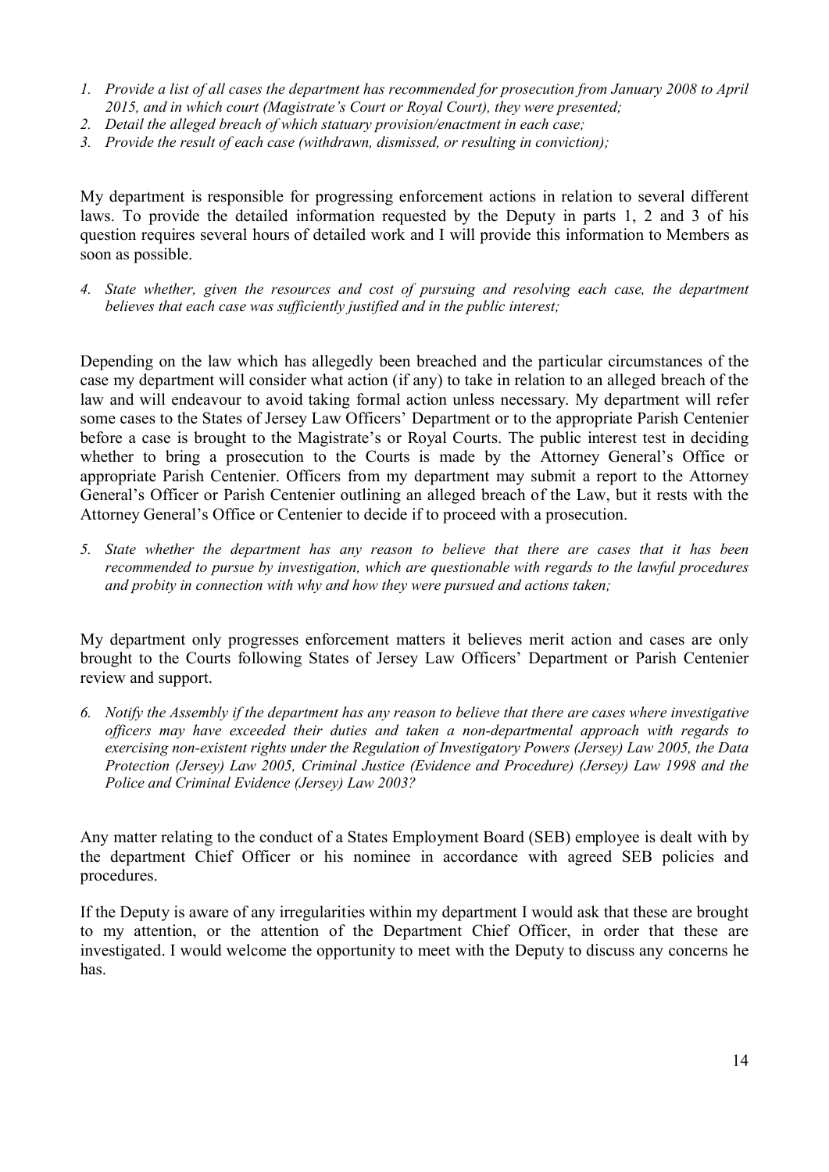- *1. Provide a list of all cases the department has recommended for prosecution from January 2008 to April 2015, and in which court (Magistrate's Court or Royal Court), they were presented;*
- *2. Detail the alleged breach of which statuary provision/enactment in each case;*
- *3. Provide the result of each case (withdrawn, dismissed, or resulting in conviction);*

My department is responsible for progressing enforcement actions in relation to several different laws. To provide the detailed information requested by the Deputy in parts 1, 2 and 3 of his question requires several hours of detailed work and I will provide this information to Members as soon as possible.

*4. State whether, given the resources and cost of pursuing and resolving each case, the department believes that each case was sufficiently justified and in the public interest;*

Depending on the law which has allegedly been breached and the particular circumstances of the case my department will consider what action (if any) to take in relation to an alleged breach of the law and will endeavour to avoid taking formal action unless necessary. My department will refer some cases to the States of Jersey Law Officers' Department or to the appropriate Parish Centenier before a case is brought to the Magistrate's or Royal Courts. The public interest test in deciding whether to bring a prosecution to the Courts is made by the Attorney General's Office or appropriate Parish Centenier. Officers from my department may submit a report to the Attorney General's Officer or Parish Centenier outlining an alleged breach of the Law, but it rests with the Attorney General's Office or Centenier to decide if to proceed with a prosecution.

*5. State whether the department has any reason to believe that there are cases that it has been recommended to pursue by investigation, which are questionable with regards to the lawful procedures and probity in connection with why and how they were pursued and actions taken;* 

My department only progresses enforcement matters it believes merit action and cases are only brought to the Courts following States of Jersey Law Officers' Department or Parish Centenier review and support.

*6. Notify the Assembly if the department has any reason to believe that there are cases where investigative officers may have exceeded their duties and taken a non-departmental approach with regards to exercising non-existent rights under the Regulation of Investigatory Powers (Jersey) Law 2005, the Data Protection (Jersey) Law 2005, Criminal Justice (Evidence and Procedure) (Jersey) Law 1998 and the Police and Criminal Evidence (Jersey) Law 2003?*

Any matter relating to the conduct of a States Employment Board (SEB) employee is dealt with by the department Chief Officer or his nominee in accordance with agreed SEB policies and procedures.

If the Deputy is aware of any irregularities within my department I would ask that these are brought to my attention, or the attention of the Department Chief Officer, in order that these are investigated. I would welcome the opportunity to meet with the Deputy to discuss any concerns he has.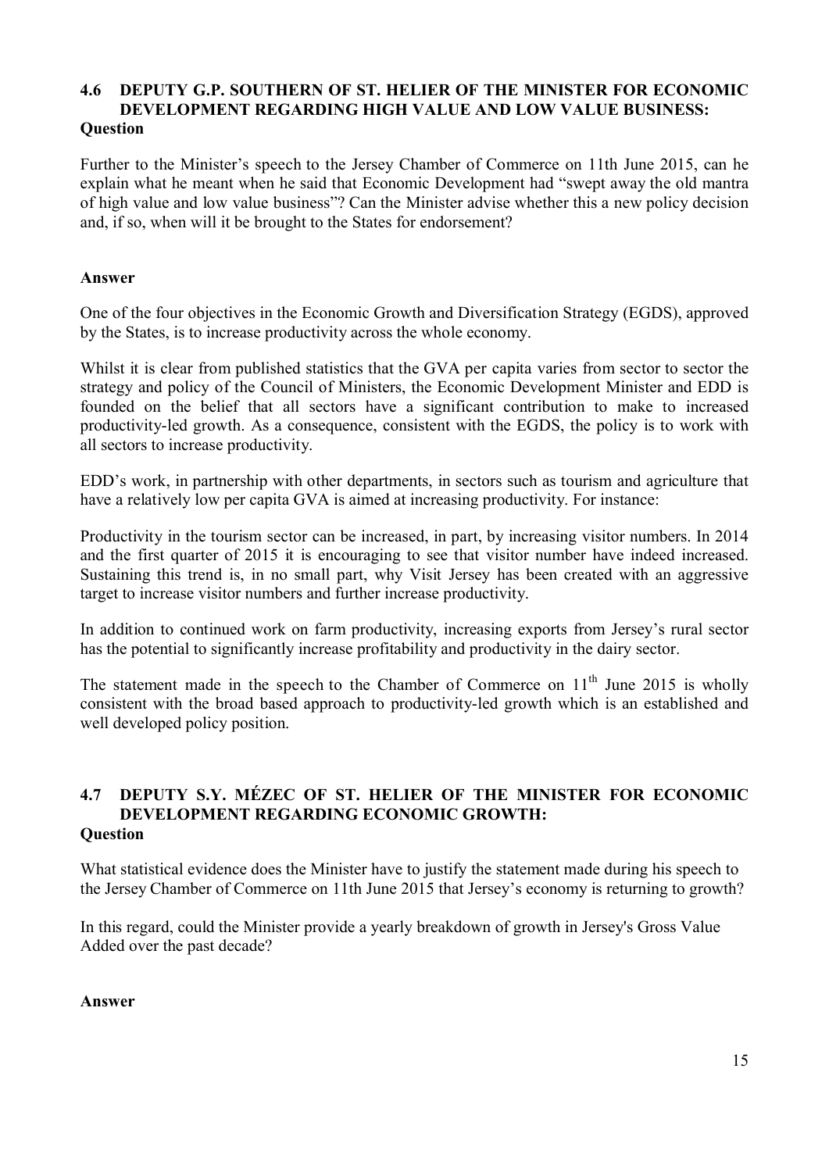#### **4.6 DEPUTY G.P. SOUTHERN OF ST. HELIER OF THE MINISTER FOR ECONOMIC DEVELOPMENT REGARDING HIGH VALUE AND LOW VALUE BUSINESS: Question**

Further to the Minister's speech to the Jersey Chamber of Commerce on 11th June 2015, can he explain what he meant when he said that Economic Development had "swept away the old mantra of high value and low value business"? Can the Minister advise whether this a new policy decision and, if so, when will it be brought to the States for endorsement?

#### **Answer**

One of the four objectives in the Economic Growth and Diversification Strategy (EGDS), approved by the States, is to increase productivity across the whole economy.

Whilst it is clear from published statistics that the GVA per capita varies from sector to sector the strategy and policy of the Council of Ministers, the Economic Development Minister and EDD is founded on the belief that all sectors have a significant contribution to make to increased productivity-led growth. As a consequence, consistent with the EGDS, the policy is to work with all sectors to increase productivity.

EDD's work, in partnership with other departments, in sectors such as tourism and agriculture that have a relatively low per capita GVA is aimed at increasing productivity. For instance:

Productivity in the tourism sector can be increased, in part, by increasing visitor numbers. In 2014 and the first quarter of 2015 it is encouraging to see that visitor number have indeed increased. Sustaining this trend is, in no small part, why Visit Jersey has been created with an aggressive target to increase visitor numbers and further increase productivity.

In addition to continued work on farm productivity, increasing exports from Jersey's rural sector has the potential to significantly increase profitability and productivity in the dairy sector.

The statement made in the speech to the Chamber of Commerce on  $11<sup>th</sup>$  June 2015 is wholly consistent with the broad based approach to productivity-led growth which is an established and well developed policy position.

#### **4.7 DEPUTY S.Y. MÉZEC OF ST. HELIER OF THE MINISTER FOR ECONOMIC DEVELOPMENT REGARDING ECONOMIC GROWTH: Question**

What statistical evidence does the Minister have to justify the statement made during his speech to the Jersey Chamber of Commerce on 11th June 2015 that Jersey's economy is returning to growth?

In this regard, could the Minister provide a yearly breakdown of growth in Jersey's Gross Value Added over the past decade?

#### **Answer**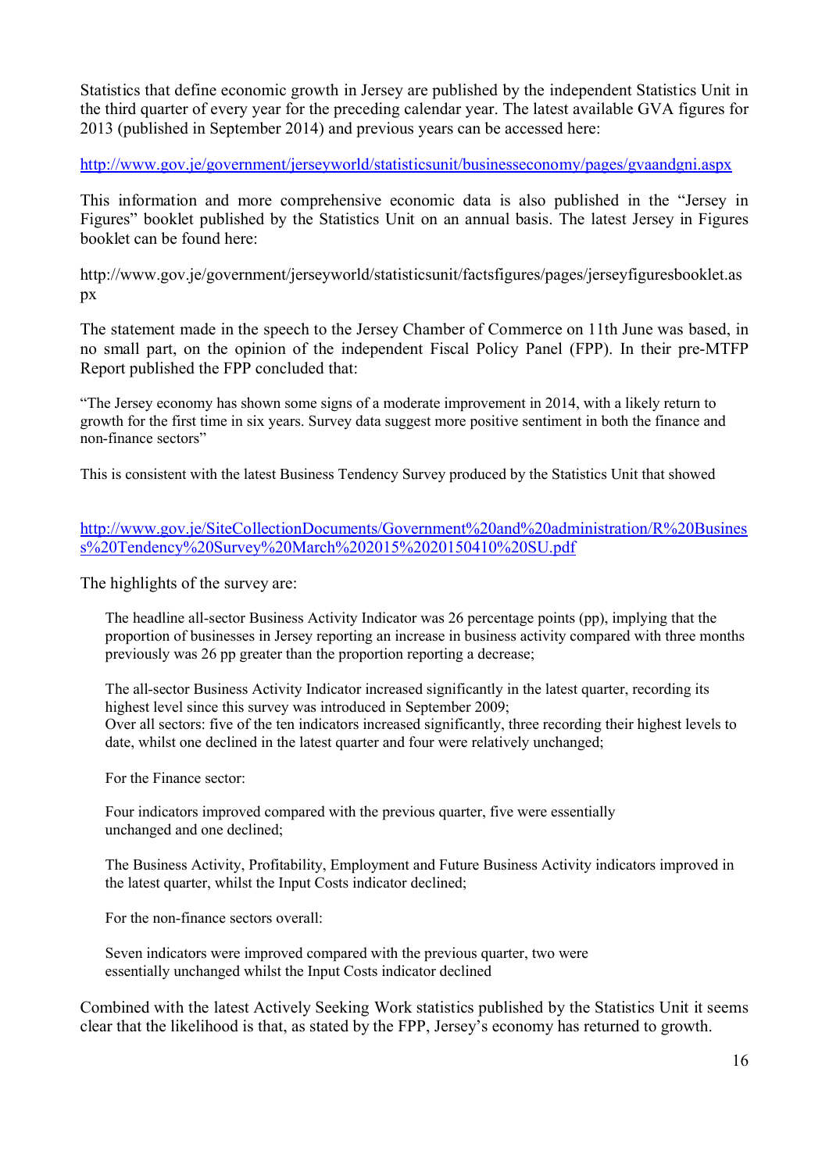Statistics that define economic growth in Jersey are published by the independent Statistics Unit in the third quarter of every year for the preceding calendar year. The latest available GVA figures for 2013 (published in September 2014) and previous years can be accessed here:

http://www.gov.je/government/jerseyworld/statisticsunit/businesseconomy/pages/gvaandgni.aspx

This information and more comprehensive economic data is also published in the "Jersey in Figures" booklet published by the Statistics Unit on an annual basis. The latest Jersey in Figures booklet can be found here:

http://www.gov.je/government/jerseyworld/statisticsunit/factsfigures/pages/jerseyfiguresbooklet.as px

The statement made in the speech to the Jersey Chamber of Commerce on 11th June was based, in no small part, on the opinion of the independent Fiscal Policy Panel (FPP). In their pre-MTFP Report published the FPP concluded that:

"The Jersey economy has shown some signs of a moderate improvement in 2014, with a likely return to growth for the first time in six years. Survey data suggest more positive sentiment in both the finance and non-finance sectors"

This is consistent with the latest Business Tendency Survey produced by the Statistics Unit that showed

http://www.gov.je/SiteCollectionDocuments/Government%20and%20administration/R%20Busines s%20Tendency%20Survey%20March%202015%2020150410%20SU.pdf

The highlights of the survey are:

The headline all-sector Business Activity Indicator was 26 percentage points (pp), implying that the proportion of businesses in Jersey reporting an increase in business activity compared with three months previously was 26 pp greater than the proportion reporting a decrease;

The all-sector Business Activity Indicator increased significantly in the latest quarter, recording its highest level since this survey was introduced in September 2009; Over all sectors: five of the ten indicators increased significantly, three recording their highest levels to date, whilst one declined in the latest quarter and four were relatively unchanged;

For the Finance sector:

Four indicators improved compared with the previous quarter, five were essentially unchanged and one declined;

The Business Activity, Profitability, Employment and Future Business Activity indicators improved in the latest quarter, whilst the Input Costs indicator declined;

For the non-finance sectors overall:

Seven indicators were improved compared with the previous quarter, two were essentially unchanged whilst the Input Costs indicator declined

Combined with the latest Actively Seeking Work statistics published by the Statistics Unit it seems clear that the likelihood is that, as stated by the FPP, Jersey's economy has returned to growth.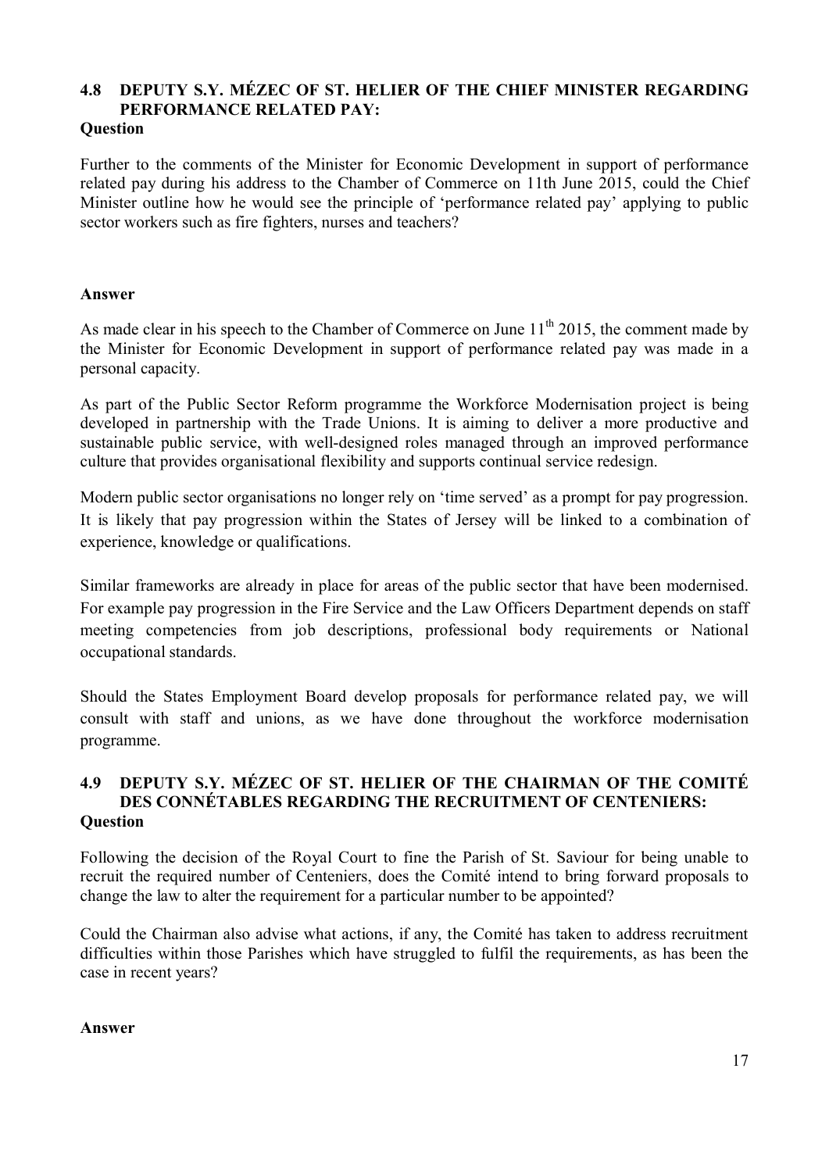## **4.8 DEPUTY S.Y. MÉZEC OF ST. HELIER OF THE CHIEF MINISTER REGARDING PERFORMANCE RELATED PAY:**

#### **Question**

Further to the comments of the Minister for Economic Development in support of performance related pay during his address to the Chamber of Commerce on 11th June 2015, could the Chief Minister outline how he would see the principle of 'performance related pay' applying to public sector workers such as fire fighters, nurses and teachers?

#### **Answer**

As made clear in his speech to the Chamber of Commerce on June  $11<sup>th</sup>$  2015, the comment made by the Minister for Economic Development in support of performance related pay was made in a personal capacity.

As part of the Public Sector Reform programme the Workforce Modernisation project is being developed in partnership with the Trade Unions. It is aiming to deliver a more productive and sustainable public service, with well-designed roles managed through an improved performance culture that provides organisational flexibility and supports continual service redesign.

Modern public sector organisations no longer rely on 'time served' as a prompt for pay progression. It is likely that pay progression within the States of Jersey will be linked to a combination of experience, knowledge or qualifications.

Similar frameworks are already in place for areas of the public sector that have been modernised. For example pay progression in the Fire Service and the Law Officers Department depends on staff meeting competencies from job descriptions, professional body requirements or National occupational standards.

Should the States Employment Board develop proposals for performance related pay, we will consult with staff and unions, as we have done throughout the workforce modernisation programme.

## **4.9 DEPUTY S.Y. MÉZEC OF ST. HELIER OF THE CHAIRMAN OF THE COMITÉ DES CONNÉTABLES REGARDING THE RECRUITMENT OF CENTENIERS: Question**

Following the decision of the Royal Court to fine the Parish of St. Saviour for being unable to recruit the required number of Centeniers, does the Comité intend to bring forward proposals to change the law to alter the requirement for a particular number to be appointed?

Could the Chairman also advise what actions, if any, the Comité has taken to address recruitment difficulties within those Parishes which have struggled to fulfil the requirements, as has been the case in recent years?

#### **Answer**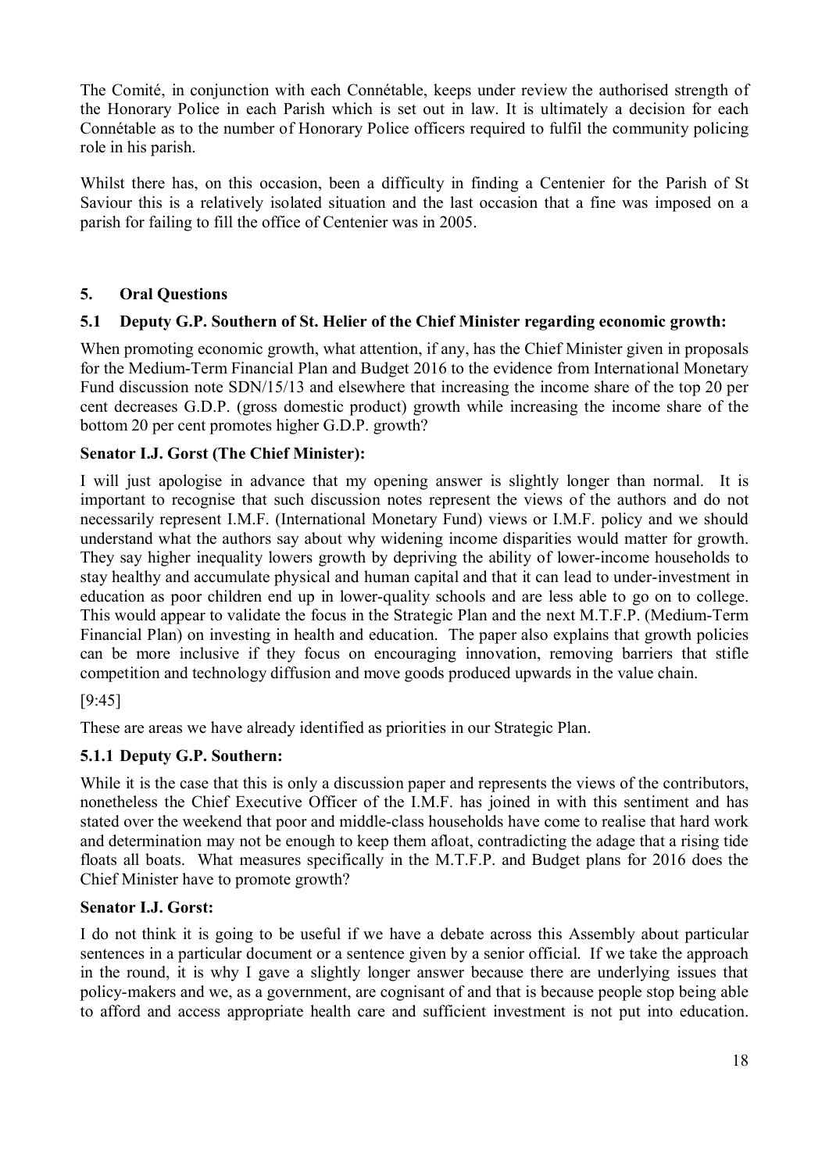The Comité, in conjunction with each Connétable, keeps under review the authorised strength of the Honorary Police in each Parish which is set out in law. It is ultimately a decision for each Connétable as to the number of Honorary Police officers required to fulfil the community policing role in his parish.

Whilst there has, on this occasion, been a difficulty in finding a Centenier for the Parish of St Saviour this is a relatively isolated situation and the last occasion that a fine was imposed on a parish for failing to fill the office of Centenier was in 2005.

## **5. Oral Questions**

## **5.1 Deputy G.P. Southern of St. Helier of the Chief Minister regarding economic growth:**

When promoting economic growth, what attention, if any, has the Chief Minister given in proposals for the Medium-Term Financial Plan and Budget 2016 to the evidence from International Monetary Fund discussion note SDN/15/13 and elsewhere that increasing the income share of the top 20 per cent decreases G.D.P. (gross domestic product) growth while increasing the income share of the bottom 20 per cent promotes higher G.D.P. growth?

## **Senator I.J. Gorst (The Chief Minister):**

I will just apologise in advance that my opening answer is slightly longer than normal. It is important to recognise that such discussion notes represent the views of the authors and do not necessarily represent I.M.F. (International Monetary Fund) views or I.M.F. policy and we should understand what the authors say about why widening income disparities would matter for growth. They say higher inequality lowers growth by depriving the ability of lower-income households to stay healthy and accumulate physical and human capital and that it can lead to under-investment in education as poor children end up in lower-quality schools and are less able to go on to college. This would appear to validate the focus in the Strategic Plan and the next M.T.F.P. (Medium-Term Financial Plan) on investing in health and education. The paper also explains that growth policies can be more inclusive if they focus on encouraging innovation, removing barriers that stifle competition and technology diffusion and move goods produced upwards in the value chain.

#### [9:45]

These are areas we have already identified as priorities in our Strategic Plan.

#### **5.1.1 Deputy G.P. Southern:**

While it is the case that this is only a discussion paper and represents the views of the contributors, nonetheless the Chief Executive Officer of the I.M.F. has joined in with this sentiment and has stated over the weekend that poor and middle-class households have come to realise that hard work and determination may not be enough to keep them afloat, contradicting the adage that a rising tide floats all boats. What measures specifically in the M.T.F.P. and Budget plans for 2016 does the Chief Minister have to promote growth?

#### **Senator I.J. Gorst:**

I do not think it is going to be useful if we have a debate across this Assembly about particular sentences in a particular document or a sentence given by a senior official. If we take the approach in the round, it is why I gave a slightly longer answer because there are underlying issues that policy-makers and we, as a government, are cognisant of and that is because people stop being able to afford and access appropriate health care and sufficient investment is not put into education.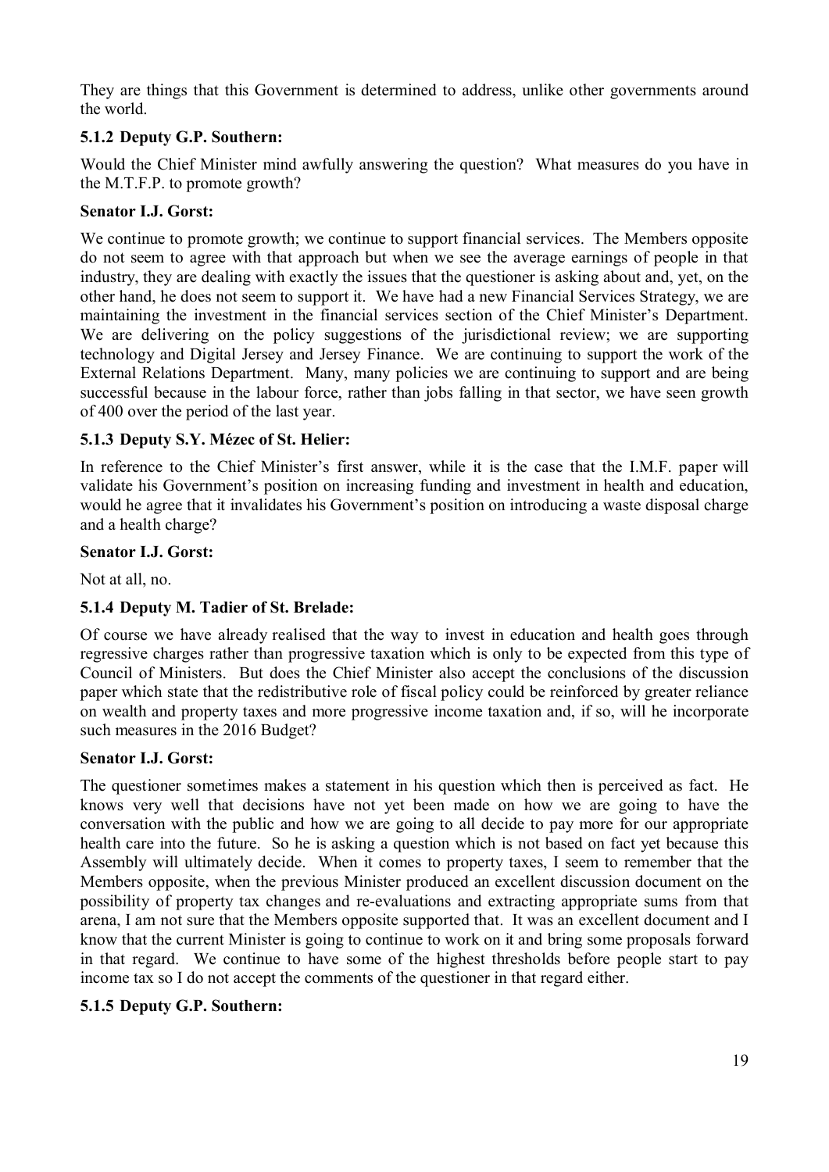They are things that this Government is determined to address, unlike other governments around the world.

## **5.1.2 Deputy G.P. Southern:**

Would the Chief Minister mind awfully answering the question? What measures do you have in the M.T.F.P. to promote growth?

#### **Senator I.J. Gorst:**

We continue to promote growth; we continue to support financial services. The Members opposite do not seem to agree with that approach but when we see the average earnings of people in that industry, they are dealing with exactly the issues that the questioner is asking about and, yet, on the other hand, he does not seem to support it. We have had a new Financial Services Strategy, we are maintaining the investment in the financial services section of the Chief Minister's Department. We are delivering on the policy suggestions of the jurisdictional review; we are supporting technology and Digital Jersey and Jersey Finance. We are continuing to support the work of the External Relations Department. Many, many policies we are continuing to support and are being successful because in the labour force, rather than jobs falling in that sector, we have seen growth of 400 over the period of the last year.

## **5.1.3 Deputy S.Y. Mézec of St. Helier:**

In reference to the Chief Minister's first answer, while it is the case that the I.M.F. paper will validate his Government's position on increasing funding and investment in health and education, would he agree that it invalidates his Government's position on introducing a waste disposal charge and a health charge?

#### **Senator I.J. Gorst:**

Not at all, no.

#### **5.1.4 Deputy M. Tadier of St. Brelade:**

Of course we have already realised that the way to invest in education and health goes through regressive charges rather than progressive taxation which is only to be expected from this type of Council of Ministers. But does the Chief Minister also accept the conclusions of the discussion paper which state that the redistributive role of fiscal policy could be reinforced by greater reliance on wealth and property taxes and more progressive income taxation and, if so, will he incorporate such measures in the 2016 Budget?

#### **Senator I.J. Gorst:**

The questioner sometimes makes a statement in his question which then is perceived as fact. He knows very well that decisions have not yet been made on how we are going to have the conversation with the public and how we are going to all decide to pay more for our appropriate health care into the future. So he is asking a question which is not based on fact yet because this Assembly will ultimately decide. When it comes to property taxes, I seem to remember that the Members opposite, when the previous Minister produced an excellent discussion document on the possibility of property tax changes and re-evaluations and extracting appropriate sums from that arena, I am not sure that the Members opposite supported that. It was an excellent document and I know that the current Minister is going to continue to work on it and bring some proposals forward in that regard. We continue to have some of the highest thresholds before people start to pay income tax so I do not accept the comments of the questioner in that regard either.

#### **5.1.5 Deputy G.P. Southern:**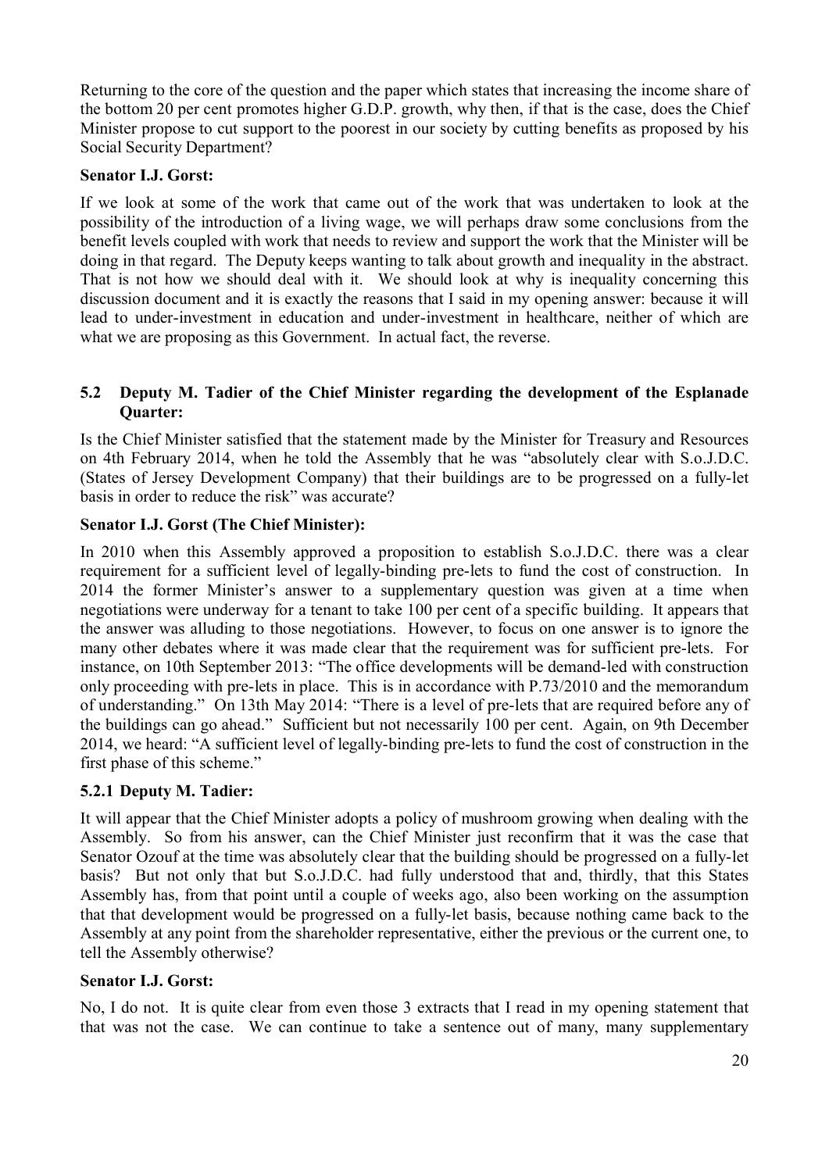Returning to the core of the question and the paper which states that increasing the income share of the bottom 20 per cent promotes higher G.D.P. growth, why then, if that is the case, does the Chief Minister propose to cut support to the poorest in our society by cutting benefits as proposed by his Social Security Department?

#### **Senator I.J. Gorst:**

If we look at some of the work that came out of the work that was undertaken to look at the possibility of the introduction of a living wage, we will perhaps draw some conclusions from the benefit levels coupled with work that needs to review and support the work that the Minister will be doing in that regard. The Deputy keeps wanting to talk about growth and inequality in the abstract. That is not how we should deal with it. We should look at why is inequality concerning this discussion document and it is exactly the reasons that I said in my opening answer: because it will lead to under-investment in education and under-investment in healthcare, neither of which are what we are proposing as this Government. In actual fact, the reverse.

#### **5.2 Deputy M. Tadier of the Chief Minister regarding the development of the Esplanade Quarter:**

Is the Chief Minister satisfied that the statement made by the Minister for Treasury and Resources on 4th February 2014, when he told the Assembly that he was "absolutely clear with S.o.J.D.C. (States of Jersey Development Company) that their buildings are to be progressed on a fully-let basis in order to reduce the risk" was accurate?

#### **Senator I.J. Gorst (The Chief Minister):**

In 2010 when this Assembly approved a proposition to establish S.o.J.D.C. there was a clear requirement for a sufficient level of legally-binding pre-lets to fund the cost of construction. In 2014 the former Minister's answer to a supplementary question was given at a time when negotiations were underway for a tenant to take 100 per cent of a specific building. It appears that the answer was alluding to those negotiations. However, to focus on one answer is to ignore the many other debates where it was made clear that the requirement was for sufficient pre-lets. For instance, on 10th September 2013: "The office developments will be demand-led with construction only proceeding with pre-lets in place. This is in accordance with P.73/2010 and the memorandum of understanding." On 13th May 2014: "There is a level of pre-lets that are required before any of the buildings can go ahead." Sufficient but not necessarily 100 per cent. Again, on 9th December 2014, we heard: "A sufficient level of legally-binding pre-lets to fund the cost of construction in the first phase of this scheme."

#### **5.2.1 Deputy M. Tadier:**

It will appear that the Chief Minister adopts a policy of mushroom growing when dealing with the Assembly. So from his answer, can the Chief Minister just reconfirm that it was the case that Senator Ozouf at the time was absolutely clear that the building should be progressed on a fully-let basis? But not only that but S.o.J.D.C. had fully understood that and, thirdly, that this States Assembly has, from that point until a couple of weeks ago, also been working on the assumption that that development would be progressed on a fully-let basis, because nothing came back to the Assembly at any point from the shareholder representative, either the previous or the current one, to tell the Assembly otherwise?

#### **Senator I.J. Gorst:**

No, I do not. It is quite clear from even those 3 extracts that I read in my opening statement that that was not the case. We can continue to take a sentence out of many, many supplementary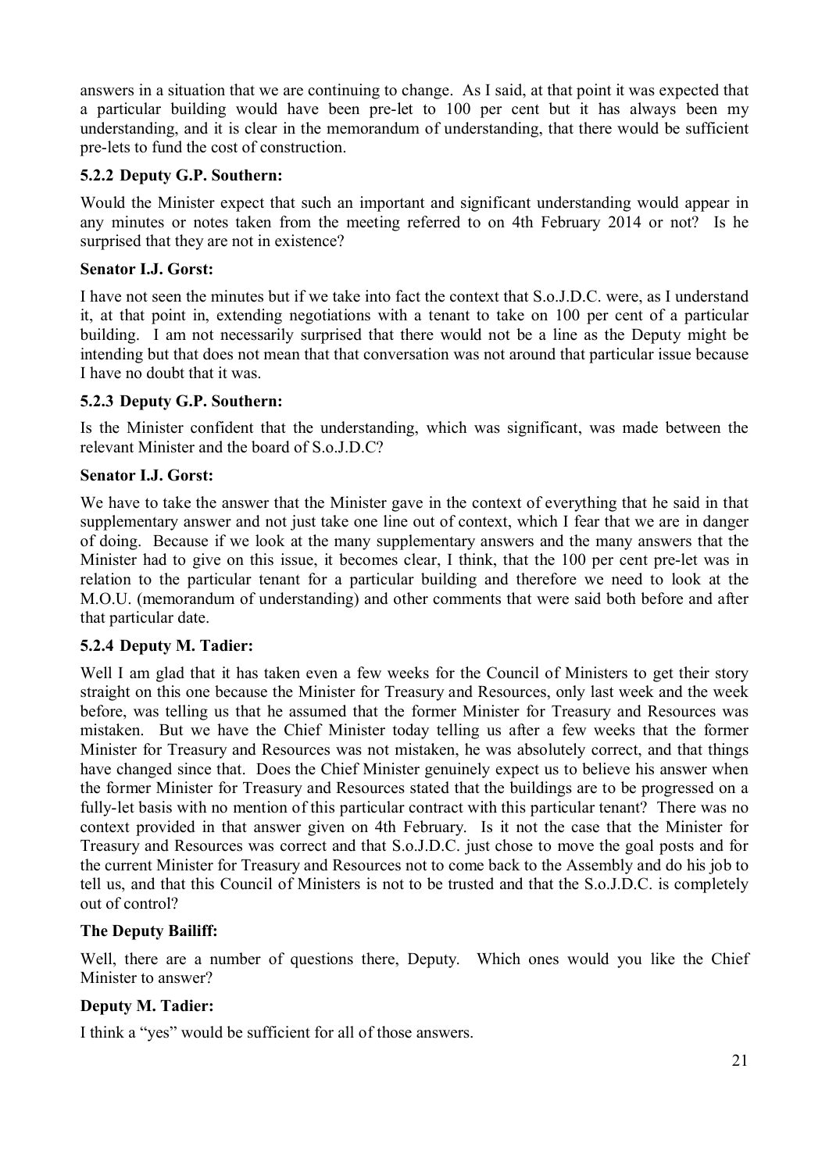answers in a situation that we are continuing to change. As I said, at that point it was expected that a particular building would have been pre-let to 100 per cent but it has always been my understanding, and it is clear in the memorandum of understanding, that there would be sufficient pre-lets to fund the cost of construction.

#### **5.2.2 Deputy G.P. Southern:**

Would the Minister expect that such an important and significant understanding would appear in any minutes or notes taken from the meeting referred to on 4th February 2014 or not? Is he surprised that they are not in existence?

#### **Senator I.J. Gorst:**

I have not seen the minutes but if we take into fact the context that S.o.J.D.C. were, as I understand it, at that point in, extending negotiations with a tenant to take on 100 per cent of a particular building. I am not necessarily surprised that there would not be a line as the Deputy might be intending but that does not mean that that conversation was not around that particular issue because I have no doubt that it was.

## **5.2.3 Deputy G.P. Southern:**

Is the Minister confident that the understanding, which was significant, was made between the relevant Minister and the board of S.o.J.D.C?

## **Senator I.J. Gorst:**

We have to take the answer that the Minister gave in the context of everything that he said in that supplementary answer and not just take one line out of context, which I fear that we are in danger of doing. Because if we look at the many supplementary answers and the many answers that the Minister had to give on this issue, it becomes clear, I think, that the 100 per cent pre-let was in relation to the particular tenant for a particular building and therefore we need to look at the M.O.U. (memorandum of understanding) and other comments that were said both before and after that particular date.

## **5.2.4 Deputy M. Tadier:**

Well I am glad that it has taken even a few weeks for the Council of Ministers to get their story straight on this one because the Minister for Treasury and Resources, only last week and the week before, was telling us that he assumed that the former Minister for Treasury and Resources was mistaken. But we have the Chief Minister today telling us after a few weeks that the former Minister for Treasury and Resources was not mistaken, he was absolutely correct, and that things have changed since that. Does the Chief Minister genuinely expect us to believe his answer when the former Minister for Treasury and Resources stated that the buildings are to be progressed on a fully-let basis with no mention of this particular contract with this particular tenant? There was no context provided in that answer given on 4th February. Is it not the case that the Minister for Treasury and Resources was correct and that S.o.J.D.C. just chose to move the goal posts and for the current Minister for Treasury and Resources not to come back to the Assembly and do his job to tell us, and that this Council of Ministers is not to be trusted and that the S.o.J.D.C. is completely out of control?

## **The Deputy Bailiff:**

Well, there are a number of questions there, Deputy. Which ones would you like the Chief Minister to answer?

## **Deputy M. Tadier:**

I think a "yes" would be sufficient for all of those answers.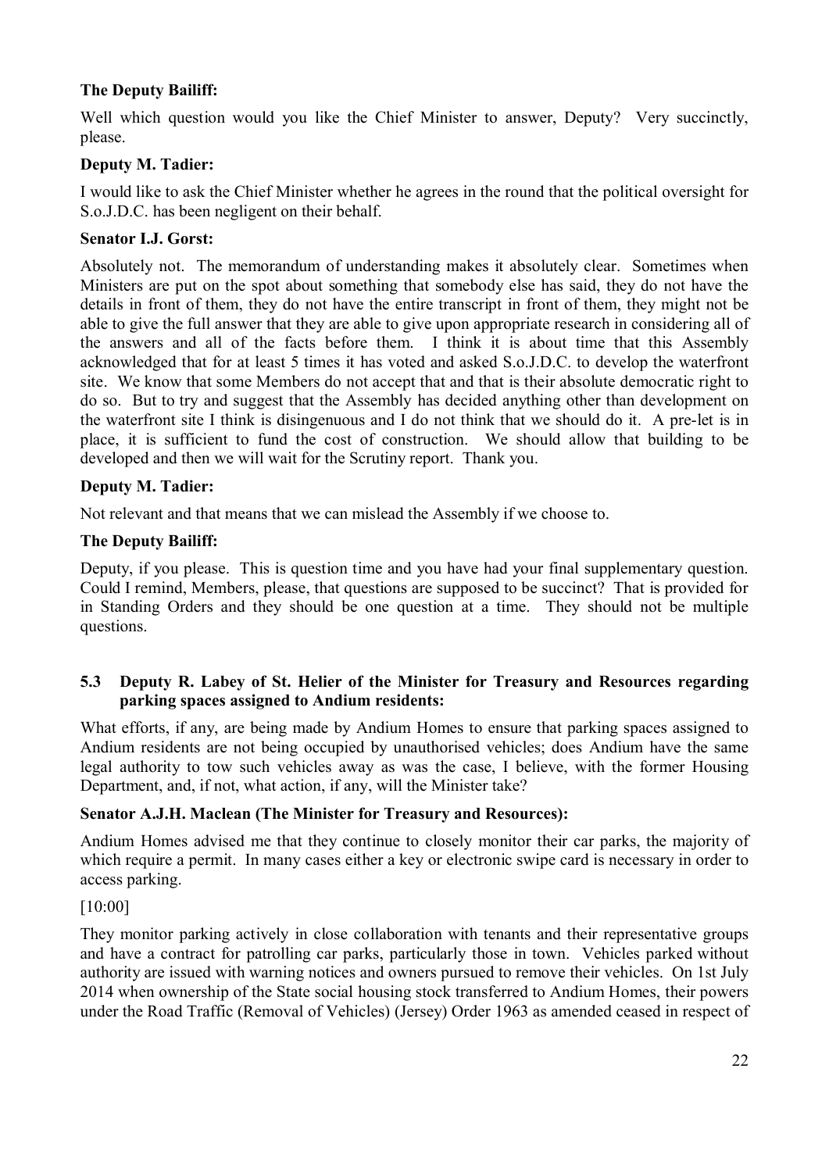## **The Deputy Bailiff:**

Well which question would you like the Chief Minister to answer, Deputy? Very succinctly, please.

## **Deputy M. Tadier:**

I would like to ask the Chief Minister whether he agrees in the round that the political oversight for S.o.J.D.C. has been negligent on their behalf.

#### **Senator I.J. Gorst:**

Absolutely not. The memorandum of understanding makes it absolutely clear. Sometimes when Ministers are put on the spot about something that somebody else has said, they do not have the details in front of them, they do not have the entire transcript in front of them, they might not be able to give the full answer that they are able to give upon appropriate research in considering all of the answers and all of the facts before them. I think it is about time that this Assembly acknowledged that for at least 5 times it has voted and asked S.o.J.D.C. to develop the waterfront site. We know that some Members do not accept that and that is their absolute democratic right to do so. But to try and suggest that the Assembly has decided anything other than development on the waterfront site I think is disingenuous and I do not think that we should do it. A pre-let is in place, it is sufficient to fund the cost of construction. We should allow that building to be developed and then we will wait for the Scrutiny report. Thank you.

#### **Deputy M. Tadier:**

Not relevant and that means that we can mislead the Assembly if we choose to.

#### **The Deputy Bailiff:**

Deputy, if you please. This is question time and you have had your final supplementary question. Could I remind, Members, please, that questions are supposed to be succinct? That is provided for in Standing Orders and they should be one question at a time. They should not be multiple questions.

#### **5.3 Deputy R. Labey of St. Helier of the Minister for Treasury and Resources regarding parking spaces assigned to Andium residents:**

What efforts, if any, are being made by Andium Homes to ensure that parking spaces assigned to Andium residents are not being occupied by unauthorised vehicles; does Andium have the same legal authority to tow such vehicles away as was the case, I believe, with the former Housing Department, and, if not, what action, if any, will the Minister take?

#### **Senator A.J.H. Maclean (The Minister for Treasury and Resources):**

Andium Homes advised me that they continue to closely monitor their car parks, the majority of which require a permit. In many cases either a key or electronic swipe card is necessary in order to access parking.

## [10:00]

They monitor parking actively in close collaboration with tenants and their representative groups and have a contract for patrolling car parks, particularly those in town. Vehicles parked without authority are issued with warning notices and owners pursued to remove their vehicles. On 1st July 2014 when ownership of the State social housing stock transferred to Andium Homes, their powers under the Road Traffic (Removal of Vehicles) (Jersey) Order 1963 as amended ceased in respect of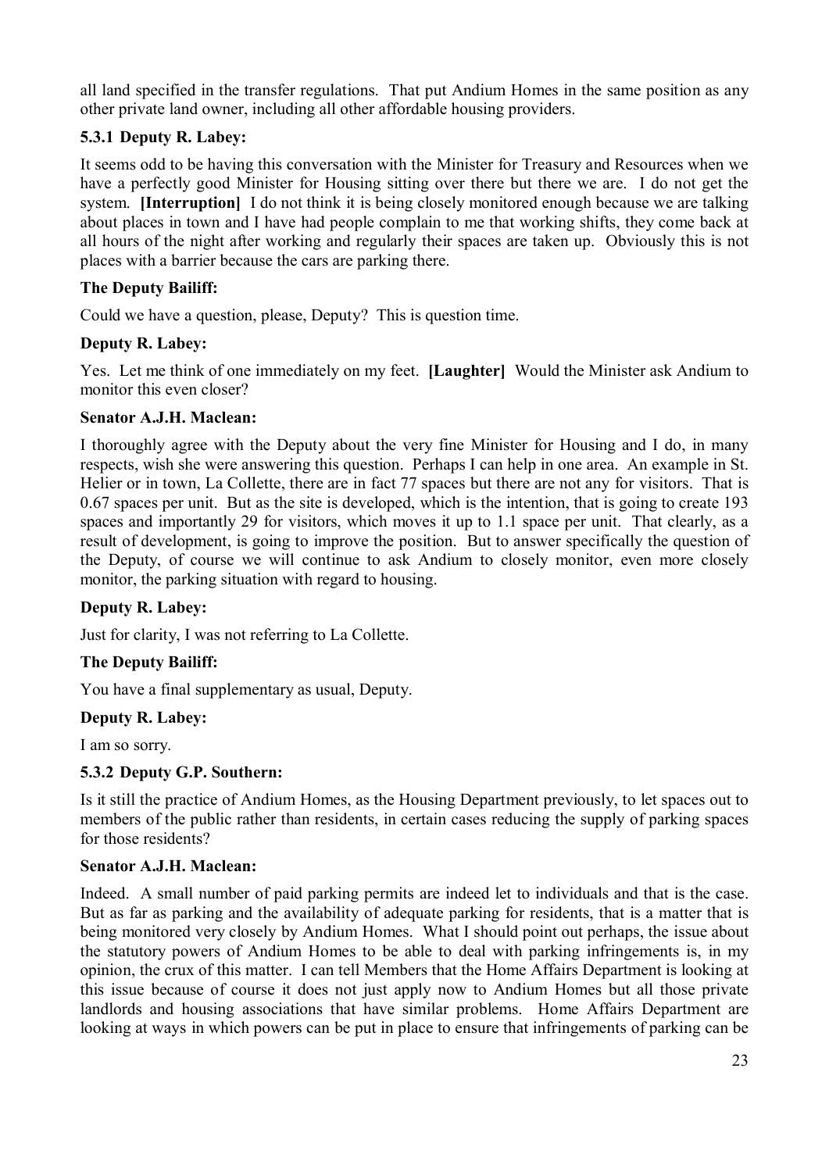all land specified in the transfer regulations. That put Andium Homes in the same position as any other private land owner, including all other affordable housing providers.

## **5.3.1 Deputy R. Labey:**

It seems odd to be having this conversation with the Minister for Treasury and Resources when we have a perfectly good Minister for Housing sitting over there but there we are. I do not get the system. **[Interruption]** I do not think it is being closely monitored enough because we are talking about places in town and I have had people complain to me that working shifts, they come back at all hours of the night after working and regularly their spaces are taken up. Obviously this is not places with a barrier because the cars are parking there.

## **The Deputy Bailiff:**

Could we have a question, please, Deputy? This is question time.

## **Deputy R. Labey:**

Yes. Let me think of one immediately on my feet. **[Laughter]** Would the Minister ask Andium to monitor this even closer?

## **Senator A.J.H. Maclean:**

I thoroughly agree with the Deputy about the very fine Minister for Housing and I do, in many respects, wish she were answering this question. Perhaps I can help in one area. An example in St. Helier or in town, La Collette, there are in fact 77 spaces but there are not any for visitors. That is 0.67 spaces per unit. But as the site is developed, which is the intention, that is going to create 193 spaces and importantly 29 for visitors, which moves it up to 1.1 space per unit. That clearly, as a result of development, is going to improve the position. But to answer specifically the question of the Deputy, of course we will continue to ask Andium to closely monitor, even more closely monitor, the parking situation with regard to housing.

## **Deputy R. Labey:**

Just for clarity, I was not referring to La Collette.

## **The Deputy Bailiff:**

You have a final supplementary as usual, Deputy.

## **Deputy R. Labey:**

I am so sorry.

## **5.3.2 Deputy G.P. Southern:**

Is it still the practice of Andium Homes, as the Housing Department previously, to let spaces out to members of the public rather than residents, in certain cases reducing the supply of parking spaces for those residents?

## **Senator A.J.H. Maclean:**

Indeed. A small number of paid parking permits are indeed let to individuals and that is the case. But as far as parking and the availability of adequate parking for residents, that is a matter that is being monitored very closely by Andium Homes. What I should point out perhaps, the issue about the statutory powers of Andium Homes to be able to deal with parking infringements is, in my opinion, the crux of this matter. I can tell Members that the Home Affairs Department is looking at this issue because of course it does not just apply now to Andium Homes but all those private landlords and housing associations that have similar problems. Home Affairs Department are looking at ways in which powers can be put in place to ensure that infringements of parking can be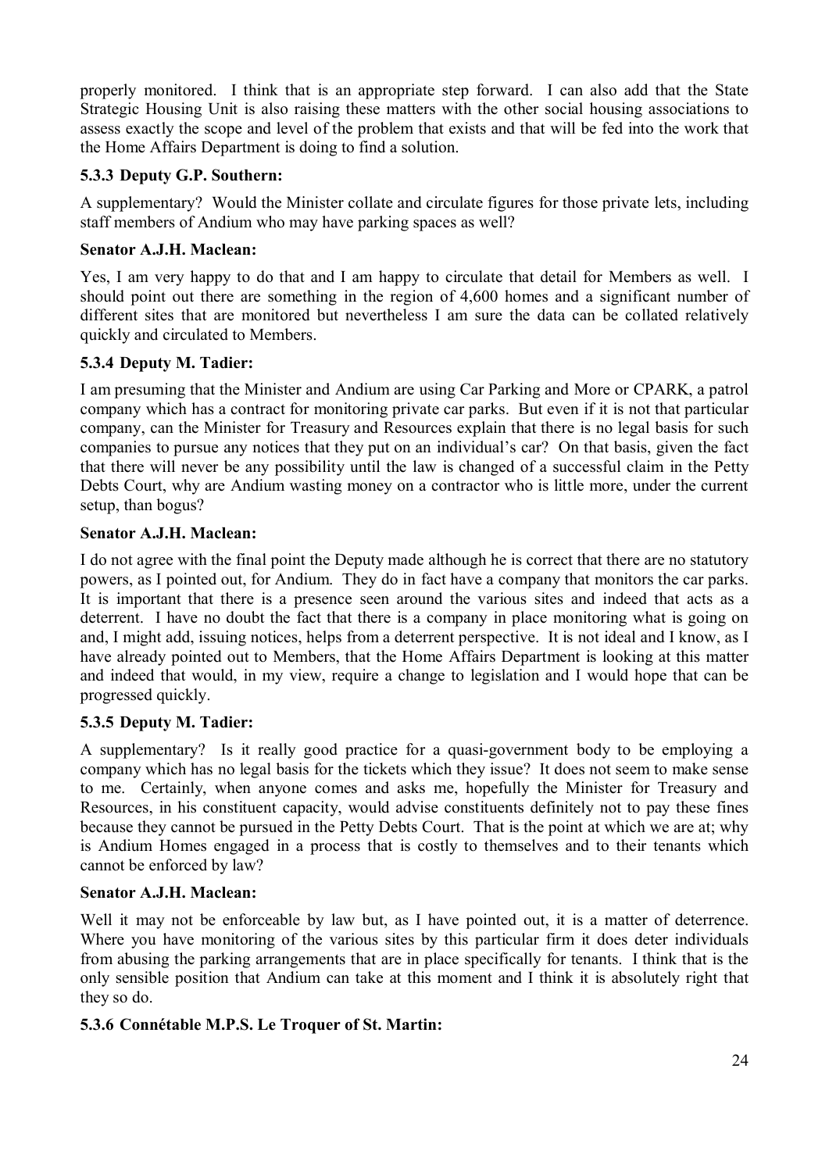properly monitored. I think that is an appropriate step forward. I can also add that the State Strategic Housing Unit is also raising these matters with the other social housing associations to assess exactly the scope and level of the problem that exists and that will be fed into the work that the Home Affairs Department is doing to find a solution.

## **5.3.3 Deputy G.P. Southern:**

A supplementary? Would the Minister collate and circulate figures for those private lets, including staff members of Andium who may have parking spaces as well?

## **Senator A.J.H. Maclean:**

Yes, I am very happy to do that and I am happy to circulate that detail for Members as well. I should point out there are something in the region of 4,600 homes and a significant number of different sites that are monitored but nevertheless I am sure the data can be collated relatively quickly and circulated to Members.

## **5.3.4 Deputy M. Tadier:**

I am presuming that the Minister and Andium are using Car Parking and More or CPARK, a patrol company which has a contract for monitoring private car parks. But even if it is not that particular company, can the Minister for Treasury and Resources explain that there is no legal basis for such companies to pursue any notices that they put on an individual's car? On that basis, given the fact that there will never be any possibility until the law is changed of a successful claim in the Petty Debts Court, why are Andium wasting money on a contractor who is little more, under the current setup, than bogus?

## **Senator A.J.H. Maclean:**

I do not agree with the final point the Deputy made although he is correct that there are no statutory powers, as I pointed out, for Andium. They do in fact have a company that monitors the car parks. It is important that there is a presence seen around the various sites and indeed that acts as a deterrent. I have no doubt the fact that there is a company in place monitoring what is going on and, I might add, issuing notices, helps from a deterrent perspective. It is not ideal and I know, as I have already pointed out to Members, that the Home Affairs Department is looking at this matter and indeed that would, in my view, require a change to legislation and I would hope that can be progressed quickly.

## **5.3.5 Deputy M. Tadier:**

A supplementary? Is it really good practice for a quasi-government body to be employing a company which has no legal basis for the tickets which they issue? It does not seem to make sense to me. Certainly, when anyone comes and asks me, hopefully the Minister for Treasury and Resources, in his constituent capacity, would advise constituents definitely not to pay these fines because they cannot be pursued in the Petty Debts Court. That is the point at which we are at; why is Andium Homes engaged in a process that is costly to themselves and to their tenants which cannot be enforced by law?

## **Senator A.J.H. Maclean:**

Well it may not be enforceable by law but, as I have pointed out, it is a matter of deterrence. Where you have monitoring of the various sites by this particular firm it does deter individuals from abusing the parking arrangements that are in place specifically for tenants. I think that is the only sensible position that Andium can take at this moment and I think it is absolutely right that they so do.

## **5.3.6 Connétable M.P.S. Le Troquer of St. Martin:**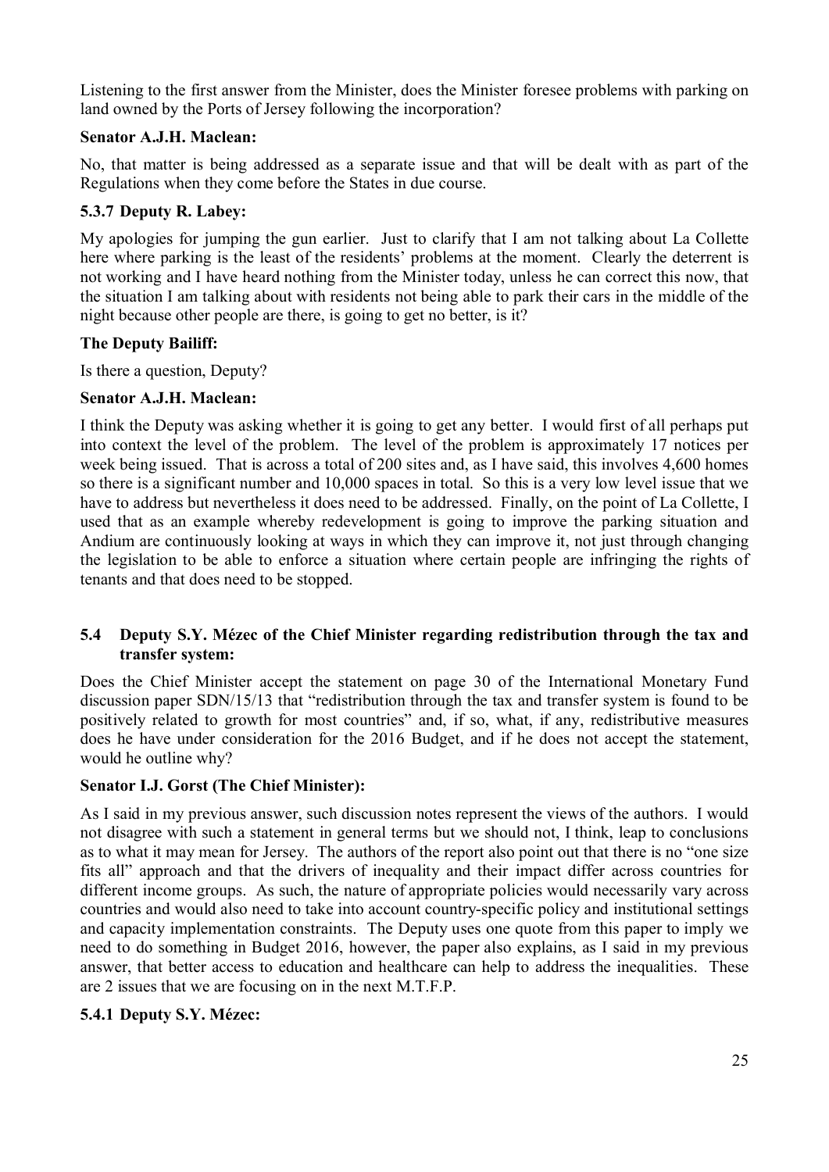Listening to the first answer from the Minister, does the Minister foresee problems with parking on land owned by the Ports of Jersey following the incorporation?

#### **Senator A.J.H. Maclean:**

No, that matter is being addressed as a separate issue and that will be dealt with as part of the Regulations when they come before the States in due course.

## **5.3.7 Deputy R. Labey:**

My apologies for jumping the gun earlier. Just to clarify that I am not talking about La Collette here where parking is the least of the residents' problems at the moment. Clearly the deterrent is not working and I have heard nothing from the Minister today, unless he can correct this now, that the situation I am talking about with residents not being able to park their cars in the middle of the night because other people are there, is going to get no better, is it?

## **The Deputy Bailiff:**

Is there a question, Deputy?

## **Senator A.J.H. Maclean:**

I think the Deputy was asking whether it is going to get any better. I would first of all perhaps put into context the level of the problem. The level of the problem is approximately 17 notices per week being issued. That is across a total of 200 sites and, as I have said, this involves 4,600 homes so there is a significant number and 10,000 spaces in total. So this is a very low level issue that we have to address but nevertheless it does need to be addressed. Finally, on the point of La Collette, I used that as an example whereby redevelopment is going to improve the parking situation and Andium are continuously looking at ways in which they can improve it, not just through changing the legislation to be able to enforce a situation where certain people are infringing the rights of tenants and that does need to be stopped.

## **5.4 Deputy S.Y. Mézec of the Chief Minister regarding redistribution through the tax and transfer system:**

Does the Chief Minister accept the statement on page 30 of the International Monetary Fund discussion paper SDN/15/13 that "redistribution through the tax and transfer system is found to be positively related to growth for most countries" and, if so, what, if any, redistributive measures does he have under consideration for the 2016 Budget, and if he does not accept the statement, would he outline why?

## **Senator I.J. Gorst (The Chief Minister):**

As I said in my previous answer, such discussion notes represent the views of the authors. I would not disagree with such a statement in general terms but we should not, I think, leap to conclusions as to what it may mean for Jersey. The authors of the report also point out that there is no "one size fits all" approach and that the drivers of inequality and their impact differ across countries for different income groups. As such, the nature of appropriate policies would necessarily vary across countries and would also need to take into account country-specific policy and institutional settings and capacity implementation constraints. The Deputy uses one quote from this paper to imply we need to do something in Budget 2016, however, the paper also explains, as I said in my previous answer, that better access to education and healthcare can help to address the inequalities. These are 2 issues that we are focusing on in the next M.T.F.P.

## **5.4.1 Deputy S.Y. Mézec:**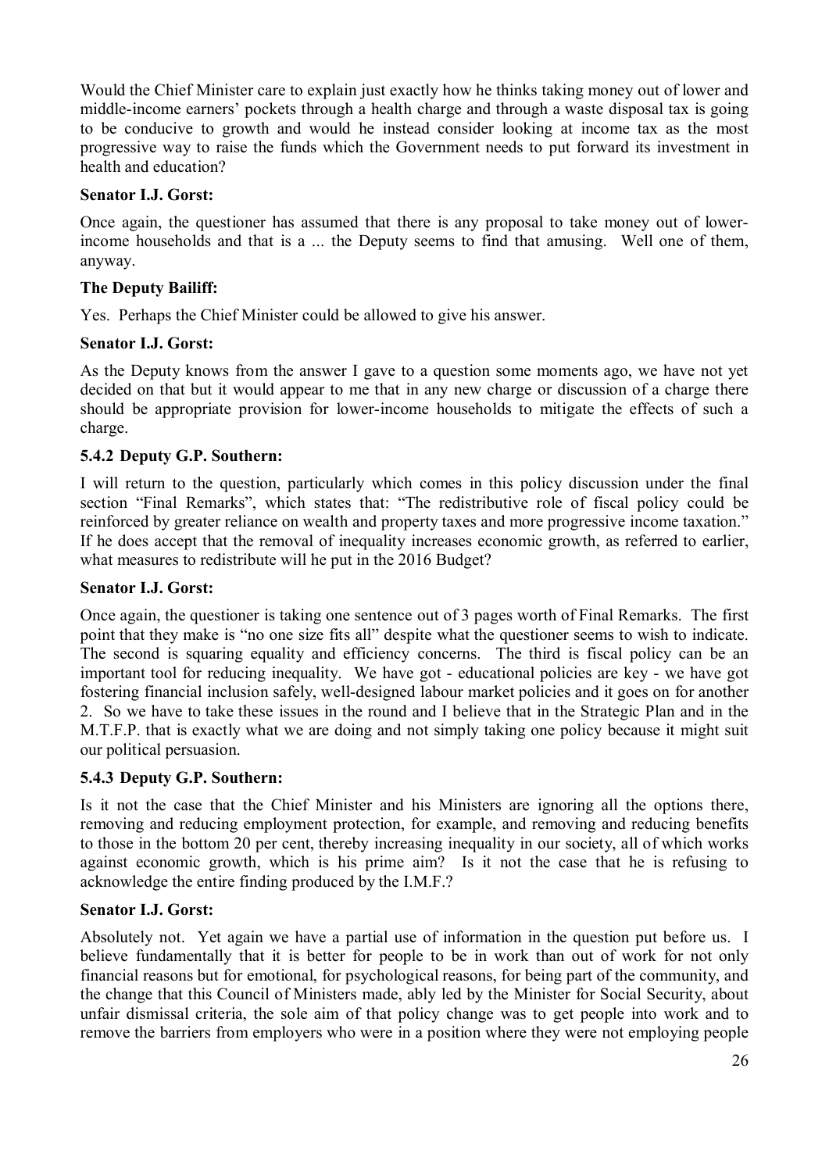Would the Chief Minister care to explain just exactly how he thinks taking money out of lower and middle-income earners' pockets through a health charge and through a waste disposal tax is going to be conducive to growth and would he instead consider looking at income tax as the most progressive way to raise the funds which the Government needs to put forward its investment in health and education?

#### **Senator I.J. Gorst:**

Once again, the questioner has assumed that there is any proposal to take money out of lowerincome households and that is a ... the Deputy seems to find that amusing. Well one of them, anyway.

#### **The Deputy Bailiff:**

Yes. Perhaps the Chief Minister could be allowed to give his answer.

#### **Senator I.J. Gorst:**

As the Deputy knows from the answer I gave to a question some moments ago, we have not yet decided on that but it would appear to me that in any new charge or discussion of a charge there should be appropriate provision for lower-income households to mitigate the effects of such a charge.

#### **5.4.2 Deputy G.P. Southern:**

I will return to the question, particularly which comes in this policy discussion under the final section "Final Remarks", which states that: "The redistributive role of fiscal policy could be reinforced by greater reliance on wealth and property taxes and more progressive income taxation." If he does accept that the removal of inequality increases economic growth, as referred to earlier, what measures to redistribute will he put in the 2016 Budget?

#### **Senator I.J. Gorst:**

Once again, the questioner is taking one sentence out of 3 pages worth of Final Remarks. The first point that they make is "no one size fits all" despite what the questioner seems to wish to indicate. The second is squaring equality and efficiency concerns. The third is fiscal policy can be an important tool for reducing inequality. We have got - educational policies are key - we have got fostering financial inclusion safely, well-designed labour market policies and it goes on for another 2. So we have to take these issues in the round and I believe that in the Strategic Plan and in the M.T.F.P. that is exactly what we are doing and not simply taking one policy because it might suit our political persuasion.

#### **5.4.3 Deputy G.P. Southern:**

Is it not the case that the Chief Minister and his Ministers are ignoring all the options there, removing and reducing employment protection, for example, and removing and reducing benefits to those in the bottom 20 per cent, thereby increasing inequality in our society, all of which works against economic growth, which is his prime aim? Is it not the case that he is refusing to acknowledge the entire finding produced by the I.M.F.?

#### **Senator I.J. Gorst:**

Absolutely not. Yet again we have a partial use of information in the question put before us. I believe fundamentally that it is better for people to be in work than out of work for not only financial reasons but for emotional, for psychological reasons, for being part of the community, and the change that this Council of Ministers made, ably led by the Minister for Social Security, about unfair dismissal criteria, the sole aim of that policy change was to get people into work and to remove the barriers from employers who were in a position where they were not employing people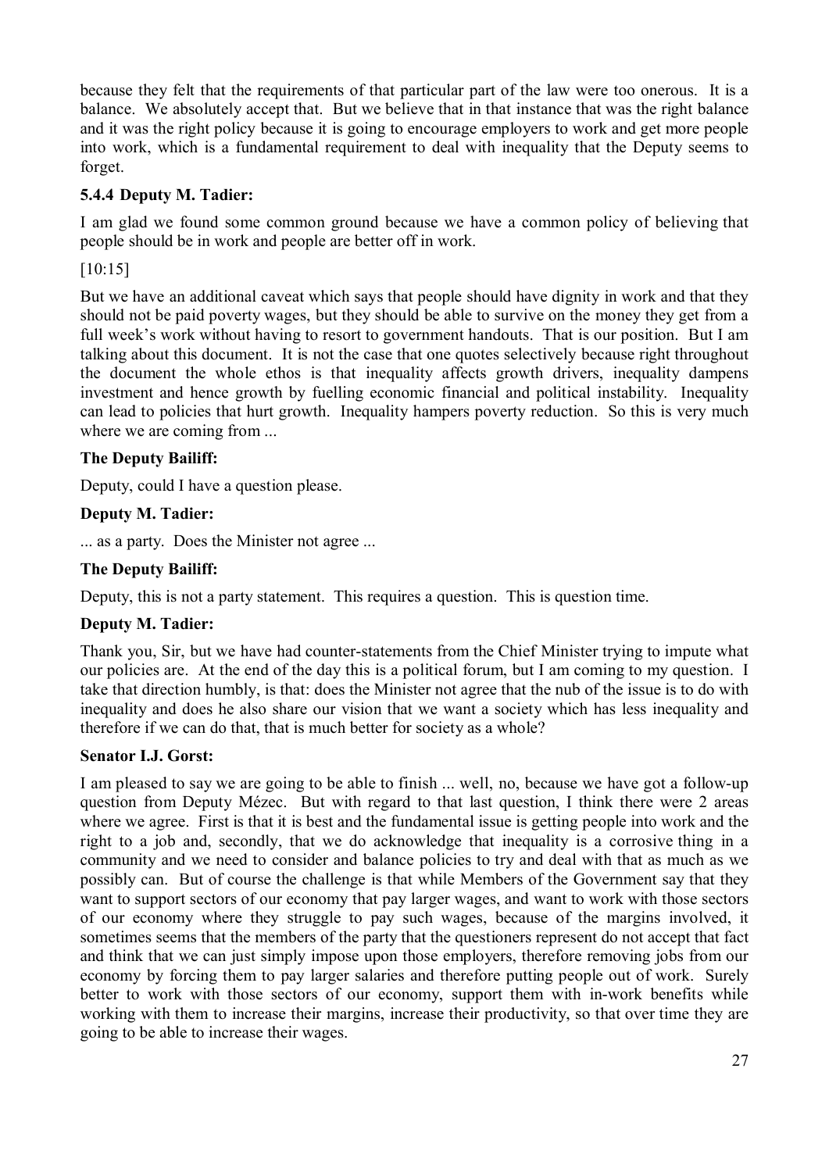because they felt that the requirements of that particular part of the law were too onerous. It is a balance. We absolutely accept that. But we believe that in that instance that was the right balance and it was the right policy because it is going to encourage employers to work and get more people into work, which is a fundamental requirement to deal with inequality that the Deputy seems to forget.

#### **5.4.4 Deputy M. Tadier:**

I am glad we found some common ground because we have a common policy of believing that people should be in work and people are better off in work.

[10:15]

But we have an additional caveat which says that people should have dignity in work and that they should not be paid poverty wages, but they should be able to survive on the money they get from a full week's work without having to resort to government handouts. That is our position. But I am talking about this document. It is not the case that one quotes selectively because right throughout the document the whole ethos is that inequality affects growth drivers, inequality dampens investment and hence growth by fuelling economic financial and political instability. Inequality can lead to policies that hurt growth. Inequality hampers poverty reduction. So this is very much where we are coming from ...

## **The Deputy Bailiff:**

Deputy, could I have a question please.

#### **Deputy M. Tadier:**

... as a party. Does the Minister not agree ...

#### **The Deputy Bailiff:**

Deputy, this is not a party statement. This requires a question. This is question time.

#### **Deputy M. Tadier:**

Thank you, Sir, but we have had counter-statements from the Chief Minister trying to impute what our policies are. At the end of the day this is a political forum, but I am coming to my question. I take that direction humbly, is that: does the Minister not agree that the nub of the issue is to do with inequality and does he also share our vision that we want a society which has less inequality and therefore if we can do that, that is much better for society as a whole?

#### **Senator I.J. Gorst:**

I am pleased to say we are going to be able to finish ... well, no, because we have got a follow-up question from Deputy Mézec. But with regard to that last question, I think there were 2 areas where we agree. First is that it is best and the fundamental issue is getting people into work and the right to a job and, secondly, that we do acknowledge that inequality is a corrosive thing in a community and we need to consider and balance policies to try and deal with that as much as we possibly can. But of course the challenge is that while Members of the Government say that they want to support sectors of our economy that pay larger wages, and want to work with those sectors of our economy where they struggle to pay such wages, because of the margins involved, it sometimes seems that the members of the party that the questioners represent do not accept that fact and think that we can just simply impose upon those employers, therefore removing jobs from our economy by forcing them to pay larger salaries and therefore putting people out of work. Surely better to work with those sectors of our economy, support them with in-work benefits while working with them to increase their margins, increase their productivity, so that over time they are going to be able to increase their wages.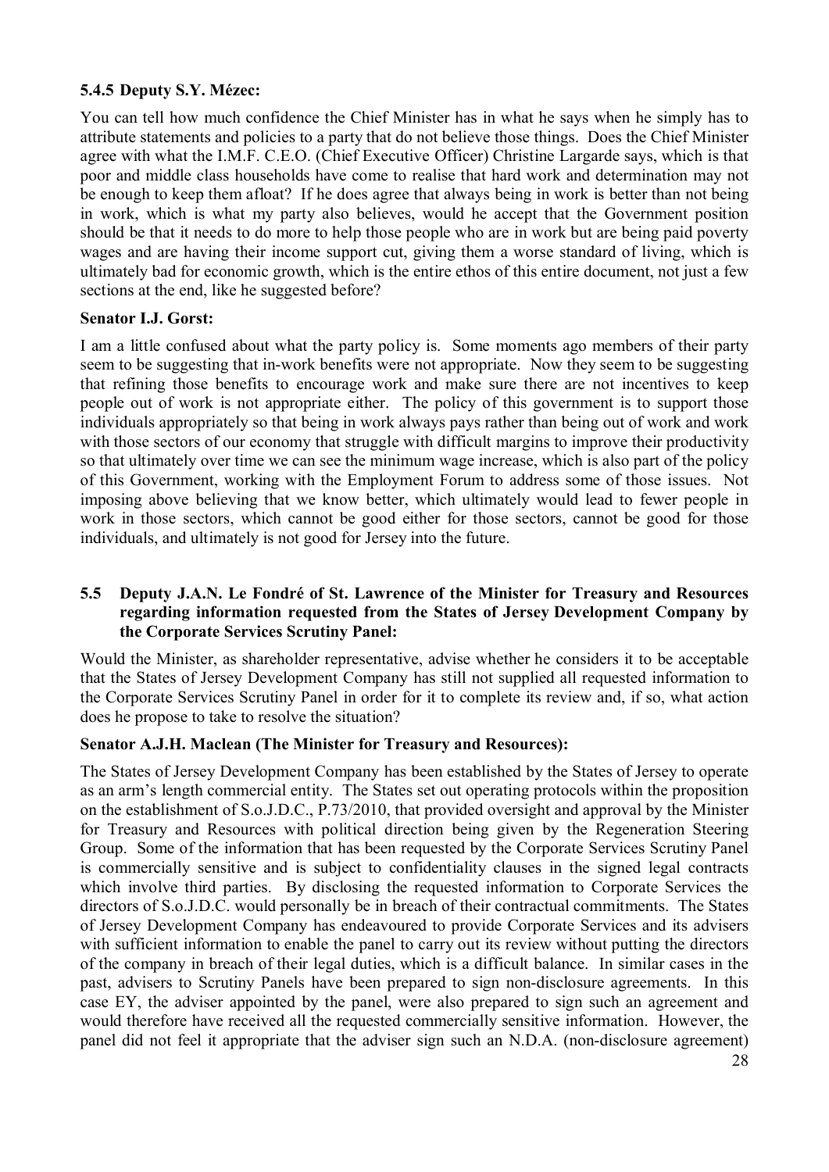## **5.4.5 Deputy S.Y. Mézec:**

You can tell how much confidence the Chief Minister has in what he says when he simply has to attribute statements and policies to a party that do not believe those things. Does the Chief Minister agree with what the I.M.F. C.E.O. (Chief Executive Officer) Christine Largarde says, which is that poor and middle class households have come to realise that hard work and determination may not be enough to keep them afloat? If he does agree that always being in work is better than not being in work, which is what my party also believes, would he accept that the Government position should be that it needs to do more to help those people who are in work but are being paid poverty wages and are having their income support cut, giving them a worse standard of living, which is ultimately bad for economic growth, which is the entire ethos of this entire document, not just a few sections at the end, like he suggested before?

#### **Senator I.J. Gorst:**

I am a little confused about what the party policy is. Some moments ago members of their party seem to be suggesting that in-work benefits were not appropriate. Now they seem to be suggesting that refining those benefits to encourage work and make sure there are not incentives to keep people out of work is not appropriate either. The policy of this government is to support those individuals appropriately so that being in work always pays rather than being out of work and work with those sectors of our economy that struggle with difficult margins to improve their productivity so that ultimately over time we can see the minimum wage increase, which is also part of the policy of this Government, working with the Employment Forum to address some of those issues. Not imposing above believing that we know better, which ultimately would lead to fewer people in work in those sectors, which cannot be good either for those sectors, cannot be good for those individuals, and ultimately is not good for Jersey into the future.

#### **5.5 Deputy J.A.N. Le Fondré of St. Lawrence of the Minister for Treasury and Resources regarding information requested from the States of Jersey Development Company by the Corporate Services Scrutiny Panel:**

Would the Minister, as shareholder representative, advise whether he considers it to be acceptable that the States of Jersey Development Company has still not supplied all requested information to the Corporate Services Scrutiny Panel in order for it to complete its review and, if so, what action does he propose to take to resolve the situation?

#### **Senator A.J.H. Maclean (The Minister for Treasury and Resources):**

The States of Jersey Development Company has been established by the States of Jersey to operate as an arm's length commercial entity. The States set out operating protocols within the proposition on the establishment of S.o.J.D.C., P.73/2010, that provided oversight and approval by the Minister for Treasury and Resources with political direction being given by the Regeneration Steering Group. Some of the information that has been requested by the Corporate Services Scrutiny Panel is commercially sensitive and is subject to confidentiality clauses in the signed legal contracts which involve third parties. By disclosing the requested information to Corporate Services the directors of S.o.J.D.C. would personally be in breach of their contractual commitments. The States of Jersey Development Company has endeavoured to provide Corporate Services and its advisers with sufficient information to enable the panel to carry out its review without putting the directors of the company in breach of their legal duties, which is a difficult balance. In similar cases in the past, advisers to Scrutiny Panels have been prepared to sign non-disclosure agreements. In this case EY, the adviser appointed by the panel, were also prepared to sign such an agreement and would therefore have received all the requested commercially sensitive information. However, the panel did not feel it appropriate that the adviser sign such an N.D.A. (non-disclosure agreement)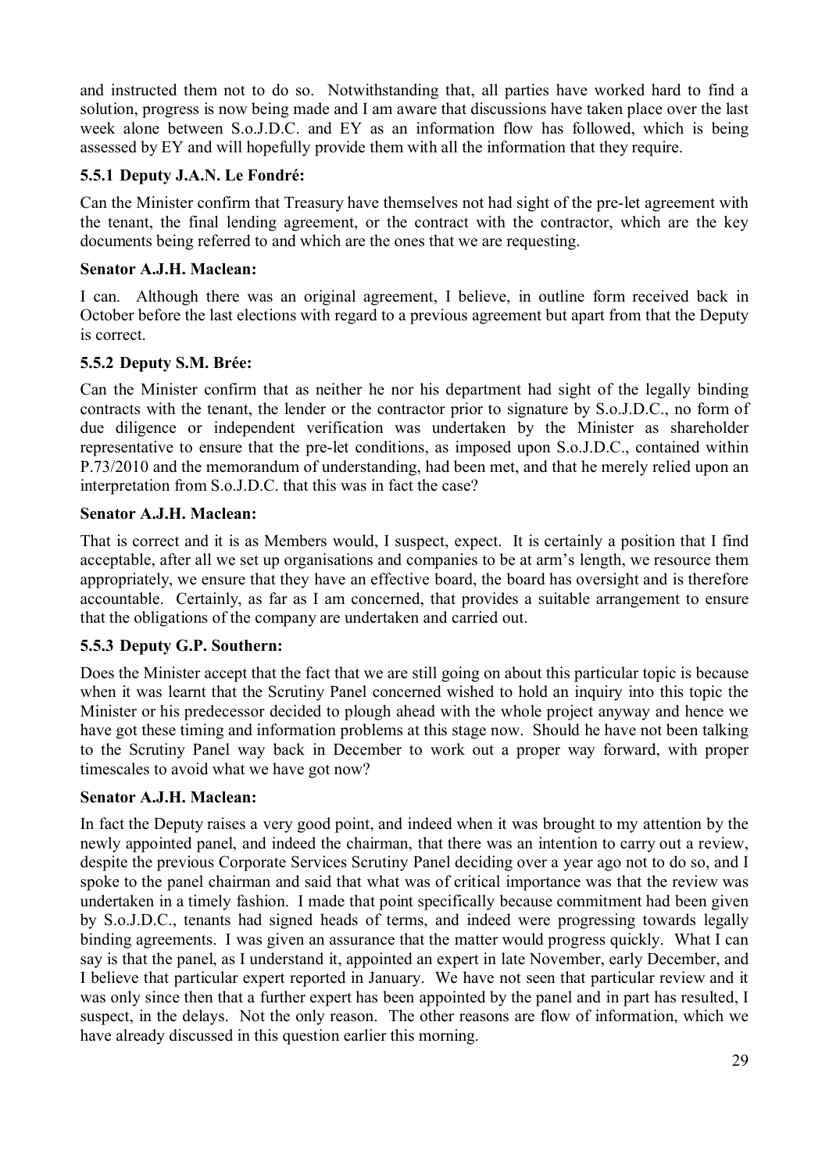and instructed them not to do so. Notwithstanding that, all parties have worked hard to find a solution, progress is now being made and I am aware that discussions have taken place over the last week alone between S.o.J.D.C. and EY as an information flow has followed, which is being assessed by EY and will hopefully provide them with all the information that they require.

## **5.5.1 Deputy J.A.N. Le Fondré:**

Can the Minister confirm that Treasury have themselves not had sight of the pre-let agreement with the tenant, the final lending agreement, or the contract with the contractor, which are the key documents being referred to and which are the ones that we are requesting.

#### **Senator A.J.H. Maclean:**

I can. Although there was an original agreement, I believe, in outline form received back in October before the last elections with regard to a previous agreement but apart from that the Deputy is correct.

## **5.5.2 Deputy S.M. Brée:**

Can the Minister confirm that as neither he nor his department had sight of the legally binding contracts with the tenant, the lender or the contractor prior to signature by S.o.J.D.C., no form of due diligence or independent verification was undertaken by the Minister as shareholder representative to ensure that the pre-let conditions, as imposed upon S.o.J.D.C., contained within P.73/2010 and the memorandum of understanding, had been met, and that he merely relied upon an interpretation from S.o.J.D.C. that this was in fact the case?

## **Senator A.J.H. Maclean:**

That is correct and it is as Members would, I suspect, expect. It is certainly a position that I find acceptable, after all we set up organisations and companies to be at arm's length, we resource them appropriately, we ensure that they have an effective board, the board has oversight and is therefore accountable. Certainly, as far as I am concerned, that provides a suitable arrangement to ensure that the obligations of the company are undertaken and carried out.

## **5.5.3 Deputy G.P. Southern:**

Does the Minister accept that the fact that we are still going on about this particular topic is because when it was learnt that the Scrutiny Panel concerned wished to hold an inquiry into this topic the Minister or his predecessor decided to plough ahead with the whole project anyway and hence we have got these timing and information problems at this stage now. Should he have not been talking to the Scrutiny Panel way back in December to work out a proper way forward, with proper timescales to avoid what we have got now?

#### **Senator A.J.H. Maclean:**

In fact the Deputy raises a very good point, and indeed when it was brought to my attention by the newly appointed panel, and indeed the chairman, that there was an intention to carry out a review, despite the previous Corporate Services Scrutiny Panel deciding over a year ago not to do so, and I spoke to the panel chairman and said that what was of critical importance was that the review was undertaken in a timely fashion. I made that point specifically because commitment had been given by S.o.J.D.C., tenants had signed heads of terms, and indeed were progressing towards legally binding agreements. I was given an assurance that the matter would progress quickly. What I can say is that the panel, as I understand it, appointed an expert in late November, early December, and I believe that particular expert reported in January. We have not seen that particular review and it was only since then that a further expert has been appointed by the panel and in part has resulted, I suspect, in the delays. Not the only reason. The other reasons are flow of information, which we have already discussed in this question earlier this morning.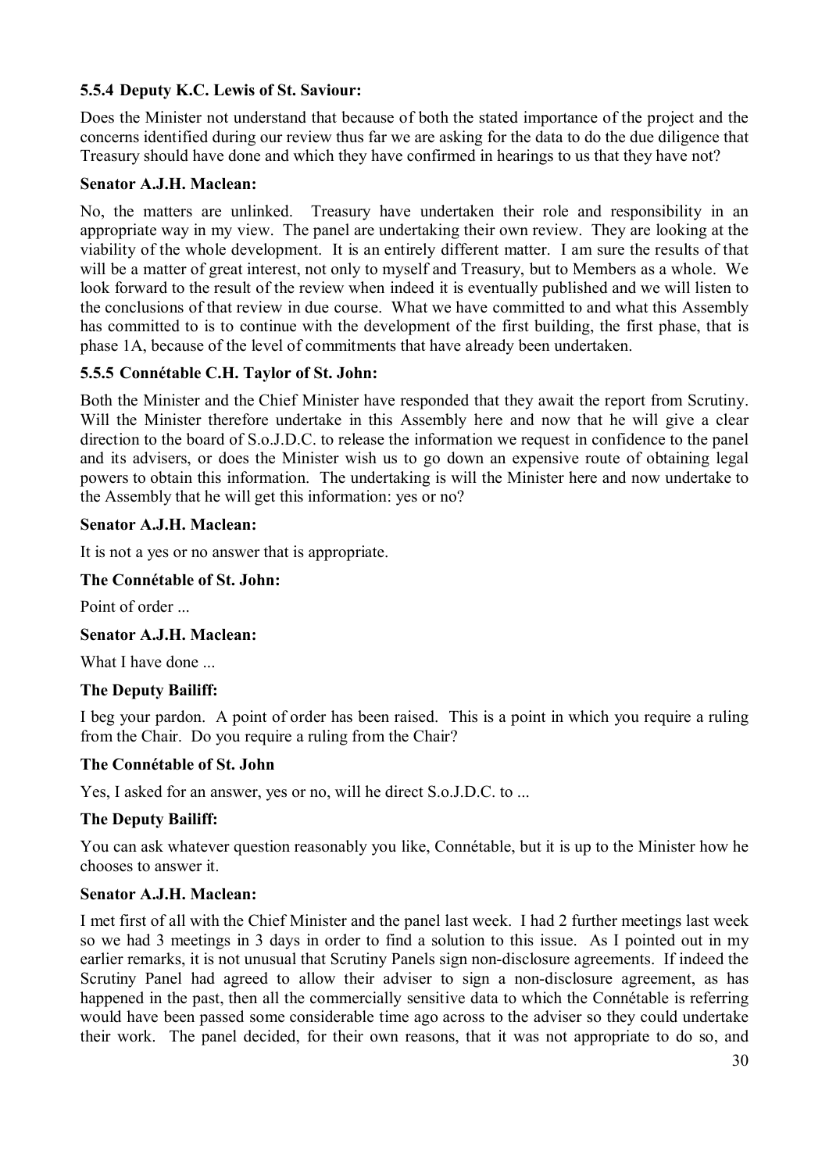## **5.5.4 Deputy K.C. Lewis of St. Saviour:**

Does the Minister not understand that because of both the stated importance of the project and the concerns identified during our review thus far we are asking for the data to do the due diligence that Treasury should have done and which they have confirmed in hearings to us that they have not?

#### **Senator A.J.H. Maclean:**

No, the matters are unlinked. Treasury have undertaken their role and responsibility in an appropriate way in my view. The panel are undertaking their own review. They are looking at the viability of the whole development. It is an entirely different matter. I am sure the results of that will be a matter of great interest, not only to myself and Treasury, but to Members as a whole. We look forward to the result of the review when indeed it is eventually published and we will listen to the conclusions of that review in due course. What we have committed to and what this Assembly has committed to is to continue with the development of the first building, the first phase, that is phase 1A, because of the level of commitments that have already been undertaken.

#### **5.5.5 Connétable C.H. Taylor of St. John:**

Both the Minister and the Chief Minister have responded that they await the report from Scrutiny. Will the Minister therefore undertake in this Assembly here and now that he will give a clear direction to the board of S.o.J.D.C. to release the information we request in confidence to the panel and its advisers, or does the Minister wish us to go down an expensive route of obtaining legal powers to obtain this information. The undertaking is will the Minister here and now undertake to the Assembly that he will get this information: yes or no?

#### **Senator A.J.H. Maclean:**

It is not a yes or no answer that is appropriate.

#### **The Connétable of St. John:**

Point of order

#### **Senator A.J.H. Maclean:**

What I have done ...

#### **The Deputy Bailiff:**

I beg your pardon. A point of order has been raised. This is a point in which you require a ruling from the Chair. Do you require a ruling from the Chair?

#### **The Connétable of St. John**

Yes, I asked for an answer, yes or no, will he direct S.o.J.D.C. to ...

#### **The Deputy Bailiff:**

You can ask whatever question reasonably you like, Connétable, but it is up to the Minister how he chooses to answer it.

#### **Senator A.J.H. Maclean:**

I met first of all with the Chief Minister and the panel last week. I had 2 further meetings last week so we had 3 meetings in 3 days in order to find a solution to this issue. As I pointed out in my earlier remarks, it is not unusual that Scrutiny Panels sign non-disclosure agreements. If indeed the Scrutiny Panel had agreed to allow their adviser to sign a non-disclosure agreement, as has happened in the past, then all the commercially sensitive data to which the Connétable is referring would have been passed some considerable time ago across to the adviser so they could undertake their work. The panel decided, for their own reasons, that it was not appropriate to do so, and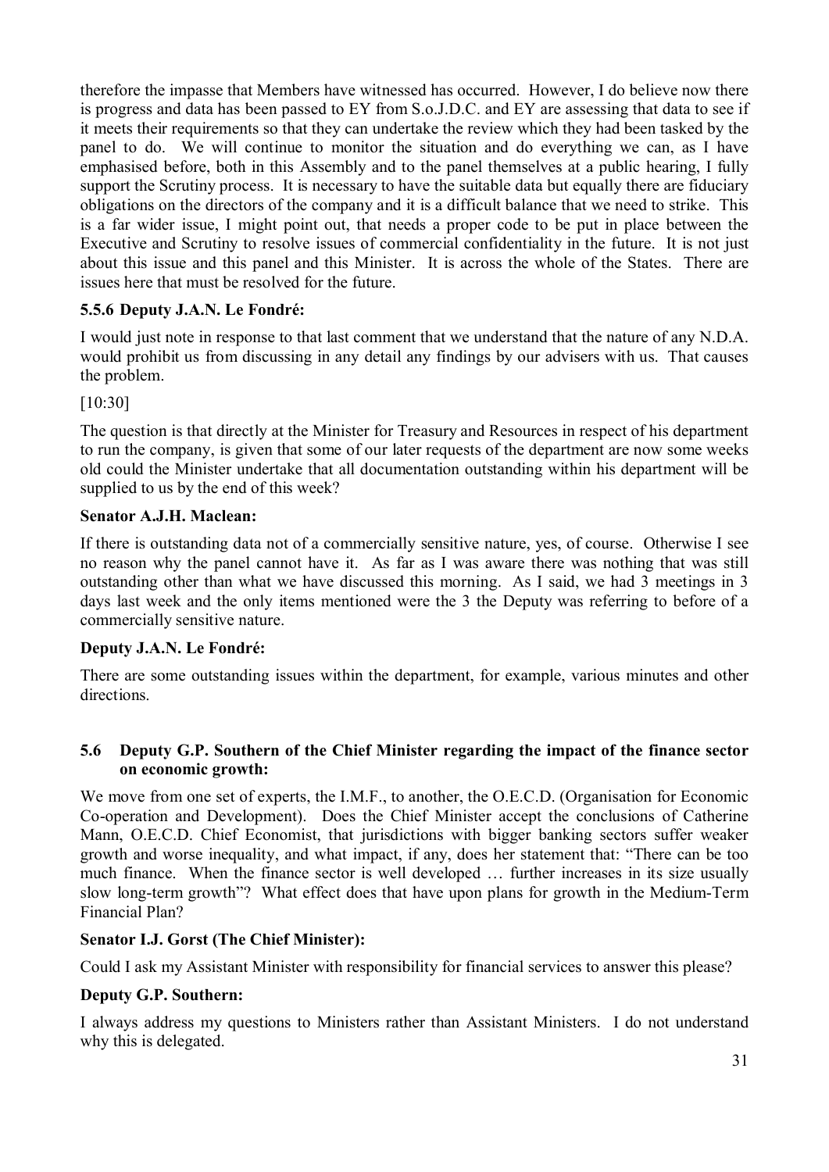therefore the impasse that Members have witnessed has occurred. However, I do believe now there is progress and data has been passed to EY from S.o.J.D.C. and EY are assessing that data to see if it meets their requirements so that they can undertake the review which they had been tasked by the panel to do. We will continue to monitor the situation and do everything we can, as I have emphasised before, both in this Assembly and to the panel themselves at a public hearing, I fully support the Scrutiny process. It is necessary to have the suitable data but equally there are fiduciary obligations on the directors of the company and it is a difficult balance that we need to strike. This is a far wider issue, I might point out, that needs a proper code to be put in place between the Executive and Scrutiny to resolve issues of commercial confidentiality in the future. It is not just about this issue and this panel and this Minister. It is across the whole of the States. There are issues here that must be resolved for the future.

## **5.5.6 Deputy J.A.N. Le Fondré:**

I would just note in response to that last comment that we understand that the nature of any N.D.A. would prohibit us from discussing in any detail any findings by our advisers with us. That causes the problem.

[10:30]

The question is that directly at the Minister for Treasury and Resources in respect of his department to run the company, is given that some of our later requests of the department are now some weeks old could the Minister undertake that all documentation outstanding within his department will be supplied to us by the end of this week?

#### **Senator A.J.H. Maclean:**

If there is outstanding data not of a commercially sensitive nature, yes, of course. Otherwise I see no reason why the panel cannot have it. As far as I was aware there was nothing that was still outstanding other than what we have discussed this morning. As I said, we had 3 meetings in 3 days last week and the only items mentioned were the 3 the Deputy was referring to before of a commercially sensitive nature.

#### **Deputy J.A.N. Le Fondré:**

There are some outstanding issues within the department, for example, various minutes and other directions.

#### **5.6 Deputy G.P. Southern of the Chief Minister regarding the impact of the finance sector on economic growth:**

We move from one set of experts, the I.M.F., to another, the O.E.C.D. (Organisation for Economic Co-operation and Development). Does the Chief Minister accept the conclusions of Catherine Mann, O.E.C.D. Chief Economist, that jurisdictions with bigger banking sectors suffer weaker growth and worse inequality, and what impact, if any, does her statement that: "There can be too much finance. When the finance sector is well developed … further increases in its size usually slow long-term growth"? What effect does that have upon plans for growth in the Medium-Term Financial Plan?

#### **Senator I.J. Gorst (The Chief Minister):**

Could I ask my Assistant Minister with responsibility for financial services to answer this please?

#### **Deputy G.P. Southern:**

I always address my questions to Ministers rather than Assistant Ministers. I do not understand why this is delegated.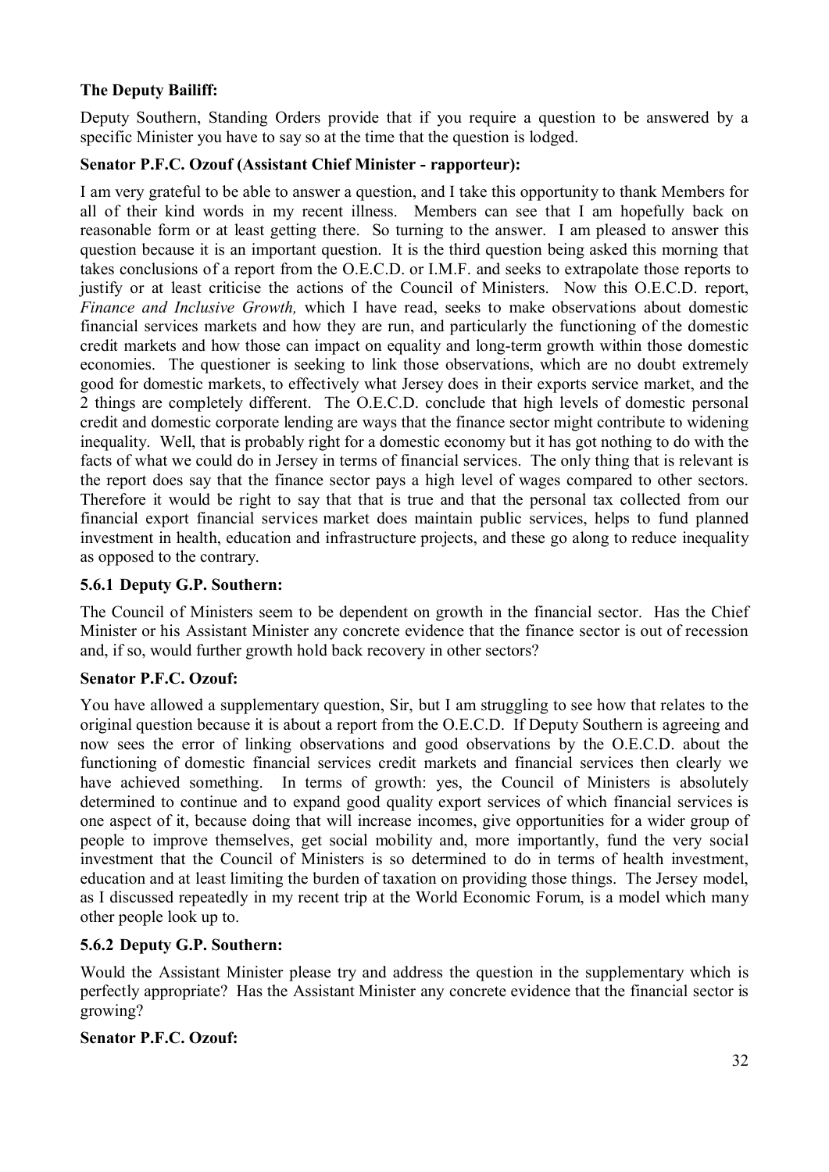## **The Deputy Bailiff:**

Deputy Southern, Standing Orders provide that if you require a question to be answered by a specific Minister you have to say so at the time that the question is lodged.

#### **Senator P.F.C. Ozouf (Assistant Chief Minister - rapporteur):**

I am very grateful to be able to answer a question, and I take this opportunity to thank Members for all of their kind words in my recent illness. Members can see that I am hopefully back on reasonable form or at least getting there. So turning to the answer. I am pleased to answer this question because it is an important question. It is the third question being asked this morning that takes conclusions of a report from the O.E.C.D. or I.M.F. and seeks to extrapolate those reports to justify or at least criticise the actions of the Council of Ministers. Now this O.E.C.D. report, *Finance and Inclusive Growth,* which I have read, seeks to make observations about domestic financial services markets and how they are run, and particularly the functioning of the domestic credit markets and how those can impact on equality and long-term growth within those domestic economies. The questioner is seeking to link those observations, which are no doubt extremely good for domestic markets, to effectively what Jersey does in their exports service market, and the 2 things are completely different. The O.E.C.D. conclude that high levels of domestic personal credit and domestic corporate lending are ways that the finance sector might contribute to widening inequality. Well, that is probably right for a domestic economy but it has got nothing to do with the facts of what we could do in Jersey in terms of financial services. The only thing that is relevant is the report does say that the finance sector pays a high level of wages compared to other sectors. Therefore it would be right to say that that is true and that the personal tax collected from our financial export financial services market does maintain public services, helps to fund planned investment in health, education and infrastructure projects, and these go along to reduce inequality as opposed to the contrary.

## **5.6.1 Deputy G.P. Southern:**

The Council of Ministers seem to be dependent on growth in the financial sector. Has the Chief Minister or his Assistant Minister any concrete evidence that the finance sector is out of recession and, if so, would further growth hold back recovery in other sectors?

#### **Senator P.F.C. Ozouf:**

You have allowed a supplementary question, Sir, but I am struggling to see how that relates to the original question because it is about a report from the O.E.C.D. If Deputy Southern is agreeing and now sees the error of linking observations and good observations by the O.E.C.D. about the functioning of domestic financial services credit markets and financial services then clearly we have achieved something. In terms of growth: yes, the Council of Ministers is absolutely determined to continue and to expand good quality export services of which financial services is one aspect of it, because doing that will increase incomes, give opportunities for a wider group of people to improve themselves, get social mobility and, more importantly, fund the very social investment that the Council of Ministers is so determined to do in terms of health investment, education and at least limiting the burden of taxation on providing those things. The Jersey model, as I discussed repeatedly in my recent trip at the World Economic Forum, is a model which many other people look up to.

## **5.6.2 Deputy G.P. Southern:**

Would the Assistant Minister please try and address the question in the supplementary which is perfectly appropriate? Has the Assistant Minister any concrete evidence that the financial sector is growing?

#### **Senator P.F.C. Ozouf:**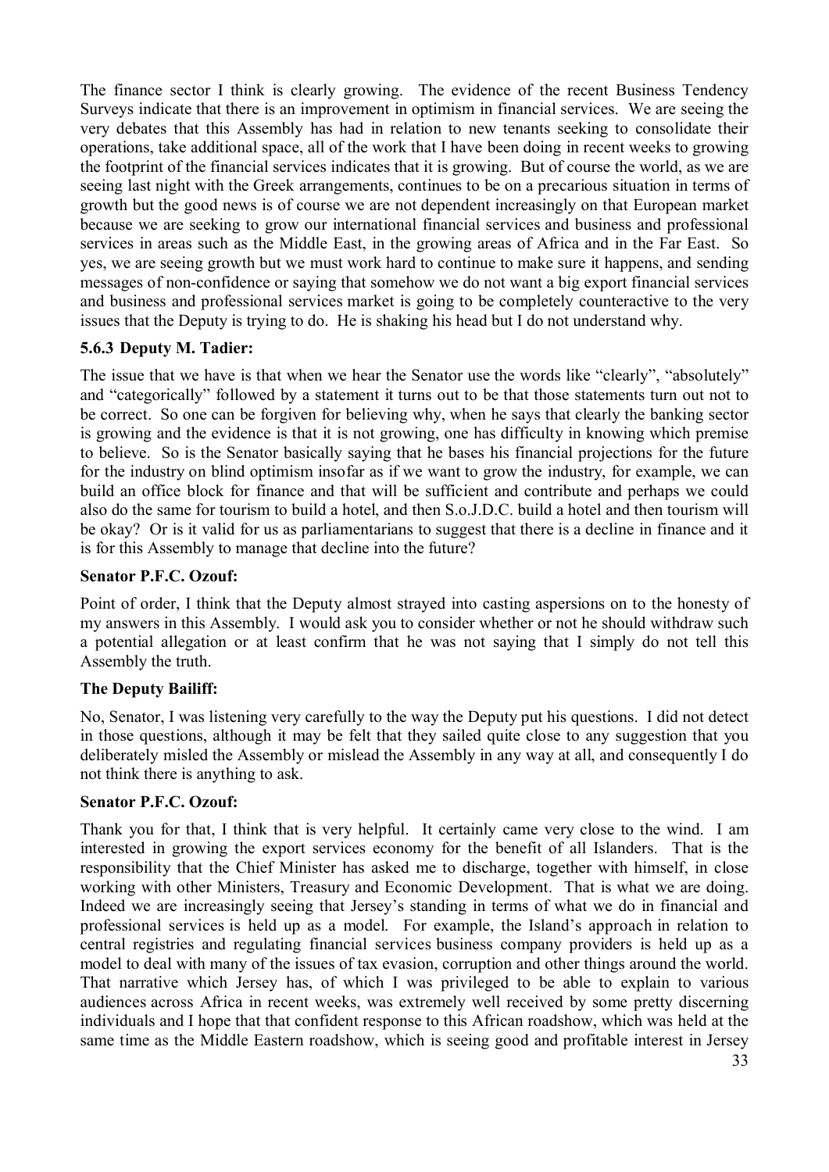The finance sector I think is clearly growing. The evidence of the recent Business Tendency Surveys indicate that there is an improvement in optimism in financial services. We are seeing the very debates that this Assembly has had in relation to new tenants seeking to consolidate their operations, take additional space, all of the work that I have been doing in recent weeks to growing the footprint of the financial services indicates that it is growing. But of course the world, as we are seeing last night with the Greek arrangements, continues to be on a precarious situation in terms of growth but the good news is of course we are not dependent increasingly on that European market because we are seeking to grow our international financial services and business and professional services in areas such as the Middle East, in the growing areas of Africa and in the Far East. So yes, we are seeing growth but we must work hard to continue to make sure it happens, and sending messages of non-confidence or saying that somehow we do not want a big export financial services and business and professional services market is going to be completely counteractive to the very issues that the Deputy is trying to do. He is shaking his head but I do not understand why.

## **5.6.3 Deputy M. Tadier:**

The issue that we have is that when we hear the Senator use the words like "clearly", "absolutely" and "categorically" followed by a statement it turns out to be that those statements turn out not to be correct. So one can be forgiven for believing why, when he says that clearly the banking sector is growing and the evidence is that it is not growing, one has difficulty in knowing which premise to believe. So is the Senator basically saying that he bases his financial projections for the future for the industry on blind optimism insofar as if we want to grow the industry, for example, we can build an office block for finance and that will be sufficient and contribute and perhaps we could also do the same for tourism to build a hotel, and then S.o.J.D.C. build a hotel and then tourism will be okay? Or is it valid for us as parliamentarians to suggest that there is a decline in finance and it is for this Assembly to manage that decline into the future?

#### **Senator P.F.C. Ozouf:**

Point of order, I think that the Deputy almost strayed into casting aspersions on to the honesty of my answers in this Assembly. I would ask you to consider whether or not he should withdraw such a potential allegation or at least confirm that he was not saying that I simply do not tell this Assembly the truth.

## **The Deputy Bailiff:**

No, Senator, I was listening very carefully to the way the Deputy put his questions. I did not detect in those questions, although it may be felt that they sailed quite close to any suggestion that you deliberately misled the Assembly or mislead the Assembly in any way at all, and consequently I do not think there is anything to ask.

#### **Senator P.F.C. Ozouf:**

Thank you for that, I think that is very helpful. It certainly came very close to the wind. I am interested in growing the export services economy for the benefit of all Islanders. That is the responsibility that the Chief Minister has asked me to discharge, together with himself, in close working with other Ministers, Treasury and Economic Development. That is what we are doing. Indeed we are increasingly seeing that Jersey's standing in terms of what we do in financial and professional services is held up as a model. For example, the Island's approach in relation to central registries and regulating financial services business company providers is held up as a model to deal with many of the issues of tax evasion, corruption and other things around the world. That narrative which Jersey has, of which I was privileged to be able to explain to various audiences across Africa in recent weeks, was extremely well received by some pretty discerning individuals and I hope that that confident response to this African roadshow, which was held at the same time as the Middle Eastern roadshow, which is seeing good and profitable interest in Jersey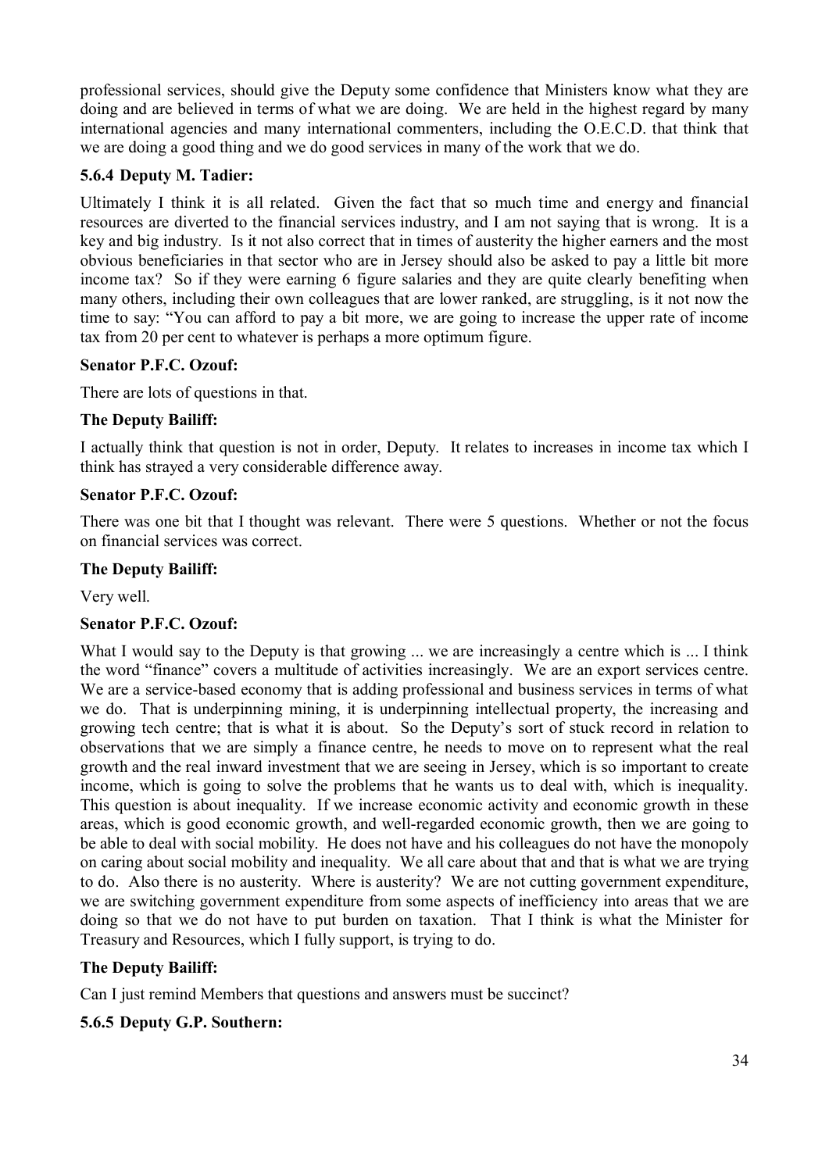professional services, should give the Deputy some confidence that Ministers know what they are doing and are believed in terms of what we are doing. We are held in the highest regard by many international agencies and many international commenters, including the O.E.C.D. that think that we are doing a good thing and we do good services in many of the work that we do.

#### **5.6.4 Deputy M. Tadier:**

Ultimately I think it is all related. Given the fact that so much time and energy and financial resources are diverted to the financial services industry, and I am not saying that is wrong. It is a key and big industry. Is it not also correct that in times of austerity the higher earners and the most obvious beneficiaries in that sector who are in Jersey should also be asked to pay a little bit more income tax? So if they were earning 6 figure salaries and they are quite clearly benefiting when many others, including their own colleagues that are lower ranked, are struggling, is it not now the time to say: "You can afford to pay a bit more, we are going to increase the upper rate of income tax from 20 per cent to whatever is perhaps a more optimum figure.

## **Senator P.F.C. Ozouf:**

There are lots of questions in that.

## **The Deputy Bailiff:**

I actually think that question is not in order, Deputy. It relates to increases in income tax which I think has strayed a very considerable difference away.

#### **Senator P.F.C. Ozouf:**

There was one bit that I thought was relevant. There were 5 questions. Whether or not the focus on financial services was correct.

#### **The Deputy Bailiff:**

Very well.

#### **Senator P.F.C. Ozouf:**

What I would say to the Deputy is that growing ... we are increasingly a centre which is ... I think the word "finance" covers a multitude of activities increasingly. We are an export services centre. We are a service-based economy that is adding professional and business services in terms of what we do. That is underpinning mining, it is underpinning intellectual property, the increasing and growing tech centre; that is what it is about. So the Deputy's sort of stuck record in relation to observations that we are simply a finance centre, he needs to move on to represent what the real growth and the real inward investment that we are seeing in Jersey, which is so important to create income, which is going to solve the problems that he wants us to deal with, which is inequality. This question is about inequality. If we increase economic activity and economic growth in these areas, which is good economic growth, and well-regarded economic growth, then we are going to be able to deal with social mobility. He does not have and his colleagues do not have the monopoly on caring about social mobility and inequality. We all care about that and that is what we are trying to do. Also there is no austerity. Where is austerity? We are not cutting government expenditure, we are switching government expenditure from some aspects of inefficiency into areas that we are doing so that we do not have to put burden on taxation. That I think is what the Minister for Treasury and Resources, which I fully support, is trying to do.

#### **The Deputy Bailiff:**

Can I just remind Members that questions and answers must be succinct?

#### **5.6.5 Deputy G.P. Southern:**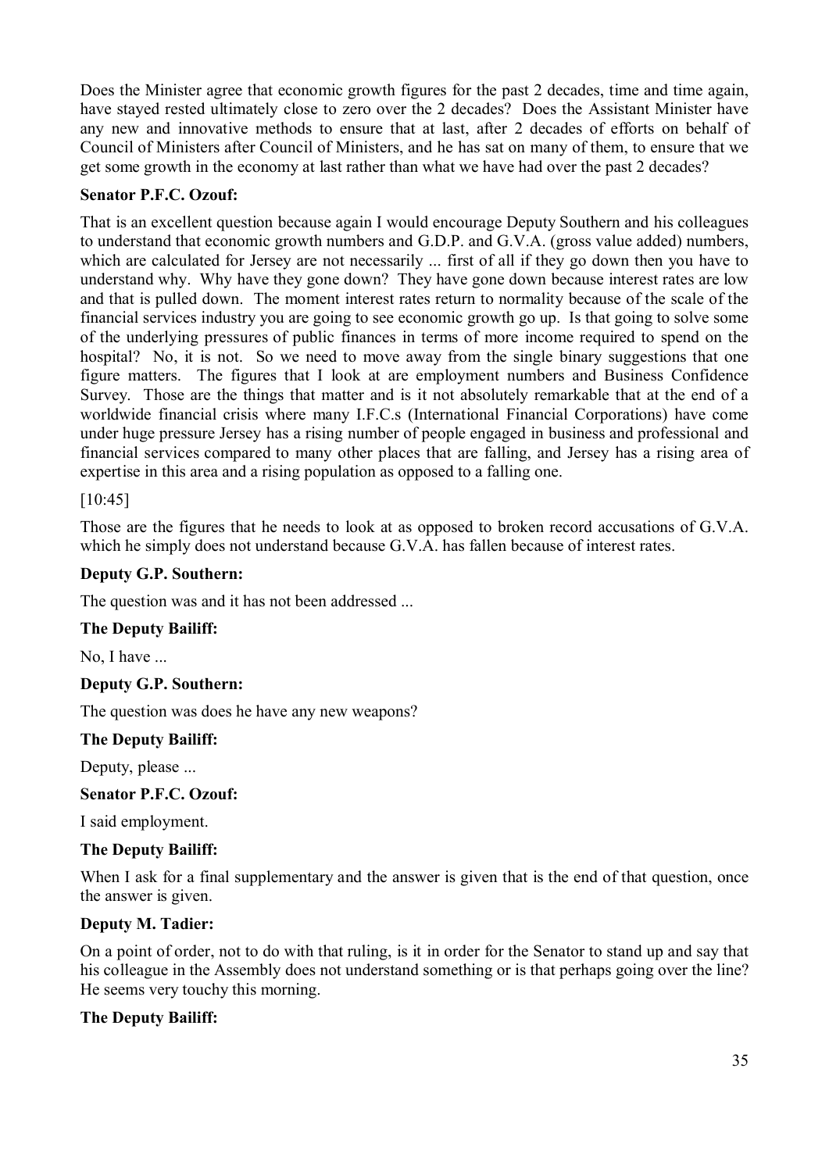Does the Minister agree that economic growth figures for the past 2 decades, time and time again, have stayed rested ultimately close to zero over the 2 decades? Does the Assistant Minister have any new and innovative methods to ensure that at last, after 2 decades of efforts on behalf of Council of Ministers after Council of Ministers, and he has sat on many of them, to ensure that we get some growth in the economy at last rather than what we have had over the past 2 decades?

#### **Senator P.F.C. Ozouf:**

That is an excellent question because again I would encourage Deputy Southern and his colleagues to understand that economic growth numbers and G.D.P. and G.V.A. (gross value added) numbers, which are calculated for Jersey are not necessarily ... first of all if they go down then you have to understand why. Why have they gone down? They have gone down because interest rates are low and that is pulled down. The moment interest rates return to normality because of the scale of the financial services industry you are going to see economic growth go up. Is that going to solve some of the underlying pressures of public finances in terms of more income required to spend on the hospital? No, it is not. So we need to move away from the single binary suggestions that one figure matters. The figures that I look at are employment numbers and Business Confidence Survey. Those are the things that matter and is it not absolutely remarkable that at the end of a worldwide financial crisis where many I.F.C.s (International Financial Corporations) have come under huge pressure Jersey has a rising number of people engaged in business and professional and financial services compared to many other places that are falling, and Jersey has a rising area of expertise in this area and a rising population as opposed to a falling one.

## [10:45]

Those are the figures that he needs to look at as opposed to broken record accusations of G.V.A. which he simply does not understand because G.V.A. has fallen because of interest rates.

## **Deputy G.P. Southern:**

The question was and it has not been addressed ...

#### **The Deputy Bailiff:**

No, I have ...

#### **Deputy G.P. Southern:**

The question was does he have any new weapons?

#### **The Deputy Bailiff:**

Deputy, please ...

#### **Senator P.F.C. Ozouf:**

I said employment.

#### **The Deputy Bailiff:**

When I ask for a final supplementary and the answer is given that is the end of that question, once the answer is given.

#### **Deputy M. Tadier:**

On a point of order, not to do with that ruling, is it in order for the Senator to stand up and say that his colleague in the Assembly does not understand something or is that perhaps going over the line? He seems very touchy this morning.

#### **The Deputy Bailiff:**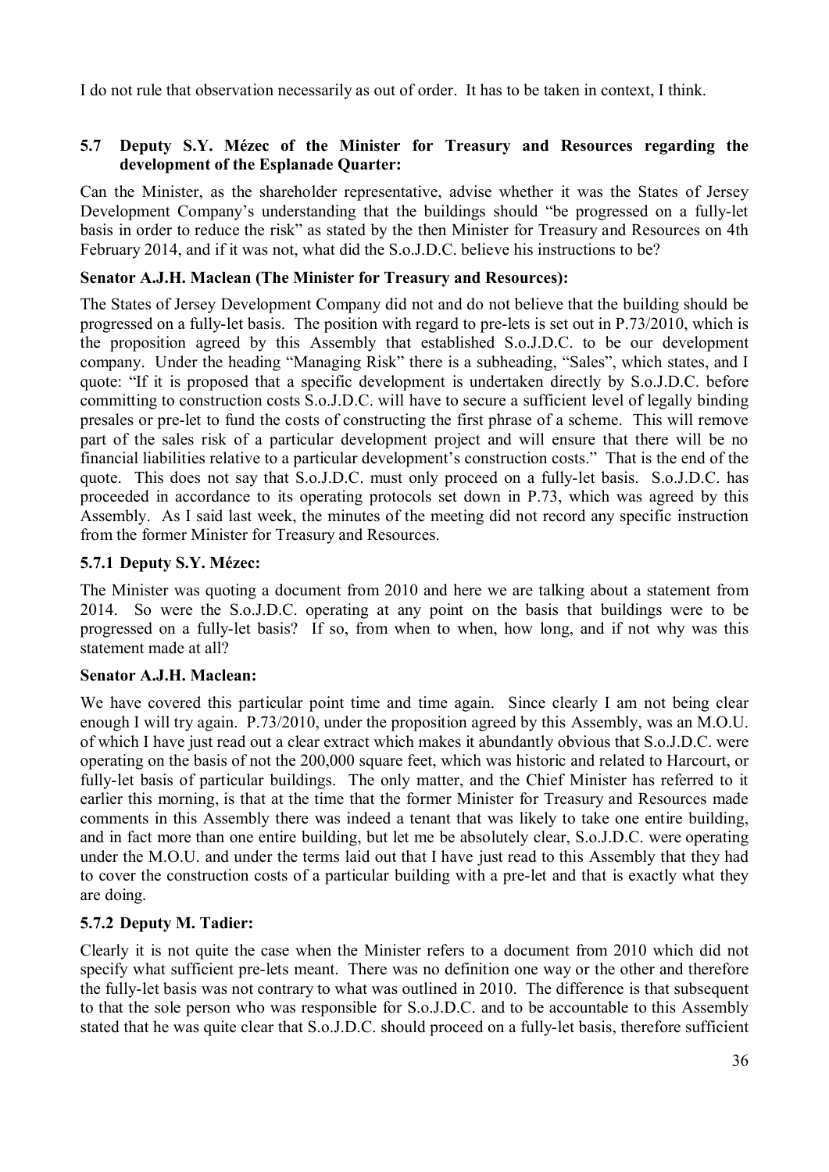I do not rule that observation necessarily as out of order. It has to be taken in context, I think.

#### **5.7 Deputy S.Y. Mézec of the Minister for Treasury and Resources regarding the development of the Esplanade Quarter:**

Can the Minister, as the shareholder representative, advise whether it was the States of Jersey Development Company's understanding that the buildings should "be progressed on a fully-let basis in order to reduce the risk" as stated by the then Minister for Treasury and Resources on 4th February 2014, and if it was not, what did the S.o.J.D.C. believe his instructions to be?

## **Senator A.J.H. Maclean (The Minister for Treasury and Resources):**

The States of Jersey Development Company did not and do not believe that the building should be progressed on a fully-let basis. The position with regard to pre-lets is set out in P.73/2010, which is the proposition agreed by this Assembly that established S.o.J.D.C. to be our development company. Under the heading "Managing Risk" there is a subheading, "Sales", which states, and I quote: "If it is proposed that a specific development is undertaken directly by S.o.J.D.C. before committing to construction costs S.o.J.D.C. will have to secure a sufficient level of legally binding presales or pre-let to fund the costs of constructing the first phrase of a scheme. This will remove part of the sales risk of a particular development project and will ensure that there will be no financial liabilities relative to a particular development's construction costs." That is the end of the quote. This does not say that S.o.J.D.C. must only proceed on a fully-let basis. S.o.J.D.C. has proceeded in accordance to its operating protocols set down in P.73, which was agreed by this Assembly. As I said last week, the minutes of the meeting did not record any specific instruction from the former Minister for Treasury and Resources.

## **5.7.1 Deputy S.Y. Mézec:**

The Minister was quoting a document from 2010 and here we are talking about a statement from 2014. So were the S.o.J.D.C. operating at any point on the basis that buildings were to be progressed on a fully-let basis? If so, from when to when, how long, and if not why was this statement made at all?

#### **Senator A.J.H. Maclean:**

We have covered this particular point time and time again. Since clearly I am not being clear enough I will try again. P.73/2010, under the proposition agreed by this Assembly, was an M.O.U. of which I have just read out a clear extract which makes it abundantly obvious that S.o.J.D.C. were operating on the basis of not the 200,000 square feet, which was historic and related to Harcourt, or fully-let basis of particular buildings. The only matter, and the Chief Minister has referred to it earlier this morning, is that at the time that the former Minister for Treasury and Resources made comments in this Assembly there was indeed a tenant that was likely to take one entire building, and in fact more than one entire building, but let me be absolutely clear, S.o.J.D.C. were operating under the M.O.U. and under the terms laid out that I have just read to this Assembly that they had to cover the construction costs of a particular building with a pre-let and that is exactly what they are doing.

## **5.7.2 Deputy M. Tadier:**

Clearly it is not quite the case when the Minister refers to a document from 2010 which did not specify what sufficient pre-lets meant. There was no definition one way or the other and therefore the fully-let basis was not contrary to what was outlined in 2010. The difference is that subsequent to that the sole person who was responsible for S.o.J.D.C. and to be accountable to this Assembly stated that he was quite clear that S.o.J.D.C. should proceed on a fully-let basis, therefore sufficient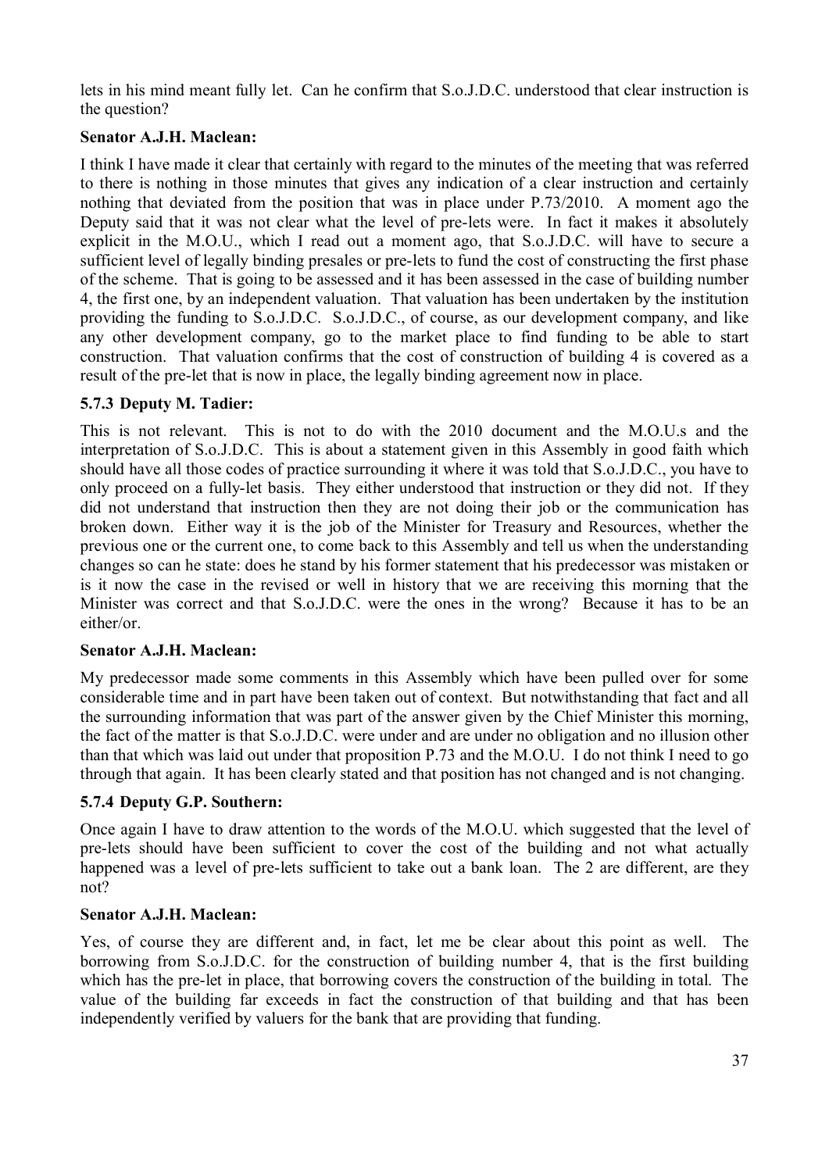lets in his mind meant fully let. Can he confirm that S.o.J.D.C. understood that clear instruction is the question?

# **Senator A.J.H. Maclean:**

I think I have made it clear that certainly with regard to the minutes of the meeting that was referred to there is nothing in those minutes that gives any indication of a clear instruction and certainly nothing that deviated from the position that was in place under P.73/2010. A moment ago the Deputy said that it was not clear what the level of pre-lets were. In fact it makes it absolutely explicit in the M.O.U., which I read out a moment ago, that S.o.J.D.C. will have to secure a sufficient level of legally binding presales or pre-lets to fund the cost of constructing the first phase of the scheme. That is going to be assessed and it has been assessed in the case of building number 4, the first one, by an independent valuation. That valuation has been undertaken by the institution providing the funding to S.o.J.D.C. S.o.J.D.C., of course, as our development company, and like any other development company, go to the market place to find funding to be able to start construction. That valuation confirms that the cost of construction of building 4 is covered as a result of the pre-let that is now in place, the legally binding agreement now in place.

#### **5.7.3 Deputy M. Tadier:**

This is not relevant. This is not to do with the 2010 document and the M.O.U.s and the interpretation of S.o.J.D.C. This is about a statement given in this Assembly in good faith which should have all those codes of practice surrounding it where it was told that S.o.J.D.C., you have to only proceed on a fully-let basis. They either understood that instruction or they did not. If they did not understand that instruction then they are not doing their job or the communication has broken down. Either way it is the job of the Minister for Treasury and Resources, whether the previous one or the current one, to come back to this Assembly and tell us when the understanding changes so can he state: does he stand by his former statement that his predecessor was mistaken or is it now the case in the revised or well in history that we are receiving this morning that the Minister was correct and that S.o.J.D.C. were the ones in the wrong? Because it has to be an either/or.

#### **Senator A.J.H. Maclean:**

My predecessor made some comments in this Assembly which have been pulled over for some considerable time and in part have been taken out of context. But notwithstanding that fact and all the surrounding information that was part of the answer given by the Chief Minister this morning, the fact of the matter is that S.o.J.D.C. were under and are under no obligation and no illusion other than that which was laid out under that proposition P.73 and the M.O.U. I do not think I need to go through that again. It has been clearly stated and that position has not changed and is not changing.

# **5.7.4 Deputy G.P. Southern:**

Once again I have to draw attention to the words of the M.O.U. which suggested that the level of pre-lets should have been sufficient to cover the cost of the building and not what actually happened was a level of pre-lets sufficient to take out a bank loan. The 2 are different, are they not?

#### **Senator A.J.H. Maclean:**

Yes, of course they are different and, in fact, let me be clear about this point as well. The borrowing from S.o.J.D.C. for the construction of building number 4, that is the first building which has the pre-let in place, that borrowing covers the construction of the building in total. The value of the building far exceeds in fact the construction of that building and that has been independently verified by valuers for the bank that are providing that funding.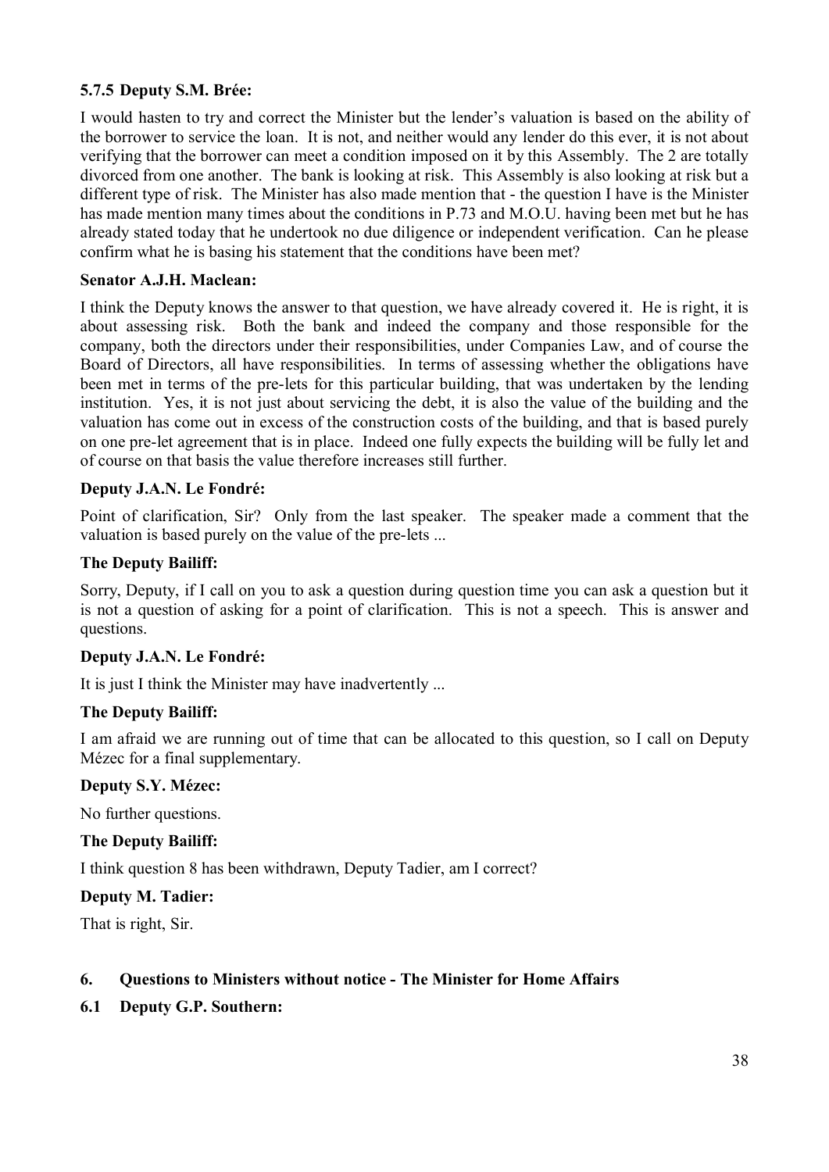#### **5.7.5 Deputy S.M. Brée:**

I would hasten to try and correct the Minister but the lender's valuation is based on the ability of the borrower to service the loan. It is not, and neither would any lender do this ever, it is not about verifying that the borrower can meet a condition imposed on it by this Assembly. The 2 are totally divorced from one another. The bank is looking at risk. This Assembly is also looking at risk but a different type of risk. The Minister has also made mention that - the question I have is the Minister has made mention many times about the conditions in P.73 and M.O.U. having been met but he has already stated today that he undertook no due diligence or independent verification. Can he please confirm what he is basing his statement that the conditions have been met?

#### **Senator A.J.H. Maclean:**

I think the Deputy knows the answer to that question, we have already covered it. He is right, it is about assessing risk. Both the bank and indeed the company and those responsible for the company, both the directors under their responsibilities, under Companies Law, and of course the Board of Directors, all have responsibilities. In terms of assessing whether the obligations have been met in terms of the pre-lets for this particular building, that was undertaken by the lending institution. Yes, it is not just about servicing the debt, it is also the value of the building and the valuation has come out in excess of the construction costs of the building, and that is based purely on one pre-let agreement that is in place. Indeed one fully expects the building will be fully let and of course on that basis the value therefore increases still further.

#### **Deputy J.A.N. Le Fondré:**

Point of clarification, Sir? Only from the last speaker. The speaker made a comment that the valuation is based purely on the value of the pre-lets ...

#### **The Deputy Bailiff:**

Sorry, Deputy, if I call on you to ask a question during question time you can ask a question but it is not a question of asking for a point of clarification. This is not a speech. This is answer and questions.

#### **Deputy J.A.N. Le Fondré:**

It is just I think the Minister may have inadvertently ...

#### **The Deputy Bailiff:**

I am afraid we are running out of time that can be allocated to this question, so I call on Deputy Mézec for a final supplementary.

#### **Deputy S.Y. Mézec:**

No further questions.

#### **The Deputy Bailiff:**

I think question 8 has been withdrawn, Deputy Tadier, am I correct?

#### **Deputy M. Tadier:**

That is right, Sir.

#### **6. Questions to Ministers without notice - The Minister for Home Affairs**

**6.1 Deputy G.P. Southern:**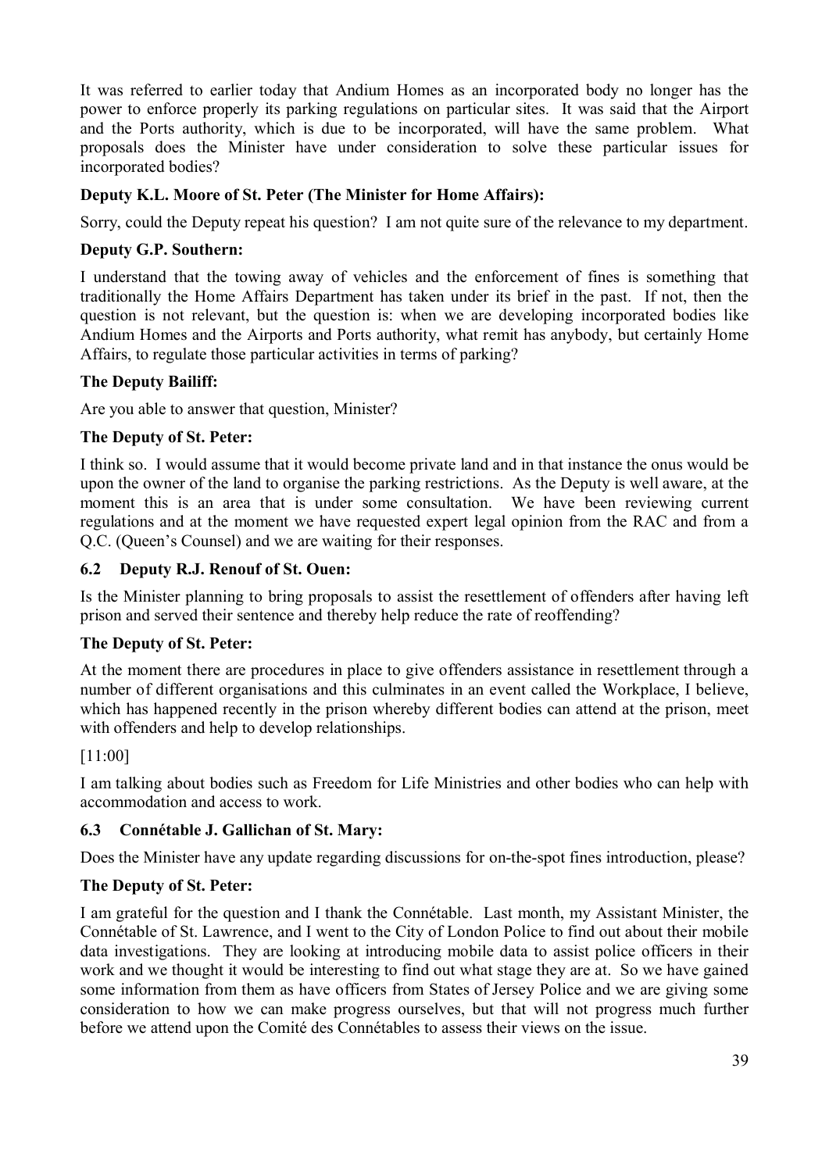It was referred to earlier today that Andium Homes as an incorporated body no longer has the power to enforce properly its parking regulations on particular sites. It was said that the Airport and the Ports authority, which is due to be incorporated, will have the same problem. What proposals does the Minister have under consideration to solve these particular issues for incorporated bodies?

#### **Deputy K.L. Moore of St. Peter (The Minister for Home Affairs):**

Sorry, could the Deputy repeat his question? I am not quite sure of the relevance to my department.

#### **Deputy G.P. Southern:**

I understand that the towing away of vehicles and the enforcement of fines is something that traditionally the Home Affairs Department has taken under its brief in the past. If not, then the question is not relevant, but the question is: when we are developing incorporated bodies like Andium Homes and the Airports and Ports authority, what remit has anybody, but certainly Home Affairs, to regulate those particular activities in terms of parking?

#### **The Deputy Bailiff:**

Are you able to answer that question, Minister?

#### **The Deputy of St. Peter:**

I think so. I would assume that it would become private land and in that instance the onus would be upon the owner of the land to organise the parking restrictions. As the Deputy is well aware, at the moment this is an area that is under some consultation. We have been reviewing current regulations and at the moment we have requested expert legal opinion from the RAC and from a Q.C. (Queen's Counsel) and we are waiting for their responses.

#### **6.2 Deputy R.J. Renouf of St. Ouen:**

Is the Minister planning to bring proposals to assist the resettlement of offenders after having left prison and served their sentence and thereby help reduce the rate of reoffending?

#### **The Deputy of St. Peter:**

At the moment there are procedures in place to give offenders assistance in resettlement through a number of different organisations and this culminates in an event called the Workplace, I believe, which has happened recently in the prison whereby different bodies can attend at the prison, meet with offenders and help to develop relationships.

#### [11:00]

I am talking about bodies such as Freedom for Life Ministries and other bodies who can help with accommodation and access to work.

#### **6.3 Connétable J. Gallichan of St. Mary:**

Does the Minister have any update regarding discussions for on-the-spot fines introduction, please?

#### **The Deputy of St. Peter:**

I am grateful for the question and I thank the Connétable. Last month, my Assistant Minister, the Connétable of St. Lawrence, and I went to the City of London Police to find out about their mobile data investigations. They are looking at introducing mobile data to assist police officers in their work and we thought it would be interesting to find out what stage they are at. So we have gained some information from them as have officers from States of Jersey Police and we are giving some consideration to how we can make progress ourselves, but that will not progress much further before we attend upon the Comité des Connétables to assess their views on the issue.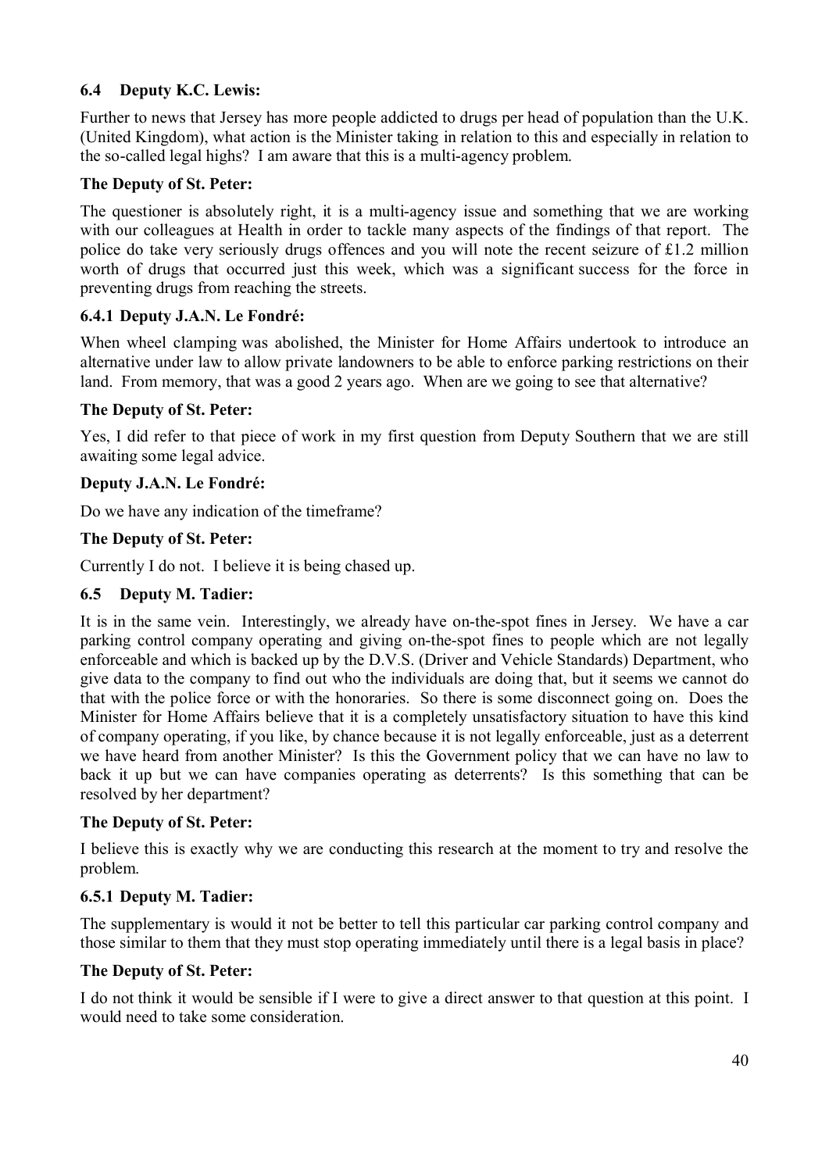# **6.4 Deputy K.C. Lewis:**

Further to news that Jersey has more people addicted to drugs per head of population than the U.K. (United Kingdom), what action is the Minister taking in relation to this and especially in relation to the so-called legal highs? I am aware that this is a multi-agency problem.

#### **The Deputy of St. Peter:**

The questioner is absolutely right, it is a multi-agency issue and something that we are working with our colleagues at Health in order to tackle many aspects of the findings of that report. The police do take very seriously drugs offences and you will note the recent seizure of £1.2 million worth of drugs that occurred just this week, which was a significant success for the force in preventing drugs from reaching the streets.

#### **6.4.1 Deputy J.A.N. Le Fondré:**

When wheel clamping was abolished, the Minister for Home Affairs undertook to introduce an alternative under law to allow private landowners to be able to enforce parking restrictions on their land. From memory, that was a good 2 years ago. When are we going to see that alternative?

#### **The Deputy of St. Peter:**

Yes, I did refer to that piece of work in my first question from Deputy Southern that we are still awaiting some legal advice.

#### **Deputy J.A.N. Le Fondré:**

Do we have any indication of the timeframe?

#### **The Deputy of St. Peter:**

Currently I do not. I believe it is being chased up.

#### **6.5 Deputy M. Tadier:**

It is in the same vein. Interestingly, we already have on-the-spot fines in Jersey. We have a car parking control company operating and giving on-the-spot fines to people which are not legally enforceable and which is backed up by the D.V.S. (Driver and Vehicle Standards) Department, who give data to the company to find out who the individuals are doing that, but it seems we cannot do that with the police force or with the honoraries. So there is some disconnect going on. Does the Minister for Home Affairs believe that it is a completely unsatisfactory situation to have this kind of company operating, if you like, by chance because it is not legally enforceable, just as a deterrent we have heard from another Minister? Is this the Government policy that we can have no law to back it up but we can have companies operating as deterrents? Is this something that can be resolved by her department?

#### **The Deputy of St. Peter:**

I believe this is exactly why we are conducting this research at the moment to try and resolve the problem.

#### **6.5.1 Deputy M. Tadier:**

The supplementary is would it not be better to tell this particular car parking control company and those similar to them that they must stop operating immediately until there is a legal basis in place?

#### **The Deputy of St. Peter:**

I do not think it would be sensible if I were to give a direct answer to that question at this point. I would need to take some consideration.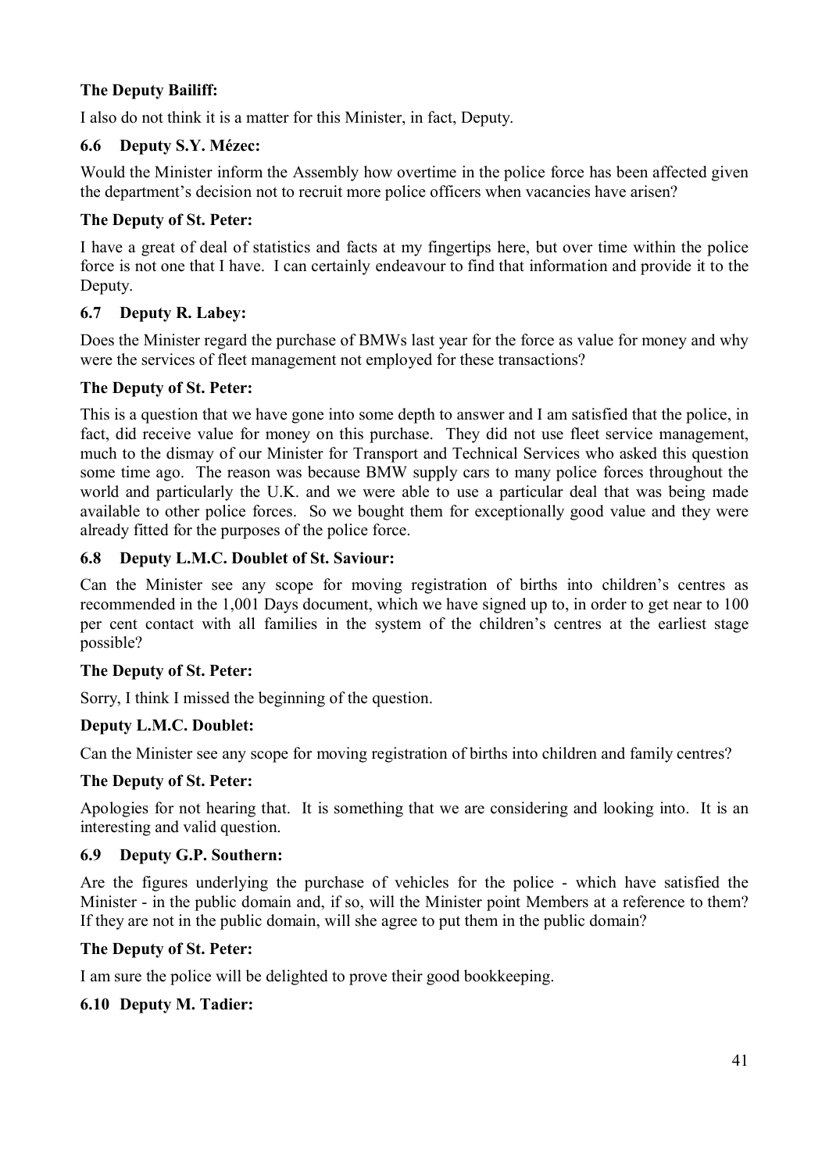# **The Deputy Bailiff:**

I also do not think it is a matter for this Minister, in fact, Deputy.

# **6.6 Deputy S.Y. Mézec:**

Would the Minister inform the Assembly how overtime in the police force has been affected given the department's decision not to recruit more police officers when vacancies have arisen?

#### **The Deputy of St. Peter:**

I have a great of deal of statistics and facts at my fingertips here, but over time within the police force is not one that I have. I can certainly endeavour to find that information and provide it to the Deputy.

# **6.7 Deputy R. Labey:**

Does the Minister regard the purchase of BMWs last year for the force as value for money and why were the services of fleet management not employed for these transactions?

#### **The Deputy of St. Peter:**

This is a question that we have gone into some depth to answer and I am satisfied that the police, in fact, did receive value for money on this purchase. They did not use fleet service management, much to the dismay of our Minister for Transport and Technical Services who asked this question some time ago. The reason was because BMW supply cars to many police forces throughout the world and particularly the U.K. and we were able to use a particular deal that was being made available to other police forces. So we bought them for exceptionally good value and they were already fitted for the purposes of the police force.

#### **6.8 Deputy L.M.C. Doublet of St. Saviour:**

Can the Minister see any scope for moving registration of births into children's centres as recommended in the 1,001 Days document, which we have signed up to, in order to get near to 100 per cent contact with all families in the system of the children's centres at the earliest stage possible?

#### **The Deputy of St. Peter:**

Sorry, I think I missed the beginning of the question.

#### **Deputy L.M.C. Doublet:**

Can the Minister see any scope for moving registration of births into children and family centres?

#### **The Deputy of St. Peter:**

Apologies for not hearing that. It is something that we are considering and looking into. It is an interesting and valid question.

#### **6.9 Deputy G.P. Southern:**

Are the figures underlying the purchase of vehicles for the police - which have satisfied the Minister - in the public domain and, if so, will the Minister point Members at a reference to them? If they are not in the public domain, will she agree to put them in the public domain?

# **The Deputy of St. Peter:**

I am sure the police will be delighted to prove their good bookkeeping.

# **6.10 Deputy M. Tadier:**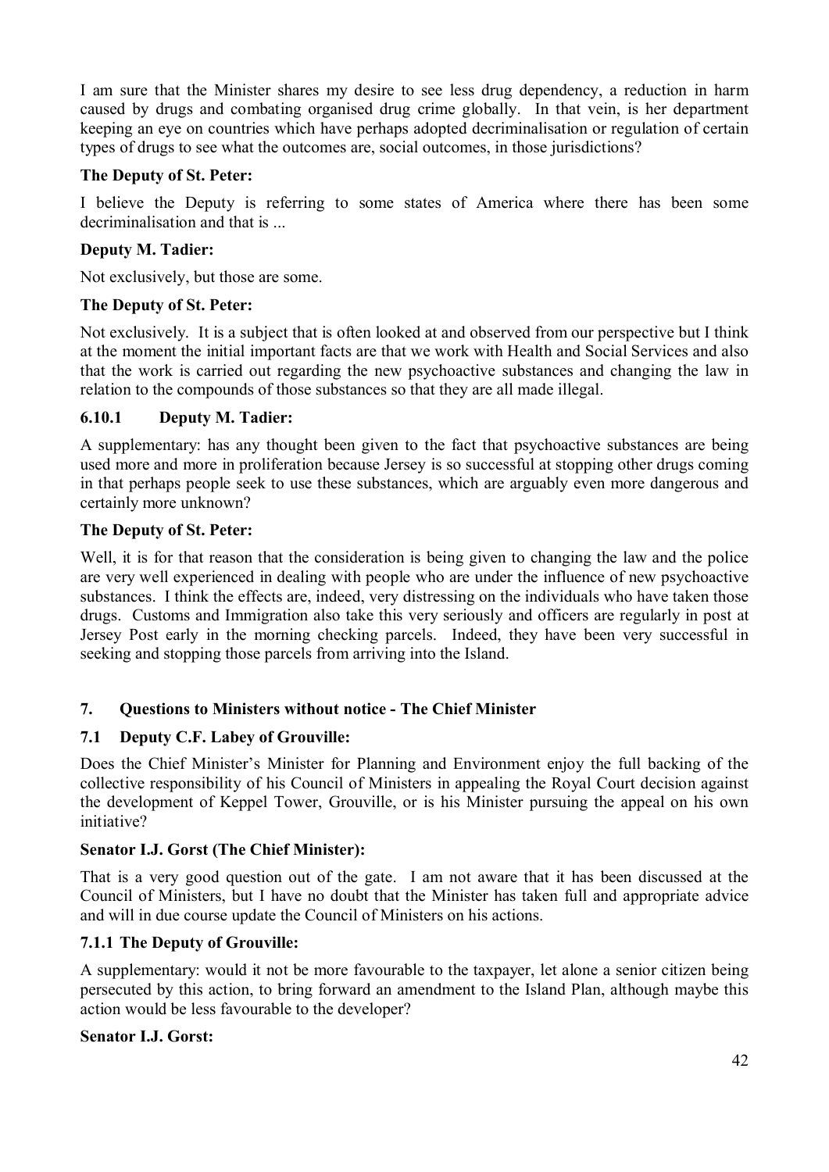I am sure that the Minister shares my desire to see less drug dependency, a reduction in harm caused by drugs and combating organised drug crime globally. In that vein, is her department keeping an eye on countries which have perhaps adopted decriminalisation or regulation of certain types of drugs to see what the outcomes are, social outcomes, in those jurisdictions?

#### **The Deputy of St. Peter:**

I believe the Deputy is referring to some states of America where there has been some decriminalisation and that is ...

# **Deputy M. Tadier:**

Not exclusively, but those are some.

#### **The Deputy of St. Peter:**

Not exclusively. It is a subject that is often looked at and observed from our perspective but I think at the moment the initial important facts are that we work with Health and Social Services and also that the work is carried out regarding the new psychoactive substances and changing the law in relation to the compounds of those substances so that they are all made illegal.

#### **6.10.1 Deputy M. Tadier:**

A supplementary: has any thought been given to the fact that psychoactive substances are being used more and more in proliferation because Jersey is so successful at stopping other drugs coming in that perhaps people seek to use these substances, which are arguably even more dangerous and certainly more unknown?

#### **The Deputy of St. Peter:**

Well, it is for that reason that the consideration is being given to changing the law and the police are very well experienced in dealing with people who are under the influence of new psychoactive substances. I think the effects are, indeed, very distressing on the individuals who have taken those drugs. Customs and Immigration also take this very seriously and officers are regularly in post at Jersey Post early in the morning checking parcels. Indeed, they have been very successful in seeking and stopping those parcels from arriving into the Island.

#### **7. Questions to Ministers without notice - The Chief Minister**

#### **7.1 Deputy C.F. Labey of Grouville:**

Does the Chief Minister's Minister for Planning and Environment enjoy the full backing of the collective responsibility of his Council of Ministers in appealing the Royal Court decision against the development of Keppel Tower, Grouville, or is his Minister pursuing the appeal on his own initiative?

#### **Senator I.J. Gorst (The Chief Minister):**

That is a very good question out of the gate. I am not aware that it has been discussed at the Council of Ministers, but I have no doubt that the Minister has taken full and appropriate advice and will in due course update the Council of Ministers on his actions.

#### **7.1.1 The Deputy of Grouville:**

A supplementary: would it not be more favourable to the taxpayer, let alone a senior citizen being persecuted by this action, to bring forward an amendment to the Island Plan, although maybe this action would be less favourable to the developer?

#### **Senator I.J. Gorst:**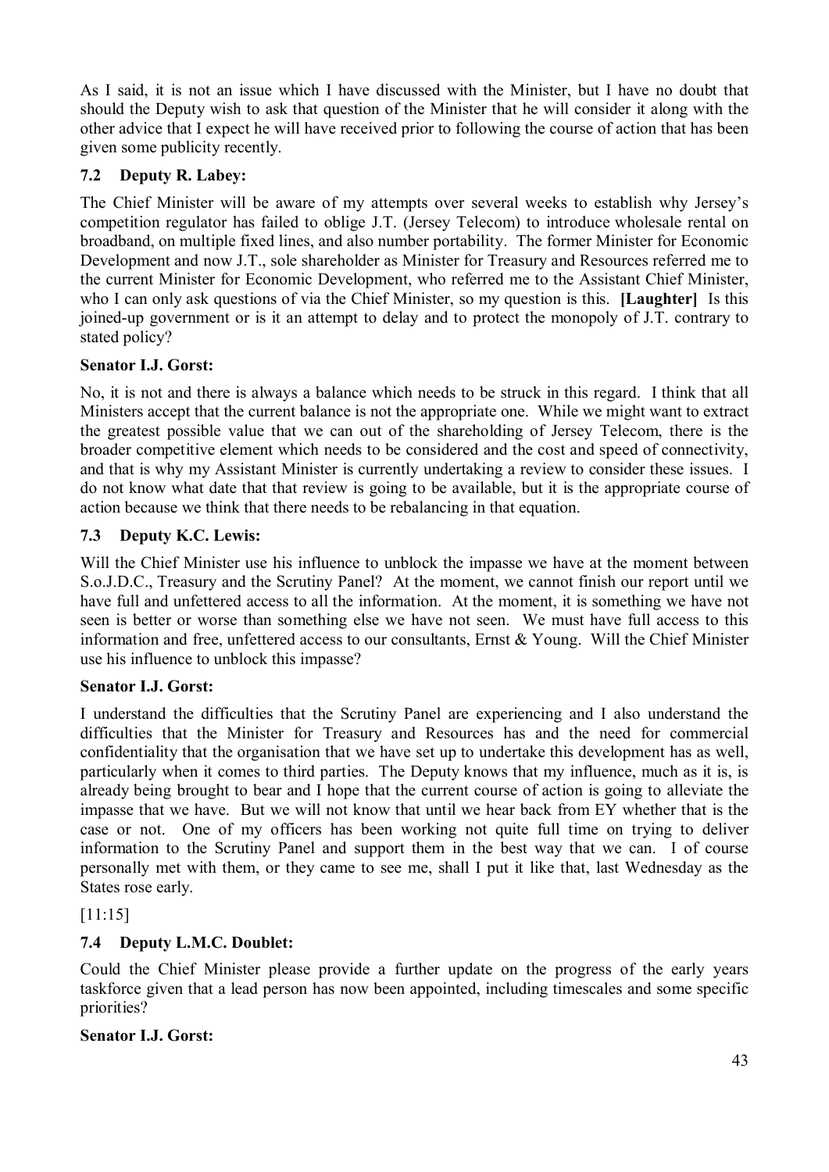As I said, it is not an issue which I have discussed with the Minister, but I have no doubt that should the Deputy wish to ask that question of the Minister that he will consider it along with the other advice that I expect he will have received prior to following the course of action that has been given some publicity recently.

# **7.2 Deputy R. Labey:**

The Chief Minister will be aware of my attempts over several weeks to establish why Jersey's competition regulator has failed to oblige J.T. (Jersey Telecom) to introduce wholesale rental on broadband, on multiple fixed lines, and also number portability. The former Minister for Economic Development and now J.T., sole shareholder as Minister for Treasury and Resources referred me to the current Minister for Economic Development, who referred me to the Assistant Chief Minister, who I can only ask questions of via the Chief Minister, so my question is this. **[Laughter]** Is this joined-up government or is it an attempt to delay and to protect the monopoly of J.T. contrary to stated policy?

# **Senator I.J. Gorst:**

No, it is not and there is always a balance which needs to be struck in this regard. I think that all Ministers accept that the current balance is not the appropriate one. While we might want to extract the greatest possible value that we can out of the shareholding of Jersey Telecom, there is the broader competitive element which needs to be considered and the cost and speed of connectivity, and that is why my Assistant Minister is currently undertaking a review to consider these issues. I do not know what date that that review is going to be available, but it is the appropriate course of action because we think that there needs to be rebalancing in that equation.

# **7.3 Deputy K.C. Lewis:**

Will the Chief Minister use his influence to unblock the impasse we have at the moment between S.o.J.D.C., Treasury and the Scrutiny Panel? At the moment, we cannot finish our report until we have full and unfettered access to all the information. At the moment, it is something we have not seen is better or worse than something else we have not seen. We must have full access to this information and free, unfettered access to our consultants, Ernst & Young. Will the Chief Minister use his influence to unblock this impasse?

# **Senator I.J. Gorst:**

I understand the difficulties that the Scrutiny Panel are experiencing and I also understand the difficulties that the Minister for Treasury and Resources has and the need for commercial confidentiality that the organisation that we have set up to undertake this development has as well, particularly when it comes to third parties. The Deputy knows that my influence, much as it is, is already being brought to bear and I hope that the current course of action is going to alleviate the impasse that we have. But we will not know that until we hear back from EY whether that is the case or not. One of my officers has been working not quite full time on trying to deliver information to the Scrutiny Panel and support them in the best way that we can. I of course personally met with them, or they came to see me, shall I put it like that, last Wednesday as the States rose early.

[11:15]

# **7.4 Deputy L.M.C. Doublet:**

Could the Chief Minister please provide a further update on the progress of the early years taskforce given that a lead person has now been appointed, including timescales and some specific priorities?

# **Senator I.J. Gorst:**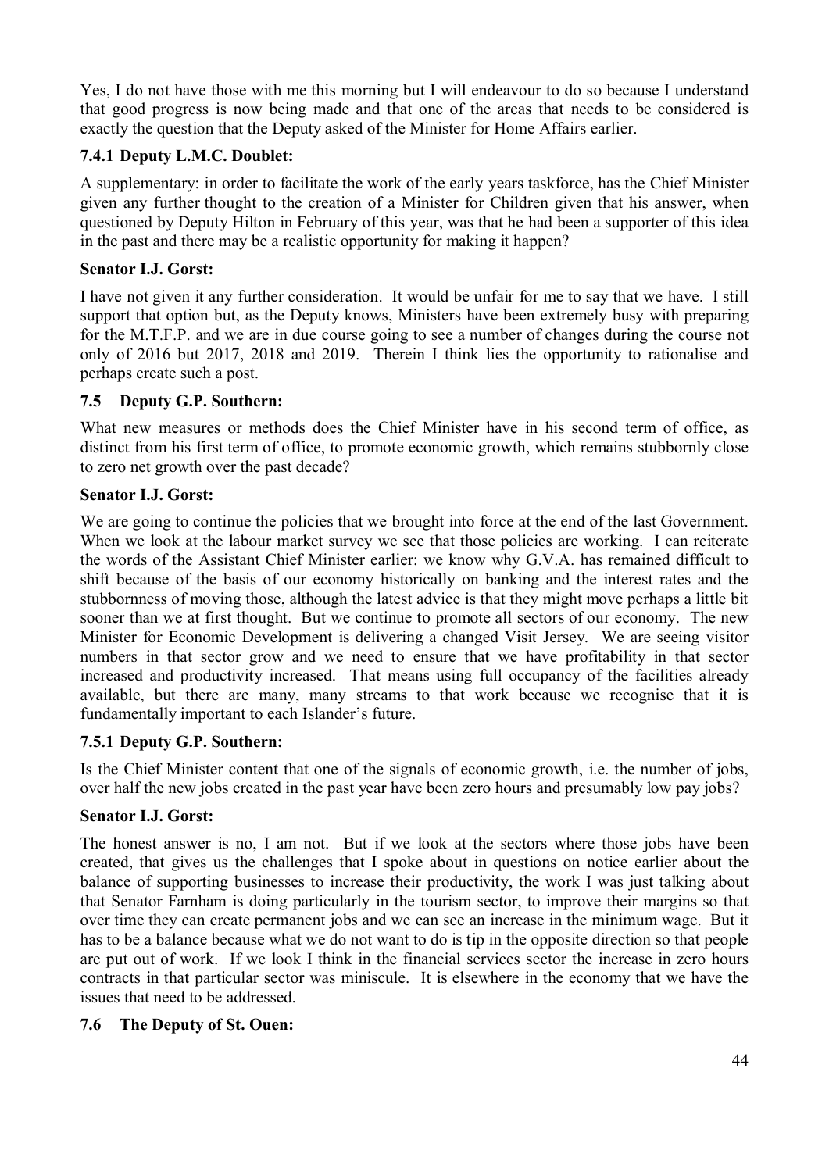Yes, I do not have those with me this morning but I will endeavour to do so because I understand that good progress is now being made and that one of the areas that needs to be considered is exactly the question that the Deputy asked of the Minister for Home Affairs earlier.

#### **7.4.1 Deputy L.M.C. Doublet:**

A supplementary: in order to facilitate the work of the early years taskforce, has the Chief Minister given any further thought to the creation of a Minister for Children given that his answer, when questioned by Deputy Hilton in February of this year, was that he had been a supporter of this idea in the past and there may be a realistic opportunity for making it happen?

#### **Senator I.J. Gorst:**

I have not given it any further consideration. It would be unfair for me to say that we have. I still support that option but, as the Deputy knows, Ministers have been extremely busy with preparing for the M.T.F.P. and we are in due course going to see a number of changes during the course not only of 2016 but 2017, 2018 and 2019. Therein I think lies the opportunity to rationalise and perhaps create such a post.

#### **7.5 Deputy G.P. Southern:**

What new measures or methods does the Chief Minister have in his second term of office, as distinct from his first term of office, to promote economic growth, which remains stubbornly close to zero net growth over the past decade?

#### **Senator I.J. Gorst:**

We are going to continue the policies that we brought into force at the end of the last Government. When we look at the labour market survey we see that those policies are working. I can reiterate the words of the Assistant Chief Minister earlier: we know why G.V.A. has remained difficult to shift because of the basis of our economy historically on banking and the interest rates and the stubbornness of moving those, although the latest advice is that they might move perhaps a little bit sooner than we at first thought. But we continue to promote all sectors of our economy. The new Minister for Economic Development is delivering a changed Visit Jersey. We are seeing visitor numbers in that sector grow and we need to ensure that we have profitability in that sector increased and productivity increased. That means using full occupancy of the facilities already available, but there are many, many streams to that work because we recognise that it is fundamentally important to each Islander's future.

#### **7.5.1 Deputy G.P. Southern:**

Is the Chief Minister content that one of the signals of economic growth, i.e. the number of jobs, over half the new jobs created in the past year have been zero hours and presumably low pay jobs?

#### **Senator I.J. Gorst:**

The honest answer is no, I am not. But if we look at the sectors where those jobs have been created, that gives us the challenges that I spoke about in questions on notice earlier about the balance of supporting businesses to increase their productivity, the work I was just talking about that Senator Farnham is doing particularly in the tourism sector, to improve their margins so that over time they can create permanent jobs and we can see an increase in the minimum wage. But it has to be a balance because what we do not want to do is tip in the opposite direction so that people are put out of work. If we look I think in the financial services sector the increase in zero hours contracts in that particular sector was miniscule. It is elsewhere in the economy that we have the issues that need to be addressed.

#### **7.6 The Deputy of St. Ouen:**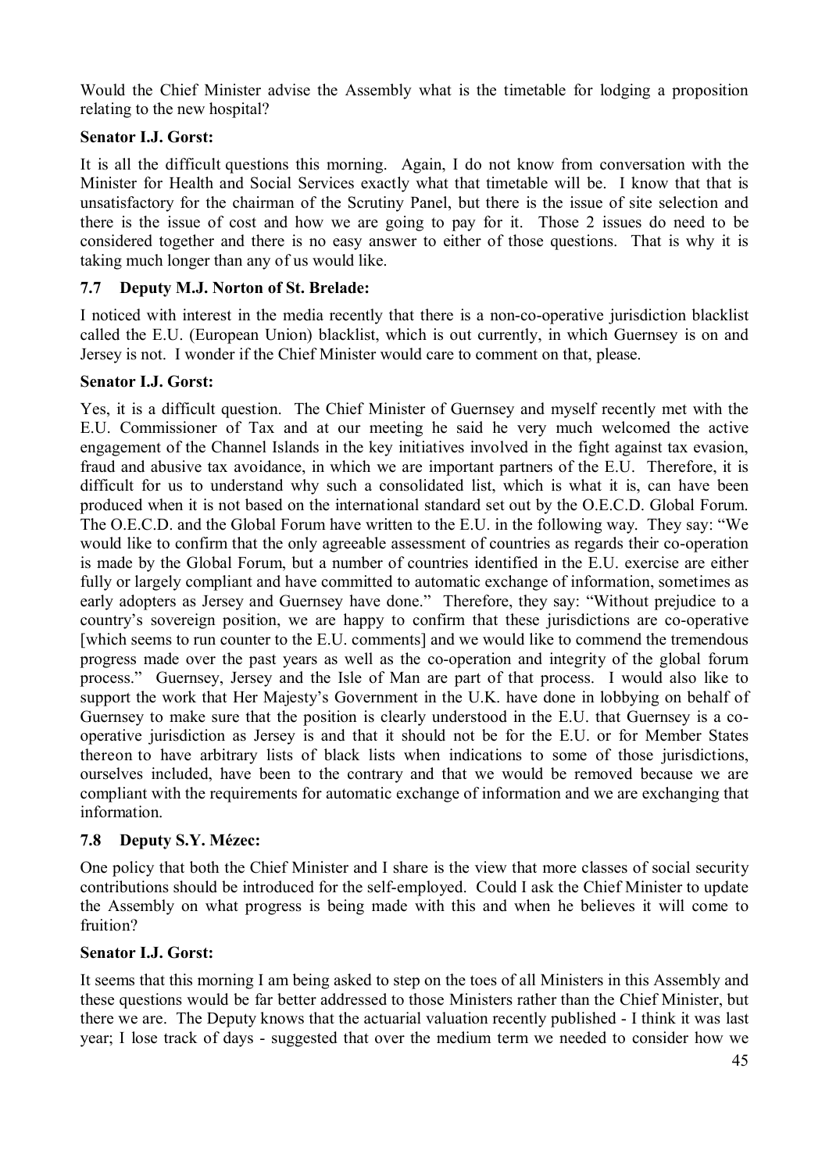Would the Chief Minister advise the Assembly what is the timetable for lodging a proposition relating to the new hospital?

#### **Senator I.J. Gorst:**

It is all the difficult questions this morning. Again, I do not know from conversation with the Minister for Health and Social Services exactly what that timetable will be. I know that that is unsatisfactory for the chairman of the Scrutiny Panel, but there is the issue of site selection and there is the issue of cost and how we are going to pay for it. Those 2 issues do need to be considered together and there is no easy answer to either of those questions. That is why it is taking much longer than any of us would like.

#### **7.7 Deputy M.J. Norton of St. Brelade:**

I noticed with interest in the media recently that there is a non-co-operative jurisdiction blacklist called the E.U. (European Union) blacklist, which is out currently, in which Guernsey is on and Jersey is not. I wonder if the Chief Minister would care to comment on that, please.

#### **Senator I.J. Gorst:**

Yes, it is a difficult question. The Chief Minister of Guernsey and myself recently met with the E.U. Commissioner of Tax and at our meeting he said he very much welcomed the active engagement of the Channel Islands in the key initiatives involved in the fight against tax evasion, fraud and abusive tax avoidance, in which we are important partners of the E.U. Therefore, it is difficult for us to understand why such a consolidated list, which is what it is, can have been produced when it is not based on the international standard set out by the O.E.C.D. Global Forum. The O.E.C.D. and the Global Forum have written to the E.U. in the following way. They say: "We would like to confirm that the only agreeable assessment of countries as regards their co-operation is made by the Global Forum, but a number of countries identified in the E.U. exercise are either fully or largely compliant and have committed to automatic exchange of information, sometimes as early adopters as Jersey and Guernsey have done." Therefore, they say: "Without prejudice to a country's sovereign position, we are happy to confirm that these jurisdictions are co-operative [which seems to run counter to the E.U. comments] and we would like to commend the tremendous progress made over the past years as well as the co-operation and integrity of the global forum process." Guernsey, Jersey and the Isle of Man are part of that process. I would also like to support the work that Her Majesty's Government in the U.K. have done in lobbying on behalf of Guernsey to make sure that the position is clearly understood in the E.U. that Guernsey is a cooperative jurisdiction as Jersey is and that it should not be for the E.U. or for Member States thereon to have arbitrary lists of black lists when indications to some of those jurisdictions, ourselves included, have been to the contrary and that we would be removed because we are compliant with the requirements for automatic exchange of information and we are exchanging that information.

#### **7.8 Deputy S.Y. Mézec:**

One policy that both the Chief Minister and I share is the view that more classes of social security contributions should be introduced for the self-employed. Could I ask the Chief Minister to update the Assembly on what progress is being made with this and when he believes it will come to fruition?

#### **Senator I.J. Gorst:**

It seems that this morning I am being asked to step on the toes of all Ministers in this Assembly and these questions would be far better addressed to those Ministers rather than the Chief Minister, but there we are. The Deputy knows that the actuarial valuation recently published - I think it was last year; I lose track of days - suggested that over the medium term we needed to consider how we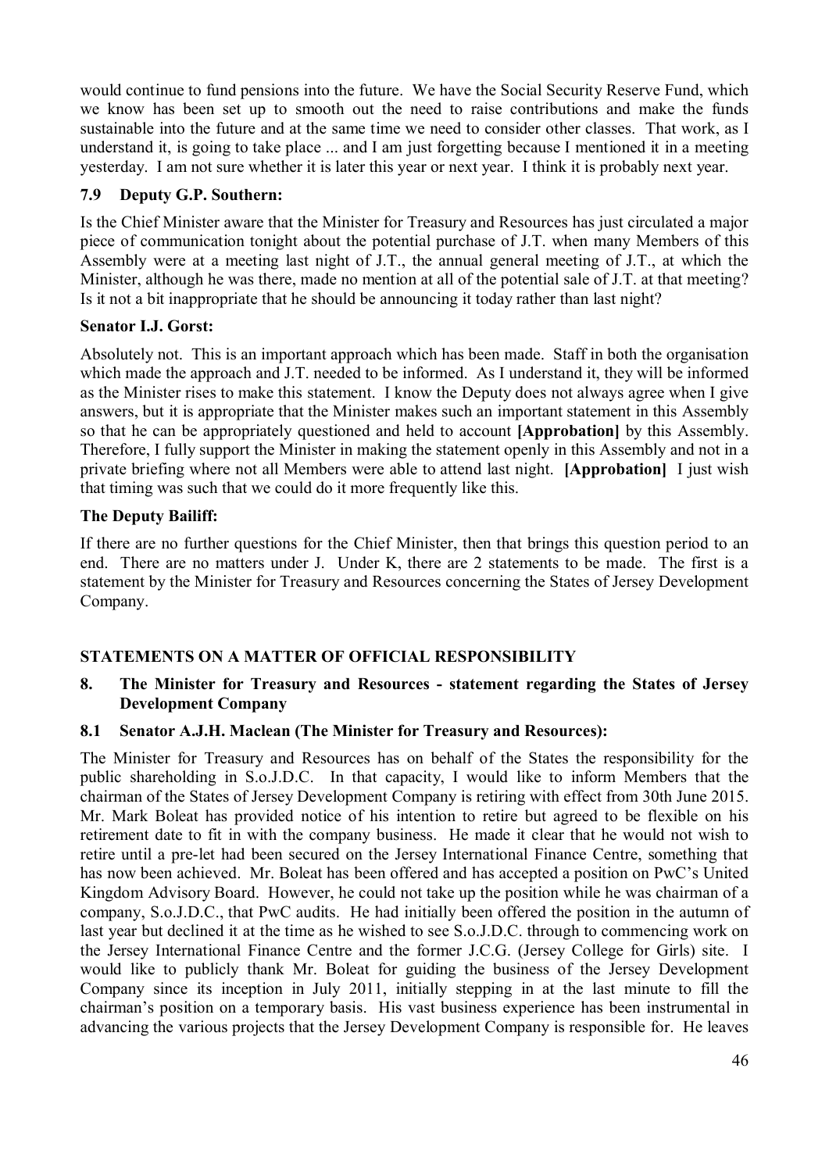would continue to fund pensions into the future. We have the Social Security Reserve Fund, which we know has been set up to smooth out the need to raise contributions and make the funds sustainable into the future and at the same time we need to consider other classes. That work, as I understand it, is going to take place ... and I am just forgetting because I mentioned it in a meeting yesterday. I am not sure whether it is later this year or next year. I think it is probably next year.

#### **7.9 Deputy G.P. Southern:**

Is the Chief Minister aware that the Minister for Treasury and Resources has just circulated a major piece of communication tonight about the potential purchase of J.T. when many Members of this Assembly were at a meeting last night of J.T., the annual general meeting of J.T., at which the Minister, although he was there, made no mention at all of the potential sale of J.T. at that meeting? Is it not a bit inappropriate that he should be announcing it today rather than last night?

#### **Senator I.J. Gorst:**

Absolutely not. This is an important approach which has been made. Staff in both the organisation which made the approach and J.T. needed to be informed. As I understand it, they will be informed as the Minister rises to make this statement. I know the Deputy does not always agree when I give answers, but it is appropriate that the Minister makes such an important statement in this Assembly so that he can be appropriately questioned and held to account **[Approbation]** by this Assembly. Therefore, I fully support the Minister in making the statement openly in this Assembly and not in a private briefing where not all Members were able to attend last night. **[Approbation]** I just wish that timing was such that we could do it more frequently like this.

# **The Deputy Bailiff:**

If there are no further questions for the Chief Minister, then that brings this question period to an end. There are no matters under J. Under K, there are 2 statements to be made. The first is a statement by the Minister for Treasury and Resources concerning the States of Jersey Development Company.

# **STATEMENTS ON A MATTER OF OFFICIAL RESPONSIBILITY**

**8. The Minister for Treasury and Resources - statement regarding the States of Jersey Development Company**

# **8.1 Senator A.J.H. Maclean (The Minister for Treasury and Resources):**

The Minister for Treasury and Resources has on behalf of the States the responsibility for the public shareholding in S.o.J.D.C. In that capacity, I would like to inform Members that the chairman of the States of Jersey Development Company is retiring with effect from 30th June 2015. Mr. Mark Boleat has provided notice of his intention to retire but agreed to be flexible on his retirement date to fit in with the company business. He made it clear that he would not wish to retire until a pre-let had been secured on the Jersey International Finance Centre, something that has now been achieved. Mr. Boleat has been offered and has accepted a position on PwC's United Kingdom Advisory Board. However, he could not take up the position while he was chairman of a company, S.o.J.D.C., that PwC audits. He had initially been offered the position in the autumn of last year but declined it at the time as he wished to see S.o.J.D.C. through to commencing work on the Jersey International Finance Centre and the former J.C.G. (Jersey College for Girls) site. I would like to publicly thank Mr. Boleat for guiding the business of the Jersey Development Company since its inception in July 2011, initially stepping in at the last minute to fill the chairman's position on a temporary basis. His vast business experience has been instrumental in advancing the various projects that the Jersey Development Company is responsible for. He leaves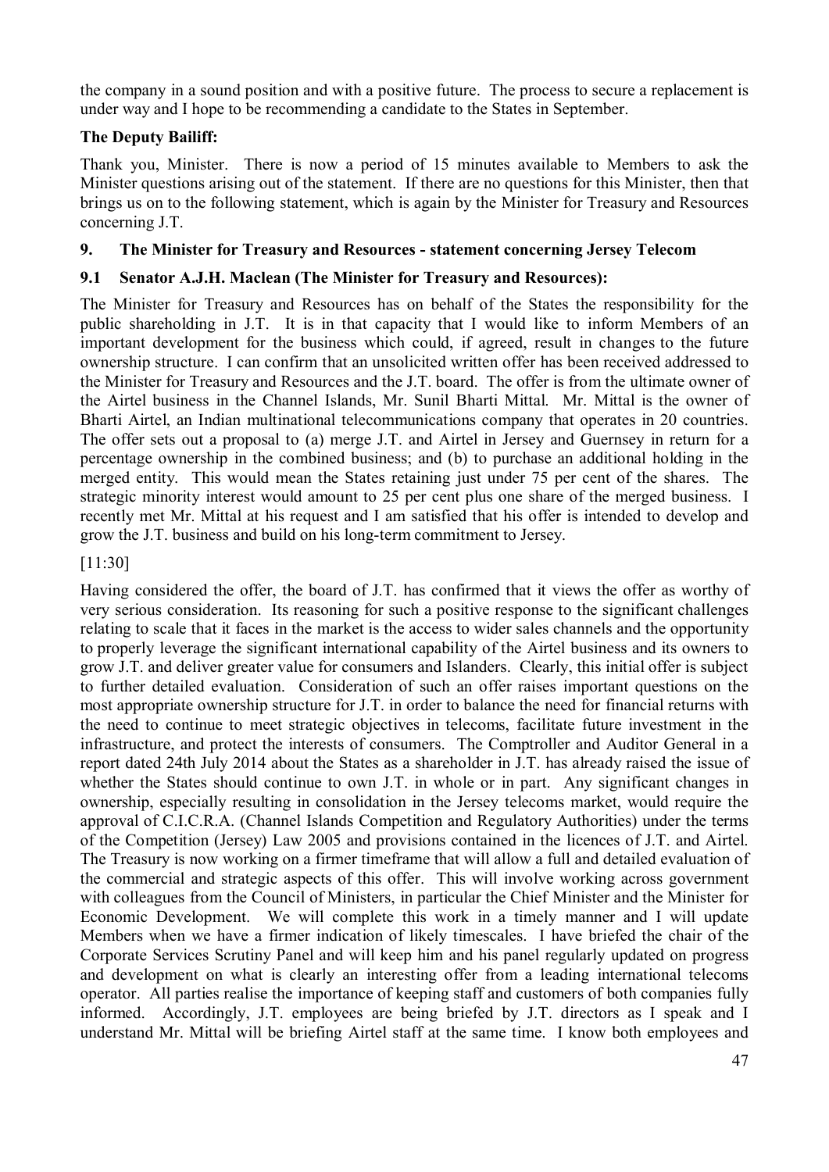the company in a sound position and with a positive future. The process to secure a replacement is under way and I hope to be recommending a candidate to the States in September.

# **The Deputy Bailiff:**

Thank you, Minister. There is now a period of 15 minutes available to Members to ask the Minister questions arising out of the statement. If there are no questions for this Minister, then that brings us on to the following statement, which is again by the Minister for Treasury and Resources concerning J.T.

# **9. The Minister for Treasury and Resources - statement concerning Jersey Telecom**

# **9.1 Senator A.J.H. Maclean (The Minister for Treasury and Resources):**

The Minister for Treasury and Resources has on behalf of the States the responsibility for the public shareholding in J.T. It is in that capacity that I would like to inform Members of an important development for the business which could, if agreed, result in changes to the future ownership structure. I can confirm that an unsolicited written offer has been received addressed to the Minister for Treasury and Resources and the J.T. board. The offer is from the ultimate owner of the Airtel business in the Channel Islands, Mr. Sunil Bharti Mittal. Mr. Mittal is the owner of Bharti Airtel, an Indian multinational telecommunications company that operates in 20 countries. The offer sets out a proposal to (a) merge J.T. and Airtel in Jersey and Guernsey in return for a percentage ownership in the combined business; and (b) to purchase an additional holding in the merged entity. This would mean the States retaining just under 75 per cent of the shares. The strategic minority interest would amount to 25 per cent plus one share of the merged business. I recently met Mr. Mittal at his request and I am satisfied that his offer is intended to develop and grow the J.T. business and build on his long-term commitment to Jersey.

#### [11:30]

Having considered the offer, the board of J.T. has confirmed that it views the offer as worthy of very serious consideration. Its reasoning for such a positive response to the significant challenges relating to scale that it faces in the market is the access to wider sales channels and the opportunity to properly leverage the significant international capability of the Airtel business and its owners to grow J.T. and deliver greater value for consumers and Islanders. Clearly, this initial offer is subject to further detailed evaluation. Consideration of such an offer raises important questions on the most appropriate ownership structure for J.T. in order to balance the need for financial returns with the need to continue to meet strategic objectives in telecoms, facilitate future investment in the infrastructure, and protect the interests of consumers. The Comptroller and Auditor General in a report dated 24th July 2014 about the States as a shareholder in J.T. has already raised the issue of whether the States should continue to own J.T. in whole or in part. Any significant changes in ownership, especially resulting in consolidation in the Jersey telecoms market, would require the approval of C.I.C.R.A. (Channel Islands Competition and Regulatory Authorities) under the terms of the Competition (Jersey) Law 2005 and provisions contained in the licences of J.T. and Airtel. The Treasury is now working on a firmer timeframe that will allow a full and detailed evaluation of the commercial and strategic aspects of this offer. This will involve working across government with colleagues from the Council of Ministers, in particular the Chief Minister and the Minister for Economic Development. We will complete this work in a timely manner and I will update Members when we have a firmer indication of likely timescales. I have briefed the chair of the Corporate Services Scrutiny Panel and will keep him and his panel regularly updated on progress and development on what is clearly an interesting offer from a leading international telecoms operator. All parties realise the importance of keeping staff and customers of both companies fully informed. Accordingly, J.T. employees are being briefed by J.T. directors as I speak and I understand Mr. Mittal will be briefing Airtel staff at the same time. I know both employees and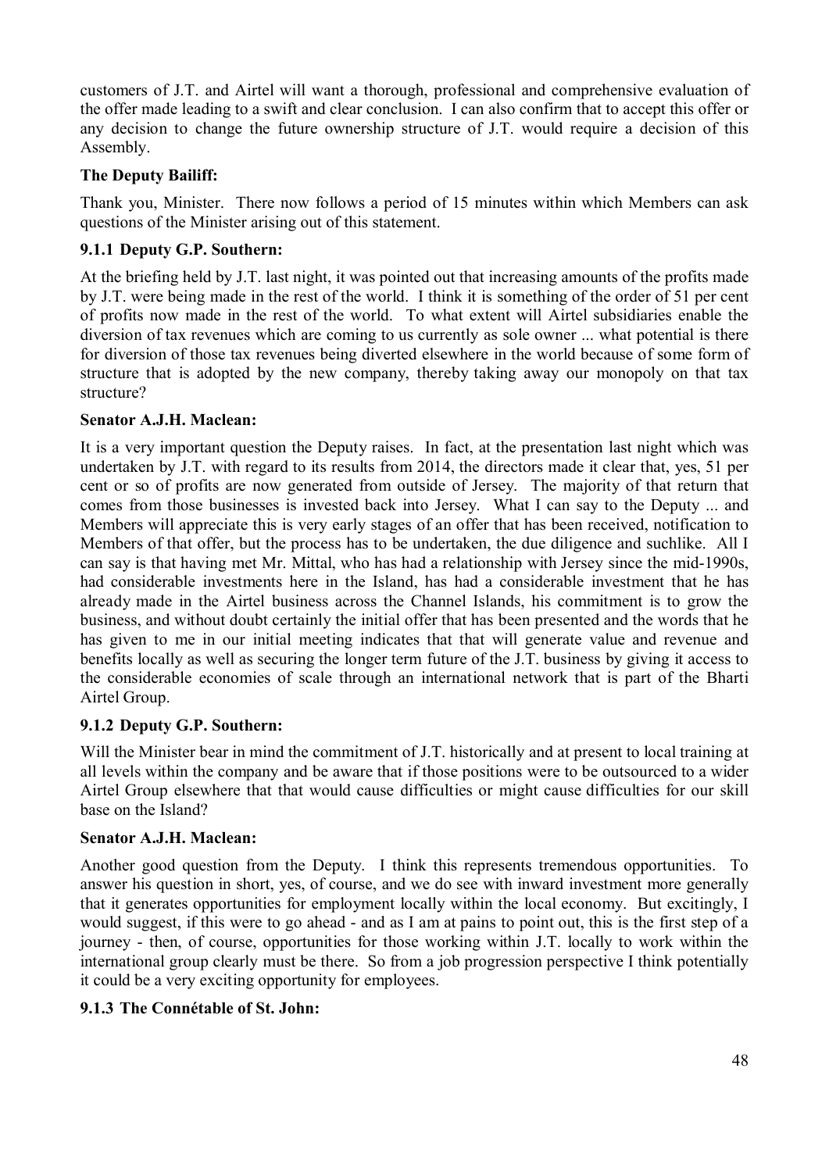customers of J.T. and Airtel will want a thorough, professional and comprehensive evaluation of the offer made leading to a swift and clear conclusion. I can also confirm that to accept this offer or any decision to change the future ownership structure of J.T. would require a decision of this Assembly.

# **The Deputy Bailiff:**

Thank you, Minister. There now follows a period of 15 minutes within which Members can ask questions of the Minister arising out of this statement.

# **9.1.1 Deputy G.P. Southern:**

At the briefing held by J.T. last night, it was pointed out that increasing amounts of the profits made by J.T. were being made in the rest of the world. I think it is something of the order of 51 per cent of profits now made in the rest of the world. To what extent will Airtel subsidiaries enable the diversion of tax revenues which are coming to us currently as sole owner ... what potential is there for diversion of those tax revenues being diverted elsewhere in the world because of some form of structure that is adopted by the new company, thereby taking away our monopoly on that tax structure?

#### **Senator A.J.H. Maclean:**

It is a very important question the Deputy raises. In fact, at the presentation last night which was undertaken by J.T. with regard to its results from 2014, the directors made it clear that, yes, 51 per cent or so of profits are now generated from outside of Jersey. The majority of that return that comes from those businesses is invested back into Jersey. What I can say to the Deputy ... and Members will appreciate this is very early stages of an offer that has been received, notification to Members of that offer, but the process has to be undertaken, the due diligence and suchlike. All I can say is that having met Mr. Mittal, who has had a relationship with Jersey since the mid-1990s, had considerable investments here in the Island, has had a considerable investment that he has already made in the Airtel business across the Channel Islands, his commitment is to grow the business, and without doubt certainly the initial offer that has been presented and the words that he has given to me in our initial meeting indicates that that will generate value and revenue and benefits locally as well as securing the longer term future of the J.T. business by giving it access to the considerable economies of scale through an international network that is part of the Bharti Airtel Group.

# **9.1.2 Deputy G.P. Southern:**

Will the Minister bear in mind the commitment of J.T. historically and at present to local training at all levels within the company and be aware that if those positions were to be outsourced to a wider Airtel Group elsewhere that that would cause difficulties or might cause difficulties for our skill base on the Island?

#### **Senator A.J.H. Maclean:**

Another good question from the Deputy. I think this represents tremendous opportunities. To answer his question in short, yes, of course, and we do see with inward investment more generally that it generates opportunities for employment locally within the local economy. But excitingly, I would suggest, if this were to go ahead - and as I am at pains to point out, this is the first step of a journey - then, of course, opportunities for those working within J.T. locally to work within the international group clearly must be there. So from a job progression perspective I think potentially it could be a very exciting opportunity for employees.

#### **9.1.3 The Connétable of St. John:**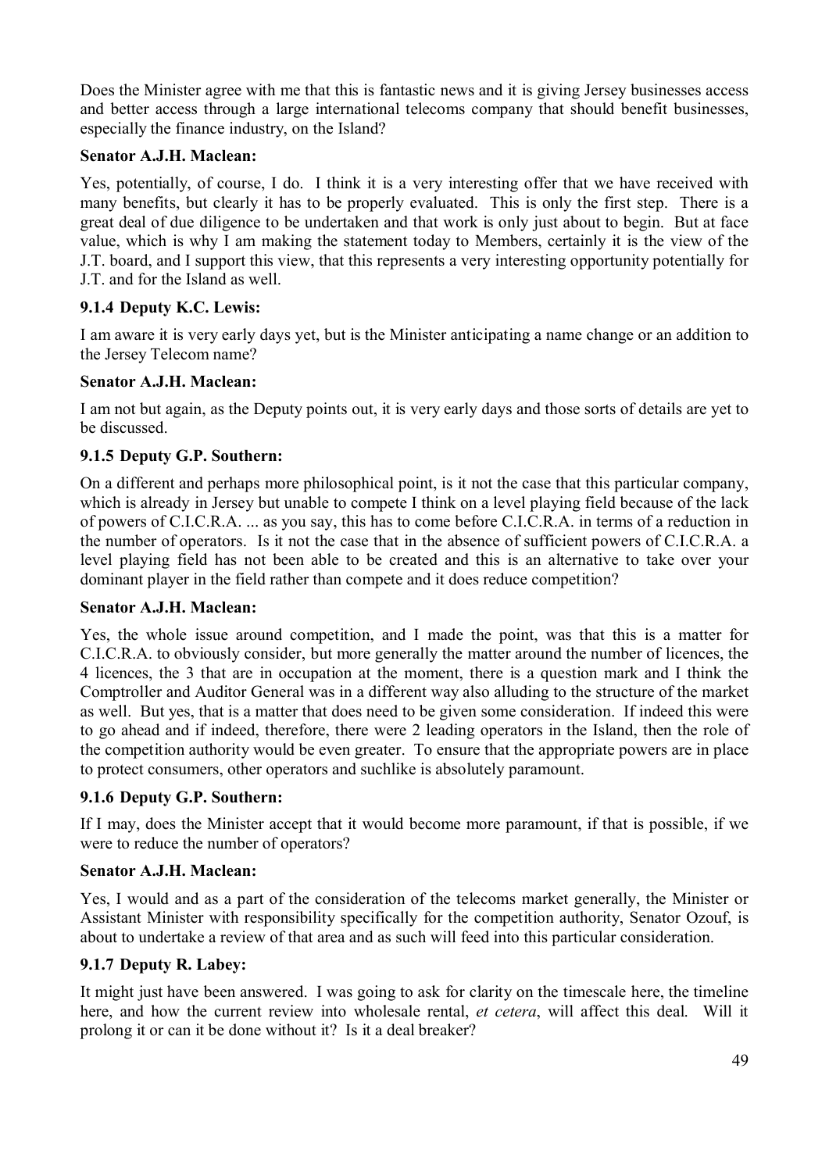Does the Minister agree with me that this is fantastic news and it is giving Jersey businesses access and better access through a large international telecoms company that should benefit businesses, especially the finance industry, on the Island?

#### **Senator A.J.H. Maclean:**

Yes, potentially, of course, I do. I think it is a very interesting offer that we have received with many benefits, but clearly it has to be properly evaluated. This is only the first step. There is a great deal of due diligence to be undertaken and that work is only just about to begin. But at face value, which is why I am making the statement today to Members, certainly it is the view of the J.T. board, and I support this view, that this represents a very interesting opportunity potentially for J.T. and for the Island as well.

#### **9.1.4 Deputy K.C. Lewis:**

I am aware it is very early days yet, but is the Minister anticipating a name change or an addition to the Jersey Telecom name?

#### **Senator A.J.H. Maclean:**

I am not but again, as the Deputy points out, it is very early days and those sorts of details are yet to be discussed.

#### **9.1.5 Deputy G.P. Southern:**

On a different and perhaps more philosophical point, is it not the case that this particular company, which is already in Jersey but unable to compete I think on a level playing field because of the lack of powers of C.I.C.R.A. ... as you say, this has to come before C.I.C.R.A. in terms of a reduction in the number of operators. Is it not the case that in the absence of sufficient powers of C.I.C.R.A. a level playing field has not been able to be created and this is an alternative to take over your dominant player in the field rather than compete and it does reduce competition?

#### **Senator A.J.H. Maclean:**

Yes, the whole issue around competition, and I made the point, was that this is a matter for C.I.C.R.A. to obviously consider, but more generally the matter around the number of licences, the 4 licences, the 3 that are in occupation at the moment, there is a question mark and I think the Comptroller and Auditor General was in a different way also alluding to the structure of the market as well. But yes, that is a matter that does need to be given some consideration. If indeed this were to go ahead and if indeed, therefore, there were 2 leading operators in the Island, then the role of the competition authority would be even greater. To ensure that the appropriate powers are in place to protect consumers, other operators and suchlike is absolutely paramount.

#### **9.1.6 Deputy G.P. Southern:**

If I may, does the Minister accept that it would become more paramount, if that is possible, if we were to reduce the number of operators?

#### **Senator A.J.H. Maclean:**

Yes, I would and as a part of the consideration of the telecoms market generally, the Minister or Assistant Minister with responsibility specifically for the competition authority, Senator Ozouf, is about to undertake a review of that area and as such will feed into this particular consideration.

#### **9.1.7 Deputy R. Labey:**

It might just have been answered. I was going to ask for clarity on the timescale here, the timeline here, and how the current review into wholesale rental, *et cetera*, will affect this deal. Will it prolong it or can it be done without it? Is it a deal breaker?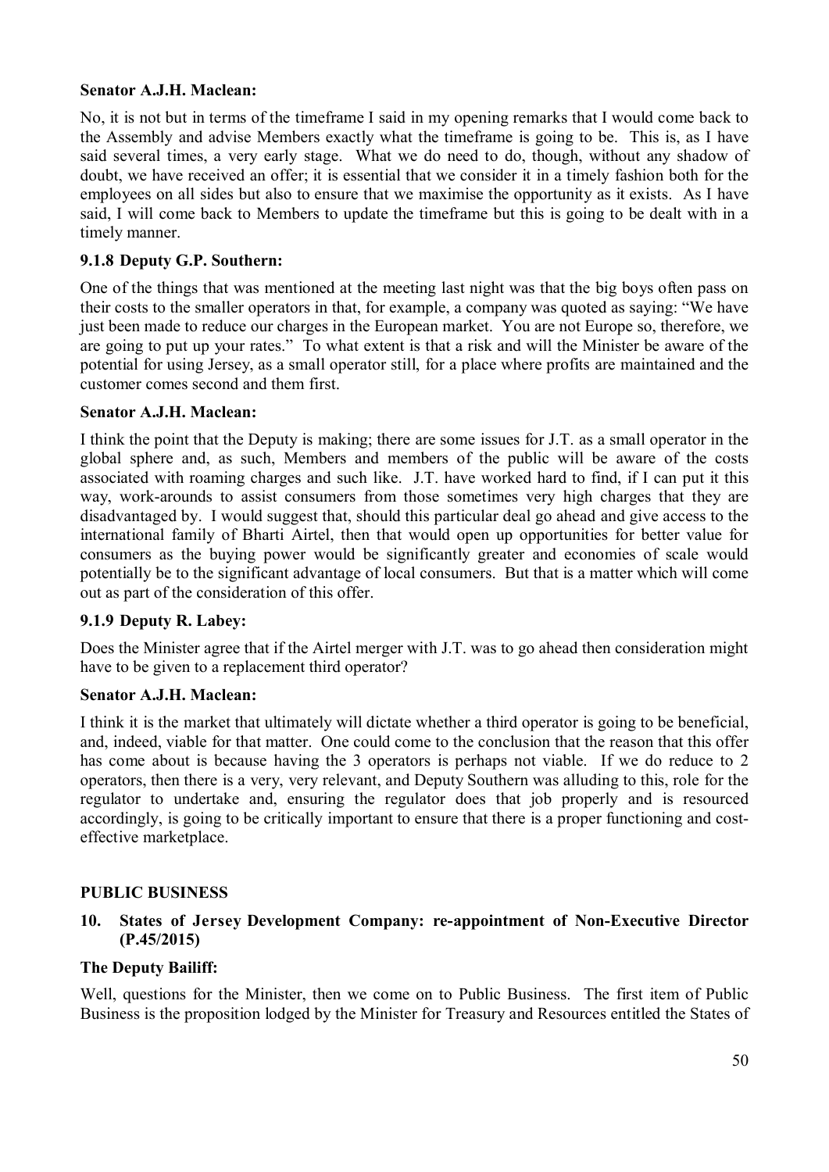#### **Senator A.J.H. Maclean:**

No, it is not but in terms of the timeframe I said in my opening remarks that I would come back to the Assembly and advise Members exactly what the timeframe is going to be. This is, as I have said several times, a very early stage. What we do need to do, though, without any shadow of doubt, we have received an offer; it is essential that we consider it in a timely fashion both for the employees on all sides but also to ensure that we maximise the opportunity as it exists. As I have said, I will come back to Members to update the timeframe but this is going to be dealt with in a timely manner.

#### **9.1.8 Deputy G.P. Southern:**

One of the things that was mentioned at the meeting last night was that the big boys often pass on their costs to the smaller operators in that, for example, a company was quoted as saying: "We have just been made to reduce our charges in the European market. You are not Europe so, therefore, we are going to put up your rates." To what extent is that a risk and will the Minister be aware of the potential for using Jersey, as a small operator still, for a place where profits are maintained and the customer comes second and them first.

#### **Senator A.J.H. Maclean:**

I think the point that the Deputy is making; there are some issues for J.T. as a small operator in the global sphere and, as such, Members and members of the public will be aware of the costs associated with roaming charges and such like. J.T. have worked hard to find, if I can put it this way, work-arounds to assist consumers from those sometimes very high charges that they are disadvantaged by. I would suggest that, should this particular deal go ahead and give access to the international family of Bharti Airtel, then that would open up opportunities for better value for consumers as the buying power would be significantly greater and economies of scale would potentially be to the significant advantage of local consumers. But that is a matter which will come out as part of the consideration of this offer.

#### **9.1.9 Deputy R. Labey:**

Does the Minister agree that if the Airtel merger with J.T. was to go ahead then consideration might have to be given to a replacement third operator?

#### **Senator A.J.H. Maclean:**

I think it is the market that ultimately will dictate whether a third operator is going to be beneficial, and, indeed, viable for that matter. One could come to the conclusion that the reason that this offer has come about is because having the 3 operators is perhaps not viable. If we do reduce to 2 operators, then there is a very, very relevant, and Deputy Southern was alluding to this, role for the regulator to undertake and, ensuring the regulator does that job properly and is resourced accordingly, is going to be critically important to ensure that there is a proper functioning and costeffective marketplace.

#### **PUBLIC BUSINESS**

#### **10. States of Jersey Development Company: re-appointment of Non-Executive Director (P.45/2015)**

#### **The Deputy Bailiff:**

Well, questions for the Minister, then we come on to Public Business. The first item of Public Business is the proposition lodged by the Minister for Treasury and Resources entitled the States of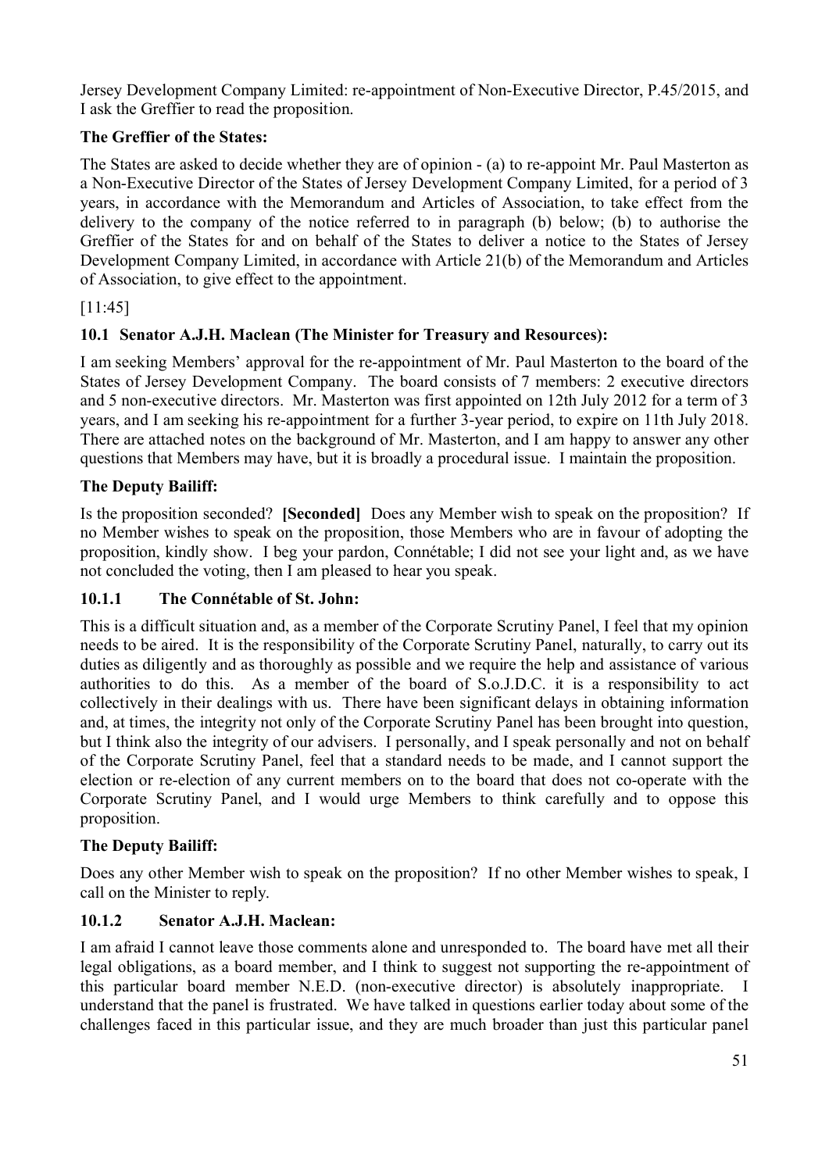Jersey Development Company Limited: re-appointment of Non-Executive Director, P.45/2015, and I ask the Greffier to read the proposition.

# **The Greffier of the States:**

The States are asked to decide whether they are of opinion - (a) to re-appoint Mr. Paul Masterton as a Non-Executive Director of the States of Jersey Development Company Limited, for a period of 3 years, in accordance with the Memorandum and Articles of Association, to take effect from the delivery to the company of the notice referred to in paragraph (b) below; (b) to authorise the Greffier of the States for and on behalf of the States to deliver a notice to the States of Jersey Development Company Limited, in accordance with Article 21(b) of the Memorandum and Articles of Association, to give effect to the appointment.

# [11:45]

# **10.1 Senator A.J.H. Maclean (The Minister for Treasury and Resources):**

I am seeking Members' approval for the re-appointment of Mr. Paul Masterton to the board of the States of Jersey Development Company. The board consists of 7 members: 2 executive directors and 5 non-executive directors. Mr. Masterton was first appointed on 12th July 2012 for a term of 3 years, and I am seeking his re-appointment for a further 3-year period, to expire on 11th July 2018. There are attached notes on the background of Mr. Masterton, and I am happy to answer any other questions that Members may have, but it is broadly a procedural issue. I maintain the proposition.

# **The Deputy Bailiff:**

Is the proposition seconded? **[Seconded]** Does any Member wish to speak on the proposition? If no Member wishes to speak on the proposition, those Members who are in favour of adopting the proposition, kindly show. I beg your pardon, Connétable; I did not see your light and, as we have not concluded the voting, then I am pleased to hear you speak.

# **10.1.1 The Connétable of St. John:**

This is a difficult situation and, as a member of the Corporate Scrutiny Panel, I feel that my opinion needs to be aired. It is the responsibility of the Corporate Scrutiny Panel, naturally, to carry out its duties as diligently and as thoroughly as possible and we require the help and assistance of various authorities to do this. As a member of the board of S.o.J.D.C. it is a responsibility to act collectively in their dealings with us. There have been significant delays in obtaining information and, at times, the integrity not only of the Corporate Scrutiny Panel has been brought into question, but I think also the integrity of our advisers. I personally, and I speak personally and not on behalf of the Corporate Scrutiny Panel, feel that a standard needs to be made, and I cannot support the election or re-election of any current members on to the board that does not co-operate with the Corporate Scrutiny Panel, and I would urge Members to think carefully and to oppose this proposition.

# **The Deputy Bailiff:**

Does any other Member wish to speak on the proposition? If no other Member wishes to speak, I call on the Minister to reply.

# **10.1.2 Senator A.J.H. Maclean:**

I am afraid I cannot leave those comments alone and unresponded to. The board have met all their legal obligations, as a board member, and I think to suggest not supporting the re-appointment of this particular board member N.E.D. (non-executive director) is absolutely inappropriate. I understand that the panel is frustrated. We have talked in questions earlier today about some of the challenges faced in this particular issue, and they are much broader than just this particular panel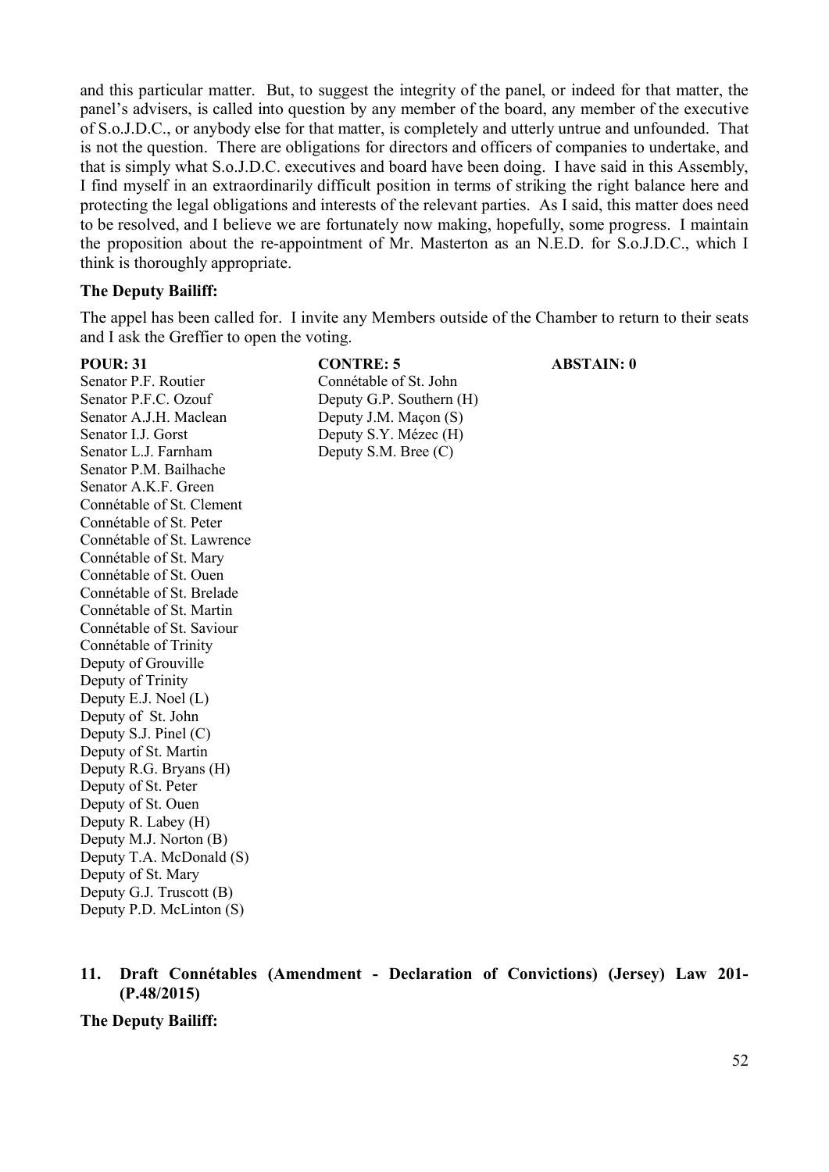and this particular matter. But, to suggest the integrity of the panel, or indeed for that matter, the panel's advisers, is called into question by any member of the board, any member of the executive of S.o.J.D.C., or anybody else for that matter, is completely and utterly untrue and unfounded. That is not the question. There are obligations for directors and officers of companies to undertake, and that is simply what S.o.J.D.C. executives and board have been doing. I have said in this Assembly, I find myself in an extraordinarily difficult position in terms of striking the right balance here and protecting the legal obligations and interests of the relevant parties. As I said, this matter does need to be resolved, and I believe we are fortunately now making, hopefully, some progress. I maintain the proposition about the re-appointment of Mr. Masterton as an N.E.D. for S.o.J.D.C., which I think is thoroughly appropriate.

#### **The Deputy Bailiff:**

The appel has been called for. I invite any Members outside of the Chamber to return to their seats and I ask the Greffier to open the voting.

Senator P.F. Routier Connétable of St. John Senator P.F.C. Ozouf Deputy G.P. Southern (H) Senator A.J.H. Maclean Deputy J.M. Macon (S) Senator I.J. Gorst Deputy S.Y. Mézec (H) Senator L.J. Farnham Deputy S.M. Bree (C) Senator P.M. Bailhache Senator A.K.F. Green Connétable of St. Clement Connétable of St. Peter Connétable of St. Lawrence Connétable of St. Mary Connétable of St. Ouen Connétable of St. Brelade Connétable of St. Martin Connétable of St. Saviour Connétable of Trinity Deputy of Grouville Deputy of Trinity Deputy E.J. Noel (L) Deputy of St. John Deputy S.J. Pinel (C) Deputy of St. Martin Deputy R.G. Bryans (H) Deputy of St. Peter Deputy of St. Ouen Deputy R. Labey (H) Deputy M.J. Norton (B) Deputy T.A. McDonald (S) Deputy of St. Mary Deputy G.J. Truscott (B) Deputy P.D. McLinton (S)

# **POUR: 31 CONTRE: 5 ABSTAIN: 0**

**11. Draft Connétables (Amendment - Declaration of Convictions) (Jersey) Law 201- (P.48/2015)**

**The Deputy Bailiff:**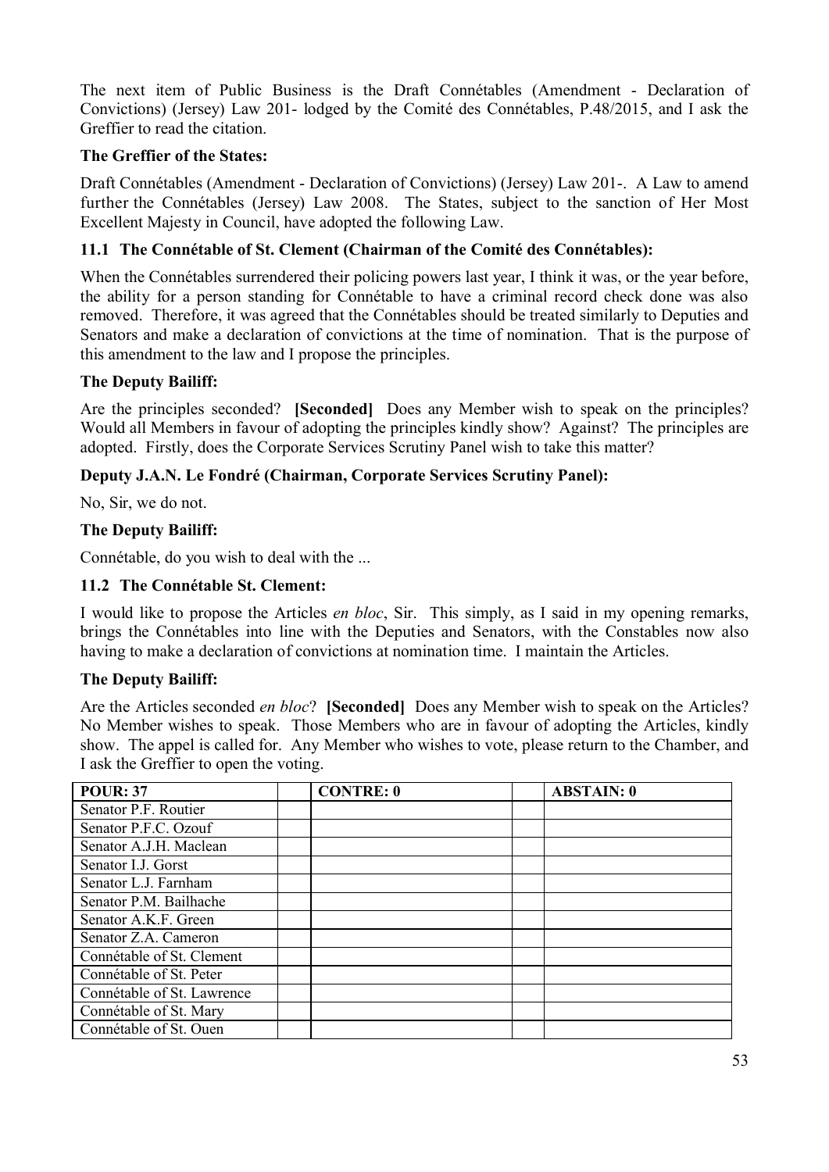The next item of Public Business is the Draft Connétables (Amendment - Declaration of Convictions) (Jersey) Law 201- lodged by the Comité des Connétables, P.48/2015, and I ask the Greffier to read the citation.

#### **The Greffier of the States:**

Draft Connétables (Amendment - Declaration of Convictions) (Jersey) Law 201-. A Law to amend further the Connétables (Jersey) Law 2008. The States, subject to the sanction of Her Most Excellent Majesty in Council, have adopted the following Law.

# **11.1 The Connétable of St. Clement (Chairman of the Comité des Connétables):**

When the Connétables surrendered their policing powers last year, I think it was, or the year before, the ability for a person standing for Connétable to have a criminal record check done was also removed. Therefore, it was agreed that the Connétables should be treated similarly to Deputies and Senators and make a declaration of convictions at the time of nomination. That is the purpose of this amendment to the law and I propose the principles.

#### **The Deputy Bailiff:**

Are the principles seconded? **[Seconded]** Does any Member wish to speak on the principles? Would all Members in favour of adopting the principles kindly show? Against? The principles are adopted. Firstly, does the Corporate Services Scrutiny Panel wish to take this matter?

#### **Deputy J.A.N. Le Fondré (Chairman, Corporate Services Scrutiny Panel):**

No, Sir, we do not.

#### **The Deputy Bailiff:**

Connétable, do you wish to deal with the ...

#### **11.2 The Connétable St. Clement:**

I would like to propose the Articles *en bloc*, Sir. This simply, as I said in my opening remarks, brings the Connétables into line with the Deputies and Senators, with the Constables now also having to make a declaration of convictions at nomination time. I maintain the Articles.

#### **The Deputy Bailiff:**

Are the Articles seconded *en bloc*? **[Seconded]** Does any Member wish to speak on the Articles? No Member wishes to speak. Those Members who are in favour of adopting the Articles, kindly show. The appel is called for. Any Member who wishes to vote, please return to the Chamber, and I ask the Greffier to open the voting.

| <b>POUR: 37</b>            | <b>CONTRE: 0</b> | <b>ABSTAIN: 0</b> |
|----------------------------|------------------|-------------------|
| Senator P.F. Routier       |                  |                   |
| Senator P.F.C. Ozouf       |                  |                   |
| Senator A.J.H. Maclean     |                  |                   |
| Senator I.J. Gorst         |                  |                   |
| Senator L.J. Farnham       |                  |                   |
| Senator P.M. Bailhache     |                  |                   |
| Senator A.K.F. Green       |                  |                   |
| Senator Z.A. Cameron       |                  |                   |
| Connétable of St. Clement  |                  |                   |
| Connétable of St. Peter    |                  |                   |
| Connétable of St. Lawrence |                  |                   |
| Connétable of St. Mary     |                  |                   |
| Connétable of St. Ouen     |                  |                   |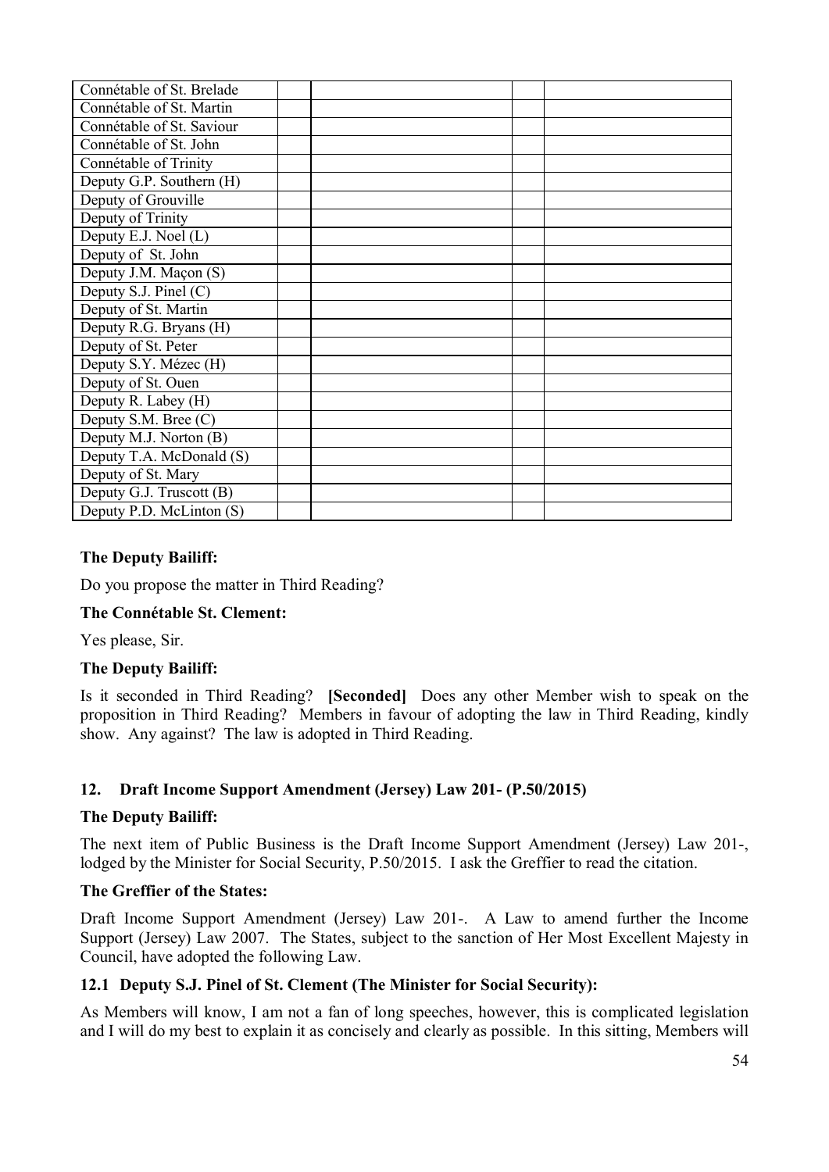#### **The Deputy Bailiff:**

Do you propose the matter in Third Reading?

#### **The Connétable St. Clement:**

Yes please, Sir.

#### **The Deputy Bailiff:**

Is it seconded in Third Reading? **[Seconded]** Does any other Member wish to speak on the proposition in Third Reading? Members in favour of adopting the law in Third Reading, kindly show. Any against? The law is adopted in Third Reading.

#### **12. Draft Income Support Amendment (Jersey) Law 201- (P.50/2015)**

#### **The Deputy Bailiff:**

The next item of Public Business is the Draft Income Support Amendment (Jersey) Law 201-, lodged by the Minister for Social Security, P.50/2015. I ask the Greffier to read the citation.

#### **The Greffier of the States:**

Draft Income Support Amendment (Jersey) Law 201-. A Law to amend further the Income Support (Jersey) Law 2007. The States, subject to the sanction of Her Most Excellent Majesty in Council, have adopted the following Law.

#### **12.1 Deputy S.J. Pinel of St. Clement (The Minister for Social Security):**

As Members will know, I am not a fan of long speeches, however, this is complicated legislation and I will do my best to explain it as concisely and clearly as possible. In this sitting, Members will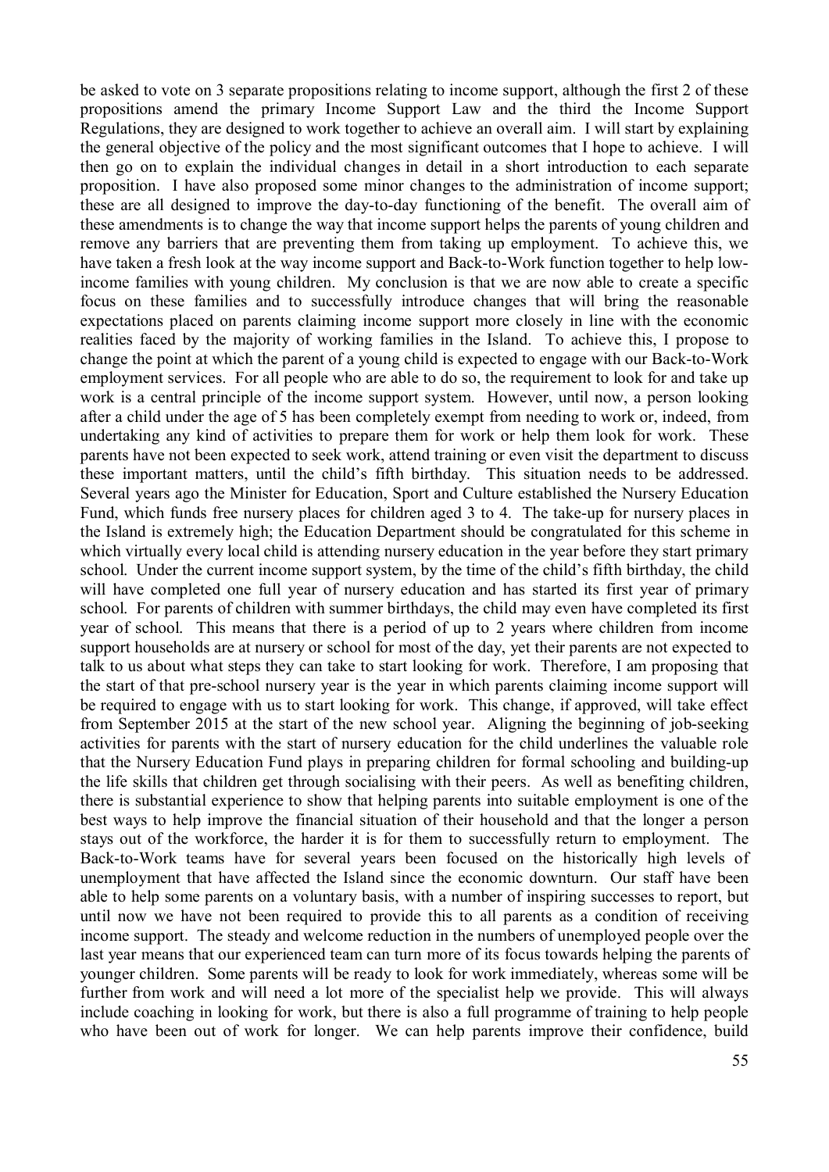be asked to vote on 3 separate propositions relating to income support, although the first 2 of these propositions amend the primary Income Support Law and the third the Income Support Regulations, they are designed to work together to achieve an overall aim. I will start by explaining the general objective of the policy and the most significant outcomes that I hope to achieve. I will then go on to explain the individual changes in detail in a short introduction to each separate proposition. I have also proposed some minor changes to the administration of income support; these are all designed to improve the day-to-day functioning of the benefit. The overall aim of these amendments is to change the way that income support helps the parents of young children and remove any barriers that are preventing them from taking up employment. To achieve this, we have taken a fresh look at the way income support and Back-to-Work function together to help lowincome families with young children. My conclusion is that we are now able to create a specific focus on these families and to successfully introduce changes that will bring the reasonable expectations placed on parents claiming income support more closely in line with the economic realities faced by the majority of working families in the Island. To achieve this, I propose to change the point at which the parent of a young child is expected to engage with our Back-to-Work employment services. For all people who are able to do so, the requirement to look for and take up work is a central principle of the income support system. However, until now, a person looking after a child under the age of 5 has been completely exempt from needing to work or, indeed, from undertaking any kind of activities to prepare them for work or help them look for work. These parents have not been expected to seek work, attend training or even visit the department to discuss these important matters, until the child's fifth birthday. This situation needs to be addressed. Several years ago the Minister for Education, Sport and Culture established the Nursery Education Fund, which funds free nursery places for children aged 3 to 4. The take-up for nursery places in the Island is extremely high; the Education Department should be congratulated for this scheme in which virtually every local child is attending nursery education in the year before they start primary school. Under the current income support system, by the time of the child's fifth birthday, the child will have completed one full year of nursery education and has started its first year of primary school. For parents of children with summer birthdays, the child may even have completed its first year of school. This means that there is a period of up to 2 years where children from income support households are at nursery or school for most of the day, yet their parents are not expected to talk to us about what steps they can take to start looking for work. Therefore, I am proposing that the start of that pre-school nursery year is the year in which parents claiming income support will be required to engage with us to start looking for work. This change, if approved, will take effect from September 2015 at the start of the new school year. Aligning the beginning of job-seeking activities for parents with the start of nursery education for the child underlines the valuable role that the Nursery Education Fund plays in preparing children for formal schooling and building-up the life skills that children get through socialising with their peers. As well as benefiting children, there is substantial experience to show that helping parents into suitable employment is one of the best ways to help improve the financial situation of their household and that the longer a person stays out of the workforce, the harder it is for them to successfully return to employment. The Back-to-Work teams have for several years been focused on the historically high levels of unemployment that have affected the Island since the economic downturn. Our staff have been able to help some parents on a voluntary basis, with a number of inspiring successes to report, but until now we have not been required to provide this to all parents as a condition of receiving income support. The steady and welcome reduction in the numbers of unemployed people over the last year means that our experienced team can turn more of its focus towards helping the parents of younger children. Some parents will be ready to look for work immediately, whereas some will be further from work and will need a lot more of the specialist help we provide. This will always include coaching in looking for work, but there is also a full programme of training to help people who have been out of work for longer. We can help parents improve their confidence, build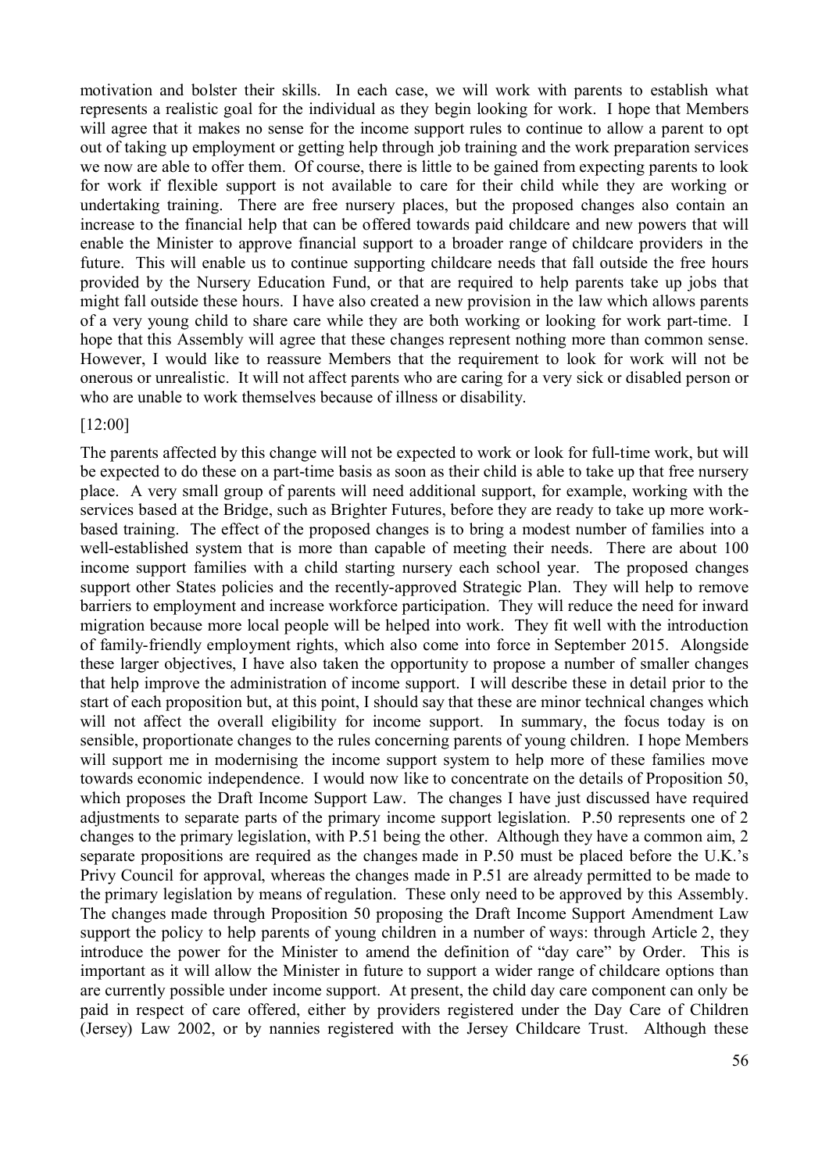motivation and bolster their skills. In each case, we will work with parents to establish what represents a realistic goal for the individual as they begin looking for work. I hope that Members will agree that it makes no sense for the income support rules to continue to allow a parent to opt out of taking up employment or getting help through job training and the work preparation services we now are able to offer them. Of course, there is little to be gained from expecting parents to look for work if flexible support is not available to care for their child while they are working or undertaking training. There are free nursery places, but the proposed changes also contain an increase to the financial help that can be offered towards paid childcare and new powers that will enable the Minister to approve financial support to a broader range of childcare providers in the future. This will enable us to continue supporting childcare needs that fall outside the free hours provided by the Nursery Education Fund, or that are required to help parents take up jobs that might fall outside these hours. I have also created a new provision in the law which allows parents of a very young child to share care while they are both working or looking for work part-time. I hope that this Assembly will agree that these changes represent nothing more than common sense. However, I would like to reassure Members that the requirement to look for work will not be onerous or unrealistic. It will not affect parents who are caring for a very sick or disabled person or who are unable to work themselves because of illness or disability.

#### [12:00]

The parents affected by this change will not be expected to work or look for full-time work, but will be expected to do these on a part-time basis as soon as their child is able to take up that free nursery place. A very small group of parents will need additional support, for example, working with the services based at the Bridge, such as Brighter Futures, before they are ready to take up more workbased training. The effect of the proposed changes is to bring a modest number of families into a well-established system that is more than capable of meeting their needs. There are about 100 income support families with a child starting nursery each school year. The proposed changes support other States policies and the recently-approved Strategic Plan. They will help to remove barriers to employment and increase workforce participation. They will reduce the need for inward migration because more local people will be helped into work. They fit well with the introduction of family-friendly employment rights, which also come into force in September 2015. Alongside these larger objectives, I have also taken the opportunity to propose a number of smaller changes that help improve the administration of income support. I will describe these in detail prior to the start of each proposition but, at this point, I should say that these are minor technical changes which will not affect the overall eligibility for income support. In summary, the focus today is on sensible, proportionate changes to the rules concerning parents of young children. I hope Members will support me in modernising the income support system to help more of these families move towards economic independence. I would now like to concentrate on the details of Proposition 50, which proposes the Draft Income Support Law. The changes I have just discussed have required adjustments to separate parts of the primary income support legislation. P.50 represents one of 2 changes to the primary legislation, with P.51 being the other. Although they have a common aim, 2 separate propositions are required as the changes made in P.50 must be placed before the U.K.'s Privy Council for approval, whereas the changes made in P.51 are already permitted to be made to the primary legislation by means of regulation. These only need to be approved by this Assembly. The changes made through Proposition 50 proposing the Draft Income Support Amendment Law support the policy to help parents of young children in a number of ways: through Article 2, they introduce the power for the Minister to amend the definition of "day care" by Order. This is important as it will allow the Minister in future to support a wider range of childcare options than are currently possible under income support. At present, the child day care component can only be paid in respect of care offered, either by providers registered under the Day Care of Children (Jersey) Law 2002, or by nannies registered with the Jersey Childcare Trust. Although these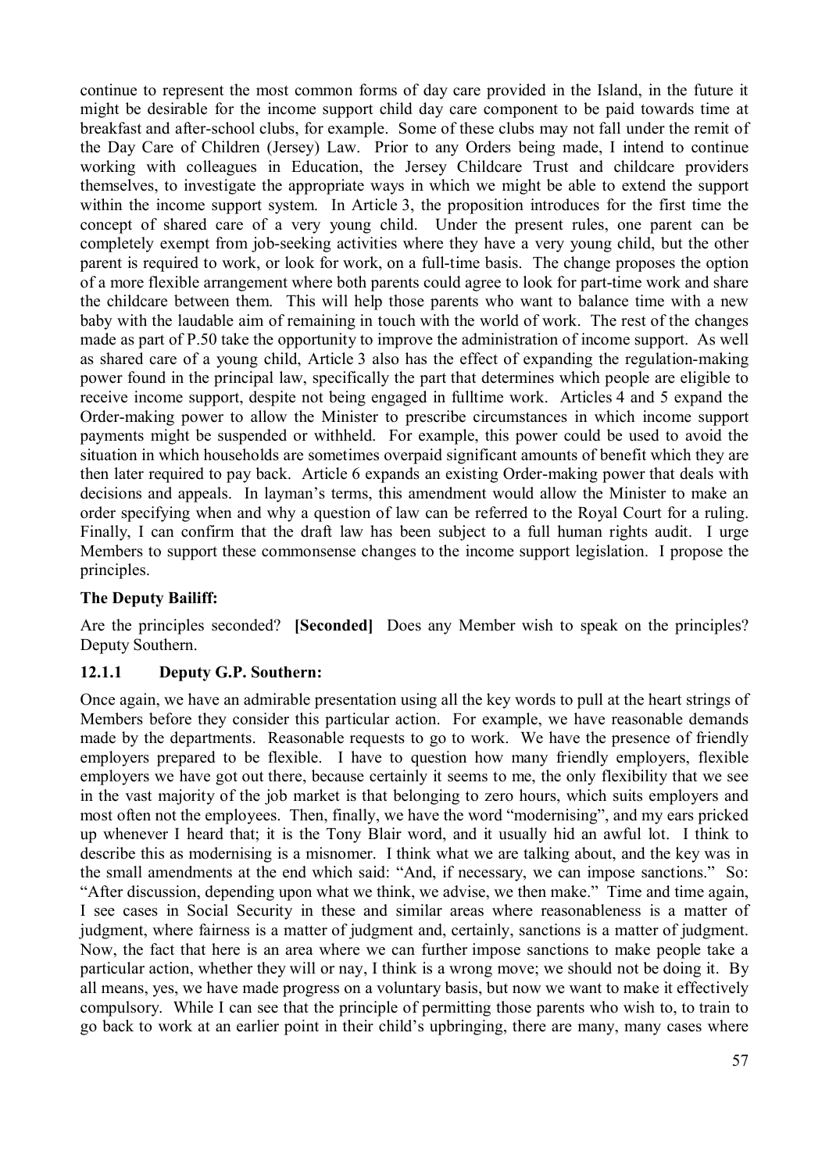continue to represent the most common forms of day care provided in the Island, in the future it might be desirable for the income support child day care component to be paid towards time at breakfast and after-school clubs, for example. Some of these clubs may not fall under the remit of the Day Care of Children (Jersey) Law. Prior to any Orders being made, I intend to continue working with colleagues in Education, the Jersey Childcare Trust and childcare providers themselves, to investigate the appropriate ways in which we might be able to extend the support within the income support system. In Article 3, the proposition introduces for the first time the concept of shared care of a very young child. Under the present rules, one parent can be completely exempt from job-seeking activities where they have a very young child, but the other parent is required to work, or look for work, on a full-time basis. The change proposes the option of a more flexible arrangement where both parents could agree to look for part-time work and share the childcare between them. This will help those parents who want to balance time with a new baby with the laudable aim of remaining in touch with the world of work. The rest of the changes made as part of P.50 take the opportunity to improve the administration of income support. As well as shared care of a young child, Article 3 also has the effect of expanding the regulation-making power found in the principal law, specifically the part that determines which people are eligible to receive income support, despite not being engaged in fulltime work. Articles 4 and 5 expand the Order-making power to allow the Minister to prescribe circumstances in which income support payments might be suspended or withheld. For example, this power could be used to avoid the situation in which households are sometimes overpaid significant amounts of benefit which they are then later required to pay back. Article 6 expands an existing Order-making power that deals with decisions and appeals. In layman's terms, this amendment would allow the Minister to make an order specifying when and why a question of law can be referred to the Royal Court for a ruling. Finally, I can confirm that the draft law has been subject to a full human rights audit. I urge Members to support these commonsense changes to the income support legislation. I propose the principles.

#### **The Deputy Bailiff:**

Are the principles seconded? **[Seconded]** Does any Member wish to speak on the principles? Deputy Southern.

#### **12.1.1 Deputy G.P. Southern:**

Once again, we have an admirable presentation using all the key words to pull at the heart strings of Members before they consider this particular action. For example, we have reasonable demands made by the departments. Reasonable requests to go to work. We have the presence of friendly employers prepared to be flexible. I have to question how many friendly employers, flexible employers we have got out there, because certainly it seems to me, the only flexibility that we see in the vast majority of the job market is that belonging to zero hours, which suits employers and most often not the employees. Then, finally, we have the word "modernising", and my ears pricked up whenever I heard that; it is the Tony Blair word, and it usually hid an awful lot. I think to describe this as modernising is a misnomer. I think what we are talking about, and the key was in the small amendments at the end which said: "And, if necessary, we can impose sanctions." So: "After discussion, depending upon what we think, we advise, we then make." Time and time again, I see cases in Social Security in these and similar areas where reasonableness is a matter of judgment, where fairness is a matter of judgment and, certainly, sanctions is a matter of judgment. Now, the fact that here is an area where we can further impose sanctions to make people take a particular action, whether they will or nay, I think is a wrong move; we should not be doing it. By all means, yes, we have made progress on a voluntary basis, but now we want to make it effectively compulsory. While I can see that the principle of permitting those parents who wish to, to train to go back to work at an earlier point in their child's upbringing, there are many, many cases where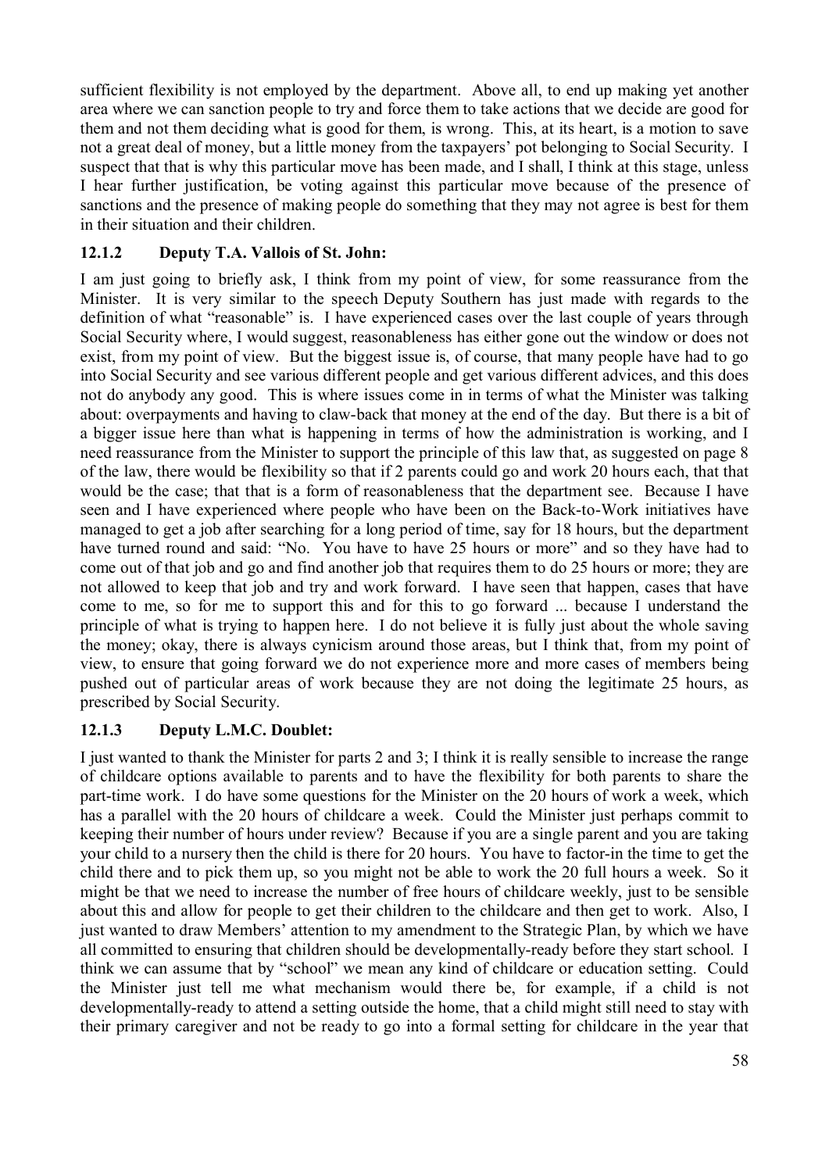sufficient flexibility is not employed by the department. Above all, to end up making yet another area where we can sanction people to try and force them to take actions that we decide are good for them and not them deciding what is good for them, is wrong. This, at its heart, is a motion to save not a great deal of money, but a little money from the taxpayers' pot belonging to Social Security. I suspect that that is why this particular move has been made, and I shall, I think at this stage, unless I hear further justification, be voting against this particular move because of the presence of sanctions and the presence of making people do something that they may not agree is best for them in their situation and their children.

# **12.1.2 Deputy T.A. Vallois of St. John:**

I am just going to briefly ask, I think from my point of view, for some reassurance from the Minister. It is very similar to the speech Deputy Southern has just made with regards to the definition of what "reasonable" is. I have experienced cases over the last couple of years through Social Security where, I would suggest, reasonableness has either gone out the window or does not exist, from my point of view. But the biggest issue is, of course, that many people have had to go into Social Security and see various different people and get various different advices, and this does not do anybody any good. This is where issues come in in terms of what the Minister was talking about: overpayments and having to claw-back that money at the end of the day. But there is a bit of a bigger issue here than what is happening in terms of how the administration is working, and I need reassurance from the Minister to support the principle of this law that, as suggested on page 8 of the law, there would be flexibility so that if 2 parents could go and work 20 hours each, that that would be the case; that that is a form of reasonableness that the department see. Because I have seen and I have experienced where people who have been on the Back-to-Work initiatives have managed to get a job after searching for a long period of time, say for 18 hours, but the department have turned round and said: "No. You have to have 25 hours or more" and so they have had to come out of that job and go and find another job that requires them to do 25 hours or more; they are not allowed to keep that job and try and work forward. I have seen that happen, cases that have come to me, so for me to support this and for this to go forward ... because I understand the principle of what is trying to happen here. I do not believe it is fully just about the whole saving the money; okay, there is always cynicism around those areas, but I think that, from my point of view, to ensure that going forward we do not experience more and more cases of members being pushed out of particular areas of work because they are not doing the legitimate 25 hours, as prescribed by Social Security.

# **12.1.3 Deputy L.M.C. Doublet:**

I just wanted to thank the Minister for parts 2 and 3; I think it is really sensible to increase the range of childcare options available to parents and to have the flexibility for both parents to share the part-time work. I do have some questions for the Minister on the 20 hours of work a week, which has a parallel with the 20 hours of childcare a week. Could the Minister just perhaps commit to keeping their number of hours under review? Because if you are a single parent and you are taking your child to a nursery then the child is there for 20 hours. You have to factor-in the time to get the child there and to pick them up, so you might not be able to work the 20 full hours a week. So it might be that we need to increase the number of free hours of childcare weekly, just to be sensible about this and allow for people to get their children to the childcare and then get to work. Also, I just wanted to draw Members' attention to my amendment to the Strategic Plan, by which we have all committed to ensuring that children should be developmentally-ready before they start school. I think we can assume that by "school" we mean any kind of childcare or education setting. Could the Minister just tell me what mechanism would there be, for example, if a child is not developmentally-ready to attend a setting outside the home, that a child might still need to stay with their primary caregiver and not be ready to go into a formal setting for childcare in the year that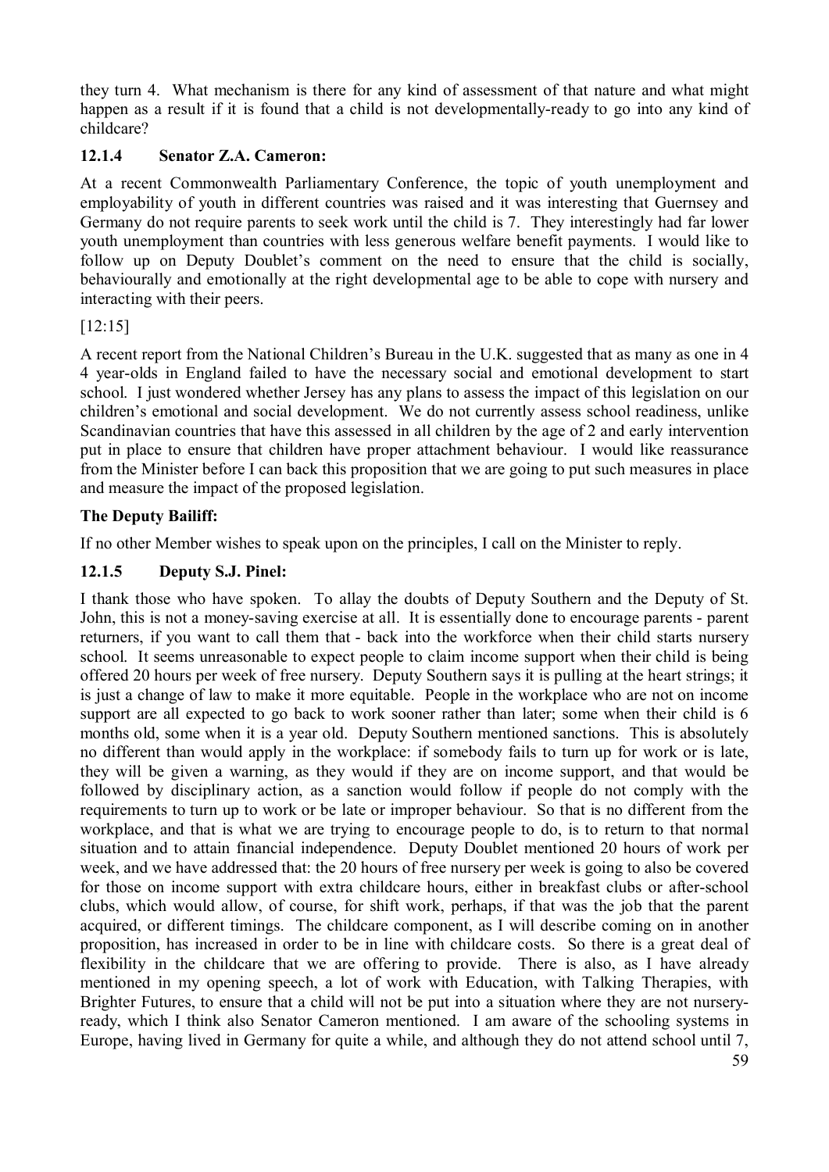they turn 4. What mechanism is there for any kind of assessment of that nature and what might happen as a result if it is found that a child is not developmentally-ready to go into any kind of childcare?

# **12.1.4 Senator Z.A. Cameron:**

At a recent Commonwealth Parliamentary Conference, the topic of youth unemployment and employability of youth in different countries was raised and it was interesting that Guernsey and Germany do not require parents to seek work until the child is 7. They interestingly had far lower youth unemployment than countries with less generous welfare benefit payments. I would like to follow up on Deputy Doublet's comment on the need to ensure that the child is socially, behaviourally and emotionally at the right developmental age to be able to cope with nursery and interacting with their peers.

#### [12:15]

A recent report from the National Children's Bureau in the U.K. suggested that as many as one in 4 4 year-olds in England failed to have the necessary social and emotional development to start school. I just wondered whether Jersey has any plans to assess the impact of this legislation on our children's emotional and social development. We do not currently assess school readiness, unlike Scandinavian countries that have this assessed in all children by the age of 2 and early intervention put in place to ensure that children have proper attachment behaviour. I would like reassurance from the Minister before I can back this proposition that we are going to put such measures in place and measure the impact of the proposed legislation.

#### **The Deputy Bailiff:**

If no other Member wishes to speak upon on the principles, I call on the Minister to reply.

#### **12.1.5 Deputy S.J. Pinel:**

I thank those who have spoken. To allay the doubts of Deputy Southern and the Deputy of St. John, this is not a money-saving exercise at all. It is essentially done to encourage parents - parent returners, if you want to call them that - back into the workforce when their child starts nursery school. It seems unreasonable to expect people to claim income support when their child is being offered 20 hours per week of free nursery. Deputy Southern says it is pulling at the heart strings; it is just a change of law to make it more equitable. People in the workplace who are not on income support are all expected to go back to work sooner rather than later; some when their child is 6 months old, some when it is a year old. Deputy Southern mentioned sanctions. This is absolutely no different than would apply in the workplace: if somebody fails to turn up for work or is late, they will be given a warning, as they would if they are on income support, and that would be followed by disciplinary action, as a sanction would follow if people do not comply with the requirements to turn up to work or be late or improper behaviour. So that is no different from the workplace, and that is what we are trying to encourage people to do, is to return to that normal situation and to attain financial independence. Deputy Doublet mentioned 20 hours of work per week, and we have addressed that: the 20 hours of free nursery per week is going to also be covered for those on income support with extra childcare hours, either in breakfast clubs or after-school clubs, which would allow, of course, for shift work, perhaps, if that was the job that the parent acquired, or different timings. The childcare component, as I will describe coming on in another proposition, has increased in order to be in line with childcare costs. So there is a great deal of flexibility in the childcare that we are offering to provide. There is also, as I have already mentioned in my opening speech, a lot of work with Education, with Talking Therapies, with Brighter Futures, to ensure that a child will not be put into a situation where they are not nurseryready, which I think also Senator Cameron mentioned. I am aware of the schooling systems in Europe, having lived in Germany for quite a while, and although they do not attend school until 7,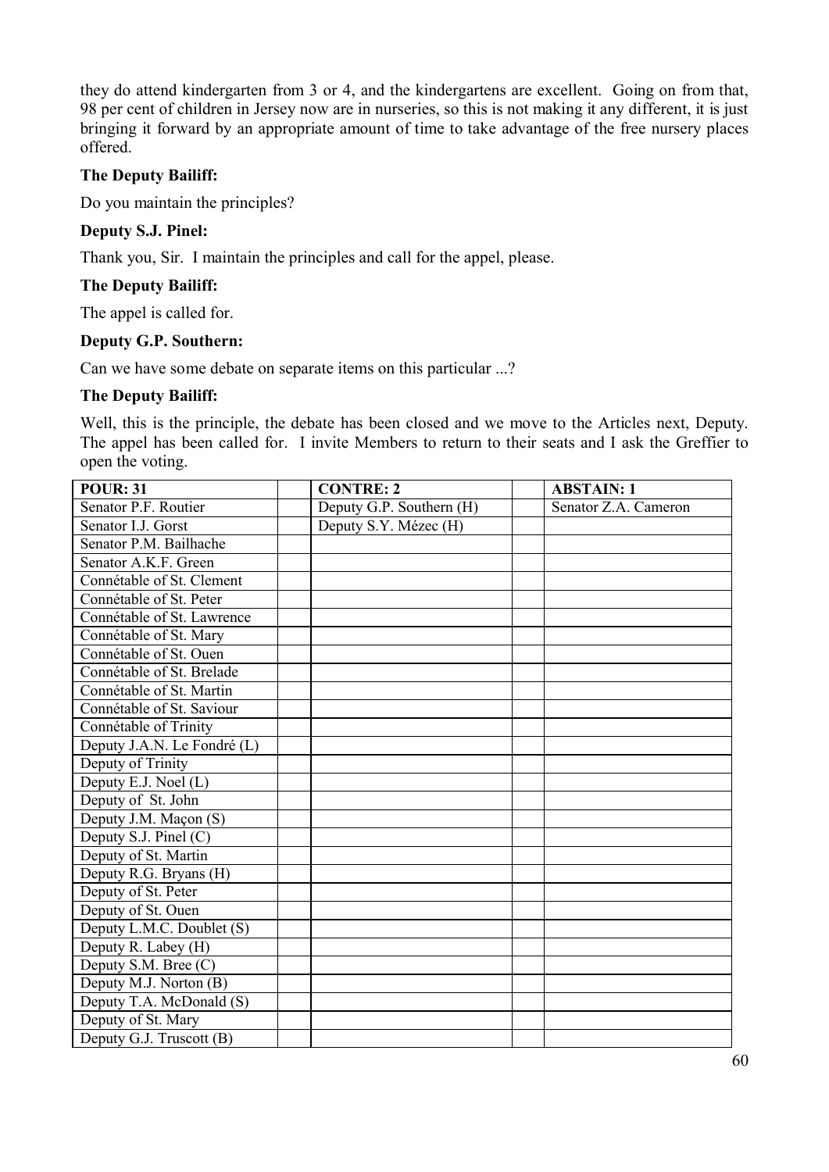they do attend kindergarten from 3 or 4, and the kindergartens are excellent. Going on from that, 98 per cent of children in Jersey now are in nurseries, so this is not making it any different, it is just bringing it forward by an appropriate amount of time to take advantage of the free nursery places offered.

#### **The Deputy Bailiff:**

Do you maintain the principles?

#### **Deputy S.J. Pinel:**

Thank you, Sir. I maintain the principles and call for the appel, please.

#### **The Deputy Bailiff:**

The appel is called for.

#### **Deputy G.P. Southern:**

Can we have some debate on separate items on this particular ...?

#### **The Deputy Bailiff:**

Well, this is the principle, the debate has been closed and we move to the Articles next, Deputy. The appel has been called for. I invite Members to return to their seats and I ask the Greffier to open the voting.

| <b>POUR: 31</b>             | <b>CONTRE: 2</b>         | <b>ABSTAIN: 1</b>    |
|-----------------------------|--------------------------|----------------------|
| Senator P.F. Routier        | Deputy G.P. Southern (H) | Senator Z.A. Cameron |
| Senator I.J. Gorst          | Deputy S.Y. Mézec (H)    |                      |
| Senator P.M. Bailhache      |                          |                      |
| Senator A.K.F. Green        |                          |                      |
| Connétable of St. Clement   |                          |                      |
| Connétable of St. Peter     |                          |                      |
| Connétable of St. Lawrence  |                          |                      |
| Connétable of St. Mary      |                          |                      |
| Connétable of St. Ouen      |                          |                      |
| Connétable of St. Brelade   |                          |                      |
| Connétable of St. Martin    |                          |                      |
| Connétable of St. Saviour   |                          |                      |
| Connétable of Trinity       |                          |                      |
| Deputy J.A.N. Le Fondré (L) |                          |                      |
| Deputy of Trinity           |                          |                      |
| Deputy E.J. Noel (L)        |                          |                      |
| Deputy of St. John          |                          |                      |
| Deputy J.M. Maçon (S)       |                          |                      |
| Deputy S.J. Pinel $(C)$     |                          |                      |
| Deputy of St. Martin        |                          |                      |
| Deputy R.G. Bryans (H)      |                          |                      |
| Deputy of St. Peter         |                          |                      |
| Deputy of St. Ouen          |                          |                      |
| Deputy L.M.C. Doublet (S)   |                          |                      |
| Deputy R. Labey (H)         |                          |                      |
| Deputy S.M. Bree (C)        |                          |                      |
| Deputy M.J. Norton (B)      |                          |                      |
| Deputy T.A. McDonald (S)    |                          |                      |
| Deputy of St. Mary          |                          |                      |
| Deputy G.J. Truscott (B)    |                          |                      |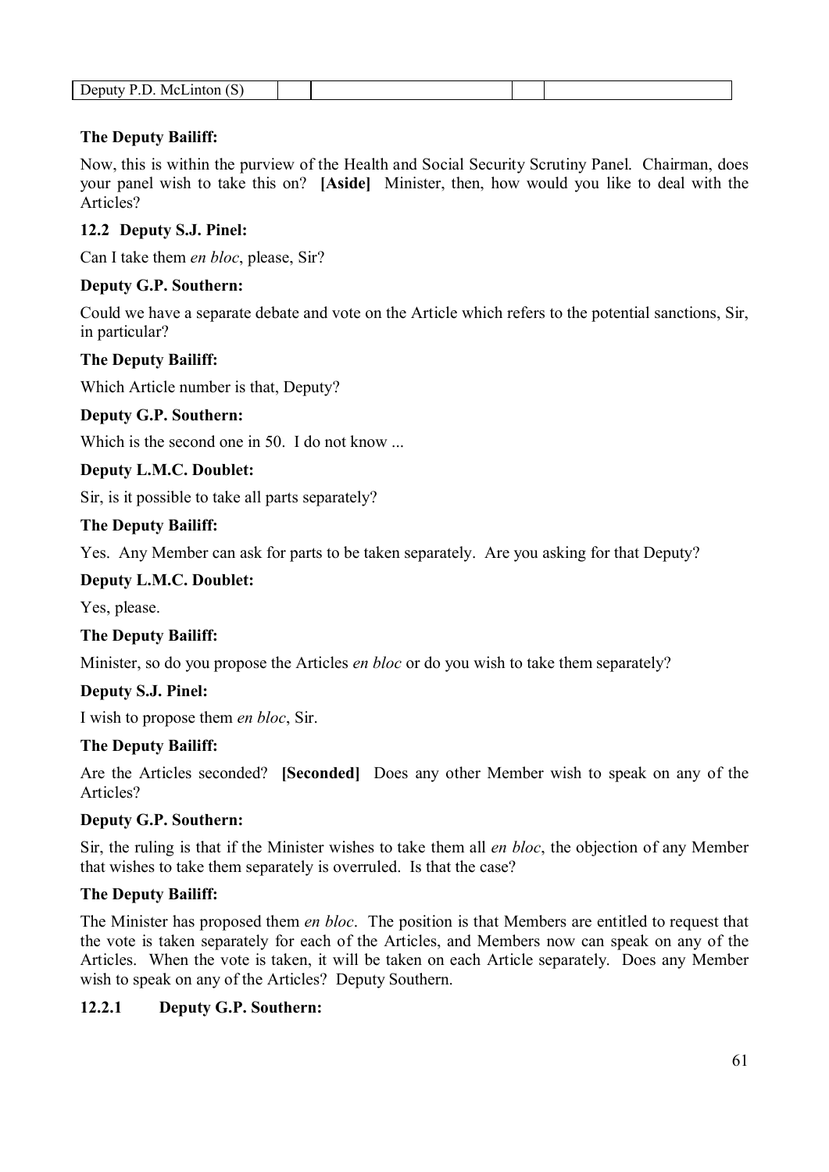| "<br>. .<br>-<br>- |
|--------------------|
|--------------------|

#### **The Deputy Bailiff:**

Now, this is within the purview of the Health and Social Security Scrutiny Panel. Chairman, does your panel wish to take this on? **[Aside]** Minister, then, how would you like to deal with the Articles?

#### **12.2 Deputy S.J. Pinel:**

Can I take them *en bloc*, please, Sir?

#### **Deputy G.P. Southern:**

Could we have a separate debate and vote on the Article which refers to the potential sanctions, Sir, in particular?

#### **The Deputy Bailiff:**

Which Article number is that, Deputy?

#### **Deputy G.P. Southern:**

Which is the second one in 50. I do not know ...

#### **Deputy L.M.C. Doublet:**

Sir, is it possible to take all parts separately?

#### **The Deputy Bailiff:**

Yes. Any Member can ask for parts to be taken separately. Are you asking for that Deputy?

#### **Deputy L.M.C. Doublet:**

Yes, please.

#### **The Deputy Bailiff:**

Minister, so do you propose the Articles *en bloc* or do you wish to take them separately?

#### **Deputy S.J. Pinel:**

I wish to propose them *en bloc*, Sir.

#### **The Deputy Bailiff:**

Are the Articles seconded? **[Seconded]** Does any other Member wish to speak on any of the Articles?

#### **Deputy G.P. Southern:**

Sir, the ruling is that if the Minister wishes to take them all *en bloc*, the objection of any Member that wishes to take them separately is overruled. Is that the case?

#### **The Deputy Bailiff:**

The Minister has proposed them *en bloc*. The position is that Members are entitled to request that the vote is taken separately for each of the Articles, and Members now can speak on any of the Articles. When the vote is taken, it will be taken on each Article separately. Does any Member wish to speak on any of the Articles? Deputy Southern.

#### **12.2.1 Deputy G.P. Southern:**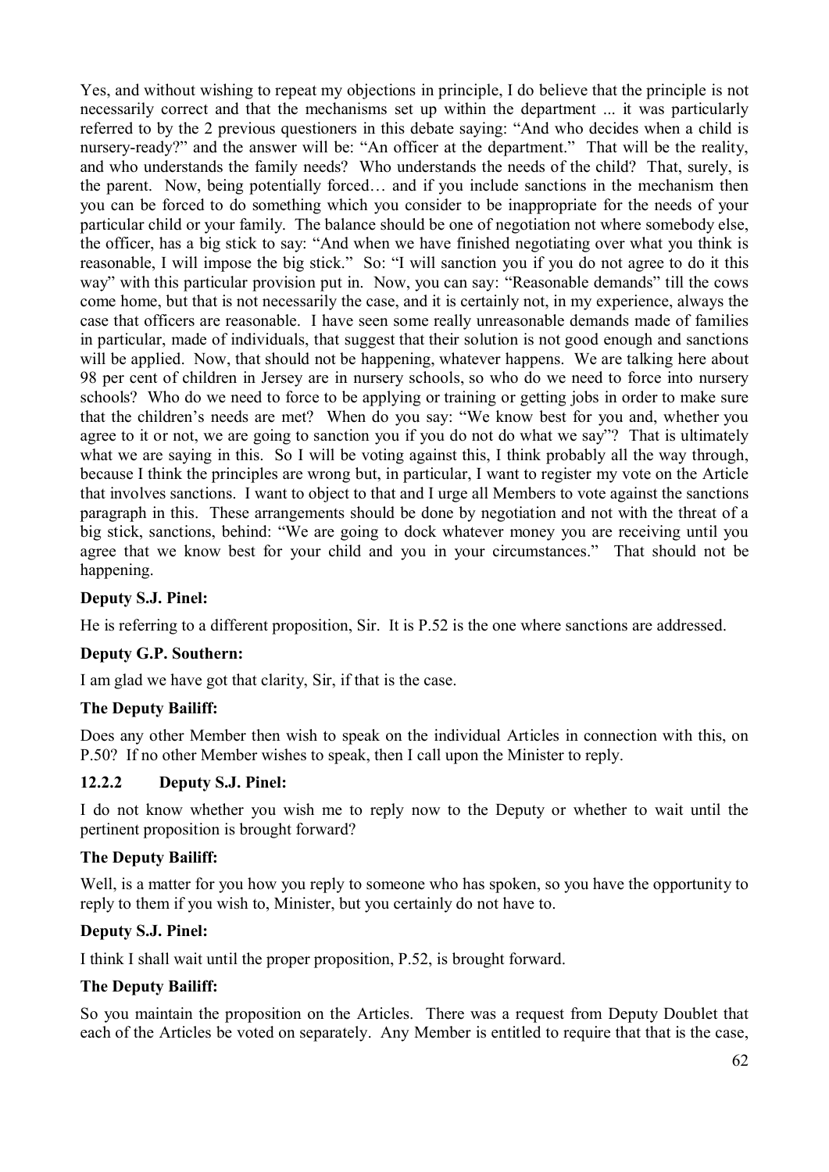Yes, and without wishing to repeat my objections in principle, I do believe that the principle is not necessarily correct and that the mechanisms set up within the department ... it was particularly referred to by the 2 previous questioners in this debate saying: "And who decides when a child is nursery-ready?" and the answer will be: "An officer at the department." That will be the reality, and who understands the family needs? Who understands the needs of the child? That, surely, is the parent. Now, being potentially forced… and if you include sanctions in the mechanism then you can be forced to do something which you consider to be inappropriate for the needs of your particular child or your family. The balance should be one of negotiation not where somebody else, the officer, has a big stick to say: "And when we have finished negotiating over what you think is reasonable, I will impose the big stick." So: "I will sanction you if you do not agree to do it this way" with this particular provision put in. Now, you can say: "Reasonable demands" till the cows come home, but that is not necessarily the case, and it is certainly not, in my experience, always the case that officers are reasonable. I have seen some really unreasonable demands made of families in particular, made of individuals, that suggest that their solution is not good enough and sanctions will be applied. Now, that should not be happening, whatever happens. We are talking here about 98 per cent of children in Jersey are in nursery schools, so who do we need to force into nursery schools? Who do we need to force to be applying or training or getting jobs in order to make sure that the children's needs are met? When do you say: "We know best for you and, whether you agree to it or not, we are going to sanction you if you do not do what we say"? That is ultimately what we are saying in this. So I will be voting against this, I think probably all the way through, because I think the principles are wrong but, in particular, I want to register my vote on the Article that involves sanctions. I want to object to that and I urge all Members to vote against the sanctions paragraph in this. These arrangements should be done by negotiation and not with the threat of a big stick, sanctions, behind: "We are going to dock whatever money you are receiving until you agree that we know best for your child and you in your circumstances." That should not be happening.

# **Deputy S.J. Pinel:**

He is referring to a different proposition, Sir. It is P.52 is the one where sanctions are addressed.

#### **Deputy G.P. Southern:**

I am glad we have got that clarity, Sir, if that is the case.

#### **The Deputy Bailiff:**

Does any other Member then wish to speak on the individual Articles in connection with this, on P.50? If no other Member wishes to speak, then I call upon the Minister to reply.

#### **12.2.2 Deputy S.J. Pinel:**

I do not know whether you wish me to reply now to the Deputy or whether to wait until the pertinent proposition is brought forward?

#### **The Deputy Bailiff:**

Well, is a matter for you how you reply to someone who has spoken, so you have the opportunity to reply to them if you wish to, Minister, but you certainly do not have to.

#### **Deputy S.J. Pinel:**

I think I shall wait until the proper proposition, P.52, is brought forward.

#### **The Deputy Bailiff:**

So you maintain the proposition on the Articles. There was a request from Deputy Doublet that each of the Articles be voted on separately. Any Member is entitled to require that that is the case,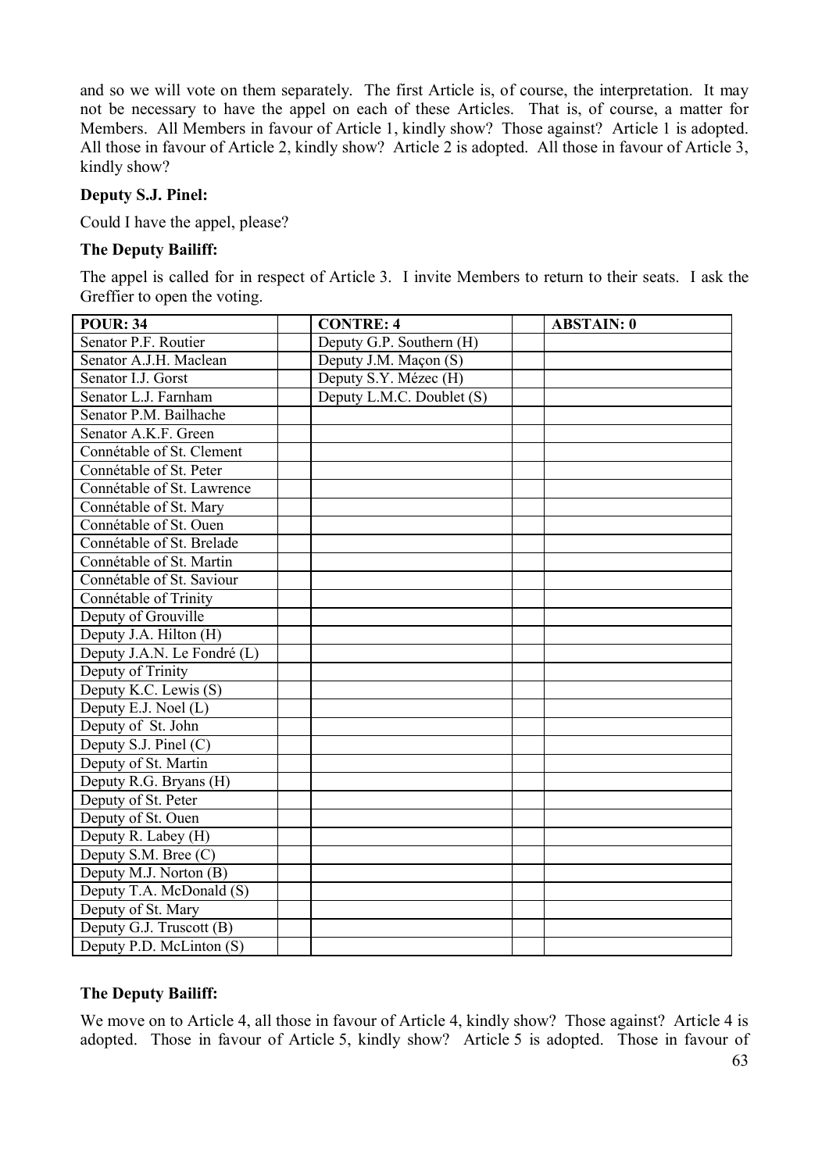and so we will vote on them separately. The first Article is, of course, the interpretation. It may not be necessary to have the appel on each of these Articles. That is, of course, a matter for Members. All Members in favour of Article 1, kindly show? Those against? Article 1 is adopted. All those in favour of Article 2, kindly show? Article 2 is adopted. All those in favour of Article 3, kindly show?

#### **Deputy S.J. Pinel:**

Could I have the appel, please?

#### **The Deputy Bailiff:**

The appel is called for in respect of Article 3. I invite Members to return to their seats. I ask the Greffier to open the voting.

| <b>POUR: 34</b>             | <b>CONTRE: 4</b>          | <b>ABSTAIN: 0</b> |
|-----------------------------|---------------------------|-------------------|
| Senator P.F. Routier        | Deputy G.P. Southern (H)  |                   |
| Senator A.J.H. Maclean      | Deputy J.M. Maçon (S)     |                   |
| Senator I.J. Gorst          | Deputy S.Y. Mézec (H)     |                   |
| Senator L.J. Farnham        | Deputy L.M.C. Doublet (S) |                   |
| Senator P.M. Bailhache      |                           |                   |
| Senator A.K.F. Green        |                           |                   |
| Connétable of St. Clement   |                           |                   |
| Connétable of St. Peter     |                           |                   |
| Connétable of St. Lawrence  |                           |                   |
| Connétable of St. Mary      |                           |                   |
| Connétable of St. Ouen      |                           |                   |
| Connétable of St. Brelade   |                           |                   |
| Connétable of St. Martin    |                           |                   |
| Connétable of St. Saviour   |                           |                   |
| Connétable of Trinity       |                           |                   |
| Deputy of Grouville         |                           |                   |
| Deputy J.A. Hilton (H)      |                           |                   |
| Deputy J.A.N. Le Fondré (L) |                           |                   |
| Deputy of Trinity           |                           |                   |
| Deputy K.C. Lewis (S)       |                           |                   |
| Deputy E.J. Noel (L)        |                           |                   |
| Deputy of St. John          |                           |                   |
| Deputy S.J. Pinel $(C)$     |                           |                   |
| Deputy of St. Martin        |                           |                   |
| Deputy R.G. Bryans (H)      |                           |                   |
| Deputy of St. Peter         |                           |                   |
| Deputy of St. Ouen          |                           |                   |
| Deputy R. Labey (H)         |                           |                   |
| Deputy S.M. Bree (C)        |                           |                   |
| Deputy M.J. Norton (B)      |                           |                   |
| Deputy T.A. McDonald (S)    |                           |                   |
| Deputy of St. Mary          |                           |                   |
| Deputy G.J. Truscott (B)    |                           |                   |
| Deputy P.D. McLinton (S)    |                           |                   |

#### **The Deputy Bailiff:**

We move on to Article 4, all those in favour of Article 4, kindly show? Those against? Article 4 is adopted. Those in favour of Article 5, kindly show? Article 5 is adopted. Those in favour of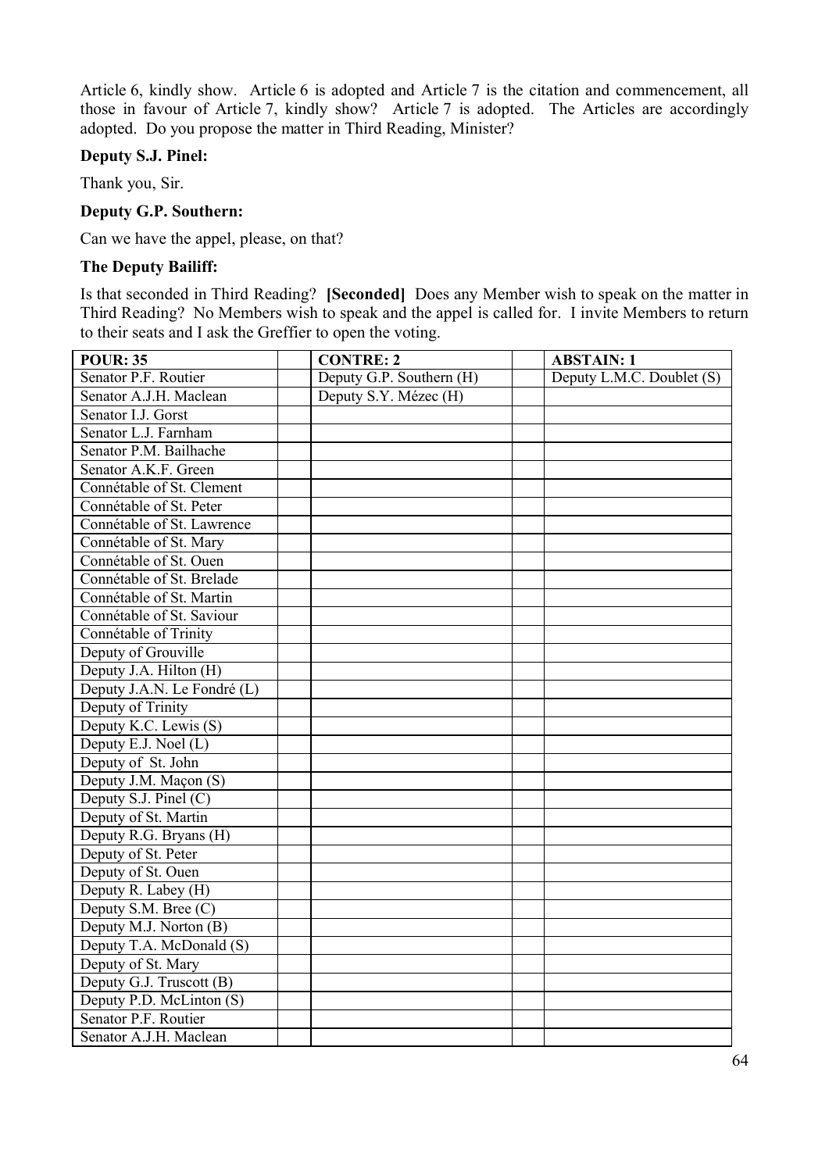Article 6, kindly show. Article 6 is adopted and Article 7 is the citation and commencement, all those in favour of Article 7, kindly show? Article 7 is adopted. The Articles are accordingly adopted. Do you propose the matter in Third Reading, Minister?

#### **Deputy S.J. Pinel:**

Thank you, Sir.

#### **Deputy G.P. Southern:**

Can we have the appel, please, on that?

#### **The Deputy Bailiff:**

Is that seconded in Third Reading? **[Seconded]** Does any Member wish to speak on the matter in Third Reading? No Members wish to speak and the appel is called for. I invite Members to return to their seats and I ask the Greffier to open the voting.

| <b>POUR: 35</b>             | <b>CONTRE: 2</b>         | <b>ABSTAIN: 1</b>         |
|-----------------------------|--------------------------|---------------------------|
| Senator P.F. Routier        | Deputy G.P. Southern (H) | Deputy L.M.C. Doublet (S) |
| Senator A.J.H. Maclean      | Deputy S.Y. Mézec (H)    |                           |
| Senator I.J. Gorst          |                          |                           |
| Senator L.J. Farnham        |                          |                           |
| Senator P.M. Bailhache      |                          |                           |
| Senator A.K.F. Green        |                          |                           |
| Connétable of St. Clement   |                          |                           |
| Connétable of St. Peter     |                          |                           |
| Connétable of St. Lawrence  |                          |                           |
| Connétable of St. Mary      |                          |                           |
| Connétable of St. Ouen      |                          |                           |
| Connétable of St. Brelade   |                          |                           |
| Connétable of St. Martin    |                          |                           |
| Connétable of St. Saviour   |                          |                           |
| Connétable of Trinity       |                          |                           |
| Deputy of Grouville         |                          |                           |
| Deputy J.A. Hilton (H)      |                          |                           |
| Deputy J.A.N. Le Fondré (L) |                          |                           |
| Deputy of Trinity           |                          |                           |
| Deputy K.C. Lewis (S)       |                          |                           |
| Deputy E.J. Noel $(L)$      |                          |                           |
| Deputy of St. John          |                          |                           |
| Deputy J.M. Maçon (S)       |                          |                           |
| Deputy S.J. Pinel (C)       |                          |                           |
| Deputy of St. Martin        |                          |                           |
| Deputy R.G. Bryans (H)      |                          |                           |
| Deputy of St. Peter         |                          |                           |
| Deputy of St. Ouen          |                          |                           |
| Deputy R. Labey (H)         |                          |                           |
| Deputy S.M. Bree (C)        |                          |                           |
| Deputy M.J. Norton (B)      |                          |                           |
| Deputy T.A. McDonald (S)    |                          |                           |
| Deputy of St. Mary          |                          |                           |
| Deputy G.J. Truscott (B)    |                          |                           |
| Deputy P.D. McLinton (S)    |                          |                           |
| Senator P.F. Routier        |                          |                           |
| Senator A.J.H. Maclean      |                          |                           |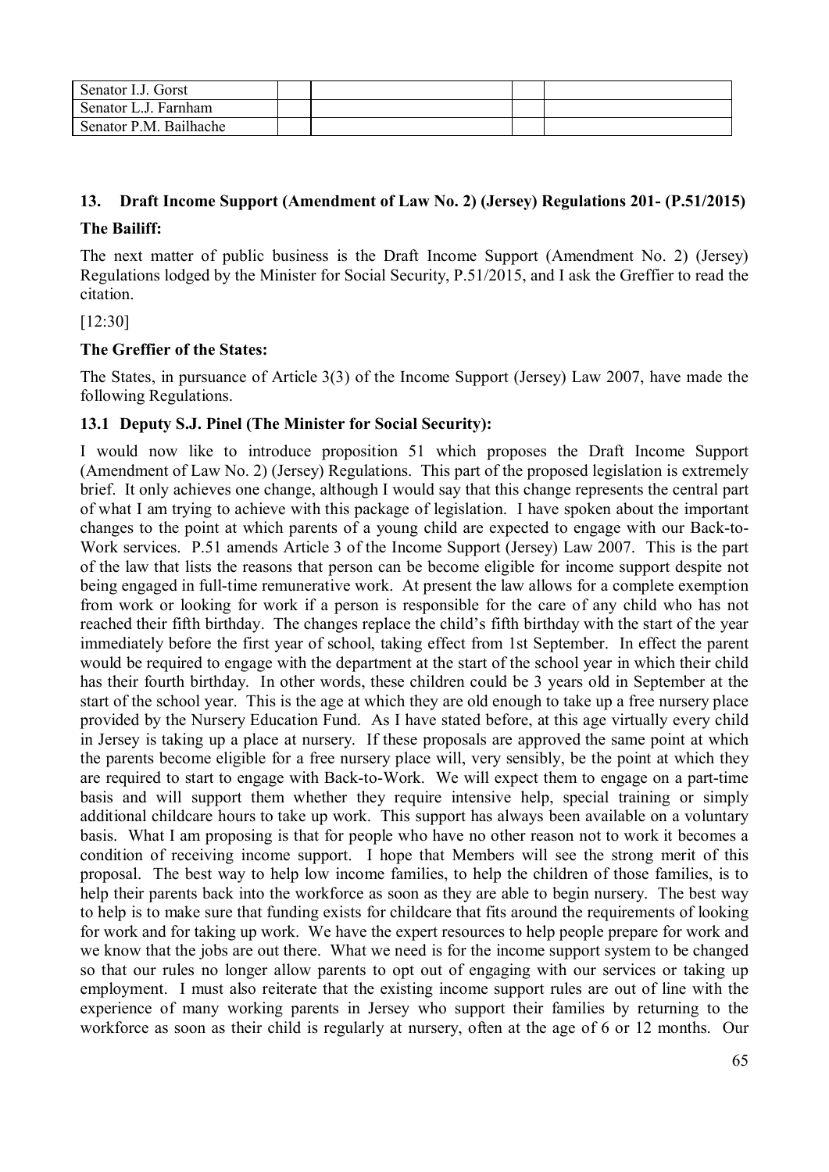| Senator I.J. Gorst     |  |  |
|------------------------|--|--|
| Senator L.J. Farnham   |  |  |
| Senator P.M. Bailhache |  |  |

#### **13. Draft Income Support (Amendment of Law No. 2) (Jersey) Regulations 201- (P.51/2015)**

#### **The Bailiff:**

The next matter of public business is the Draft Income Support (Amendment No. 2) (Jersey) Regulations lodged by the Minister for Social Security, P.51/2015, and I ask the Greffier to read the citation.

[12:30]

#### **The Greffier of the States:**

The States, in pursuance of Article 3(3) of the Income Support (Jersey) Law 2007, have made the following Regulations.

#### **13.1 Deputy S.J. Pinel (The Minister for Social Security):**

I would now like to introduce proposition 51 which proposes the Draft Income Support (Amendment of Law No. 2) (Jersey) Regulations. This part of the proposed legislation is extremely brief. It only achieves one change, although I would say that this change represents the central part of what I am trying to achieve with this package of legislation. I have spoken about the important changes to the point at which parents of a young child are expected to engage with our Back-to-Work services. P.51 amends Article 3 of the Income Support (Jersey) Law 2007. This is the part of the law that lists the reasons that person can be become eligible for income support despite not being engaged in full-time remunerative work. At present the law allows for a complete exemption from work or looking for work if a person is responsible for the care of any child who has not reached their fifth birthday. The changes replace the child's fifth birthday with the start of the year immediately before the first year of school, taking effect from 1st September. In effect the parent would be required to engage with the department at the start of the school year in which their child has their fourth birthday. In other words, these children could be 3 years old in September at the start of the school year. This is the age at which they are old enough to take up a free nursery place provided by the Nursery Education Fund. As I have stated before, at this age virtually every child in Jersey is taking up a place at nursery. If these proposals are approved the same point at which the parents become eligible for a free nursery place will, very sensibly, be the point at which they are required to start to engage with Back-to-Work. We will expect them to engage on a part-time basis and will support them whether they require intensive help, special training or simply additional childcare hours to take up work. This support has always been available on a voluntary basis. What I am proposing is that for people who have no other reason not to work it becomes a condition of receiving income support. I hope that Members will see the strong merit of this proposal. The best way to help low income families, to help the children of those families, is to help their parents back into the workforce as soon as they are able to begin nursery. The best way to help is to make sure that funding exists for childcare that fits around the requirements of looking for work and for taking up work. We have the expert resources to help people prepare for work and we know that the jobs are out there. What we need is for the income support system to be changed so that our rules no longer allow parents to opt out of engaging with our services or taking up employment. I must also reiterate that the existing income support rules are out of line with the experience of many working parents in Jersey who support their families by returning to the workforce as soon as their child is regularly at nursery, often at the age of 6 or 12 months. Our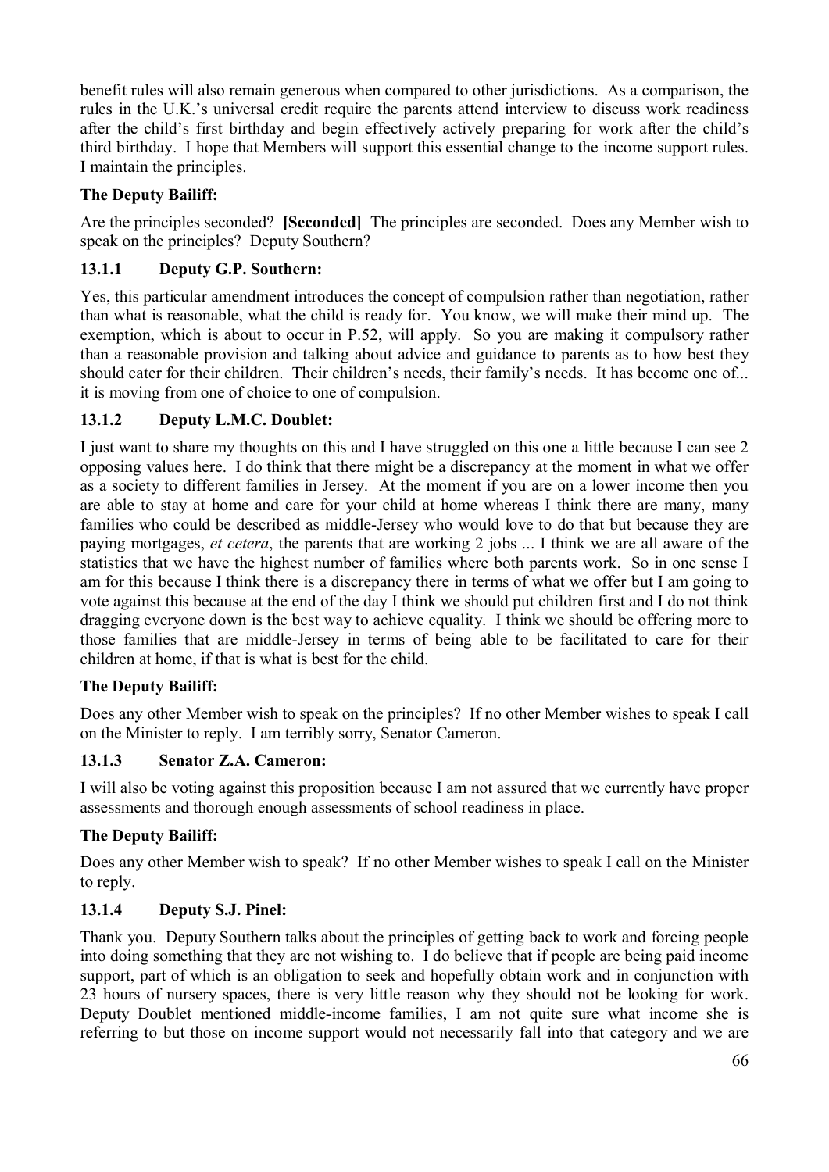benefit rules will also remain generous when compared to other jurisdictions. As a comparison, the rules in the U.K.'s universal credit require the parents attend interview to discuss work readiness after the child's first birthday and begin effectively actively preparing for work after the child's third birthday. I hope that Members will support this essential change to the income support rules. I maintain the principles.

# **The Deputy Bailiff:**

Are the principles seconded? **[Seconded]** The principles are seconded. Does any Member wish to speak on the principles? Deputy Southern?

# **13.1.1 Deputy G.P. Southern:**

Yes, this particular amendment introduces the concept of compulsion rather than negotiation, rather than what is reasonable, what the child is ready for. You know, we will make their mind up. The exemption, which is about to occur in P.52, will apply. So you are making it compulsory rather than a reasonable provision and talking about advice and guidance to parents as to how best they should cater for their children. Their children's needs, their family's needs. It has become one of... it is moving from one of choice to one of compulsion.

# **13.1.2 Deputy L.M.C. Doublet:**

I just want to share my thoughts on this and I have struggled on this one a little because I can see 2 opposing values here. I do think that there might be a discrepancy at the moment in what we offer as a society to different families in Jersey. At the moment if you are on a lower income then you are able to stay at home and care for your child at home whereas I think there are many, many families who could be described as middle-Jersey who would love to do that but because they are paying mortgages, *et cetera*, the parents that are working 2 jobs ... I think we are all aware of the statistics that we have the highest number of families where both parents work. So in one sense I am for this because I think there is a discrepancy there in terms of what we offer but I am going to vote against this because at the end of the day I think we should put children first and I do not think dragging everyone down is the best way to achieve equality. I think we should be offering more to those families that are middle-Jersey in terms of being able to be facilitated to care for their children at home, if that is what is best for the child.

# **The Deputy Bailiff:**

Does any other Member wish to speak on the principles? If no other Member wishes to speak I call on the Minister to reply. I am terribly sorry, Senator Cameron.

# **13.1.3 Senator Z.A. Cameron:**

I will also be voting against this proposition because I am not assured that we currently have proper assessments and thorough enough assessments of school readiness in place.

# **The Deputy Bailiff:**

Does any other Member wish to speak? If no other Member wishes to speak I call on the Minister to reply.

# **13.1.4 Deputy S.J. Pinel:**

Thank you. Deputy Southern talks about the principles of getting back to work and forcing people into doing something that they are not wishing to. I do believe that if people are being paid income support, part of which is an obligation to seek and hopefully obtain work and in conjunction with 23 hours of nursery spaces, there is very little reason why they should not be looking for work. Deputy Doublet mentioned middle-income families, I am not quite sure what income she is referring to but those on income support would not necessarily fall into that category and we are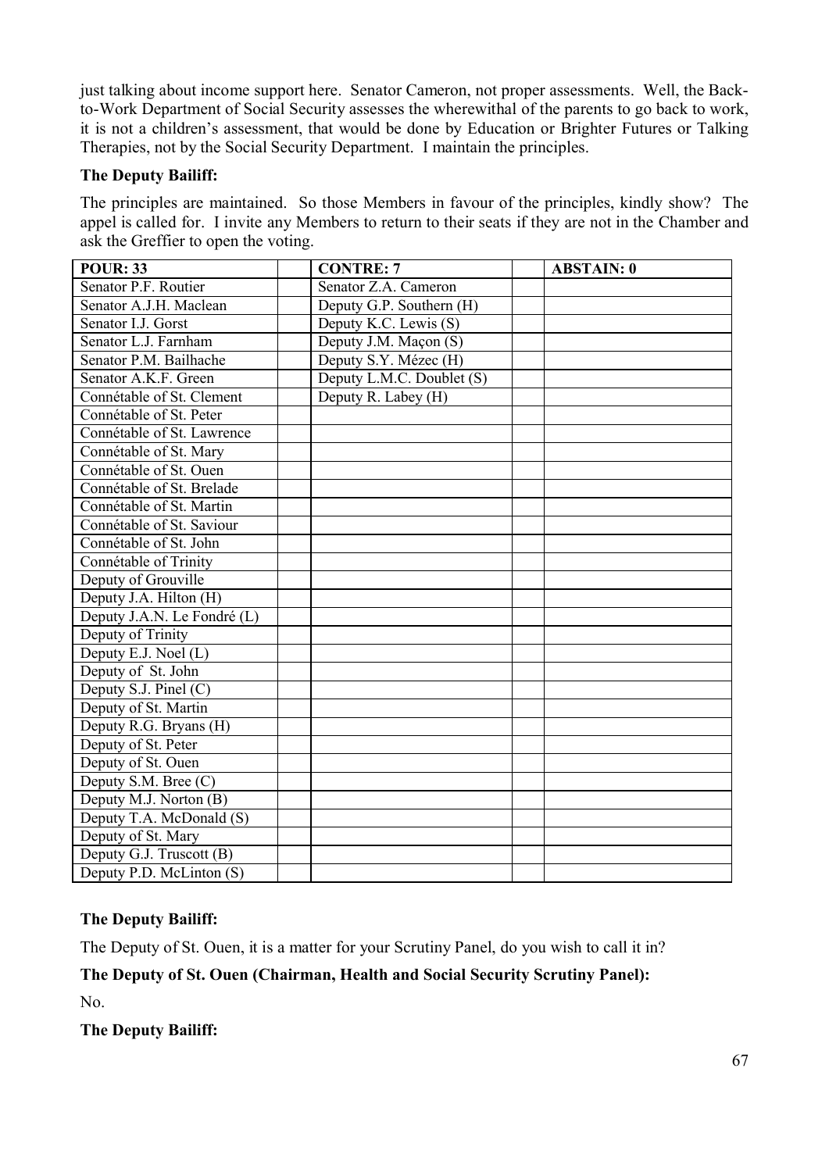just talking about income support here. Senator Cameron, not proper assessments. Well, the Backto-Work Department of Social Security assesses the wherewithal of the parents to go back to work, it is not a children's assessment, that would be done by Education or Brighter Futures or Talking Therapies, not by the Social Security Department. I maintain the principles.

#### **The Deputy Bailiff:**

The principles are maintained. So those Members in favour of the principles, kindly show? The appel is called for. I invite any Members to return to their seats if they are not in the Chamber and ask the Greffier to open the voting.

| <b>POUR: 33</b>             | <b>CONTRE: 7</b>          | <b>ABSTAIN: 0</b> |
|-----------------------------|---------------------------|-------------------|
| Senator P.F. Routier        | Senator Z.A. Cameron      |                   |
| Senator A.J.H. Maclean      | Deputy G.P. Southern (H)  |                   |
| Senator I.J. Gorst          | Deputy K.C. Lewis (S)     |                   |
| Senator L.J. Farnham        | Deputy J.M. Maçon (S)     |                   |
| Senator P.M. Bailhache      | Deputy S.Y. Mézec (H)     |                   |
| Senator A.K.F. Green        | Deputy L.M.C. Doublet (S) |                   |
| Connétable of St. Clement   | Deputy R. Labey (H)       |                   |
| Connétable of St. Peter     |                           |                   |
| Connétable of St. Lawrence  |                           |                   |
| Connétable of St. Mary      |                           |                   |
| Connétable of St. Ouen      |                           |                   |
| Connétable of St. Brelade   |                           |                   |
| Connétable of St. Martin    |                           |                   |
| Connétable of St. Saviour   |                           |                   |
| Connétable of St. John      |                           |                   |
| Connétable of Trinity       |                           |                   |
| Deputy of Grouville         |                           |                   |
| Deputy J.A. Hilton (H)      |                           |                   |
| Deputy J.A.N. Le Fondré (L) |                           |                   |
| Deputy of Trinity           |                           |                   |
| Deputy E.J. Noel (L)        |                           |                   |
| Deputy of St. John          |                           |                   |
| Deputy S.J. Pinel (C)       |                           |                   |
| Deputy of St. Martin        |                           |                   |
| Deputy R.G. Bryans (H)      |                           |                   |
| Deputy of St. Peter         |                           |                   |
| Deputy of St. Ouen          |                           |                   |
| Deputy S.M. Bree $(C)$      |                           |                   |
| Deputy M.J. Norton (B)      |                           |                   |
| Deputy T.A. McDonald (S)    |                           |                   |
| Deputy of St. Mary          |                           |                   |
| Deputy G.J. Truscott (B)    |                           |                   |
| Deputy P.D. McLinton (S)    |                           |                   |

# **The Deputy Bailiff:**

The Deputy of St. Ouen, it is a matter for your Scrutiny Panel, do you wish to call it in?

# **The Deputy of St. Ouen (Chairman, Health and Social Security Scrutiny Panel):**

No.

**The Deputy Bailiff:**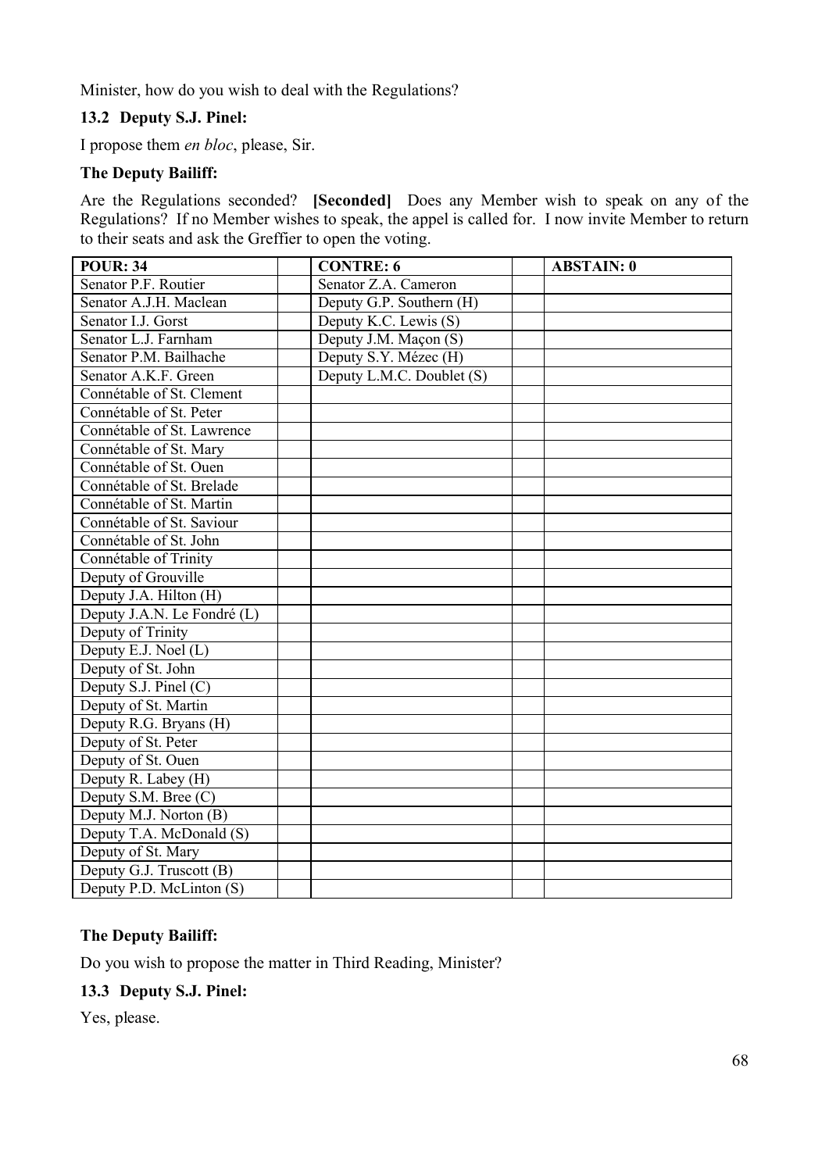Minister, how do you wish to deal with the Regulations?

# **13.2 Deputy S.J. Pinel:**

I propose them *en bloc*, please, Sir.

#### **The Deputy Bailiff:**

Are the Regulations seconded? **[Seconded]** Does any Member wish to speak on any of the Regulations? If no Member wishes to speak, the appel is called for. I now invite Member to return to their seats and ask the Greffier to open the voting.

| <b>POUR: 34</b>             | <b>CONTRE: 6</b>          | <b>ABSTAIN: 0</b> |
|-----------------------------|---------------------------|-------------------|
| Senator P.F. Routier        | Senator Z.A. Cameron      |                   |
| Senator A.J.H. Maclean      | Deputy G.P. Southern (H)  |                   |
| Senator I.J. Gorst          | Deputy K.C. Lewis (S)     |                   |
| Senator L.J. Farnham        | Deputy J.M. Maçon (S)     |                   |
| Senator P.M. Bailhache      | Deputy S.Y. Mézec (H)     |                   |
| Senator A.K.F. Green        | Deputy L.M.C. Doublet (S) |                   |
| Connétable of St. Clement   |                           |                   |
| Connétable of St. Peter     |                           |                   |
| Connétable of St. Lawrence  |                           |                   |
| Connétable of St. Mary      |                           |                   |
| Connétable of St. Ouen      |                           |                   |
| Connétable of St. Brelade   |                           |                   |
| Connétable of St. Martin    |                           |                   |
| Connétable of St. Saviour   |                           |                   |
| Connétable of St. John      |                           |                   |
| Connétable of Trinity       |                           |                   |
| Deputy of Grouville         |                           |                   |
| Deputy J.A. Hilton (H)      |                           |                   |
| Deputy J.A.N. Le Fondré (L) |                           |                   |
| Deputy of Trinity           |                           |                   |
| Deputy E.J. Noel (L)        |                           |                   |
| Deputy of St. John          |                           |                   |
| Deputy S.J. Pinel (C)       |                           |                   |
| Deputy of St. Martin        |                           |                   |
| Deputy R.G. Bryans (H)      |                           |                   |
| Deputy of St. Peter         |                           |                   |
| Deputy of St. Ouen          |                           |                   |
| Deputy R. Labey (H)         |                           |                   |
| Deputy S.M. Bree (C)        |                           |                   |
| Deputy M.J. Norton (B)      |                           |                   |
| Deputy T.A. McDonald (S)    |                           |                   |
| Deputy of St. Mary          |                           |                   |
| Deputy G.J. Truscott (B)    |                           |                   |
| Deputy P.D. McLinton (S)    |                           |                   |

#### **The Deputy Bailiff:**

Do you wish to propose the matter in Third Reading, Minister?

#### **13.3 Deputy S.J. Pinel:**

Yes, please.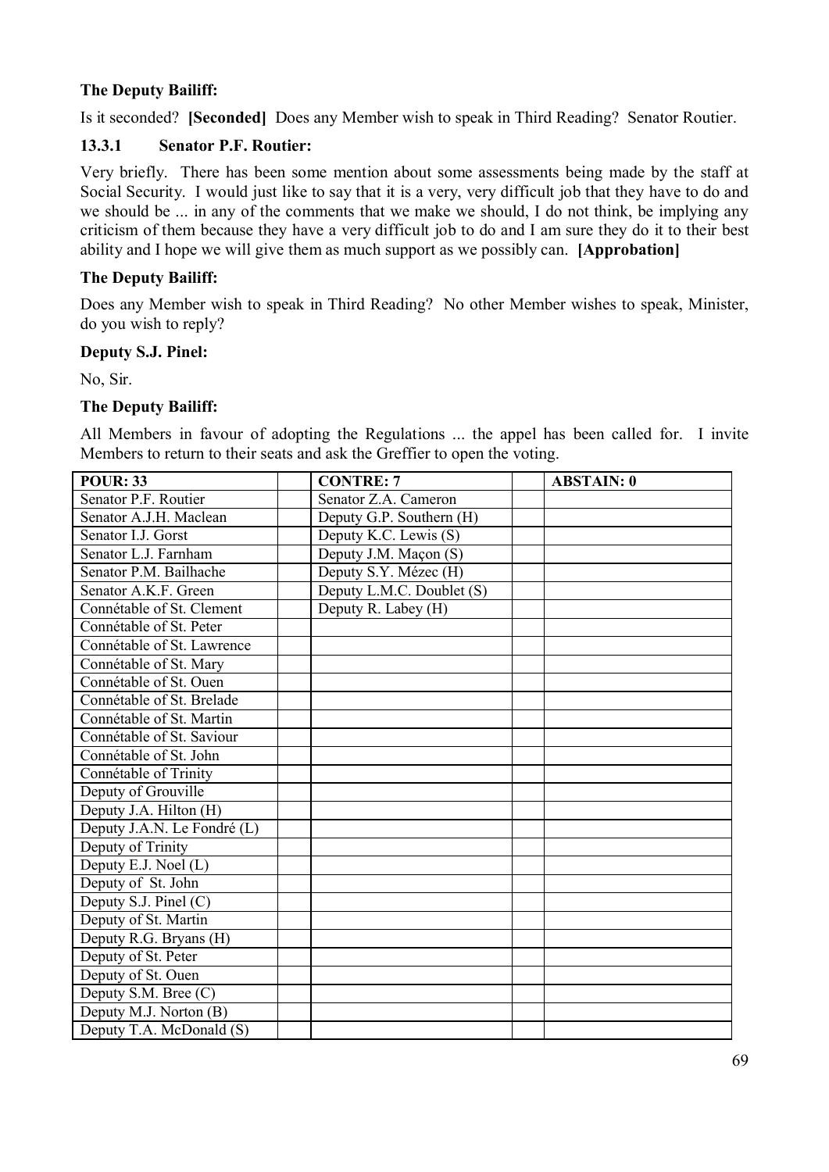# **The Deputy Bailiff:**

Is it seconded? **[Seconded]** Does any Member wish to speak in Third Reading? Senator Routier.

#### **13.3.1 Senator P.F. Routier:**

Very briefly. There has been some mention about some assessments being made by the staff at Social Security. I would just like to say that it is a very, very difficult job that they have to do and we should be ... in any of the comments that we make we should, I do not think, be implying any criticism of them because they have a very difficult job to do and I am sure they do it to their best ability and I hope we will give them as much support as we possibly can. **[Approbation]**

#### **The Deputy Bailiff:**

Does any Member wish to speak in Third Reading? No other Member wishes to speak, Minister, do you wish to reply?

#### **Deputy S.J. Pinel:**

No, Sir.

#### **The Deputy Bailiff:**

All Members in favour of adopting the Regulations ... the appel has been called for. I invite Members to return to their seats and ask the Greffier to open the voting.

| <b>POUR: 33</b>             | <b>CONTRE: 7</b>          | <b>ABSTAIN: 0</b> |
|-----------------------------|---------------------------|-------------------|
| Senator P.F. Routier        | Senator Z.A. Cameron      |                   |
| Senator A.J.H. Maclean      | Deputy G.P. Southern (H)  |                   |
| Senator I.J. Gorst          | Deputy K.C. Lewis (S)     |                   |
| Senator L.J. Farnham        | Deputy J.M. Maçon (S)     |                   |
| Senator P.M. Bailhache      | Deputy S.Y. Mézec (H)     |                   |
| Senator A.K.F. Green        | Deputy L.M.C. Doublet (S) |                   |
| Connétable of St. Clement   | Deputy R. Labey (H)       |                   |
| Connétable of St. Peter     |                           |                   |
| Connétable of St. Lawrence  |                           |                   |
| Connétable of St. Mary      |                           |                   |
| Connétable of St. Ouen      |                           |                   |
| Connétable of St. Brelade   |                           |                   |
| Connétable of St. Martin    |                           |                   |
| Connétable of St. Saviour   |                           |                   |
| Connétable of St. John      |                           |                   |
| Connétable of Trinity       |                           |                   |
| Deputy of Grouville         |                           |                   |
| Deputy J.A. Hilton (H)      |                           |                   |
| Deputy J.A.N. Le Fondré (L) |                           |                   |
| Deputy of Trinity           |                           |                   |
| Deputy E.J. Noel (L)        |                           |                   |
| Deputy of St. John          |                           |                   |
| Deputy S.J. Pinel $(C)$     |                           |                   |
| Deputy of St. Martin        |                           |                   |
| Deputy R.G. Bryans (H)      |                           |                   |
| Deputy of St. Peter         |                           |                   |
| Deputy of St. Ouen          |                           |                   |
| Deputy S.M. Bree (C)        |                           |                   |
| Deputy M.J. Norton (B)      |                           |                   |
| Deputy T.A. McDonald (S)    |                           |                   |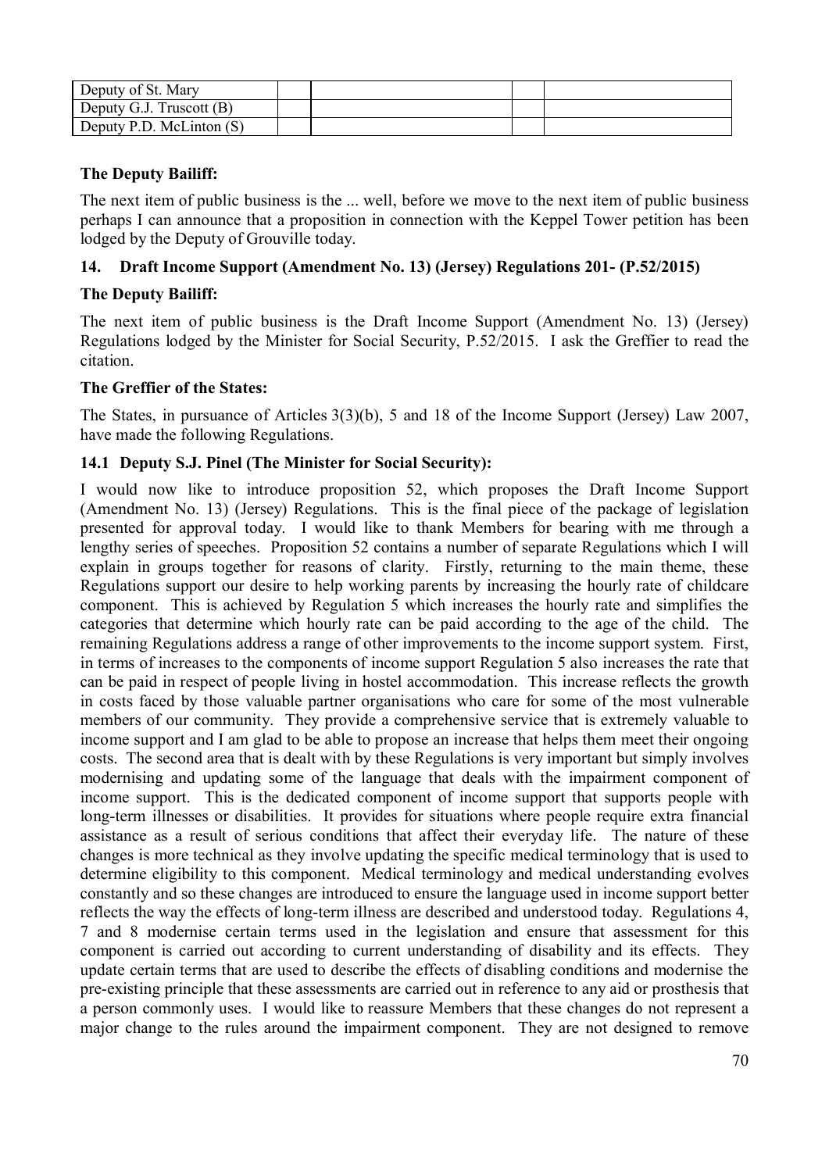| Deputy of St. Mary         |  |  |
|----------------------------|--|--|
| Deputy G.J. Truscott (B)   |  |  |
| Deputy P.D. McLinton $(S)$ |  |  |

# **The Deputy Bailiff:**

The next item of public business is the ... well, before we move to the next item of public business perhaps I can announce that a proposition in connection with the Keppel Tower petition has been lodged by the Deputy of Grouville today.

# **14. Draft Income Support (Amendment No. 13) (Jersey) Regulations 201- (P.52/2015)**

#### **The Deputy Bailiff:**

The next item of public business is the Draft Income Support (Amendment No. 13) (Jersey) Regulations lodged by the Minister for Social Security, P.52/2015. I ask the Greffier to read the citation.

#### **The Greffier of the States:**

The States, in pursuance of Articles 3(3)(b), 5 and 18 of the Income Support (Jersey) Law 2007, have made the following Regulations.

#### **14.1 Deputy S.J. Pinel (The Minister for Social Security):**

I would now like to introduce proposition 52, which proposes the Draft Income Support (Amendment No. 13) (Jersey) Regulations. This is the final piece of the package of legislation presented for approval today. I would like to thank Members for bearing with me through a lengthy series of speeches. Proposition 52 contains a number of separate Regulations which I will explain in groups together for reasons of clarity. Firstly, returning to the main theme, these Regulations support our desire to help working parents by increasing the hourly rate of childcare component. This is achieved by Regulation 5 which increases the hourly rate and simplifies the categories that determine which hourly rate can be paid according to the age of the child. The remaining Regulations address a range of other improvements to the income support system. First, in terms of increases to the components of income support Regulation 5 also increases the rate that can be paid in respect of people living in hostel accommodation. This increase reflects the growth in costs faced by those valuable partner organisations who care for some of the most vulnerable members of our community. They provide a comprehensive service that is extremely valuable to income support and I am glad to be able to propose an increase that helps them meet their ongoing costs. The second area that is dealt with by these Regulations is very important but simply involves modernising and updating some of the language that deals with the impairment component of income support. This is the dedicated component of income support that supports people with long-term illnesses or disabilities. It provides for situations where people require extra financial assistance as a result of serious conditions that affect their everyday life. The nature of these changes is more technical as they involve updating the specific medical terminology that is used to determine eligibility to this component. Medical terminology and medical understanding evolves constantly and so these changes are introduced to ensure the language used in income support better reflects the way the effects of long-term illness are described and understood today. Regulations 4, 7 and 8 modernise certain terms used in the legislation and ensure that assessment for this component is carried out according to current understanding of disability and its effects. They update certain terms that are used to describe the effects of disabling conditions and modernise the pre-existing principle that these assessments are carried out in reference to any aid or prosthesis that a person commonly uses. I would like to reassure Members that these changes do not represent a major change to the rules around the impairment component. They are not designed to remove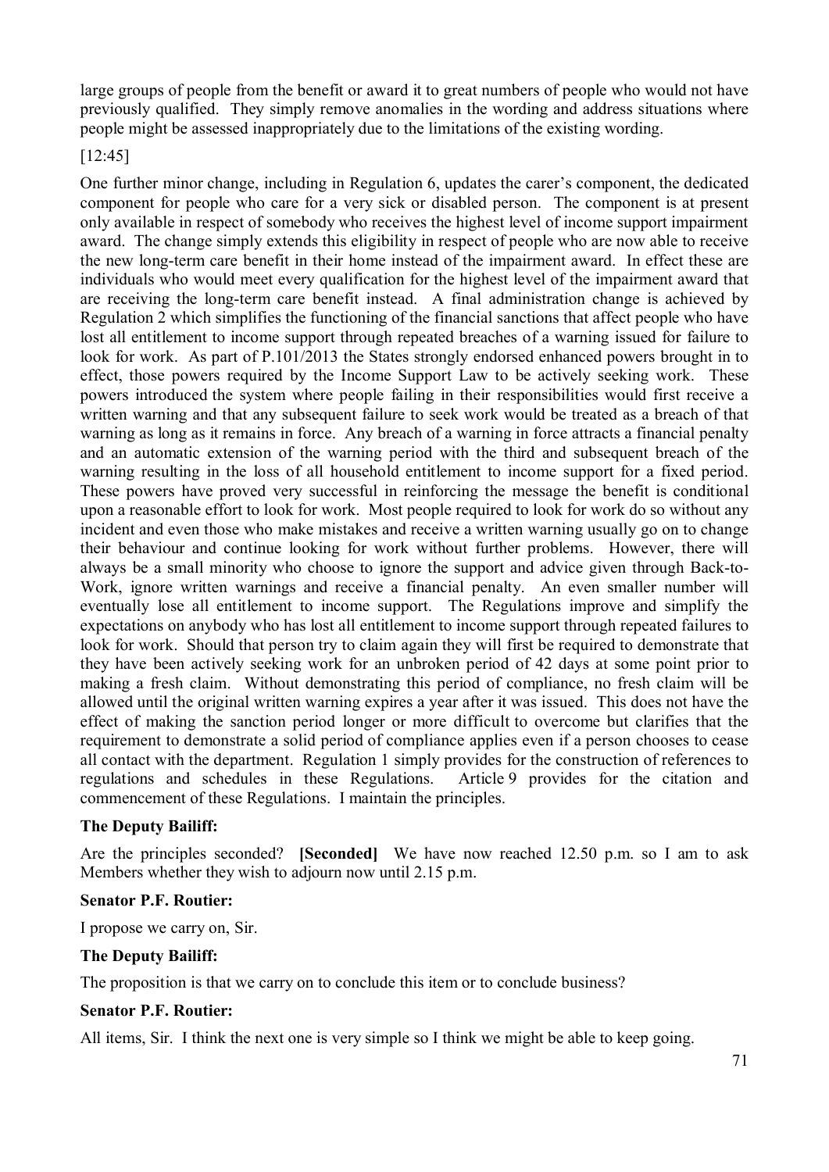large groups of people from the benefit or award it to great numbers of people who would not have previously qualified. They simply remove anomalies in the wording and address situations where people might be assessed inappropriately due to the limitations of the existing wording.

#### [12:45]

One further minor change, including in Regulation 6, updates the carer's component, the dedicated component for people who care for a very sick or disabled person. The component is at present only available in respect of somebody who receives the highest level of income support impairment award. The change simply extends this eligibility in respect of people who are now able to receive the new long-term care benefit in their home instead of the impairment award. In effect these are individuals who would meet every qualification for the highest level of the impairment award that are receiving the long-term care benefit instead. A final administration change is achieved by Regulation 2 which simplifies the functioning of the financial sanctions that affect people who have lost all entitlement to income support through repeated breaches of a warning issued for failure to look for work. As part of P.101/2013 the States strongly endorsed enhanced powers brought in to effect, those powers required by the Income Support Law to be actively seeking work. These powers introduced the system where people failing in their responsibilities would first receive a written warning and that any subsequent failure to seek work would be treated as a breach of that warning as long as it remains in force. Any breach of a warning in force attracts a financial penalty and an automatic extension of the warning period with the third and subsequent breach of the warning resulting in the loss of all household entitlement to income support for a fixed period. These powers have proved very successful in reinforcing the message the benefit is conditional upon a reasonable effort to look for work. Most people required to look for work do so without any incident and even those who make mistakes and receive a written warning usually go on to change their behaviour and continue looking for work without further problems. However, there will always be a small minority who choose to ignore the support and advice given through Back-to-Work, ignore written warnings and receive a financial penalty. An even smaller number will eventually lose all entitlement to income support. The Regulations improve and simplify the expectations on anybody who has lost all entitlement to income support through repeated failures to look for work. Should that person try to claim again they will first be required to demonstrate that they have been actively seeking work for an unbroken period of 42 days at some point prior to making a fresh claim. Without demonstrating this period of compliance, no fresh claim will be allowed until the original written warning expires a year after it was issued. This does not have the effect of making the sanction period longer or more difficult to overcome but clarifies that the requirement to demonstrate a solid period of compliance applies even if a person chooses to cease all contact with the department. Regulation 1 simply provides for the construction of references to regulations and schedules in these Regulations. Article 9 provides for the citation and commencement of these Regulations. I maintain the principles.

#### **The Deputy Bailiff:**

Are the principles seconded? **[Seconded]** We have now reached 12.50 p.m. so I am to ask Members whether they wish to adjourn now until 2.15 p.m.

#### **Senator P.F. Routier:**

I propose we carry on, Sir.

#### **The Deputy Bailiff:**

The proposition is that we carry on to conclude this item or to conclude business?

#### **Senator P.F. Routier:**

All items, Sir. I think the next one is very simple so I think we might be able to keep going.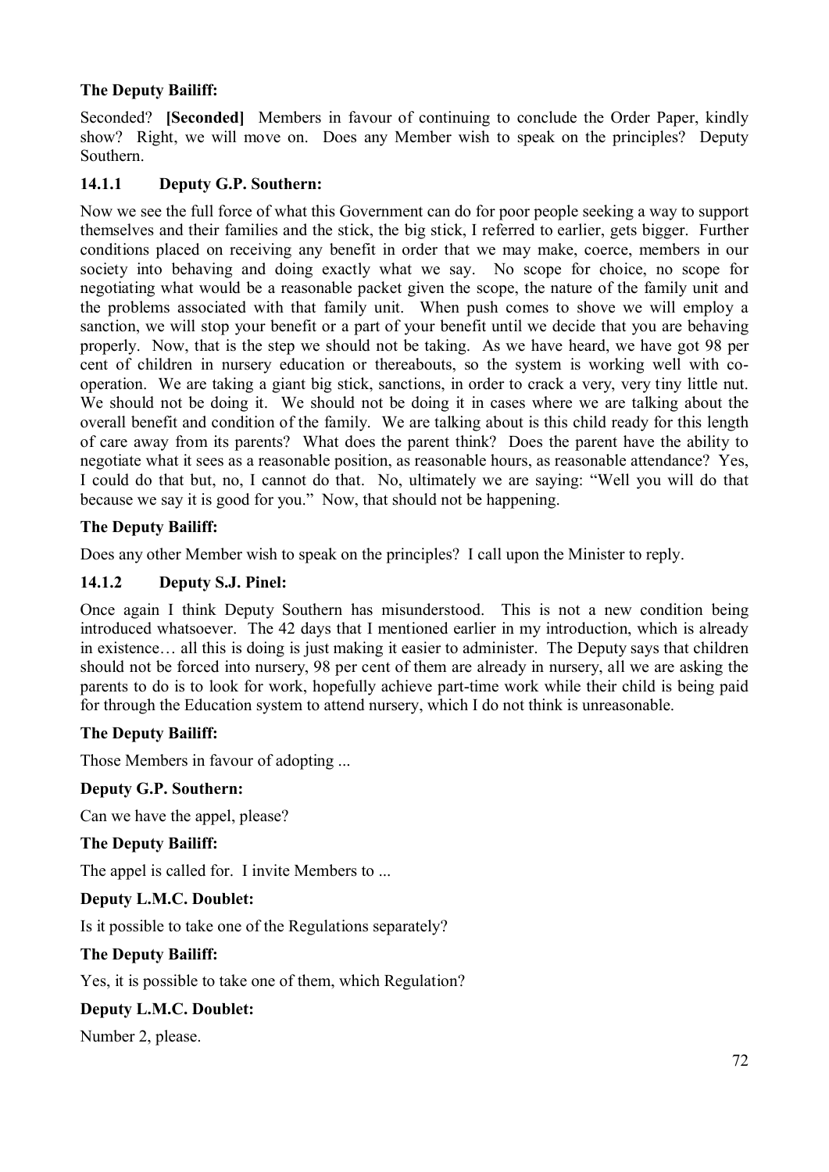# **The Deputy Bailiff:**

Seconded? **[Seconded]** Members in favour of continuing to conclude the Order Paper, kindly show? Right, we will move on. Does any Member wish to speak on the principles? Deputy Southern.

# **14.1.1 Deputy G.P. Southern:**

Now we see the full force of what this Government can do for poor people seeking a way to support themselves and their families and the stick, the big stick, I referred to earlier, gets bigger. Further conditions placed on receiving any benefit in order that we may make, coerce, members in our society into behaving and doing exactly what we say. No scope for choice, no scope for negotiating what would be a reasonable packet given the scope, the nature of the family unit and the problems associated with that family unit. When push comes to shove we will employ a sanction, we will stop your benefit or a part of your benefit until we decide that you are behaving properly. Now, that is the step we should not be taking. As we have heard, we have got 98 per cent of children in nursery education or thereabouts, so the system is working well with cooperation. We are taking a giant big stick, sanctions, in order to crack a very, very tiny little nut. We should not be doing it. We should not be doing it in cases where we are talking about the overall benefit and condition of the family. We are talking about is this child ready for this length of care away from its parents? What does the parent think? Does the parent have the ability to negotiate what it sees as a reasonable position, as reasonable hours, as reasonable attendance? Yes, I could do that but, no, I cannot do that. No, ultimately we are saying: "Well you will do that because we say it is good for you." Now, that should not be happening.

#### **The Deputy Bailiff:**

Does any other Member wish to speak on the principles? I call upon the Minister to reply.

#### **14.1.2 Deputy S.J. Pinel:**

Once again I think Deputy Southern has misunderstood. This is not a new condition being introduced whatsoever. The 42 days that I mentioned earlier in my introduction, which is already in existence… all this is doing is just making it easier to administer. The Deputy says that children should not be forced into nursery, 98 per cent of them are already in nursery, all we are asking the parents to do is to look for work, hopefully achieve part-time work while their child is being paid for through the Education system to attend nursery, which I do not think is unreasonable.

#### **The Deputy Bailiff:**

Those Members in favour of adopting ...

#### **Deputy G.P. Southern:**

Can we have the appel, please?

#### **The Deputy Bailiff:**

The appel is called for. I invite Members to ...

#### **Deputy L.M.C. Doublet:**

Is it possible to take one of the Regulations separately?

#### **The Deputy Bailiff:**

Yes, it is possible to take one of them, which Regulation?

#### **Deputy L.M.C. Doublet:**

Number 2, please.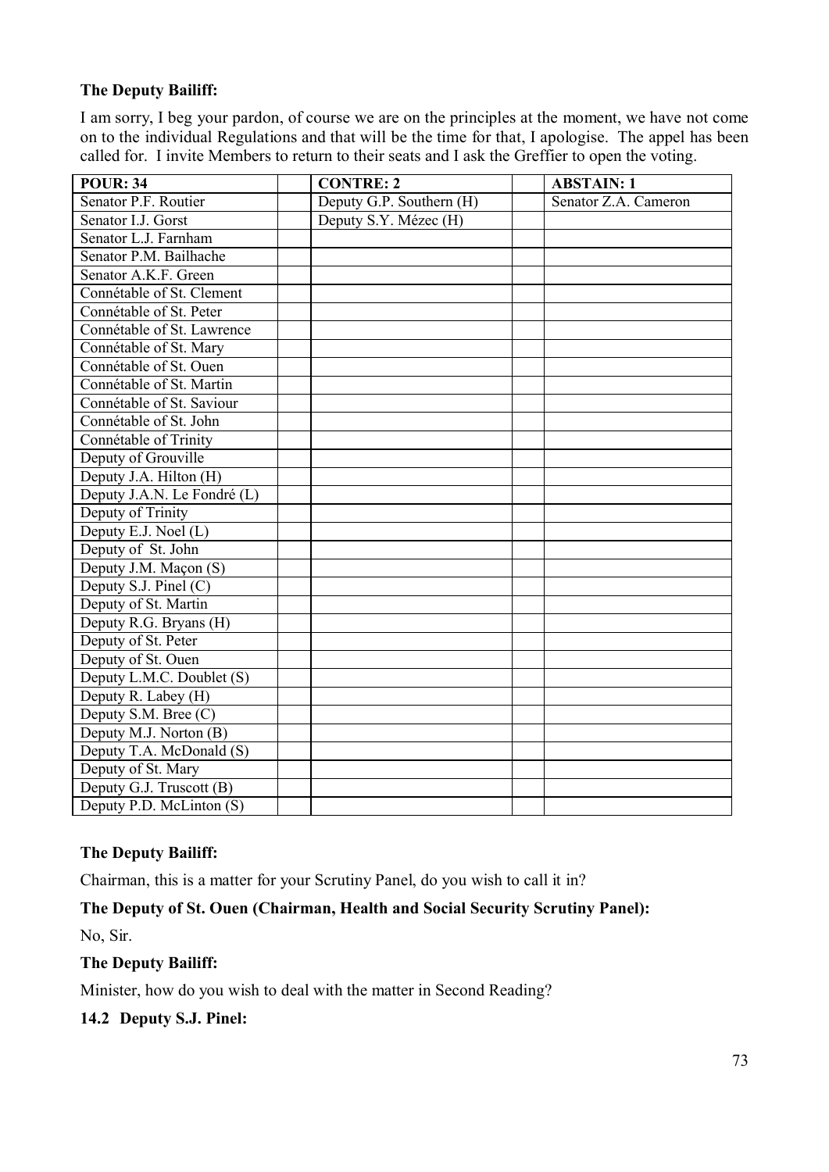# **The Deputy Bailiff:**

I am sorry, I beg your pardon, of course we are on the principles at the moment, we have not come on to the individual Regulations and that will be the time for that, I apologise. The appel has been called for. I invite Members to return to their seats and I ask the Greffier to open the voting.

| <b>POUR: 34</b>             | <b>CONTRE: 2</b>         | <b>ABSTAIN: 1</b>    |
|-----------------------------|--------------------------|----------------------|
| Senator P.F. Routier        | Deputy G.P. Southern (H) | Senator Z.A. Cameron |
| Senator I.J. Gorst          | Deputy S.Y. Mézec (H)    |                      |
| Senator L.J. Farnham        |                          |                      |
| Senator P.M. Bailhache      |                          |                      |
| Senator A.K.F. Green        |                          |                      |
| Connétable of St. Clement   |                          |                      |
| Connétable of St. Peter     |                          |                      |
| Connétable of St. Lawrence  |                          |                      |
| Connétable of St. Mary      |                          |                      |
| Connétable of St. Ouen      |                          |                      |
| Connétable of St. Martin    |                          |                      |
| Connétable of St. Saviour   |                          |                      |
| Connétable of St. John      |                          |                      |
| Connétable of Trinity       |                          |                      |
| Deputy of Grouville         |                          |                      |
| Deputy J.A. Hilton (H)      |                          |                      |
| Deputy J.A.N. Le Fondré (L) |                          |                      |
| Deputy of Trinity           |                          |                      |
| Deputy E.J. Noel (L)        |                          |                      |
| Deputy of St. John          |                          |                      |
| Deputy J.M. Maçon (S)       |                          |                      |
| Deputy S.J. Pinel (C)       |                          |                      |
| Deputy of St. Martin        |                          |                      |
| Deputy R.G. Bryans (H)      |                          |                      |
| Deputy of St. Peter         |                          |                      |
| Deputy of St. Ouen          |                          |                      |
| Deputy L.M.C. Doublet (S)   |                          |                      |
| Deputy R. Labey (H)         |                          |                      |
| Deputy S.M. Bree (C)        |                          |                      |
| Deputy M.J. Norton (B)      |                          |                      |
| Deputy T.A. McDonald (S)    |                          |                      |
| Deputy of St. Mary          |                          |                      |
| Deputy G.J. Truscott (B)    |                          |                      |
| Deputy P.D. McLinton (S)    |                          |                      |

# **The Deputy Bailiff:**

Chairman, this is a matter for your Scrutiny Panel, do you wish to call it in?

**The Deputy of St. Ouen (Chairman, Health and Social Security Scrutiny Panel):**

No, Sir.

# **The Deputy Bailiff:**

Minister, how do you wish to deal with the matter in Second Reading?

**14.2 Deputy S.J. Pinel:**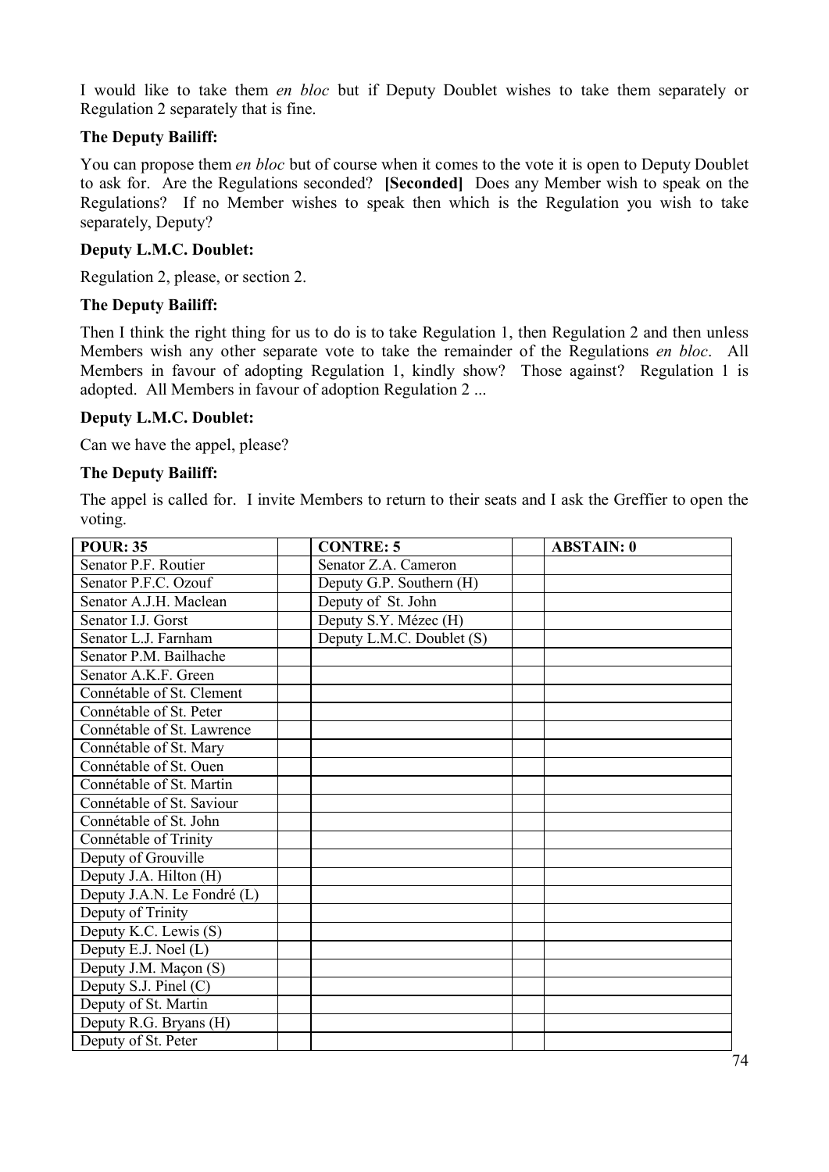I would like to take them *en bloc* but if Deputy Doublet wishes to take them separately or Regulation 2 separately that is fine.

## **The Deputy Bailiff:**

You can propose them *en bloc* but of course when it comes to the vote it is open to Deputy Doublet to ask for. Are the Regulations seconded? **[Seconded]** Does any Member wish to speak on the Regulations? If no Member wishes to speak then which is the Regulation you wish to take separately, Deputy?

### **Deputy L.M.C. Doublet:**

Regulation 2, please, or section 2.

#### **The Deputy Bailiff:**

Then I think the right thing for us to do is to take Regulation 1, then Regulation 2 and then unless Members wish any other separate vote to take the remainder of the Regulations *en bloc*. All Members in favour of adopting Regulation 1, kindly show? Those against? Regulation 1 is adopted. All Members in favour of adoption Regulation 2 ...

### **Deputy L.M.C. Doublet:**

Can we have the appel, please?

#### **The Deputy Bailiff:**

The appel is called for. I invite Members to return to their seats and I ask the Greffier to open the voting.

| <b>POUR: 35</b>             | <b>CONTRE: 5</b>          | <b>ABSTAIN: 0</b> |
|-----------------------------|---------------------------|-------------------|
| Senator P.F. Routier        | Senator Z.A. Cameron      |                   |
| Senator P.F.C. Ozouf        | Deputy G.P. Southern (H)  |                   |
| Senator A.J.H. Maclean      | Deputy of St. John        |                   |
| Senator I.J. Gorst          | Deputy S.Y. Mézec (H)     |                   |
| Senator L.J. Farnham        | Deputy L.M.C. Doublet (S) |                   |
| Senator P.M. Bailhache      |                           |                   |
| Senator A.K.F. Green        |                           |                   |
| Connétable of St. Clement   |                           |                   |
| Connétable of St. Peter     |                           |                   |
| Connétable of St. Lawrence  |                           |                   |
| Connétable of St. Mary      |                           |                   |
| Connétable of St. Ouen      |                           |                   |
| Connétable of St. Martin    |                           |                   |
| Connétable of St. Saviour   |                           |                   |
| Connétable of St. John      |                           |                   |
| Connétable of Trinity       |                           |                   |
| Deputy of Grouville         |                           |                   |
| Deputy J.A. Hilton (H)      |                           |                   |
| Deputy J.A.N. Le Fondré (L) |                           |                   |
| Deputy of Trinity           |                           |                   |
| Deputy K.C. Lewis (S)       |                           |                   |
| Deputy E.J. Noel (L)        |                           |                   |
| Deputy J.M. Maçon (S)       |                           |                   |
| Deputy S.J. Pinel $(C)$     |                           |                   |
| Deputy of St. Martin        |                           |                   |
| Deputy R.G. Bryans (H)      |                           |                   |
| Deputy of St. Peter         |                           |                   |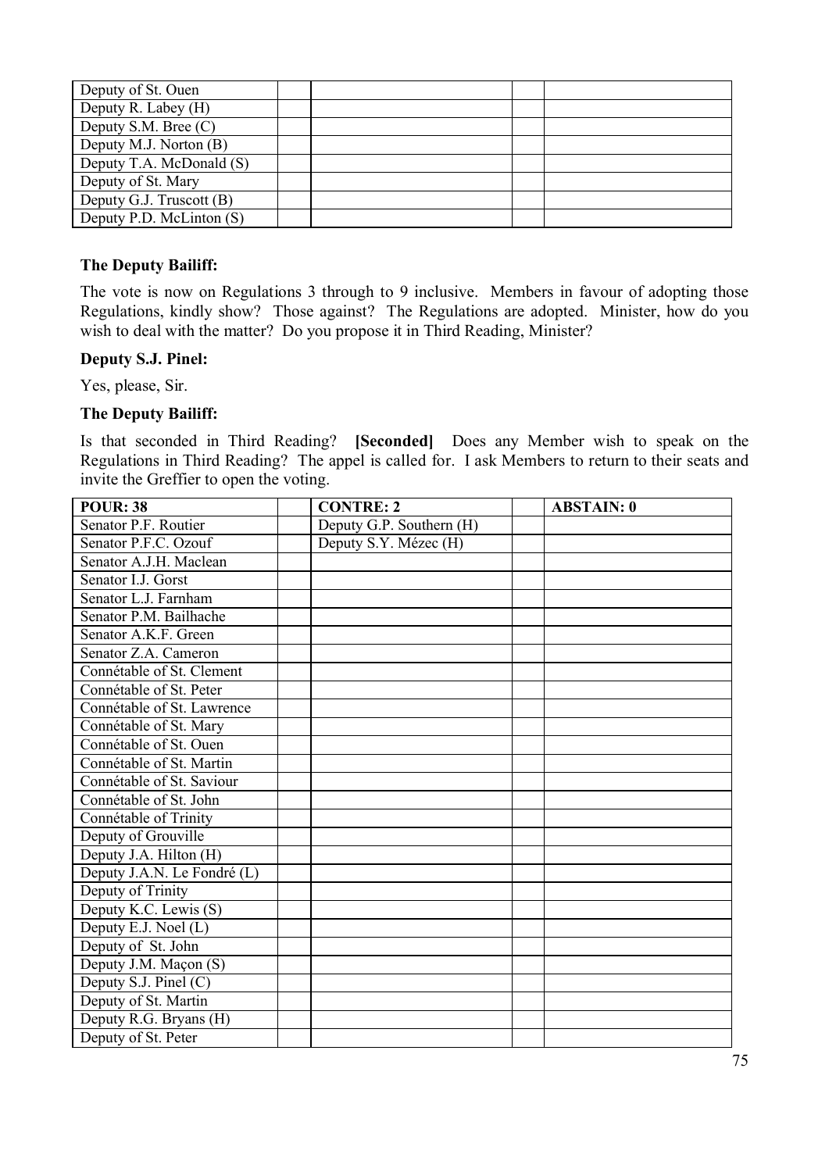| Deputy of St. Ouen       |  |  |
|--------------------------|--|--|
| Deputy R. Labey (H)      |  |  |
| Deputy S.M. Bree (C)     |  |  |
| Deputy M.J. Norton (B)   |  |  |
| Deputy T.A. McDonald (S) |  |  |
| Deputy of St. Mary       |  |  |
| Deputy G.J. Truscott (B) |  |  |
| Deputy P.D. McLinton (S) |  |  |

#### **The Deputy Bailiff:**

The vote is now on Regulations 3 through to 9 inclusive. Members in favour of adopting those Regulations, kindly show? Those against? The Regulations are adopted. Minister, how do you wish to deal with the matter? Do you propose it in Third Reading, Minister?

#### **Deputy S.J. Pinel:**

Yes, please, Sir.

#### **The Deputy Bailiff:**

Is that seconded in Third Reading? **[Seconded]** Does any Member wish to speak on the Regulations in Third Reading? The appel is called for. I ask Members to return to their seats and invite the Greffier to open the voting.

| <b>POUR: 38</b>             | <b>CONTRE: 2</b>         | <b>ABSTAIN: 0</b> |
|-----------------------------|--------------------------|-------------------|
| Senator P.F. Routier        | Deputy G.P. Southern (H) |                   |
| Senator P.F.C. Ozouf        | Deputy S.Y. Mézec (H)    |                   |
| Senator A.J.H. Maclean      |                          |                   |
| Senator I.J. Gorst          |                          |                   |
| Senator L.J. Farnham        |                          |                   |
| Senator P.M. Bailhache      |                          |                   |
| Senator A.K.F. Green        |                          |                   |
| Senator Z.A. Cameron        |                          |                   |
| Connétable of St. Clement   |                          |                   |
| Connétable of St. Peter     |                          |                   |
| Connétable of St. Lawrence  |                          |                   |
| Connétable of St. Mary      |                          |                   |
| Connétable of St. Ouen      |                          |                   |
| Connétable of St. Martin    |                          |                   |
| Connétable of St. Saviour   |                          |                   |
| Connétable of St. John      |                          |                   |
| Connétable of Trinity       |                          |                   |
| Deputy of Grouville         |                          |                   |
| Deputy J.A. Hilton (H)      |                          |                   |
| Deputy J.A.N. Le Fondré (L) |                          |                   |
| Deputy of Trinity           |                          |                   |
| Deputy K.C. Lewis (S)       |                          |                   |
| Deputy E.J. Noel (L)        |                          |                   |
| Deputy of St. John          |                          |                   |
| Deputy J.M. Maçon (S)       |                          |                   |
| Deputy S.J. Pinel (C)       |                          |                   |
| Deputy of St. Martin        |                          |                   |
| Deputy R.G. Bryans (H)      |                          |                   |
| Deputy of St. Peter         |                          |                   |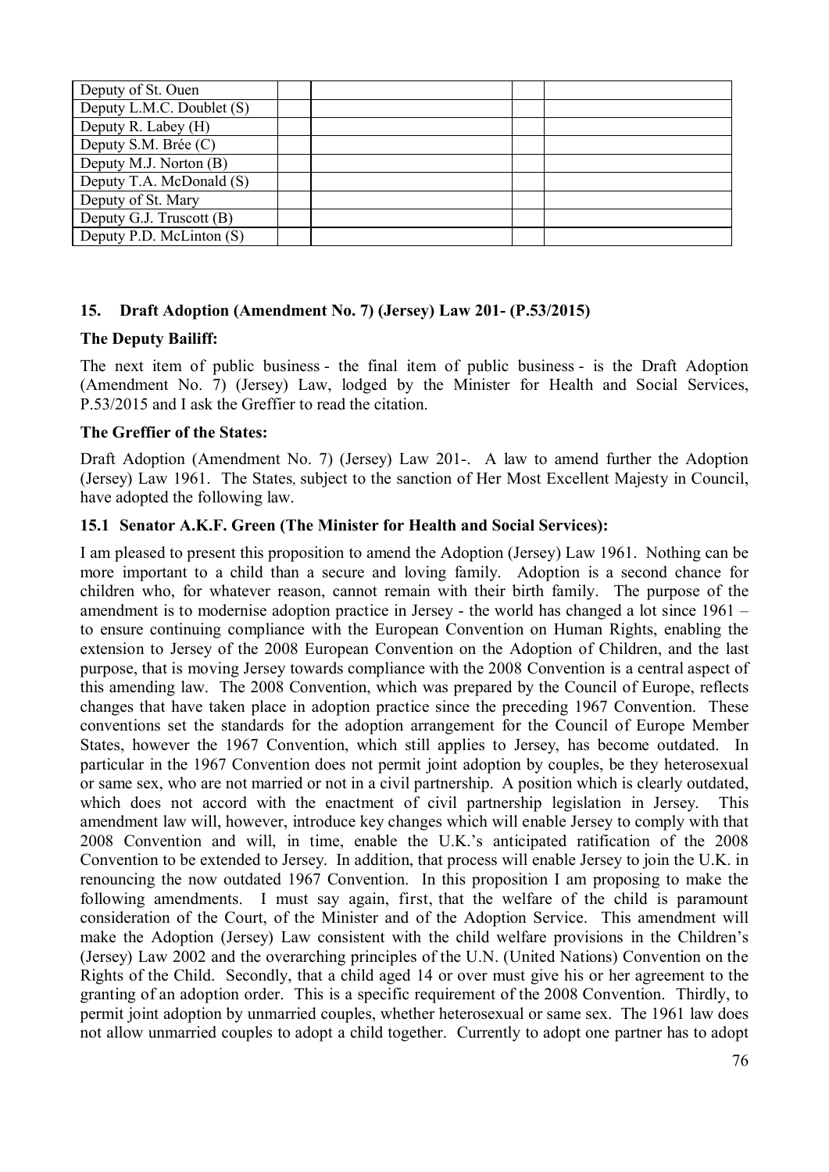| Deputy of St. Ouen        |  |  |
|---------------------------|--|--|
| Deputy L.M.C. Doublet (S) |  |  |
| Deputy R. Labey (H)       |  |  |
| Deputy S.M. Brée (C)      |  |  |
| Deputy M.J. Norton (B)    |  |  |
| Deputy T.A. McDonald (S)  |  |  |
| Deputy of St. Mary        |  |  |
| Deputy G.J. Truscott (B)  |  |  |
| Deputy P.D. McLinton (S)  |  |  |

### **15. Draft Adoption (Amendment No. 7) (Jersey) Law 201- (P.53/2015)**

#### **The Deputy Bailiff:**

The next item of public business - the final item of public business - is the Draft Adoption (Amendment No. 7) (Jersey) Law, lodged by the Minister for Health and Social Services, P.53/2015 and I ask the Greffier to read the citation.

#### **The Greffier of the States:**

Draft Adoption (Amendment No. 7) (Jersey) Law 201-. A law to amend further the Adoption (Jersey) Law 1961. The States, subject to the sanction of Her Most Excellent Majesty in Council, have adopted the following law.

#### **15.1 Senator A.K.F. Green (The Minister for Health and Social Services):**

I am pleased to present this proposition to amend the Adoption (Jersey) Law 1961. Nothing can be more important to a child than a secure and loving family. Adoption is a second chance for children who, for whatever reason, cannot remain with their birth family. The purpose of the amendment is to modernise adoption practice in Jersey - the world has changed a lot since 1961 – to ensure continuing compliance with the European Convention on Human Rights, enabling the extension to Jersey of the 2008 European Convention on the Adoption of Children, and the last purpose, that is moving Jersey towards compliance with the 2008 Convention is a central aspect of this amending law. The 2008 Convention, which was prepared by the Council of Europe, reflects changes that have taken place in adoption practice since the preceding 1967 Convention. These conventions set the standards for the adoption arrangement for the Council of Europe Member States, however the 1967 Convention, which still applies to Jersey, has become outdated. In particular in the 1967 Convention does not permit joint adoption by couples, be they heterosexual or same sex, who are not married or not in a civil partnership. A position which is clearly outdated, which does not accord with the enactment of civil partnership legislation in Jersey. This amendment law will, however, introduce key changes which will enable Jersey to comply with that 2008 Convention and will, in time, enable the U.K.'s anticipated ratification of the 2008 Convention to be extended to Jersey. In addition, that process will enable Jersey to join the U.K. in renouncing the now outdated 1967 Convention. In this proposition I am proposing to make the following amendments. I must say again, first, that the welfare of the child is paramount consideration of the Court, of the Minister and of the Adoption Service. This amendment will make the Adoption (Jersey) Law consistent with the child welfare provisions in the Children's (Jersey) Law 2002 and the overarching principles of the U.N. (United Nations) Convention on the Rights of the Child. Secondly, that a child aged 14 or over must give his or her agreement to the granting of an adoption order. This is a specific requirement of the 2008 Convention. Thirdly, to permit joint adoption by unmarried couples, whether heterosexual or same sex. The 1961 law does not allow unmarried couples to adopt a child together. Currently to adopt one partner has to adopt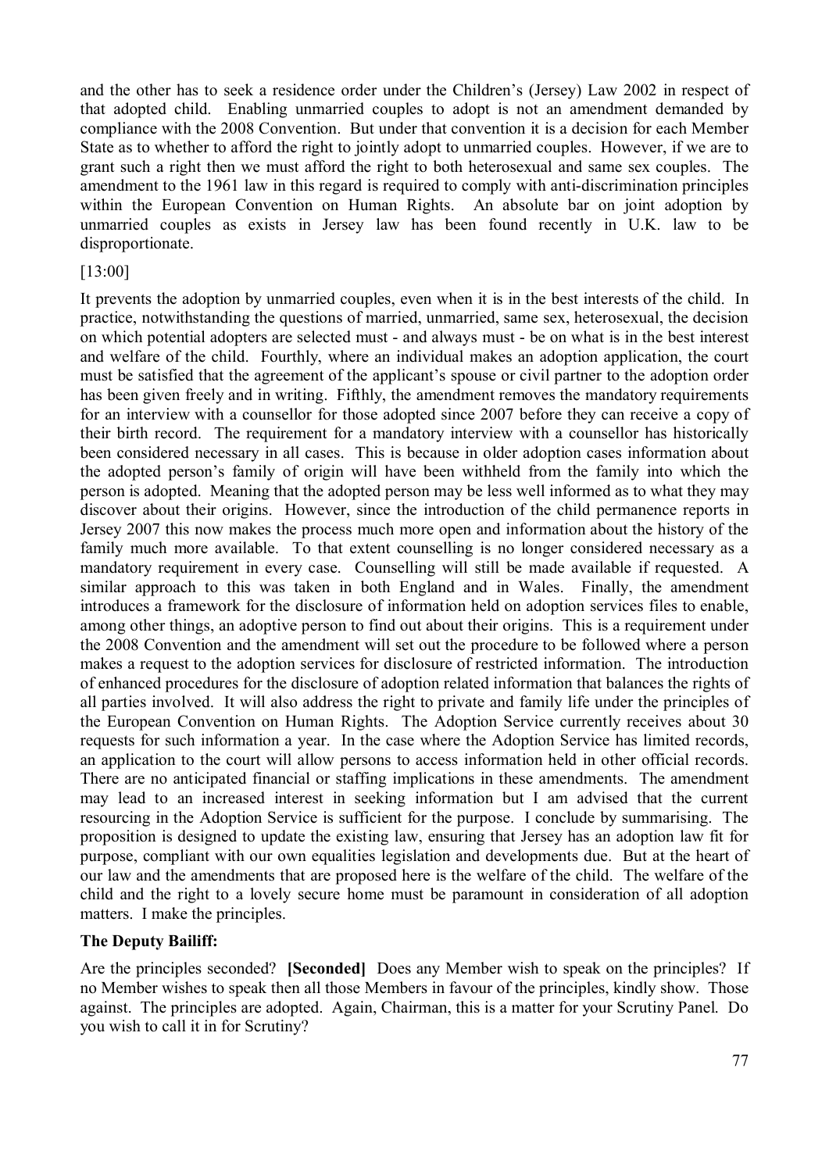and the other has to seek a residence order under the Children's (Jersey) Law 2002 in respect of that adopted child. Enabling unmarried couples to adopt is not an amendment demanded by compliance with the 2008 Convention. But under that convention it is a decision for each Member State as to whether to afford the right to jointly adopt to unmarried couples. However, if we are to grant such a right then we must afford the right to both heterosexual and same sex couples. The amendment to the 1961 law in this regard is required to comply with anti-discrimination principles within the European Convention on Human Rights. An absolute bar on joint adoption by unmarried couples as exists in Jersey law has been found recently in U.K. law to be disproportionate.

#### [13:00]

It prevents the adoption by unmarried couples, even when it is in the best interests of the child. In practice, notwithstanding the questions of married, unmarried, same sex, heterosexual, the decision on which potential adopters are selected must - and always must - be on what is in the best interest and welfare of the child. Fourthly, where an individual makes an adoption application, the court must be satisfied that the agreement of the applicant's spouse or civil partner to the adoption order has been given freely and in writing. Fifthly, the amendment removes the mandatory requirements for an interview with a counsellor for those adopted since 2007 before they can receive a copy of their birth record. The requirement for a mandatory interview with a counsellor has historically been considered necessary in all cases. This is because in older adoption cases information about the adopted person's family of origin will have been withheld from the family into which the person is adopted. Meaning that the adopted person may be less well informed as to what they may discover about their origins. However, since the introduction of the child permanence reports in Jersey 2007 this now makes the process much more open and information about the history of the family much more available. To that extent counselling is no longer considered necessary as a mandatory requirement in every case. Counselling will still be made available if requested. A similar approach to this was taken in both England and in Wales. Finally, the amendment introduces a framework for the disclosure of information held on adoption services files to enable, among other things, an adoptive person to find out about their origins. This is a requirement under the 2008 Convention and the amendment will set out the procedure to be followed where a person makes a request to the adoption services for disclosure of restricted information. The introduction of enhanced procedures for the disclosure of adoption related information that balances the rights of all parties involved. It will also address the right to private and family life under the principles of the European Convention on Human Rights. The Adoption Service currently receives about 30 requests for such information a year. In the case where the Adoption Service has limited records, an application to the court will allow persons to access information held in other official records. There are no anticipated financial or staffing implications in these amendments. The amendment may lead to an increased interest in seeking information but I am advised that the current resourcing in the Adoption Service is sufficient for the purpose. I conclude by summarising. The proposition is designed to update the existing law, ensuring that Jersey has an adoption law fit for purpose, compliant with our own equalities legislation and developments due. But at the heart of our law and the amendments that are proposed here is the welfare of the child. The welfare of the child and the right to a lovely secure home must be paramount in consideration of all adoption matters. I make the principles.

#### **The Deputy Bailiff:**

Are the principles seconded? **[Seconded]** Does any Member wish to speak on the principles? If no Member wishes to speak then all those Members in favour of the principles, kindly show. Those against. The principles are adopted. Again, Chairman, this is a matter for your Scrutiny Panel. Do you wish to call it in for Scrutiny?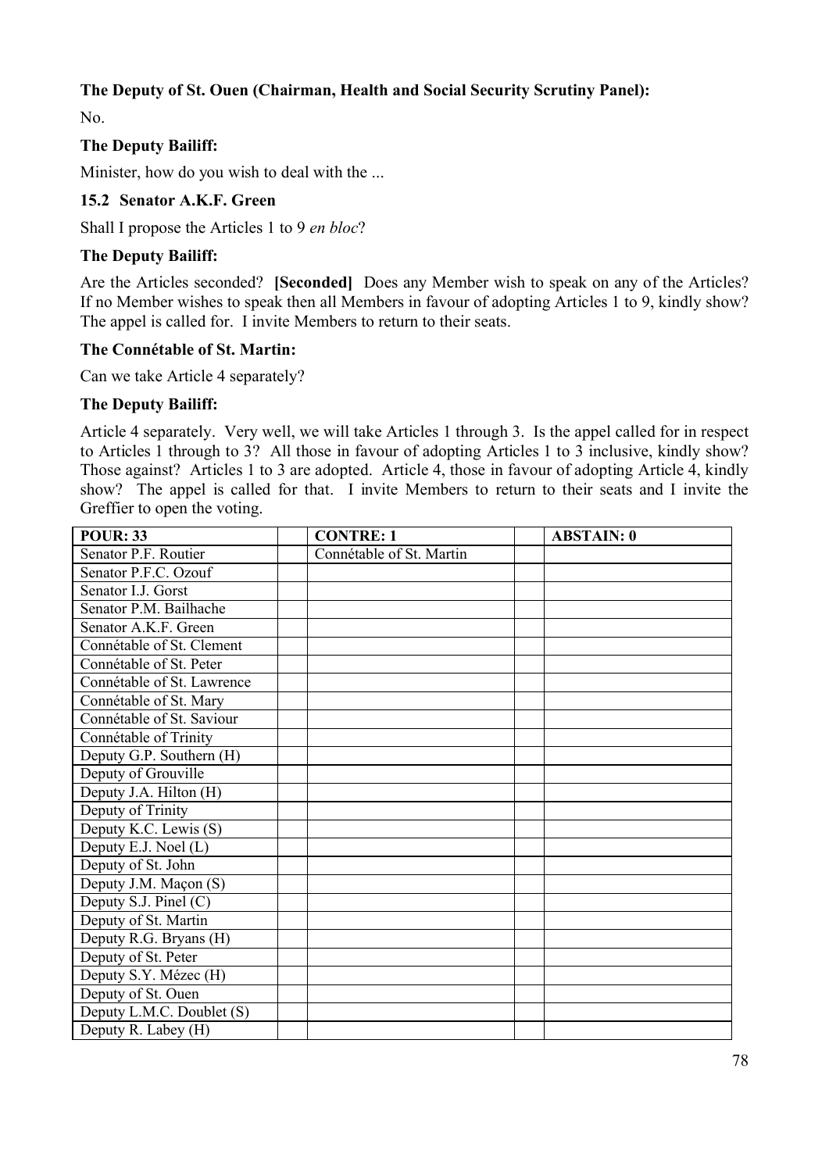# **The Deputy of St. Ouen (Chairman, Health and Social Security Scrutiny Panel):**

No.

## **The Deputy Bailiff:**

Minister, how do you wish to deal with the ...

#### **15.2 Senator A.K.F. Green**

Shall I propose the Articles 1 to 9 *en bloc*?

#### **The Deputy Bailiff:**

Are the Articles seconded? **[Seconded]** Does any Member wish to speak on any of the Articles? If no Member wishes to speak then all Members in favour of adopting Articles 1 to 9, kindly show? The appel is called for. I invite Members to return to their seats.

#### **The Connétable of St. Martin:**

Can we take Article 4 separately?

#### **The Deputy Bailiff:**

Article 4 separately. Very well, we will take Articles 1 through 3. Is the appel called for in respect to Articles 1 through to 3? All those in favour of adopting Articles 1 to 3 inclusive, kindly show? Those against? Articles 1 to 3 are adopted. Article 4, those in favour of adopting Article 4, kindly show? The appel is called for that. I invite Members to return to their seats and I invite the Greffier to open the voting.

| <b>POUR: 33</b>            | <b>CONTRE: 1</b>         | <b>ABSTAIN: 0</b> |
|----------------------------|--------------------------|-------------------|
| Senator P.F. Routier       | Connétable of St. Martin |                   |
| Senator P.F.C. Ozouf       |                          |                   |
| Senator I.J. Gorst         |                          |                   |
| Senator P.M. Bailhache     |                          |                   |
| Senator A.K.F. Green       |                          |                   |
| Connétable of St. Clement  |                          |                   |
| Connétable of St. Peter    |                          |                   |
| Connétable of St. Lawrence |                          |                   |
| Connétable of St. Mary     |                          |                   |
| Connétable of St. Saviour  |                          |                   |
| Connétable of Trinity      |                          |                   |
| Deputy G.P. Southern (H)   |                          |                   |
| Deputy of Grouville        |                          |                   |
| Deputy J.A. Hilton (H)     |                          |                   |
| Deputy of Trinity          |                          |                   |
| Deputy K.C. Lewis (S)      |                          |                   |
| Deputy E.J. Noel (L)       |                          |                   |
| Deputy of St. John         |                          |                   |
| Deputy J.M. Maçon (S)      |                          |                   |
| Deputy S.J. Pinel (C)      |                          |                   |
| Deputy of St. Martin       |                          |                   |
| Deputy R.G. Bryans (H)     |                          |                   |
| Deputy of St. Peter        |                          |                   |
| Deputy S.Y. Mézec (H)      |                          |                   |
| Deputy of St. Ouen         |                          |                   |
| Deputy L.M.C. Doublet (S)  |                          |                   |
| Deputy R. Labey (H)        |                          |                   |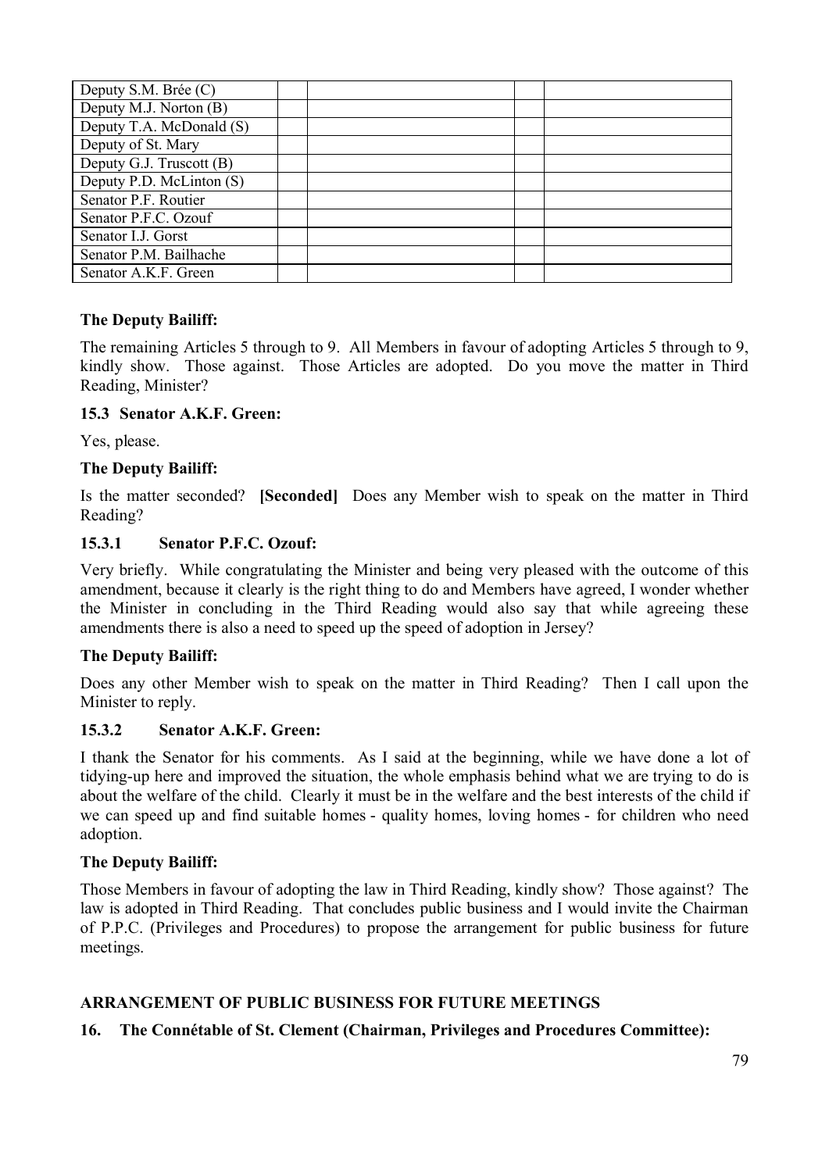| Deputy S.M. Brée (C)     |  |  |
|--------------------------|--|--|
| Deputy M.J. Norton (B)   |  |  |
| Deputy T.A. McDonald (S) |  |  |
| Deputy of St. Mary       |  |  |
| Deputy G.J. Truscott (B) |  |  |
| Deputy P.D. McLinton (S) |  |  |
| Senator P.F. Routier     |  |  |
| Senator P.F.C. Ozouf     |  |  |
| Senator I.J. Gorst       |  |  |
| Senator P.M. Bailhache   |  |  |
| Senator A.K.F. Green     |  |  |

### **The Deputy Bailiff:**

The remaining Articles 5 through to 9. All Members in favour of adopting Articles 5 through to 9, kindly show. Those against. Those Articles are adopted. Do you move the matter in Third Reading, Minister?

### **15.3 Senator A.K.F. Green:**

Yes, please.

## **The Deputy Bailiff:**

Is the matter seconded? **[Seconded]** Does any Member wish to speak on the matter in Third Reading?

### **15.3.1 Senator P.F.C. Ozouf:**

Very briefly. While congratulating the Minister and being very pleased with the outcome of this amendment, because it clearly is the right thing to do and Members have agreed, I wonder whether the Minister in concluding in the Third Reading would also say that while agreeing these amendments there is also a need to speed up the speed of adoption in Jersey?

# **The Deputy Bailiff:**

Does any other Member wish to speak on the matter in Third Reading? Then I call upon the Minister to reply.

### **15.3.2 Senator A.K.F. Green:**

I thank the Senator for his comments. As I said at the beginning, while we have done a lot of tidying-up here and improved the situation, the whole emphasis behind what we are trying to do is about the welfare of the child. Clearly it must be in the welfare and the best interests of the child if we can speed up and find suitable homes - quality homes, loving homes - for children who need adoption.

### **The Deputy Bailiff:**

Those Members in favour of adopting the law in Third Reading, kindly show? Those against? The law is adopted in Third Reading. That concludes public business and I would invite the Chairman of P.P.C. (Privileges and Procedures) to propose the arrangement for public business for future meetings.

# **ARRANGEMENT OF PUBLIC BUSINESS FOR FUTURE MEETINGS**

### **16. The Connétable of St. Clement (Chairman, Privileges and Procedures Committee):**